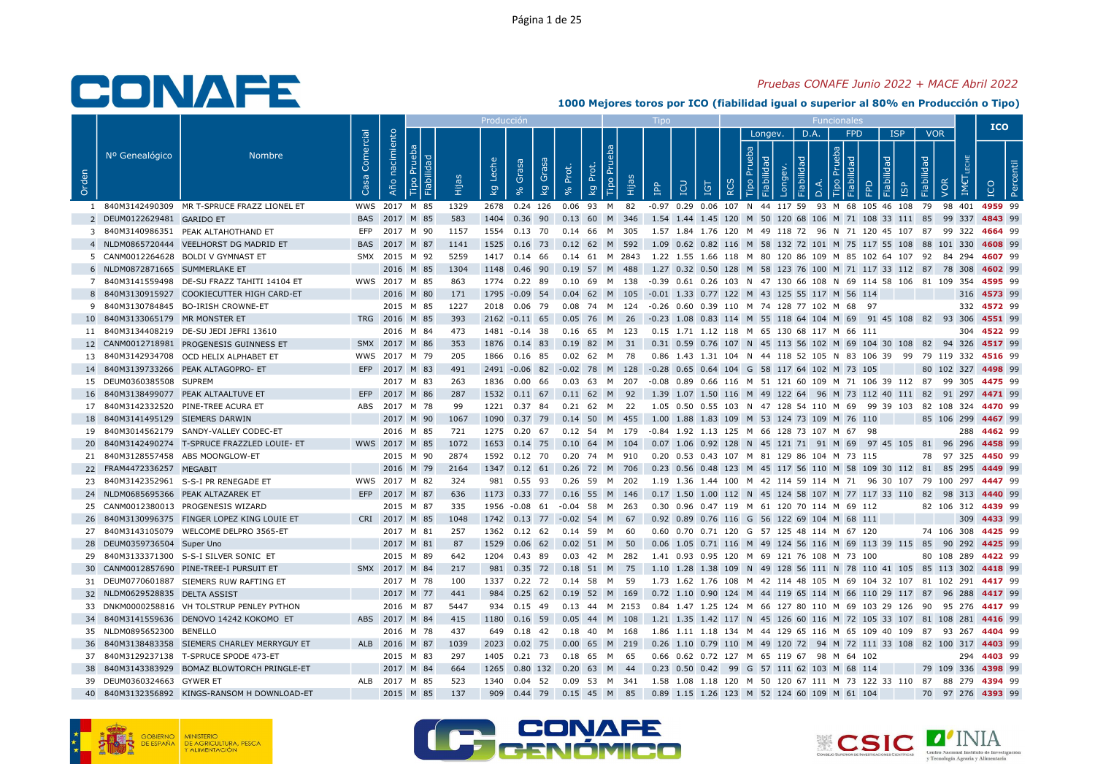### Pruebas CONAFE Junio 2022 + MACE Abril 2022

|       |                                  |                                               |                   |                |                  |       | Producción       |                  |                                                    |                      |                                                                                          |                         |                                              |   |                    |                   |            |                        |                                                                                              |                          |                    | <b>ICO</b>  |  |
|-------|----------------------------------|-----------------------------------------------|-------------------|----------------|------------------|-------|------------------|------------------|----------------------------------------------------|----------------------|------------------------------------------------------------------------------------------|-------------------------|----------------------------------------------|---|--------------------|-------------------|------------|------------------------|----------------------------------------------------------------------------------------------|--------------------------|--------------------|-------------|--|
| Orden | Nº Genealógico                   | <b>Nombre</b>                                 | Comercial<br>Casa | Año nacimiento | Fiabilidad<br>ᅵ՟ | Hijas | Leche<br>$k_{9}$ | Grasa<br>್ದೇ     | Grasa<br>Prot.<br>kg<br>$\mathcal{S}_{\mathsf{C}}$ | Prot.<br><b>Land</b> | Tipo Prue<br>Hijas                                                                       | $\overline{\mathtt{P}}$ | EQ<br><b>IGT</b>                             | 2 | Longev.<br>$\circ$ | D.A.<br>$\bigcap$ | <u>ipo</u> | <b>FPD</b><br>$\Omega$ | <b>ISP</b><br>bep<br><b>GP</b>                                                               | <b>VOR</b><br>Fiabilidad | VOR<br>IM€         | ICO         |  |
|       |                                  | 1 840M3142490309 MR T-SPRUCE FRAZZ LIONEL ET  |                   |                | WWS 2017 M 85    | 1329  |                  |                  |                                                    |                      | 2678  0.24  126  0.06  93  M  82                                                         |                         |                                              |   |                    |                   |            |                        | -0.97 0.29 0.06 107 N 44 117 59 93 M 68 105 46 108 79 98 401 4959 99                         |                          |                    |             |  |
|       | 2 DEUM0122629481 GARIDO ET       |                                               |                   | BAS 2017 M 85  |                  | 583   |                  |                  |                                                    |                      | 1404  0.36  90  0.13  60  M  346                                                         |                         |                                              |   |                    |                   |            |                        | 1.54 1.44 1.45 120 M 50 120 68 106 M 71 108 33 111 85                                        |                          | 99 337 4843 99     |             |  |
|       |                                  | 3 840M3140986351 PEAK ALTAHOTHAND ET          | <b>EFP</b>        |                | 2017 M 90        | 1157  |                  | 1554 0.13 70     |                                                    | 0.14 66              | M<br>- 305                                                                               |                         |                                              |   |                    |                   |            |                        | 1.57 1.84 1.76 120 M 49 118 72 96 N 71 120 45 107 87                                         |                          | 99 322 4664 99     |             |  |
|       |                                  | 4 NLDM0865720444 VEELHORST DG MADRID ET       |                   | BAS 2017 M 87  |                  | 1141  |                  |                  |                                                    |                      | 1525 0.16 73 0.12 62 M 592                                                               |                         |                                              |   |                    |                   |            |                        | 1.09  0.62  0.82  116  M  58  132  72  101  M  75  117  55  108  88  101  330  4608  99      |                          |                    |             |  |
|       |                                  | 5 CANM0012264628 BOLDI V GYMNAST ET           |                   | SMX 2015 M 92  |                  | 5259  | 1417             | 0.14 66          |                                                    |                      | $0.14$ 61 M 2843                                                                         |                         |                                              |   |                    |                   |            |                        | 1.22 1.55 1.66 118 M 80 120 86 109 M 85 102 64 107 92 84 294 4607 99                         |                          |                    |             |  |
|       | 6 NLDM0872871665 SUMMERLAKE ET   |                                               |                   |                | 2016 M 85        | 1304  |                  |                  |                                                    |                      | 1148 0.46 90 0.19 57 M 488                                                               |                         |                                              |   |                    |                   |            |                        | 1.27 0.32 0.50 128 M 58 123 76 100 M 71 117 33 112 87 78 308 4602 99                         |                          |                    |             |  |
|       |                                  | 7 840M3141559498 DE-SU FRAZZ TAHITI 14104 ET  |                   | WWS 2017 M 85  |                  | 863   |                  | 1774 0.22 89     |                                                    |                      | 0.10 69 M 138 -0.39 0.61 0.26 103 N 47 130 66 108 N 69 114 58 106 81 109 354 4595 99     |                         |                                              |   |                    |                   |            |                        |                                                                                              |                          |                    |             |  |
|       |                                  | 8 840M3130915927 COOKIECUTTER HIGH CARD-ET    |                   |                | 2016 M 80        | 171   |                  |                  |                                                    |                      | 1795 -0.09 54 0.04 62 M 105                                                              |                         | -0.01 1.33 0.77 122 M 43 125 55 117 M 56 114 |   |                    |                   |            |                        |                                                                                              |                          |                    | 316 4573 99 |  |
|       |                                  | 9 840M3130784845 BO-IRISH CROWNE-ET           |                   |                | 2015 M 85        | 1227  |                  |                  |                                                    |                      | 2018  0.06  79  0.08  74  M  124  -0.26  0.60  0.39  110  M  74  128  77  102  M  68  97 |                         |                                              |   |                    |                   |            |                        |                                                                                              |                          |                    | 332 4572 99 |  |
|       | 10 840M3133065179 MR MONSTER ET  |                                               |                   | TRG 2016 M 85  |                  | 393   |                  | $2162 - 0.11$ 65 | 0.05                                               | 76 M                 | - 26                                                                                     |                         |                                              |   |                    |                   |            |                        | -0.23 1.08 0.83 114 M 55 118 64 104 M 69 91 45 108 82 93 306 4551 99                         |                          |                    |             |  |
|       |                                  | 11 840M3134408219 DE-SU JEDI JEFRI 13610      |                   |                | 2016 M 84        | 473   |                  | 1481 -0.14 38    |                                                    |                      | 0.16 65 M 123                                                                            |                         | 0.15 1.71 1.12 118 M 65 130 68 117 M 66 111  |   |                    |                   |            |                        |                                                                                              |                          |                    | 304 4522 99 |  |
|       |                                  | 12 CANM0012718981 PROGENESIS GUINNESS ET      |                   | SMX 2017 M 86  |                  | 353   |                  |                  |                                                    |                      | 1876 0.14 83 0.19 82 M 31                                                                |                         |                                              |   |                    |                   |            |                        | 0.31 0.59 0.76 107 N 45 113 56 102 M 69 104 30 108 82 94 326 4517 99                         |                          |                    |             |  |
|       |                                  | 13 840M3142934708 OCD HELIX ALPHABET ET       |                   | WWS 2017 M 79  |                  | 205   |                  | 1866  0.16  85   |                                                    | 0.02 62 M            | 78                                                                                       |                         |                                              |   |                    |                   |            |                        | 0.86 1.43 1.31 104 N 44 118 52 105 N 83 106 39 99 79 119 332 4516 99                         |                          |                    |             |  |
|       |                                  | 14 840M3139733266 PEAK ALTAGOPRO-ET           |                   | EFP 2017 M 83  |                  | 491   |                  |                  |                                                    |                      | 2491 -0.06 82 -0.02 78 M 128                                                             |                         | -0.28 0.65 0.64 104 G 58 117 64 102 M 73 105 |   |                    |                   |            |                        |                                                                                              |                          | 80 102 327 4498 99 |             |  |
|       | 15 DEUM0360385508 SUPREM         |                                               |                   |                | 2017 M 83        | 263   |                  | 1836  0.00  66   |                                                    | $0.03$ 63            | M 207                                                                                    |                         |                                              |   |                    |                   |            |                        | -0.08  0.89  0.66  116  M  51  121  60  109  M  71  106  39  112  87  99  305 <b>4475</b> 99 |                          |                    |             |  |
|       |                                  | 16 840M3138499077 PEAK ALTAALTUVE ET          |                   | EFP 2017 M 86  |                  | 287   |                  |                  |                                                    |                      | 1532 0.11 67 0.11 62 M 92                                                                |                         |                                              |   |                    |                   |            |                        | 1.39 1.07 1.50 116 M 49 122 64 96 M 73 112 40 111 82 91 297 4471 99                          |                          |                    |             |  |
|       |                                  | 17 840M3142332520 PINE-TREE ACURA ET          |                   | ABS 2017 M 78  |                  | 99    |                  | 1221 0.37 84     |                                                    | 0.21 62 M            | 22                                                                                       |                         |                                              |   |                    |                   |            |                        | 1.05 0.50 0.55 103 N 47 128 54 110 M 69 99 39 103 82 108 324 4470 99                         |                          |                    |             |  |
|       | 18 840M3141495129 SIEMERS DARWIN |                                               |                   |                | 2017 M 90        | 1067  | 1090             | $0.37$ 79        |                                                    |                      | 0.14 50 M 455                                                                            |                         | 1.00 1.88 1.83 109 M 53 124 73 109 M 76 110  |   |                    |                   |            |                        |                                                                                              |                          | 85 106 299 4467 99 |             |  |
|       |                                  | 19 840M3014562179 SANDY-VALLEY CODEC-ET       |                   |                | 2016 M 85        | 721   |                  |                  |                                                    |                      | 1275  0.20  67  0.12  54  M  179                                                         |                         | -0.84 1.92 1.13 125 M 66 128 73 107 M 67 98  |   |                    |                   |            |                        |                                                                                              |                          |                    | 288 4462 99 |  |
|       |                                  | 20 840M3142490274 T-SPRUCE FRAZZLED LOUIE- ET |                   | WWS 2017 M 85  |                  | 1072  | 1653             |                  | $0.14$ 75 $0.10$                                   | 64 M                 | 104                                                                                      |                         |                                              |   |                    |                   |            |                        | 0.07 1.06 0.92 128 N 45 121 71 91 M 69 97 45 105 81 96 296 4458 99                           |                          |                    |             |  |
|       |                                  | 21 840M3128557458 ABS MOONGLOW-ET             |                   |                | 2015 M 90        | 2874  |                  |                  |                                                    |                      | 1592  0.12  70  0.20  74  M  910                                                         |                         | 0.20 0.53 0.43 107 M 81 129 86 104 M 73 115  |   |                    |                   |            |                        |                                                                                              |                          | 78 97 325 4450 99  |             |  |
|       | 22 FRAM4472336257 MEGABIT        |                                               |                   |                | 2016 M 79        | 2164  |                  | 1347 0.12 61     |                                                    |                      | 0.26 72 M 706                                                                            |                         |                                              |   |                    |                   |            |                        | 0.23 0.56 0.48 123 M 45 117 56 110 M 58 109 30 112 81 85 295 4449 99                         |                          |                    |             |  |
|       |                                  | 23 840M3142352961 S-S-I PR RENEGADE ET        |                   | WWS 2017 M 82  |                  | 324   |                  | 981 0.55 93      |                                                    |                      | 0.26 59 M 202                                                                            |                         |                                              |   |                    |                   |            |                        | 1.19 1.36 1.44 100 M 42 114 59 114 M 71 96 30 107 79 100 297 4447 99                         |                          |                    |             |  |
|       |                                  | 24 NLDM0685695366 PEAK ALTAZAREK ET           |                   | EFP 2017 M 87  |                  | 636   |                  |                  |                                                    |                      | 1173 0.33 77 0.16 55 M 146                                                               |                         |                                              |   |                    |                   |            |                        | 0.17 1.50 1.00 112 N 45 124 58 107 M 77 117 33 110 82 98 313 4440 99                         |                          |                    |             |  |
|       |                                  | 25 CANM0012380013 PROGENESIS WIZARD           |                   |                | 2015 M 87        | 335   |                  | 1956 -0.08 61    |                                                    | $-0.04$ 58           | M 263                                                                                    |                         | 0.30 0.96 0.47 119 M 61 120 70 114 M 69 112  |   |                    |                   |            |                        |                                                                                              |                          | 82 106 312 4439 99 |             |  |
|       |                                  | 26 840M3130996375 FINGER LOPEZ KING LOUIE ET  |                   | CRI 2017 M 85  |                  | 1048  |                  |                  |                                                    |                      | 1742 0.13 77 -0.02 54 M 67                                                               |                         | 0.92 0.89 0.76 116 G 56 122 69 104 M 68 111  |   |                    |                   |            |                        |                                                                                              |                          |                    | 309 4433 99 |  |
|       |                                  | 27 840M3143105079 WELCOME DELPRO 3565-ET      |                   |                | 2017 M 81        | 257   |                  |                  | 1362  0.12  62  0.14  59  M                        |                      | 60                                                                                       |                         | 0.60 0.70 0.71 120 G 57 125 48 114 M 67 120  |   |                    |                   |            |                        |                                                                                              |                          | 74 106 308 4425 99 |             |  |
|       | 28 DEUM0359736504 Super Uno      |                                               |                   |                | 2017 M 81        | 87    | 1529             | $0.06$ 62        |                                                    |                      | $0.02$ 51 M 50                                                                           |                         |                                              |   |                    |                   |            |                        | 0.06 1.05 0.71 116 M 49 124 56 116 M 69 113 39 115 85 90 292 4425 99                         |                          |                    |             |  |
|       |                                  | 29 840M3133371300 S-S-I SILVER SONIC ET       |                   |                | 2015 M 89        | 642   |                  | 1204  0.43  89   |                                                    |                      | 0.03  42  M  282                                                                         |                         | 1.41 0.93 0.95 120 M 69 121 76 108 M 73 100  |   |                    |                   |            |                        |                                                                                              |                          | 80 108 289 4422 99 |             |  |
|       |                                  | 30 CANM0012857690 PINE-TREE-I PURSUIT ET      |                   | SMX 2017 M 84  |                  | 217   | 981              | $0.35$ 72        |                                                    | $0.18$ 51 M          | - 75                                                                                     |                         |                                              |   |                    |                   |            |                        | 1.10 1.28 1.38 109 N 49 128 56 111 N 78 110 41 105 85 113 302 4418 99                        |                          |                    |             |  |
|       |                                  | 31 DEUM0770601887 SIEMERS RUW RAFTING ET      |                   |                | 2017 M 78        | 100   |                  |                  | 1337  0.22  72  0.14  58                           |                      | M 59                                                                                     |                         |                                              |   |                    |                   |            |                        | 1.73 1.62 1.76 108 M 42 114 48 105 M 69 104 32 107 81 102 291 4417 99                        |                          |                    |             |  |
|       | 32 NLDM0629528835 DELTA ASSIST   |                                               |                   |                | 2017 M 77        | 441   | 984              | $0.25$ 62        |                                                    |                      | 0.19 52 M 169                                                                            |                         |                                              |   |                    |                   |            |                        | 0.72 1.10 0.90 124 M 44 119 65 114 M 66 110 29 117 87 96 288 4417 99                         |                          |                    |             |  |
|       |                                  | 33 DNKM0000258816 VH TOLSTRUP PENLEY PYTHON   |                   |                | 2016 M 87        | 5447  |                  | 934 0.15 49      |                                                    |                      | $0.13$ 44 M 2153                                                                         |                         |                                              |   |                    |                   |            |                        | 0.84 1.47 1.25 124 M 66 127 80 110 M 69 103 29 126 90 95 276 4417 99                         |                          |                    |             |  |
|       |                                  | 34 840M3141559636 DENOVO 14242 KOKOMO ET      |                   | ABS 2017 M 84  |                  | 415   |                  | 1180 0.16 59     |                                                    |                      | $0.05$ 44 M 108                                                                          |                         |                                              |   |                    |                   |            |                        | 1.21 1.35 1.42 117 N 45 126 60 116 M 72 105 33 107 81 108 281 4416 99                        |                          |                    |             |  |
|       | 35 NLDM0895652300 BENELLO        |                                               |                   |                | 2016 M 78        | 437   |                  | 649 0.18 42      |                                                    | 0.18 40              | M<br>168                                                                                 |                         |                                              |   |                    |                   |            |                        | 1.86 1.11 1.18 134 M 44 129 65 116 M 65 109 40 109 87 93 267 4404 99                         |                          |                    |             |  |
|       |                                  | 36 840M3138483358 SIEMERS CHARLEY MERRYGUY ET |                   | ALB 2016 M 87  |                  | 1039  |                  |                  |                                                    |                      | 2023 0.02 75 0.00 65 M 219                                                               |                         |                                              |   |                    |                   |            |                        | 0.26 1.10 0.79 110 M 49 120 72 94 M 72 111 33 108 82 100 317 4403 99                         |                          |                    |             |  |
|       |                                  | 37 840M3129237138 T-SPRUCE SPODE 473-ET       |                   |                | 2015 M 83        | 297   |                  | 1405  0.21  73   |                                                    | 0.18 65 M            | - 65                                                                                     |                         | 0.66 0.62 0.72 127 M 65 119 67 98 M 64 102   |   |                    |                   |            |                        |                                                                                              |                          |                    | 294 4403 99 |  |
|       |                                  | 38 840M3143383929 BOMAZ BLOWTORCH PRINGLE-ET  |                   |                | 2017 M 84        | 664   |                  | 1265  0.80  132  | 0.20                                               | 63 M                 | 44                                                                                       |                         | 0.23 0.50 0.42 99 G 57 111 62 103 M 68 114   |   |                    |                   |            |                        |                                                                                              |                          | 79 109 336 4398 99 |             |  |
|       | 39 DEUM0360324663 GYWER ET       |                                               |                   | ALB 2017 M 85  |                  | 523   |                  |                  |                                                    |                      | 1340  0.04  52  0.09  53  M  341                                                         |                         |                                              |   |                    |                   |            |                        | 1.58 1.08 1.18 120 M 50 120 67 111 M 73 122 33 110 87 88 279 4394 99                         |                          |                    |             |  |
|       |                                  | 40 840M3132356892 KINGS-RANSOM H DOWNLOAD-ET  |                   |                | 2015 M 85        | 137   | 909              |                  |                                                    |                      | 0.44 79 0.15 45 M 85                                                                     |                         | 0.89 1.15 1.26 123 M 52 124 60 109 M 61 104  |   |                    |                   |            |                        |                                                                                              |                          | 70 97 276 4393 99  |             |  |





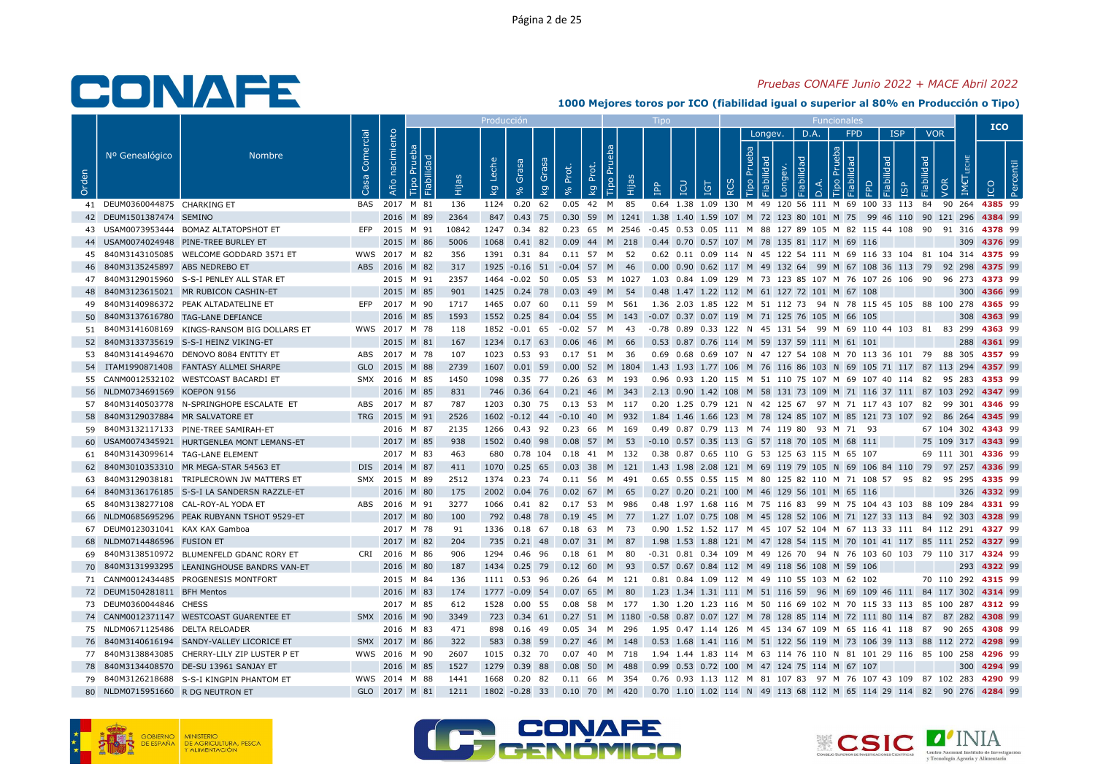### Pruebas CONAFE Junio 2022 + MACE Abril 2022

|       |                                    |                                               |                   |                |                                |       | Producci    |                                  |       |                                              |       |                                              |                                                   |            |                                     |      |                            |   |            |                   | <b>ICO</b>                                                                                      |  |
|-------|------------------------------------|-----------------------------------------------|-------------------|----------------|--------------------------------|-------|-------------|----------------------------------|-------|----------------------------------------------|-------|----------------------------------------------|---------------------------------------------------|------------|-------------------------------------|------|----------------------------|---|------------|-------------------|-------------------------------------------------------------------------------------------------|--|
| Orden | Nº Genealógico                     | <b>Nombre</b>                                 | Comercial<br>Casa | Año nacimiento | Pruel<br>Fiabilidad<br>$\circ$ |       | Leche<br>kg | Grasa<br>Grasa<br>kg             | Prot. | Tipo Pru<br>Prot.<br>$\overline{\mathsf{g}}$ | Hijas | <b>AdI</b>                                   | LCU<br><b>PI</b>                                  | <b>RCS</b> | Longev.<br>$\frac{1}{2}$<br>$\circ$ | D.A. | <b>FPD</b><br>ᅙ<br>$\circ$ | 모 | <b>ISP</b> | <b>VOR</b><br>bep |                                                                                                 |  |
|       | 41 DEUM0360044875 CHARKING ET      |                                               |                   | BAS 2017 M 81  |                                | 136   |             | 1124  0.20  62                   |       | $0.05$ 42 M                                  | 85    |                                              |                                                   |            |                                     |      |                            |   |            |                   | 0.64 1.38 1.09 130 M 49 120 56 111 M 69 100 33 113 84 90 264 4385 99                            |  |
|       | 42 DEUM1501387474 SEMINO           |                                               |                   |                | 2016 M 89                      | 2364  |             |                                  |       |                                              |       |                                              |                                                   |            |                                     |      |                            |   |            |                   | 847 0.43 75 0.30 59 M 1241 1.38 1.40 1.59 107 M 72 123 80 101 M 75 99 46 110 90 121 296 4384 99 |  |
|       |                                    | 43 USAM0073953444 BOMAZ ALTATOPSHOT ET        |                   | EFP 2015 M 91  |                                | 10842 |             | 1247 0.34 82                     |       |                                              |       |                                              |                                                   |            |                                     |      |                            |   |            |                   | 0.23 65 M 2546 -0.45 0.53 0.05 111 M 88 127 89 105 M 82 115 44 108 90 91 316 4378 99            |  |
|       |                                    | 44 USAM0074024948 PINE-TREE BURLEY ET         |                   |                | 2015 M 86                      | 5006  |             | 1068  0.41  82                   |       | $0.09$ 44 M 218                              |       | 0.44 0.70 0.57 107 M 78 135 81 117 M 69 116  |                                                   |            |                                     |      |                            |   |            |                   | 309 4376 99                                                                                     |  |
|       |                                    | 45 840M3143105085 WELCOME GODDARD 3571 ET     |                   | WWS 2017 M 82  |                                | 356   |             | 1391 0.31 84                     |       | 0.11 57 M 52                                 |       |                                              |                                                   |            |                                     |      |                            |   |            |                   | 0.62 0.11 0.09 114 N 45 122 54 111 M 69 116 33 104 81 104 314 4375 99                           |  |
|       | 46 840M3135245897 ABS NEDREBO ET   |                                               |                   | ABS 2016 M 82  |                                | 317   |             | 1925 -0.16 51 -0.04 57 M 46      |       |                                              |       |                                              |                                                   |            |                                     |      |                            |   |            |                   | 0.00 0.90 0.62 117 M 49 132 64 99 M 67 108 36 113 79 92 298 4375 99                             |  |
|       |                                    | 47 840M3129015960 S-S-I PENLEY ALL STAR ET    |                   |                | 2015 M 91                      | 2357  |             | 1464 -0.02 50                    |       | 0.05 53 M 1027                               |       |                                              |                                                   |            |                                     |      |                            |   |            |                   | 1.03  0.84  1.09  129  M  73  123  85  107  M  76  107  26  106  90  96  273  4373  99          |  |
|       |                                    | 48 840M3123615021 MR RUBICON CASHIN-ET        |                   |                | 2015 M 85                      | 901   |             | 1425 0.24 78 0.03 49 M 54        |       |                                              |       | 0.48 1.47 1.22 112 M 61 127 72 101 M 67 108  |                                                   |            |                                     |      |                            |   |            |                   | 300 4366 99                                                                                     |  |
|       |                                    | 49 840M3140986372 PEAK ALTADATELINE ET        |                   | EFP 2017 M 90  |                                | 1717  |             | 1465 0.07 60                     |       | 0.11 59 M 561                                |       |                                              |                                                   |            |                                     |      |                            |   |            |                   | 1.36 2.03 1.85 122 M 51 112 73 94 N 78 115 45 105 88 100 278 4365 99                            |  |
|       |                                    | 50 840M3137616780 TAG-LANE DEFIANCE           |                   |                | 2016 M 85                      | 1593  |             | 1552 0.25 84                     |       | $0.04$ 55 M 143                              |       | -0.07 0.37 0.07 119 M 71 125 76 105 M 66 105 |                                                   |            |                                     |      |                            |   |            |                   | 308 4363 99                                                                                     |  |
|       |                                    | 51 840M3141608169 KINGS-RANSOM BIG DOLLARS ET |                   | WWS 2017 M 78  |                                | 118   |             | 1852 -0.01 65                    |       | -0.02 57 M 43                                |       |                                              |                                                   |            |                                     |      |                            |   |            |                   | -0.78 0.89 0.33 122 N 45 131 54 99 M 69 110 44 103 81 83 299 4363 99                            |  |
|       |                                    | 52 840M3133735619 S-S-I HEINZ VIKING-ET       |                   | 2015 M 81      |                                | 167   |             | 1234 0.17 63                     | 0.06  | 46 M                                         | -66   | 0.53 0.87 0.76 114 M 59 137 59 111 M 61 101  |                                                   |            |                                     |      |                            |   |            |                   | 288 4361 99                                                                                     |  |
|       |                                    | 53 840M3141494670 DENOVO 8084 ENTITY ET       |                   | ABS 2017 M 78  |                                | 107   |             | 1023 0.53 93                     |       | 0.17 51 M 36                                 |       |                                              |                                                   |            |                                     |      |                            |   |            |                   | 0.69 0.68 0.69 107 N 47 127 54 108 M 70 113 36 101 79 88 305 4357 99                            |  |
|       |                                    | 54 ITAM1990871408 FANTASY ALLMEI SHARPE       |                   | GLO 2015 M 88  |                                | 2739  |             | 1607  0.01  59                   |       | 0.00 52 M 1804                               |       |                                              |                                                   |            |                                     |      |                            |   |            |                   | 1.43 1.93 1.77 106 M 76 116 86 103 N 69 105 71 117 87 113 294 4357 99                           |  |
|       |                                    | 55 CANM0012532102 WESTCOAST BACARDI ET        |                   | SMX 2016 M 85  |                                | 1450  |             | 1098  0.35  77                   |       | 0.26 63 M 193                                |       |                                              |                                                   |            |                                     |      |                            |   |            |                   | 0.96 0.93 1.20 115 M 51 110 75 107 M 69 107 40 114 82 95 283 4353 99                            |  |
|       | 56 NLDM0734691569 KOEPON 9156      |                                               |                   |                | 2016 M 85                      | 831   |             | 746 0.36 64                      |       | $0.21$ 46 M 343                              |       |                                              |                                                   |            |                                     |      |                            |   |            |                   | 2.13 0.90 1.42 108 M 58 131 73 109 M 71 116 37 111 87 103 292 4347 99                           |  |
|       |                                    | 57 840M3140503778 N-SPRINGHOPE ESCALATE ET    |                   | ABS 2017 M 87  |                                | 787   |             | 1203  0.30  75  0.13  53  M  117 |       |                                              |       |                                              |                                                   |            |                                     |      |                            |   |            |                   | 0.20 1.25 0.79 121 N 42 125 67 97 M 71 117 43 107 82 99 301 <b>4346</b> 99                      |  |
|       | 58 840M3129037884 MR SALVATORE ET  |                                               |                   | TRG 2015 M 91  |                                | 2526  |             | 1602 -0.12 44 -0.10 40 M 932     |       |                                              |       |                                              |                                                   |            |                                     |      |                            |   |            |                   | 1.84 1.46 1.66 123 M 78 124 85 107 M 85 121 73 107 92 86 264 4345 99                            |  |
|       |                                    | 59 840M3132117133 PINE-TREE SAMIRAH-ET        |                   |                | 2016 M 87                      | 2135  |             | 1266  0.43  92  0.23  66  M  169 |       |                                              |       | 0.49 0.87 0.79 113 M 74 119 80 93 M 71 93    |                                                   |            |                                     |      |                            |   |            |                   | 67 104 302 4343 99                                                                              |  |
|       |                                    | 60 USAM0074345921 HURTGENLEA MONT LEMANS-ET   |                   |                | 2017 M 85                      | 938   | 1502        | 0.40<br>98                       |       | 0.08 57 M 53                                 |       | -0.10 0.57 0.35 113 G 57 118 70 105 M 68 111 |                                                   |            |                                     |      |                            |   |            |                   | 75 109 317 4343 99                                                                              |  |
|       | 61 840M3143099614 TAG-LANE ELEMENT |                                               |                   |                | 2017 M 83                      | 463   |             | 680  0.78  104  0.18  41  M  132 |       |                                              |       | 0.38 0.87 0.65 110 G 53 125 63 115 M 65 107  |                                                   |            |                                     |      |                            |   |            |                   | 69 111 301 4336 99                                                                              |  |
|       |                                    | 62 840M3010353310 MR MEGA-STAR 54563 ET       |                   | DIS 2014 M 87  |                                | 411   |             | 1070 0.25 65                     |       | $0.03$ 38 M 121                              |       |                                              |                                                   |            |                                     |      |                            |   |            |                   | 1.43 1.98 2.08 121 M 69 119 79 105 N 69 106 84 110 79 97 257 4336 99                            |  |
| 63    |                                    | 840M3129038181 TRIPLECROWN JW MATTERS ET      |                   | SMX 2015 M 89  |                                | 2512  | 1374 0.23   | 74                               |       | 0.11 56 M 491                                |       |                                              | 0.65 0.55 0.55 115 M 80 125 82 110 M 71 108 57 95 |            |                                     |      |                            |   |            |                   | 82 95 295 4335 99                                                                               |  |
|       |                                    | 64 840M3136176185 S-S-I LA SANDERSN RAZZLE-ET |                   |                | 2016 M 80                      | 175   |             | 2002 0.04 76                     |       | 0.02 67 M 65                                 |       | 0.27 0.20 0.21 100 M 46 129 56 101 M 65 116  |                                                   |            |                                     |      |                            |   |            |                   | 326 4332 99                                                                                     |  |
|       |                                    | 65 840M3138277108 CAL-ROY-AL YODA ET          |                   | ABS 2016 M 91  |                                | 3277  | 1066        | 82<br>0.41                       |       | $0.17$ 53<br>M                               | 986   |                                              |                                                   |            |                                     |      |                            |   |            |                   | 0.48 1.97 1.68 116 M 75 116 83 99 M 75 104 43 103 88 109 284 4331 99                            |  |
|       |                                    | 66 NLDM0685695296 PEAK RUBYANN TSHOT 9529-ET  |                   |                | 2017 M 80                      | 100   |             | 792 0.48 78                      |       | 0.19 45 M 77                                 |       |                                              |                                                   |            |                                     |      |                            |   |            |                   | 1.27 1.07 0.75 108 M 45 128 52 106 M 71 127 33 113 84 92 303 4328 99                            |  |
|       | 67 DEUM0123031041 KAX KAX Gamboa   |                                               |                   |                | 2017 M 78                      | 91    |             | 1336 0.18 67                     |       | $0.18$ 63 M 73                               |       |                                              |                                                   |            |                                     |      |                            |   |            |                   | 0.90 1.52 1.52 117 M 45 107 52 104 M 67 113 33 111 84 112 291 4327 99                           |  |
|       | 68 NLDM0714486596 FUSION ET        |                                               |                   |                | 2017 M 82                      | 204   |             | 735 0.21 48                      |       | 0.07 31 M 87                                 |       |                                              |                                                   |            |                                     |      |                            |   |            |                   | 1.98 1.53 1.88 121 M 47 128 54 115 M 70 101 41 117 85 111 252 4327 99                           |  |
|       |                                    | 69 840M3138510972 BLUMENFELD GDANC RORY ET    |                   | CRI 2016 M 86  |                                | 906   |             | 1294  0.46  96                   |       | 0.18 61 M 80                                 |       |                                              |                                                   |            |                                     |      |                            |   |            |                   | -0.31 0.81 0.34 109 M 49 126 70 94 N 76 103 60 103 79 110 317 4324 99                           |  |
|       |                                    | 70 840M3131993295 LEANINGHOUSE BANDRS VAN-ET  |                   |                | 2016 M 80                      | 187   |             | 1434  0.25  79  0.12  60         |       |                                              | M 93  | 0.57 0.67 0.84 112 M 49 118 56 108 M 59 106  |                                                   |            |                                     |      |                            |   |            |                   | 293 4322 99                                                                                     |  |
|       |                                    | 71 CANM0012434485 PROGENESIS MONTFORT         |                   | 2015 M 84      |                                | 136   |             | 1111 0.53 96                     |       | 0.26 64 M 121                                |       | 0.81 0.84 1.09 112 M 49 110 55 103 M 62 102  |                                                   |            |                                     |      |                            |   |            |                   | 70 110 292 4315 99                                                                              |  |
|       | 72 DEUM1504281811 BFH Mentos       |                                               |                   |                | 2016 M 83                      | 174   |             | 1777 -0.09 54 0.07 65 M 80       |       |                                              |       |                                              |                                                   |            |                                     |      |                            |   |            |                   | 1.23 1.34 1.31 111 M 51 116 59 96 M 69 109 46 111 84 117 302 4314 99                            |  |
|       | 73 DEUM0360044846 CHESS            |                                               |                   |                | 2017 M 85                      | 612   | 1528 0.00   | 55                               |       | 0.08 58 M 177                                |       |                                              |                                                   |            |                                     |      |                            |   |            |                   | 1.30 1.20 1.23 116 M 50 116 69 102 M 70 115 33 113 85 100 287 4312 99                           |  |
|       |                                    | 74 CANM0012371147 WESTCOAST GUARENTEE ET      |                   | SMX 2016 M 90  |                                | 3349  |             | 723 0.34 61                      |       |                                              |       |                                              |                                                   |            |                                     |      |                            |   |            |                   | 0.27 51 M 1180 -0.58 0.87 0.07 127 M 78 128 85 114 M 72 111 80 114 87 87 282 4308 99            |  |
|       | 75 NLDM0671125486 DELTA RELOADER   |                                               |                   |                | 2016 M 83                      | 471   |             | 898 0.16 49                      |       | 0.05 34 M 296                                |       |                                              |                                                   |            |                                     |      |                            |   |            |                   | 1.95 0.47 1.14 126 M 45 134 67 109 M 65 116 41 118 87 90 265 4308 99                            |  |
|       |                                    | 76 840M3140616194 SANDY-VALLEY LICORICE ET    |                   | SMX 2017 M 86  |                                | 322   |             | 583 0.38 59                      |       | 0.27 46 M                                    | - 148 |                                              |                                                   |            |                                     |      |                            |   |            |                   | 0.53 1.68 1.41 116 M 51 122 56 119 M 73 106 39 113 88 112 272 4298 99                           |  |
|       |                                    | 77 840M3138843085 CHERRY-LILY ZIP LUSTER P ET |                   | WWS 2016 M 90  |                                | 2607  |             | 1015  0.32  70                   |       | 0.07 40 M 718                                |       |                                              |                                                   |            |                                     |      |                            |   |            |                   | 1.94 1.44 1.83 114 M 63 114 76 110 N 81 101 29 116 85 100 258 4296 99                           |  |
|       |                                    | 78 840M3134408570 DE-SU 13961 SANJAY ET       |                   |                | 2016 M 85                      | 1527  | 1279        | 0.39<br>88                       | 0.08  | 50<br>M                                      | 488   | 0.99 0.53 0.72 100 M 47 124 75 114 M 67 107  |                                                   |            |                                     |      |                            |   |            |                   | 300 4294 99                                                                                     |  |
|       |                                    | 79 840M3126218688 S-S-I KINGPIN PHANTOM ET    |                   | WWS 2014 M 88  |                                | 1441  |             | 1668  0.20  82  0.11  66  M  354 |       |                                              |       |                                              |                                                   |            |                                     |      |                            |   |            |                   | 0.76 0.93 1.13 112 M 81 107 83 97 M 76 107 43 109 87 102 283 <b>4290</b> 99                     |  |
|       | 80 NLDM0715951660 R DG NEUTRON ET  |                                               |                   | GLO 2017 M 81  |                                | 1211  |             | 1802 -0.28 33 0.10 70 M 420      |       |                                              |       |                                              |                                                   |            |                                     |      |                            |   |            |                   | 0.70 1.10 1.02 114 N 49 113 68 112 M 65 114 29 114 82 90 276 4284 99                            |  |
|       |                                    |                                               |                   |                |                                |       |             |                                  |       |                                              |       |                                              |                                                   |            |                                     |      |                            |   |            |                   |                                                                                                 |  |





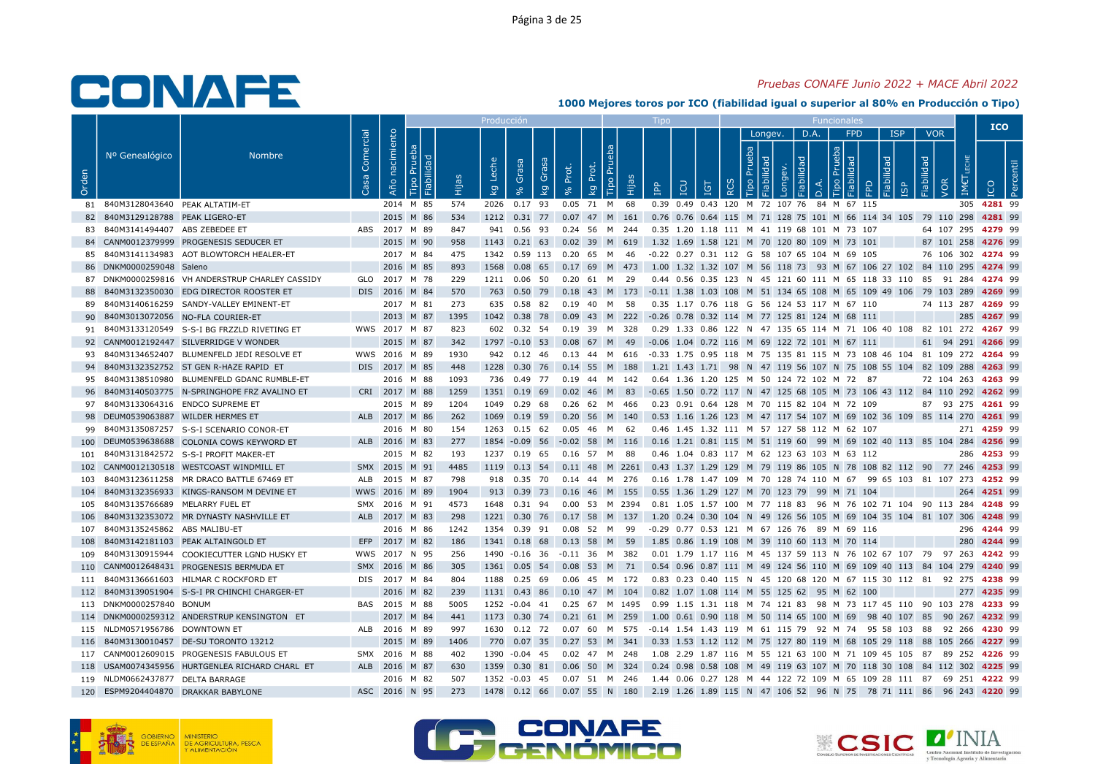## Pruebas CONAFE Junio 2022 + MACE Abril 2022

|       |                                    |                                                 |                   |                |                     |      | Producciór              |                      |           |                                     |     |                                                                                                   |     |                        |         |      |                           |                 |                                        |                          |                    |             | <b>ICO</b> |
|-------|------------------------------------|-------------------------------------------------|-------------------|----------------|---------------------|------|-------------------------|----------------------|-----------|-------------------------------------|-----|---------------------------------------------------------------------------------------------------|-----|------------------------|---------|------|---------------------------|-----------------|----------------------------------------|--------------------------|--------------------|-------------|------------|
| Orden | Nº Genealógico                     | Nombre                                          | Comercial<br>Casa | Año nacimiento | lidad<br>ᄒ<br>Fiabi | 骨    | Leche<br>$\overline{k}$ | Grasa<br>Grasa<br>kg | Prot.     | Tipo Pru<br>Prot.<br>$\overline{Q}$ | Нja | LCN<br>$\overline{B}$                                                                             | IGT | $\ddot{e}$<br>$\alpha$ | Longev. | D.A. | မိ<br>$\circ$<br>$\Omega$ | <b>FPD</b><br>う | <b>ISP</b><br><b>pep!</b><br><b>GP</b> | <b>VOR</b><br>Fiabilidad | VOR<br>IME         | <b>DOI</b>  |            |
|       | 81 840M3128043640 PEAK ALTATIM-ET  |                                                 |                   |                | 2014 M 85           | 574  |                         | 2026 0.17 93         |           | 0.05 71 M 68                        |     | 0.39 0.49 0.43 120 M 72 107 76 84 M 67 115                                                        |     |                        |         |      |                           |                 |                                        |                          |                    | 305 4281 99 |            |
|       | 82 840M3129128788 PEAK LIGERO-ET   |                                                 |                   |                | 2015 M 86           | 534  |                         |                      |           |                                     |     | 1212 0.31 77 0.07 47 M 161 0.76 0.76 0.64 115 M 71 128 75 101 M 66 114 34 105 79 110 298 4281 99  |     |                        |         |      |                           |                 |                                        |                          |                    |             |            |
|       | 83 840M3141494407 ABS ZEBEDEE ET   |                                                 |                   |                | ABS 2017 M 89       | 847  |                         |                      |           |                                     |     | 941  0.56  93  0.24  56  M  244  0.35  1.20  1.18  111  M  41  119  68  101  M  73  107           |     |                        |         |      |                           |                 |                                        |                          | 64 107 295 4279 99 |             |            |
|       |                                    | 84 CANM0012379999 PROGENESIS SEDUCER ET         |                   |                | 2015 M 90           | 958  |                         |                      |           |                                     |     | 1143  0.21  63  0.02  39  M  619  1.32  1.69  1.58  121  M  70  120  80  109  M  73  101          |     |                        |         |      |                           |                 |                                        |                          | 87 101 258 4276 99 |             |            |
|       |                                    | 85 840M3141134983 AOT BLOWTORCH HEALER-ET       |                   |                | 2017 M 84           | 475  |                         |                      |           | 1342  0.59  113  0.20  65  M  46    |     | -0.22 0.27 0.31 112 G 58 107 65 104 M 69 105                                                      |     |                        |         |      |                           |                 |                                        |                          | 76 106 302 4274 99 |             |            |
|       | 86 DNKM0000259048 Saleno           |                                                 |                   |                | 2016 M 85           | 893  |                         |                      |           |                                     |     | 1568 0.08 65 0.17 69 M 473 1.00 1.32 1.32 107 M 56 118 73 93 M 67 106 27 102 84 110 295 4274 99   |     |                        |         |      |                           |                 |                                        |                          |                    |             |            |
|       |                                    | 87 DNKM0000259816 VH ANDERSTRUP CHARLEY CASSIDY |                   |                | GLO 2017 M 78       | 229  |                         | 1211  0.06  50       |           | 0.20 61 M 29                        |     | 0.44 0.56 0.35 123 N 45 121 60 111 M 65 118 33 110 85 91 284 4274 99                              |     |                        |         |      |                           |                 |                                        |                          |                    |             |            |
| 88    |                                    | 840M3132350030 EDG DIRECTOR ROOSTER ET          |                   |                | DIS 2016 M 84       | 570  |                         |                      |           |                                     |     | 763 0.50 79 0.18 43 M 173 -0.11 1.38 1.03 108 M 51 134 65 108 M 65 109 49 106 79 103 289 4269 99  |     |                        |         |      |                           |                 |                                        |                          |                    |             |            |
|       |                                    | 89 840M3140616259 SANDY-VALLEY EMINENT-ET       |                   |                | 2017 M 81           | 273  |                         |                      |           | 635 0.58 82 0.19 40 M 58            |     | 0.35 1.17 0.76 118 G 56 124 53 117 M 67 110                                                       |     |                        |         |      |                           |                 |                                        |                          | 74 113 287 4269 99 |             |            |
| 90    |                                    | 840M3013072056 NO-FLA COURIER-ET                |                   |                | 2013 M 87           | 1395 |                         | 1042 0.38 78         |           |                                     |     | 0.09 43 M 222 -0.26 0.78 0.32 114 M 77 125 81 124 M 68 111                                        |     |                        |         |      |                           |                 |                                        |                          |                    | 285 4267 99 |            |
|       |                                    | 91 840M3133120549 S-S-I BG FRZZLD RIVETING ET   |                   |                | WWS 2017 M 87       | 823  |                         |                      |           | 602  0.32  54  0.19  39  M  328     |     | 0.29 1.33 0.86 122 N 47 135 65 114 M 71 106 40 108 82 101 272 4267 99                             |     |                        |         |      |                           |                 |                                        |                          |                    |             |            |
|       |                                    | 92 CANM0012192447 SILVERRIDGE V WONDER          |                   |                | 2015 M 87           | 342  |                         |                      |           |                                     |     | 1797 -0.10 53 0.08 67 M 49 -0.06 1.04 0.72 116 M 69 122 72 101 M 67 111                           |     |                        |         |      |                           |                 |                                        |                          | 61 94 291 4266 99  |             |            |
|       |                                    | 93 840M3134652407 BLUMENFELD JEDI RESOLVE ET    |                   |                | WWS 2016 M 89       | 1930 |                         |                      |           |                                     |     | 942 0.12 46 0.13 44 M 616 -0.33 1.75 0.95 118 M 75 135 81 115 M 73 108 46 104 81 109 272 4264 99  |     |                        |         |      |                           |                 |                                        |                          |                    |             |            |
|       |                                    | 94 840M3132352752 ST GEN R-HAZE RAPID ET        |                   |                | DIS 2017 M 85       | 448  |                         |                      |           | 1228 0.30 76 0.14 55 M 188          |     | 1.21 1.43 1.71 98 N 47 119 56 107 N 75 108 55 104 82 109 288 4263 99                              |     |                        |         |      |                           |                 |                                        |                          |                    |             |            |
|       |                                    | 95 840M3138510980 BLUMENFELD GDANC RUMBLE-ET    |                   |                | 2016 M 88           | 1093 |                         | 736 0.49 77          |           |                                     |     | 0.64 1.36 1.20 125 M 50 124 72 102 M 72 87                                                        |     |                        |         |      |                           |                 |                                        |                          | 72 104 263 4263 99 |             |            |
|       |                                    | 96 840M3140503775 N-SPRINGHOPE FRZ AVALINO ET   |                   |                | CRI 2017 M 88       | 1259 |                         |                      |           |                                     |     | 1351 0.19 69 0.02 46 M 83 -0.65 1.50 0.72 117 N 47 125 68 105 M 73 106 43 112 84 110 292 4262 99  |     |                        |         |      |                           |                 |                                        |                          |                    |             |            |
|       |                                    | 97 840M3133064316 ENDCO SUPREME ET              |                   |                | 2015 M 89           | 1204 |                         | 1049  0.29  68       |           | 0.26 62 M 466                       |     | 0.23 0.91 0.64 128 M 70 115 82 104 M 72 109                                                       |     |                        |         |      |                           |                 |                                        |                          | 87 93 275 4261 99  |             |            |
|       | 98 DEUM0539063887 WILDER HERMES ET |                                                 |                   |                | ALB 2017 M 86       | 262  | 1069                    | $0.19$ 59            |           | 0.20 56 M 140                       |     | 0.53 1.16 1.26 123 M 47 117 54 107 M 69 102 36 109 85 114 270 4261 99                             |     |                        |         |      |                           |                 |                                        |                          |                    |             |            |
|       |                                    | 99 840M3135087257 S-S-I SCENARIO CONOR-ET       |                   |                | 2016 M 80           | 154  |                         |                      |           | 1263  0.15  62  0.05  46  M  62     |     | 0.46 1.45 1.32 111 M 57 127 58 112 M 62 107                                                       |     |                        |         |      |                           |                 |                                        |                          |                    | 271 4259 99 |            |
|       |                                    | 100 DEUM0539638688 COLONIA COWS KEYWORD ET      |                   |                | ALB 2016 M 83       | 277  |                         | 1854 -0.09 56        | $-0.02$   | 58<br>M                             | 116 | 0.16 1.21 0.81 115 M 51 119 60 99 M 69 102 40 113 85 104 284 4256 99                              |     |                        |         |      |                           |                 |                                        |                          |                    |             |            |
|       |                                    | 101 840M3131842572 S-S-I PROFIT MAKER-ET        |                   |                | 2015 M 82           | 193  |                         |                      |           | 1237 0.19 65 0.16 57 M 88           |     | 0.46 1.04 0.83 117 M 62 123 63 103 M 63 112                                                       |     |                        |         |      |                           |                 |                                        |                          |                    | 286 4253 99 |            |
|       |                                    | 102 CANM0012130518 WESTCOAST WINDMILL ET        |                   |                | SMX 2015 M 91       | 4485 |                         |                      |           |                                     |     | 1119 0.13 54 0.11 48 M 2261 0.43 1.37 1.29 129 M 79 119 86 105 N 78 108 82 112 90 77 246 4253 99  |     |                        |         |      |                           |                 |                                        |                          |                    |             |            |
|       |                                    | 103 840M3123611258 MR DRACO BATTLE 67469 ET     |                   |                | ALB 2015 M 87       | 798  |                         | 918  0.35  70        |           | 0.14 44 M 276                       |     | 0.16 1.78 1.47 109 M 70 128 74 110 M 67 99 65 103 81 107 273 4252 99                              |     |                        |         |      |                           |                 |                                        |                          |                    |             |            |
|       |                                    | 104 840M3132356933 KINGS-RANSOM M DEVINE ET     |                   |                | WWS 2016 M 89       | 1904 |                         |                      |           |                                     |     | 913 0.39 73 0.16 46 M 155 0.55 1.36 1.29 127 M 70 123 79 99 M 71 104                              |     |                        |         |      |                           |                 |                                        |                          |                    | 264 4251 99 |            |
|       | 105 840M3135766689 MELARRY FUEL ET |                                                 |                   |                | SMX 2016 M 91       | 4573 |                         | 1648  0.31  94       |           |                                     |     | 0.00 53 M 2394 0.81 1.05 1.57 100 M 77 118 83 96 M 76 102 71 104 90 113 284 4248 99               |     |                        |         |      |                           |                 |                                        |                          |                    |             |            |
|       |                                    | 106 840M3132353072 MR DYNASTY NASHVILLE ET      |                   |                | ALB 2017 M 83       | 298  |                         |                      |           | 1221 0.30 76 0.17 58 M 137          |     | 1.20 0.24 0.30 104 N 49 126 56 105 M 69 104 35 104 81 107 306 4248 99                             |     |                        |         |      |                           |                 |                                        |                          |                    |             |            |
|       | 107 840M3135245862 ABS MALIBU-ET   |                                                 |                   |                | 2016 M 86           | 1242 |                         |                      |           | 1354  0.39  91  0.08  52  M  99     |     | -0.29 0.77 0.53 121 M 67 126 76 89 M 69 116                                                       |     |                        |         |      |                           |                 |                                        |                          |                    | 296 4244 99 |            |
| 108   |                                    | 840M3142181103 PEAK ALTAINGOLD ET               |                   |                | EFP 2017 M 82       | 186  |                         | 1341 0.18 68         | $0.13$ 58 | M 59                                |     | 1.85 0.86 1.19 108 M 39 110 60 113 M 70 114                                                       |     |                        |         |      |                           |                 |                                        |                          |                    | 280 4244 99 |            |
|       |                                    | 109 840M3130915944 COOKIECUTTER LGND HUSKY ET   |                   |                | WWS 2017 N 95       | 256  |                         |                      |           | 1490 -0.16 36 -0.11 36 M 382        |     | 0.01 1.79 1.17 116 M 45 137 59 113 N 76 102 67 107 79 97 263 4242 99                              |     |                        |         |      |                           |                 |                                        |                          |                    |             |            |
|       |                                    | 110 CANM0012648431 PROGENESIS BERMUDA ET        |                   |                | SMX 2016 M 86       | 305  |                         | 1361 0.05 54         | 0.08      | 53 M                                | 71  | 0.54 0.96 0.87 111 M 49 124 56 110 M 69 109 40 113 84 104 279 4240 99                             |     |                        |         |      |                           |                 |                                        |                          |                    |             |            |
|       |                                    | 111 840M3136661603 HILMAR C ROCKFORD ET         |                   |                | DIS 2017 M 84       | 804  |                         | 1188 0.25 69         |           | 0.06 45 M 172                       |     | 0.83 0.23 0.40 115 N 45 120 68 120 M 67 115 30 112 81 92 275 4238 99                              |     |                        |         |      |                           |                 |                                        |                          |                    |             |            |
|       |                                    | 112 840M3139051904 S-S-I PR CHINCHI CHARGER-ET  |                   |                | 2016 M 82           | 239  |                         |                      |           | 1131 0.43 86 0.10 47 M 104          |     | 0.82 1.07 1.08 114 M 55 125 62 95 M 62 100                                                        |     |                        |         |      |                           |                 |                                        |                          |                    | 277 4235 99 |            |
|       | 113 DNKM0000257840 BONUM           |                                                 |                   |                | BAS 2015 M 88       | 5005 |                         |                      |           |                                     |     | 1252 -0.04 41 0.25 67 M 1495 0.99 1.15 1.31 118 M 74 121 83 98 M 73 117 45 110 90 103 278 4233 99 |     |                        |         |      |                           |                 |                                        |                          |                    |             |            |
|       |                                    | 114 DNKM0000259312 ANDERSTRUP KENSINGTON ET     |                   |                | 2017 M 84           | 441  |                         |                      |           | 1173 0.30 74 0.21 61 M 259          |     | 1.00 0.61 0.90 118 M 50 114 65 100 M 69 98 40 107 85 90 267 4232 99                               |     |                        |         |      |                           |                 |                                        |                          |                    |             |            |
|       | 115 NLDM0571956786 DOWNTOWN ET     |                                                 |                   |                | ALB 2016 M 89       | 997  |                         |                      |           | 1630  0.12  72  0.07  60  M  575    |     | -0.14 1.54 1.43 119 M 61 115 79 92 M 74 95 58 103 88 92 266 <b>4230</b> 99                        |     |                        |         |      |                           |                 |                                        |                          |                    |             |            |
|       |                                    | 116 840M3130010457 DE-SU TORONTO 13212          |                   |                | 2015 M 89           | 1406 |                         | 770 0.07 35          |           |                                     |     | 0.27 53 M 341 0.33 1.53 1.12 112 M 75 127 80 119 M 68 105 29 118 88 105 266 <b>4227</b> 99        |     |                        |         |      |                           |                 |                                        |                          |                    |             |            |
|       |                                    | 117 CANM0012609015 PROGENESIS FABULOUS ET       |                   |                | SMX 2016 M 88       | 402  |                         | 1390 -0.04 45        |           | 0.02    47    M    248              |     | 1.08 2.29 1.87 116 M 55 121 63 100 M 71 109 45 105 87 89 252 <b>4226</b> 99                       |     |                        |         |      |                           |                 |                                        |                          |                    |             |            |
|       |                                    | 118 USAM0074345956 HURTGENLEA RICHARD CHARL ET  |                   |                | ALB 2016 M 87       | 630  |                         | 1359 0.30 81         |           | 0.06 50 M 324                       |     | 0.24 0.98 0.58 108 M 49 119 63 107 M 70 118 30 108 84 112 302 4225 99                             |     |                        |         |      |                           |                 |                                        |                          |                    |             |            |
|       | 119 NLDM0662437877 DELTA BARRAGE   |                                                 |                   |                | 2016 M 82           | 507  |                         |                      |           | 1352 -0.03 45 0.07 51 M 246         |     | 1.44 0.06 0.27 128 M 44 122 72 109 M 65 109 28 111 87 69 251 <b>4222</b> 99                       |     |                        |         |      |                           |                 |                                        |                          |                    |             |            |
|       |                                    | 120 ESPM9204404870 DRAKKAR BABYLONE             |                   |                | ASC 2016 N 95       | 273  |                         |                      |           |                                     |     | 1478 0.12 66 0.07 55 N 180 2.19 1.26 1.89 115 N 47 106 52 96 N 75 78 71 111 86 96 243 4220 99     |     |                        |         |      |                           |                 |                                        |                          |                    |             |            |







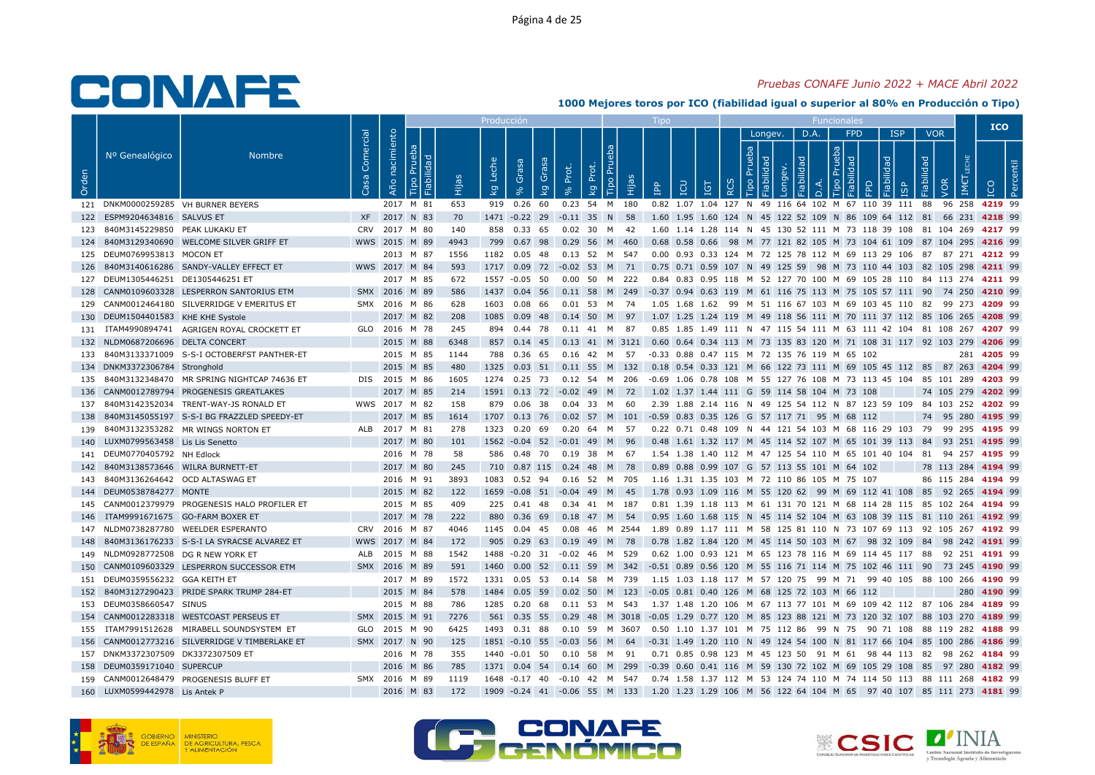## Pruebas CONAFE Junio 2022 + MACE Abril 2022

|       |                                     |                                                |                   |                   |                          |       | Producció                        |                                  |         |                                     |       |                                                                                                   |            |   |                              |                   |                |                                                     |                     |                         |                                 |                    | <b>ICO</b>  |  |
|-------|-------------------------------------|------------------------------------------------|-------------------|-------------------|--------------------------|-------|----------------------------------|----------------------------------|---------|-------------------------------------|-------|---------------------------------------------------------------------------------------------------|------------|---|------------------------------|-------------------|----------------|-----------------------------------------------------|---------------------|-------------------------|---------------------------------|--------------------|-------------|--|
| Orden | Nº Genealógico                      | <b>Nombre</b>                                  | Comercial<br>Casa | nacimiento<br>Año | $\sigma$<br>$\Box$<br>۱i | Hijas | Leche<br>$\overline{\mathsf{g}}$ | Grasa<br>Grasa<br>$\overline{g}$ | Prot.   | <b>Tipo Pru</b><br>Prot.<br>$k_{9}$ | ιËΡ   | <b>POI</b><br><b>P</b>                                                                            | <b>IGT</b> | ≃ | Longev.<br>Prueba<br>$\circ$ | БF<br>Б<br>õ<br>ā | D.A.<br>$\Box$ | <b>FPD</b><br>deu<br>$\mathbb{R}$<br>$\overline{Q}$ | lidad<br>Fiabi<br>≏ | <b>ISP</b><br><b>GP</b> | <b>VOR</b><br>Fiabilidad<br>VOR | IM€                |             |  |
|       | 121 DNKM0000259285 VH BURNER BEYERS |                                                |                   |                   | 2017 M 81                | 653   |                                  | 919 0.26 60                      |         | 0.23 54 M 180                       |       | 0.82 1.07 1.04 127 N 49 116 64 102 M 67 110 39 111 88                                             |            |   |                              |                   |                |                                                     |                     |                         |                                 | 96 258 4219 99     |             |  |
| 122   | ESPM9204634816 SALVUS ET            |                                                |                   | XF 2017 N 83      |                          | 70    |                                  | 1471 -0.22 29 -0.11 35 N 58      |         |                                     |       | 1.60 1.95 1.60 124 N 45 122 52 109 N 86 109 64 112 81                                             |            |   |                              |                   |                |                                                     |                     |                         |                                 | 66 231 4218 99     |             |  |
|       | 123 840M3145229850 PEAK LUKAKU ET   |                                                |                   | CRV 2017 M 80     |                          | 140   | 858                              | 0.33 65                          |         | 0.02 30 M 42                        |       | 1.60 1.14 1.28 114 N 45 130 52 111 M 73 118 39 108 81 104 269 4217 99                             |            |   |                              |                   |                |                                                     |                     |                         |                                 |                    |             |  |
|       |                                     | 124 840M3129340690 WELCOME SILVER GRIFF ET     |                   | WWS 2015 M 89     |                          | 4943  |                                  | 799  0.67  98  0.29  56  M  460  |         |                                     |       | 0.68 0.58 0.66 98 M 77 121 82 105 M 73 104 61 109 87 104 295 4216 99                              |            |   |                              |                   |                |                                                     |                     |                         |                                 |                    |             |  |
|       | 125 DEUM0769953813 MOCON ET         |                                                |                   |                   | 2013 M 87                | 1556  |                                  | 1182 0.05 48                     |         | 0.13 52 M 547                       |       | 0.00 0.93 0.33 124 M 72 125 78 112 M 69 113 29 106 87 87 271 4212 99                              |            |   |                              |                   |                |                                                     |                     |                         |                                 |                    |             |  |
|       |                                     | 126 840M3140616286 SANDY-VALLEY EFFECT ET      |                   | WWS 2017 M 84     |                          | 593   |                                  |                                  |         |                                     |       | 1717 0.09 72 -0.02 53 M 71 0.75 0.71 0.59 107 N 49 125 59 98 M 73 110 44 103 82 105 298 4211 99   |            |   |                              |                   |                |                                                     |                     |                         |                                 |                    |             |  |
|       | 127 DEUM1305446251 DE1305446251 ET  |                                                |                   |                   | 2017 M 85                | 672   |                                  | 1557 -0.05 50                    | 0.00 50 |                                     | M 222 | 0.84 0.83 0.95 118 M 52 127 70 100 M 69 105 28 110 84 113 274 4211 99                             |            |   |                              |                   |                |                                                     |                     |                         |                                 |                    |             |  |
|       |                                     | 128 CANM0109603328 LESPERRON SANTORIUS ETM     |                   | SMX 2016 M 89     |                          | 586   |                                  |                                  |         |                                     |       | 1437 0.04 56 0.11 58 M 249 -0.37 0.94 0.63 119 M 61 116 75 113 M 75 105 57 111 90 74 250 4210 99  |            |   |                              |                   |                |                                                     |                     |                         |                                 |                    |             |  |
|       |                                     | 129 CANM0012464180 SILVERRIDGE V EMERITUS ET   |                   | SMX 2016 M 86     |                          | 628   |                                  | 1603 0.08 66                     |         | $0.01$ 53 M                         | 74    | 1.05 1.68 1.62 99 M 51 116 67 103 M 69 103 45 110 82 99 273 4209 99                               |            |   |                              |                   |                |                                                     |                     |                         |                                 |                    |             |  |
|       | 130 DEUM1504401583 KHE KHE Systole  |                                                |                   |                   | 2017 M 82                | 208   |                                  | 1085  0.09  48                   |         | 0.14 50 M 97                        |       | 1.07 1.25 1.24 119 M 49 118 56 111 M 70 111 37 112 85 106 265 4208 99                             |            |   |                              |                   |                |                                                     |                     |                         |                                 |                    |             |  |
|       |                                     | 131 ITAM4990894741 AGRIGEN ROYAL CROCKETT ET   |                   |                   | GLO 2016 M 78            | 245   |                                  | 894 0.44 78                      |         | 0.11 41 M 87                        |       | 0.85 1.85 1.49 111 N 47 115 54 111 M 63 111 42 104 81 108 267 4207 99                             |            |   |                              |                   |                |                                                     |                     |                         |                                 |                    |             |  |
|       | 132 NLDM0687206696 DELTA CONCERT    |                                                |                   |                   | 2015 M 88                | 6348  |                                  | 857 0.14 45                      |         |                                     |       | 0.13 41 M 3121 0.60 0.64 0.34 113 M 73 135 83 120 M 71 108 31 117 92 103 279 4206 99              |            |   |                              |                   |                |                                                     |                     |                         |                                 |                    |             |  |
|       |                                     | 133 840M3133371009 S-S-I OCTOBERFST PANTHER-ET |                   |                   | 2015 M 85                | 1144  |                                  | 788 0.36 65                      |         | 0.16  42  M  57                     |       | -0.33 0.88 0.47 115 M 72 135 76 119 M 65 102                                                      |            |   |                              |                   |                |                                                     |                     |                         |                                 |                    | 281 4205 99 |  |
|       | 134 DNKM3372306784 Stronghold       |                                                |                   |                   | 2015 M 85                | 480   |                                  | 1325 0.03 51 0.11 55 M 132       |         |                                     |       | 0.18 0.54 0.33 121 M 66 122 73 111 M 69 105 45 112 85 87 263 4204 99                              |            |   |                              |                   |                |                                                     |                     |                         |                                 |                    |             |  |
| 135   |                                     | 840M3132348470 MR SPRING NIGHTCAP 74636 ET     |                   | DIS 2015 M 86     |                          | 1605  |                                  | 1274 0.25 73                     |         | 0.12 54 M 206                       |       | -0.69 1.06 0.78 108 M 55 127 76 108 M 73 113 45 104 85 101 289 4203 99                            |            |   |                              |                   |                |                                                     |                     |                         |                                 |                    |             |  |
|       |                                     | 136 CANM0012789794 PROGENESIS GREATLAKES       |                   |                   | 2017 M 85                | 214   |                                  | 1591 0.13 72 -0.02 49 M 72       |         |                                     |       | 1.02 1.37 1.44 111 G 59 114 58 104 M 73 108                                                       |            |   |                              |                   |                |                                                     |                     |                         |                                 | 74 105 279 4202 99 |             |  |
|       |                                     | 137 840M3142352034 TRENT-WAY-JS RONALD ET      |                   |                   | WWS 2017 M 82            | 158   |                                  | 879 0.06 38                      |         | 0.04 33 M 60                        |       | 2.39 1.88 2.14 116 N 49 125 54 112 N 87 123 59 109 84 103 252 4202 99                             |            |   |                              |                   |                |                                                     |                     |                         |                                 |                    |             |  |
| 138   |                                     | 840M3145055197 S-S-I BG FRAZZLED SPEEDY-ET     |                   |                   | 2017 M 85                | 1614  |                                  |                                  |         |                                     |       | 1707  0.13  76  0.02  57  M  101  -0.59  0.83  0.35  126  G  57  117  71  95  M  68  112          |            |   |                              |                   |                |                                                     |                     |                         |                                 | 74 95 280 4195 99  |             |  |
|       |                                     | 139 840M3132353282 MR WINGS NORTON ET          |                   | ALB 2017 M 81     |                          | 278   |                                  | 1323 0.20 69                     |         | 0.20 64 M 57                        |       | 0.22 0.71 0.48 109 N 44 121 54 103 M 68 116 29 103 79 99 295 4195 99                              |            |   |                              |                   |                |                                                     |                     |                         |                                 |                    |             |  |
| 140   | LUXM0799563458 Lis Lis Senetto      |                                                |                   |                   | 2017 M 80                | 101   |                                  | 1562 -0.04 52                    | $-0.01$ | <b>M</b><br>-49                     | 96    | 0.48 1.61 1.32 117 M 45 114 52 107 M 65 101 39 113 84 93 251 4195 99                              |            |   |                              |                   |                |                                                     |                     |                         |                                 |                    |             |  |
|       | 141 DEUM0770405792 NH Edlock        |                                                |                   |                   | 2016 M 78                | 58    |                                  | 586  0.48  70  0.19  38  M  67   |         |                                     |       | 1.54 1.38 1.40 112 M 47 125 54 110 M 65 101 40 104 81 94 257 <b>4195</b> 99                       |            |   |                              |                   |                |                                                     |                     |                         |                                 |                    |             |  |
|       | 142 840M3138573646 WILRA BURNETT-ET |                                                |                   |                   | 2017 M 80                | 245   |                                  | 710 0.87 115 0.24 48 M 78        |         |                                     |       | 0.89 0.88 0.99 107 G 57 113 55 101 M 64 102                                                       |            |   |                              |                   |                |                                                     |                     |                         |                                 | 78 113 284 4194 99 |             |  |
| 143   | 840M3136264642 OCD ALTASWAG ET      |                                                |                   |                   | 2016 M 91                | 3893  |                                  | 1083  0.52  94                   |         | 0.16 52 M 705                       |       | 1.16 1.31 1.35 103 M 72 110 86 105 M 75 107                                                       |            |   |                              |                   |                |                                                     |                     |                         |                                 | 86 115 284 4194 99 |             |  |
|       | 144 DEUM0538784277 MONTE            |                                                |                   |                   | 2015 M 82                | 122   |                                  | 1659 -0.08 51 -0.04 49 M 45      |         |                                     |       | 1.78 0.93 1.09 116 M 55 120 62 99 M 69 112 41 108 85 92 265 4194 99                               |            |   |                              |                   |                |                                                     |                     |                         |                                 |                    |             |  |
| 145   |                                     | CANM0012379979 PROGENESIS HALO PROFILER ET     |                   |                   | 2015 M 85                | 409   |                                  | 225 0.41 48                      |         | 0.34 41 M                           | 187   | 0.81 1.39 1.18 113 M 61 131 70 121 M 68 114 28 115 85 102 264 4194 99                             |            |   |                              |                   |                |                                                     |                     |                         |                                 |                    |             |  |
|       | 146 ITAM9991671675 GO-FARM BOXER ET |                                                |                   |                   | 2017 M 78                | 222   |                                  | 880  0.36  69  0.18  47  M  54   |         |                                     |       | 0.95 1.60 1.68 115 N 45 114 52 104 M 63 108 39 115 81 110 261 4192 99                             |            |   |                              |                   |                |                                                     |                     |                         |                                 |                    |             |  |
|       |                                     | 147 NLDM0738287780 WEELDER ESPERANTO           |                   | CRV 2016 M 87     |                          | 4046  |                                  | 1145  0.04  45                   |         | 0.08  46  M  2544                   |       | 1.89  0.89  1.17  111  M  58  125  81  110  N  73  107  69  113  92  105  267  4192  99           |            |   |                              |                   |                |                                                     |                     |                         |                                 |                    |             |  |
| 148   |                                     | 840M3136176233 S-S-I LA SYRACSE ALVAREZ ET     |                   | WWS 2017 M 84     |                          | 172   |                                  | 905 0.29 63                      |         | 0.19 49 M 78                        |       | 0.78 1.82 1.84 120 M 45 114 50 103 M 67 98 32 109 84 98 242 4191 99                               |            |   |                              |                   |                |                                                     |                     |                         |                                 |                    |             |  |
|       | 149 NLDM0928772508 DG R NEW YORK ET |                                                |                   | ALB 2015 M 88     |                          | 1542  |                                  | 1488 -0.20 31 -0.02 46 M 529     |         |                                     |       | 0.62 1.00 0.93 121 M 65 123 78 116 M 69 114 45 117 88 92 251 <b>4191</b> 99                       |            |   |                              |                   |                |                                                     |                     |                         |                                 |                    |             |  |
|       |                                     | 150 CANM0109603329 LESPERRON SUCCESSOR ETM     |                   | SMX 2016 M 89     |                          | 591   | 1460                             | $0.00\quad 52$                   |         | 0.11 59 M 342                       |       | -0.51 0.89 0.56 120 M 55 116 71 114 M 75 102 46 111 90 73 245 4190 99                             |            |   |                              |                   |                |                                                     |                     |                         |                                 |                    |             |  |
|       | 151 DEUM0359556232 GGA KEITH ET     |                                                |                   |                   | 2017 M 89                | 1572  |                                  | 1331  0.05  53  0.14  58  M  739 |         |                                     |       | 1.15 1.03 1.18 117 M 57 120 75 99 M 71 99 40 105 88 100 266 4190 99                               |            |   |                              |                   |                |                                                     |                     |                         |                                 |                    |             |  |
|       |                                     | 152 840M3127290423 PRIDE SPARK TRUMP 284-ET    |                   |                   | 2015 M 84                | 578   |                                  |                                  |         |                                     |       | 1484  0.05  59  0.02  50  M  123  -0.05  0.81  0.40  126  M  68  125  72  103  M  66  112         |            |   |                              |                   |                |                                                     |                     |                         |                                 |                    | 280 4190 99 |  |
|       | 153 DEUM0358660547 SINUS            |                                                |                   |                   | 2015 M 88                | 786   |                                  | 1285  0.20  68                   |         | 0.11 53 M 543                       |       | 1.37 1.48 1.20 106 M 67 113 77 101 M 69 109 42 112 87 106 284 4189 99                             |            |   |                              |                   |                |                                                     |                     |                         |                                 |                    |             |  |
|       |                                     | 154 CANM0012283318 WESTCOAST PERSEUS ET        |                   | SMX 2015 M 91     |                          | 7276  |                                  | 561 0.35 55                      |         |                                     |       | 0.29 48 M 3018 -0.05 1.29 0.77 120 M 85 123 88 121 M 73 120 32 107 88 103 270 4189 99             |            |   |                              |                   |                |                                                     |                     |                         |                                 |                    |             |  |
|       |                                     | 155 ITAM7991512628 MIRABELL SOUNDSYSTEM ET     |                   |                   | GLO 2015 M 90            | 6425  |                                  | 1493 0.31 88                     |         | 0.10 59 M 3607                      |       | 0.50 1.10 1.37 101 M 75 112 86 99 N 75 90 71 108 88 119 282 4188 99                               |            |   |                              |                   |                |                                                     |                     |                         |                                 |                    |             |  |
|       |                                     | 156 CANM0012773216 SILVERRIDGE V TIMBERLAKE ET |                   | SMX 2017 N 90     |                          | 125   |                                  | 1851 -0.10 55 -0.03 56 M 64      |         |                                     |       | -0.31 1.49 1.20 110 N 49 124 54 100 N 81 117 66 104 85 100 286 4186 99                            |            |   |                              |                   |                |                                                     |                     |                         |                                 |                    |             |  |
|       | 157 DNKM3372307509 DK3372307509 ET  |                                                |                   |                   | 2016 M 78                | 355   |                                  | 1440 -0.01 50                    |         | 0.10 58 M 91                        |       | 0.71 0.85 0.98 123 M 45 123 50 91 M 61 98 44 113 82 98 262 4184 99                                |            |   |                              |                   |                |                                                     |                     |                         |                                 |                    |             |  |
| 158   | DEUM0359171040 SUPERCUP             |                                                |                   |                   | 2016 M 86                | 785   |                                  | 1371  0.04  54                   | 0.14    | 60                                  | M 299 | -0.39 0.60 0.41 116 M 59 130 72 102 M 69 105 29 108                                               |            |   |                              |                   |                |                                                     |                     |                         | 85 97 280                       |                    | 4182 99     |  |
|       |                                     | 159 CANM0012648479 PROGENESIS BLUFF ET         |                   | SMX 2016 M 89     |                          | 1119  |                                  | 1648 -0.17 40 -0.10 42 M 547     |         |                                     |       | 0.74 1.58 1.37 112 M 53 124 74 110 M 74 114 50 113 88 111 268 <b>4182</b> 99                      |            |   |                              |                   |                |                                                     |                     |                         |                                 |                    |             |  |
|       | 160 LUXM0599442978 Lis Antek P      |                                                |                   |                   | 2016 M 83                | 172   |                                  |                                  |         |                                     |       | 1909 -0.24 41 -0.06 55 M 133 1.20 1.23 1.29 106 M 56 122 64 104 M 65 97 40 107 85 111 273 4181 99 |            |   |                              |                   |                |                                                     |                     |                         |                                 |                    |             |  |







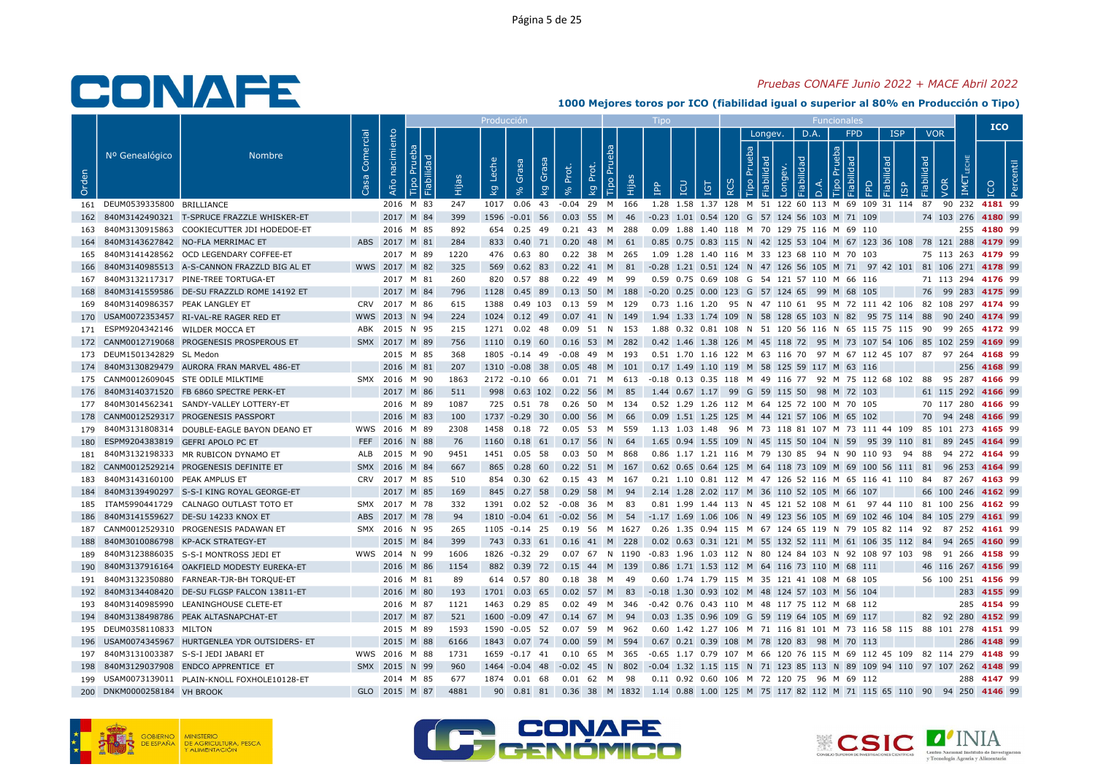## Pruebas CONAFE Junio 2022 + MACE Abril 2022

|       |                                    |                                                                                              |                         |                        |   |            | Producció                        |                            |         |                                                                                                                         |              |                                                                                              |                        |                   |              |                |                                    |       |            |                                 |                    | <b>ICO</b>  |  |
|-------|------------------------------------|----------------------------------------------------------------------------------------------|-------------------------|------------------------|---|------------|----------------------------------|----------------------------|---------|-------------------------------------------------------------------------------------------------------------------------|--------------|----------------------------------------------------------------------------------------------|------------------------|-------------------|--------------|----------------|------------------------------------|-------|------------|---------------------------------|--------------------|-------------|--|
| Orden | Nº Genealógico                     | <b>Nombre</b>                                                                                | Comercial<br><b>S</b> a | Año nacimiento         | 旧 | Нijа       | Leche<br>$\overline{\mathsf{g}}$ | Grasa<br>Grasa<br>kg       | Prot.   | <b>Tipo Pru</b><br>Prot.<br>Hijas<br>kg                                                                                 | $\mathbb{R}$ | <b>POI</b>                                                                                   | <b>IGT</b><br>$\alpha$ | Prueba<br>$\circ$ | Longev.<br>፵ | D.A.<br>õ<br>≏ | <b>FPD</b><br>dən.<br>오<br>$\circ$ | lidad | <b>ISP</b> | <b>VOR</b><br>Fiabilidad<br>VOR | IM€                |             |  |
|       | 161 DEUM0539335800 BRILLIANCE      |                                                                                              |                         | 2016 M 83              |   | 247        |                                  | 1017 0.06 43               |         | $-0.04$ 29 M 166                                                                                                        |              | 1.28 1.58 1.37 128 M 51 122 60 113 M 69 109 31 114 87 90 232 4181 99                         |                        |                   |              |                |                                    |       |            |                                 |                    |             |  |
|       |                                    | 162 840M3142490321 T-SPRUCE FRAZZLE WHISKER-ET                                               |                         | 2017 M 84              |   | 399        |                                  |                            |         | 1596 -0.01 56 0.03 55 M 46 -0.23 1.01 0.54 120 G 57 124 56 103 M 71 109                                                 |              |                                                                                              |                        |                   |              |                |                                    |       |            | 74 103 276 4180 99              |                    |             |  |
|       |                                    | 163 840M3130915863 COOKIECUTTER JDI HODEDOE-ET                                               |                         | 2016 M 85              |   | 892        |                                  |                            |         | 654  0.25  49  0.21  43  M  288                                                                                         |              | 0.09 1.88 1.40 118 M 70 129 75 116 M 69 110                                                  |                        |                   |              |                |                                    |       |            |                                 |                    | 255 4180 99 |  |
|       |                                    | 164 840M3143627842 NO-FLA MERRIMAC ET                                                        |                         | ABS 2017 M 81          |   | 284        |                                  |                            |         | 833 0.40 71 0.20 48 M 61                                                                                                |              | 0.85 0.75 0.83 115 N 42 125 53 104 M 67 123 36 108 78 121 288 4179 99                        |                        |                   |              |                |                                    |       |            |                                 |                    |             |  |
|       |                                    | 165 840M3141428562 OCD LEGENDARY COFFEE-ET                                                   |                         | 2017 M 89              |   | 1220       |                                  | 476 0.63 80                |         | 0.22 38 M 265                                                                                                           |              | 1.09  1.28  1.40  116  M  33  123  68  110  M  70  103                                       |                        |                   |              |                |                                    |       |            |                                 | 75 113 263 4179 99 |             |  |
|       |                                    | 166 840M3140985513 A-S-CANNON FRAZZLD BIG AL ET                                              |                         | WWS 2017 M 82          |   | 325        |                                  |                            |         | 569 0.62 83 0.22 41 M 81                                                                                                |              | -0.28 1.21 0.51 124 N 47 126 56 105 M 71 97 42 101 81 106 271 4178 99                        |                        |                   |              |                |                                    |       |            |                                 |                    |             |  |
|       |                                    | 167 840M3132117317 PINE-TREE TORTUGA-ET                                                      |                         | 2017 M 81              |   | 260        |                                  | 820 0.57 88                |         | 0.22 49 M 99                                                                                                            |              | 0.59 0.75 0.69 108 G 54 121 57 110 M 66 116                                                  |                        |                   |              |                |                                    |       |            |                                 | 71 113 294 4176 99 |             |  |
| 168   |                                    | 840M3141559586 DE-SU FRAZZLD ROME 14192 ET                                                   |                         | 2017 M 84              |   | 796        |                                  |                            |         | 1128 0.45 89 0.13 50 M 188 -0.20 0.25 0.00 123 G 57 124 65 99 M 68 105                                                  |              |                                                                                              |                        |                   |              |                |                                    |       |            | 76 99 283 4175 99               |                    |             |  |
|       | 169 840M3140986357 PEAK LANGLEY ET |                                                                                              |                         | CRV 2017 M 86          |   | 615        |                                  |                            |         | 1388  0.49  103  0.13  59  M  129                                                                                       |              | 0.73 1.16 1.20 95 N 47 110 61 95 M 72 111 42 106 82 108 297 4174 99                          |                        |                   |              |                |                                    |       |            |                                 |                    |             |  |
|       |                                    | 170 USAM0072353457 RI-VAL-RE RAGER RED ET                                                    |                         | WWS 2013 N 94          |   | 224        |                                  |                            |         | 1024 0.12 49 0.07 41 N 149 1.94 1.33 1.74 109 N 58 128 65 103 N 82 95 75 114 88 90 240 4174 99                          |              |                                                                                              |                        |                   |              |                |                                    |       |            |                                 |                    |             |  |
|       | 171 ESPM9204342146 WILDER MOCCA ET |                                                                                              |                         | ABK 2015 N 95          |   | 215        |                                  |                            |         | 1271  0.02  48  0.09  51  N  153                                                                                        |              | 1.88 0.32 0.81 108 N 51 120 56 116 N 65 115 75 115 90 99 265 4172 99                         |                        |                   |              |                |                                    |       |            |                                 |                    |             |  |
|       |                                    | 172 CANM0012719068 PROGENESIS PROSPEROUS ET                                                  |                         | SMX 2017 M 89          |   | 756        |                                  |                            |         | 1110  0.19  60  0.16  53  M  282                                                                                        |              | 0.42 1.46 1.38 126 M 45 118 72 95 M 73 107 54 106 85 102 259 4169 99                         |                        |                   |              |                |                                    |       |            |                                 |                    |             |  |
|       | 173 DEUM1501342829 SL Medon        |                                                                                              |                         | 2015 M 85              |   | 368        |                                  |                            |         | 1805 -0.14 49 -0.08 49 M 193                                                                                            |              | 0.51 1.70 1.16 122 M 63 116 70 97 M 67 112 45 107 87 97 264 4168 99                          |                        |                   |              |                |                                    |       |            |                                 |                    |             |  |
|       |                                    | 174 840M3130829479 AURORA FRAN MARVEL 486-ET                                                 |                         | 2016 M 81              |   | 207        |                                  |                            |         | 1310 -0.08 38 0.05 48 M 101 0.17 1.49 1.10 119 M 58 125 59 117 M 63 116                                                 |              |                                                                                              |                        |                   |              |                |                                    |       |            |                                 |                    | 256 4168 99 |  |
|       |                                    | 175 CANM0012609045 STE ODILE MILKTIME                                                        |                         | SMX 2016 M 90          |   | 1863       |                                  | 2172 -0.10 66              |         | 0.01 71 M 613                                                                                                           |              | -0.18 0.13 0.35 118 M 49 116 77 92 M 75 112 68 102 88 95 287 4166 99                         |                        |                   |              |                |                                    |       |            |                                 |                    |             |  |
|       |                                    | 176 840M3140371520 FB 6860 SPECTRE PERK-ET                                                   |                         | 2017 M 86              |   | 511        |                                  |                            |         | 998  0.63  102  0.22  56  M  85                                                                                         |              | 1.44 0.67 1.17 99 G 59 115 50 98 M 72 103                                                    |                        |                   |              |                |                                    |       |            |                                 | 61 115 292 4166 99 |             |  |
|       |                                    | 177 840M3014562341 SANDY-VALLEY LOTTERY-ET                                                   |                         | 2016 M 89              |   | 1087       |                                  |                            |         | 725  0.51  78  0.26  50  M  134                                                                                         |              | 0.52 1.29 1.26 112 M 64 125 72 100 M 70 105                                                  |                        |                   |              |                |                                    |       |            |                                 | 70 117 280 4166 99 |             |  |
|       |                                    | 178 CANM0012529317 PROGENESIS PASSPORT                                                       |                         | 2016 M 83              |   | 100        |                                  | 1737 -0.29 30              |         | 0.00 56 M 66                                                                                                            |              | 0.09 1.51 1.25 125 M 44 121 57 106 M 65 102                                                  |                        |                   |              |                |                                    |       |            |                                 | 70 94 248 4166 99  |             |  |
|       |                                    | 179 840M3131808314 DOUBLE-EAGLE BAYON DEANO ET                                               |                         | WWS 2016 M 89          |   | 2308       |                                  | 1458 0.18 72               |         | 0.05 53 M 559                                                                                                           |              | 1.13 1.03 1.48 96 M 73 118 81 107 M 73 111 44 109 85 101 273 <b>4165</b> 99                  |                        |                   |              |                |                                    |       |            |                                 |                    |             |  |
| 180   |                                    | ESPM9204383819 GEFRI APOLO PC ET                                                             |                         | FEF 2016 N 88          |   | 76         |                                  | 1160  0.18  61             | 0.17    | 56 N<br>-64                                                                                                             |              | 1.65 0.94 1.55 109 N 45 115 50 104 N 59 95 39 110 81 89 245 4164 99                          |                        |                   |              |                |                                    |       |            |                                 |                    |             |  |
|       |                                    | 181 840M3132198333 MR RUBICON DYNAMO ET                                                      |                         | ALB 2015 M 90          |   | 9451       |                                  | 1451 0.05 58               |         | 0.03 50 M 868                                                                                                           |              | 0.86 1.17 1.21 116 M 79 130 85 94 N 90 110 93 94 88 94 272 4164 99                           |                        |                   |              |                |                                    |       |            |                                 |                    |             |  |
|       |                                    | 182 CANM0012529214 PROGENESIS DEFINITE ET                                                    |                         | SMX 2016 M 84          |   | 667        |                                  | 865 0.28 60                |         | $0.22$ 51 M 167                                                                                                         |              | 0.62 0.65 0.64 125 M 64 118 73 109 M 69 100 56 111 81 96 253 4164 99                         |                        |                   |              |                |                                    |       |            |                                 |                    |             |  |
| 183   | 840M3143160100 PEAK AMPLUS ET      |                                                                                              |                         | CRV 2017 M 85          |   | 510        |                                  | 854 0.30 62                |         | 0.15 43 M<br>167                                                                                                        |              | 0.21 1.10 0.81 112 M 47 126 52 116 M 65 116 41 110 84 87 267 4163 99                         |                        |                   |              |                |                                    |       |            |                                 |                    |             |  |
|       |                                    | 184 840M3139490297 S-S-I KING ROYAL GEORGE-ET                                                |                         | 2017 M 85              |   | 169        |                                  |                            |         | 845 0.27 58 0.29 58 M 94                                                                                                |              | 2.14 1.28 2.02 117 M 36 110 52 105 M 66 107                                                  |                        |                   |              |                |                                    |       |            |                                 | 66 100 246 4162 99 |             |  |
| 185   |                                    | ITAM5990441729 CALNAGO OUTLAST TOTO ET                                                       |                         | SMX 2017 M 78          |   | 332        |                                  | 1391  0.02  52             |         | $-0.08$ 36 M 83                                                                                                         |              | 0.81 1.99 1.44 113 N 45 121 52 108 M 61 97 44 110 81 100 256 4162 99                         |                        |                   |              |                |                                    |       |            |                                 |                    |             |  |
|       |                                    | 186 840M3141559627 DE-SU 14233 KNOX ET                                                       |                         | ABS 2017 M 78          |   | 94         |                                  |                            |         | 1810 -0.04 61 -0.02 56 M 54 -1.17 1.69 1.06 106 N 49 123 56 105 M 69 102 46 104 84 105 279 4161 99                      |              |                                                                                              |                        |                   |              |                |                                    |       |            |                                 |                    |             |  |
|       |                                    | 187 CANM0012529310 PROGENESIS PADAWAN ET                                                     |                         | SMX 2016 N 95          |   | 265        |                                  | 1105 -0.14 25              |         | 0.19 56 M 1627  0.26 1.35 0.94 115 M 67 124 65 119 N 79 105 82 114  92  87 252 <b>4161</b> 99                           |              |                                                                                              |                        |                   |              |                |                                    |       |            |                                 |                    |             |  |
| 188   |                                    | 840M3010086798 KP-ACK STRATEGY-ET                                                            |                         | 2015 M 84              |   | 399        |                                  |                            |         | 743 0.33 61 0.16 41 M 228                                                                                               |              | 0.02 0.63 0.31 121 M 55 132 52 111 M 61 106 35 112 84 94 265 4160 99                         |                        |                   |              |                |                                    |       |            |                                 |                    |             |  |
|       |                                    | 189 840M3123886035 S-S-I MONTROSS JEDI ET                                                    |                         | WWS 2014 N 99          |   | 1606       |                                  |                            |         | 1826 -0.32 29 0.07 67 N 1190 -0.83 1.96 1.03 112 N 80 124 84 103 N 92 108 97 103 98 91 266 4158 99                      |              |                                                                                              |                        |                   |              |                |                                    |       |            |                                 |                    |             |  |
|       |                                    | 190 840M3137916164 OAKFIELD MODESTY EUREKA-ET<br>191 840M3132350880 FARNEAR-TJR-BH TORQUE-ET |                         | 2016 M 86<br>2016 M 81 |   | 1154<br>89 |                                  | 882 0.39 72<br>614 0.57 80 |         | 0.15 44 M 139<br>0.18 38 M 49                                                                                           |              | 0.86 1.71 1.53 112 M 64 116 73 110 M 68 111<br>0.60 1.74 1.79 115 M 35 121 41 108 M 68 105   |                        |                   |              |                |                                    |       |            | 46 116 267 4156 99              | 56 100 251 4156 99 |             |  |
|       |                                    |                                                                                              |                         |                        |   | 193        |                                  |                            |         |                                                                                                                         |              |                                                                                              |                        |                   |              |                |                                    |       |            |                                 |                    | 283 4155 99 |  |
|       |                                    | 192 840M3134408420 DE-SU FLGSP FALCON 13811-ET<br>193 840M3140985990 LEANINGHOUSE CLETE-ET   |                         | 2016 M 80<br>2016 M 87 |   | 1121       |                                  | 1463 0.29 85               |         | 1701 0.03 65 0.02 57 M 83                                                                                               |              | -0.18 1.30 0.93 102 M 48 124 57 103 M 56 104<br>-0.42 0.76 0.43 110 M 48 117 75 112 M 68 112 |                        |                   |              |                |                                    |       |            |                                 |                    | 285 4154 99 |  |
|       |                                    | 194 840M3138498786 PEAK ALTASNAPCHAT-ET                                                      |                         | 2017 M 87              |   | 521        |                                  |                            |         | 1600 -0.09 47 0.14 67 M 94                                                                                              |              | 0.03 1.35 0.96 109 G 59 119 64 105 M 69 117                                                  |                        |                   |              |                |                                    |       |            |                                 | 82 92 280 4152 99  |             |  |
|       | 195 DEUM0358110833 MILTON          |                                                                                              |                         | 2015 M 89              |   | 1593       |                                  | 1590 -0.05 52              |         | 0.07 59 M 962                                                                                                           |              | 0.60 1.42 1.27 106 M 71 116 81 101 M 73 116 58 115 88 101 278 4151 99                        |                        |                   |              |                |                                    |       |            |                                 |                    |             |  |
|       |                                    | 196 USAM0074345967 HURTGENLEA YDR OUTSIDERS- ET                                              |                         | 2015 M 88              |   | 6166       |                                  |                            |         | 1843 0.07 74 0.00 59 M 594                                                                                              |              | 0.67 0.21 0.39 108 M 78 120 83 98 M 70 113                                                   |                        |                   |              |                |                                    |       |            |                                 |                    | 286 4148 99 |  |
|       |                                    | 197 840M3131003387 S-S-I JEDI JABARI ET                                                      |                         | WWS 2016 M 88          |   | 1731       |                                  | 1659 -0.17 41              |         | 0.10 65 M 365                                                                                                           |              | -0.65 1.17 0.79 107 M 66 120 76 115 M 69 112 45 109 82 114 279 <b>4148</b> 99                |                        |                   |              |                |                                    |       |            |                                 |                    |             |  |
| 198   |                                    | 840M3129037908 ENDCO APPRENTICE ET                                                           |                         | SMX 2015 N 99          |   | 960        |                                  | 1464 -0.04 48              | $-0.02$ | 802<br>45<br><b>N</b>                                                                                                   |              | -0.04 1.32 1.15 115 N 71 123 85 113 N 89 109 94 110 97 107 262 4148 99                       |                        |                   |              |                |                                    |       |            |                                 |                    |             |  |
|       |                                    | 199 USAM0073139011 PLAIN-KNOLL FOXHOLE10128-ET                                               |                         | 2014 M 85              |   | 677        |                                  |                            |         | 1874  0.01  68  0.01  62  M  98                                                                                         |              | 0.11 0.92 0.60 106 M 72 120 75 96 M 69 112                                                   |                        |                   |              |                |                                    |       |            |                                 |                    | 288 4147 99 |  |
|       | 200 DNKM0000258184 VH BROOK        |                                                                                              |                         | GLO 2015 M 87          |   | 4881       |                                  |                            |         | 90  0.81  81  0.36  38  M  1832  1.14  0.88  1.00  125  M  75  117  82  112  M  71  115  65  110  90  94  250  4146  99 |              |                                                                                              |                        |                   |              |                |                                    |       |            |                                 |                    |             |  |
|       |                                    |                                                                                              |                         |                        |   |            |                                  |                            |         |                                                                                                                         |              |                                                                                              |                        |                   |              |                |                                    |       |            |                                 |                    |             |  |







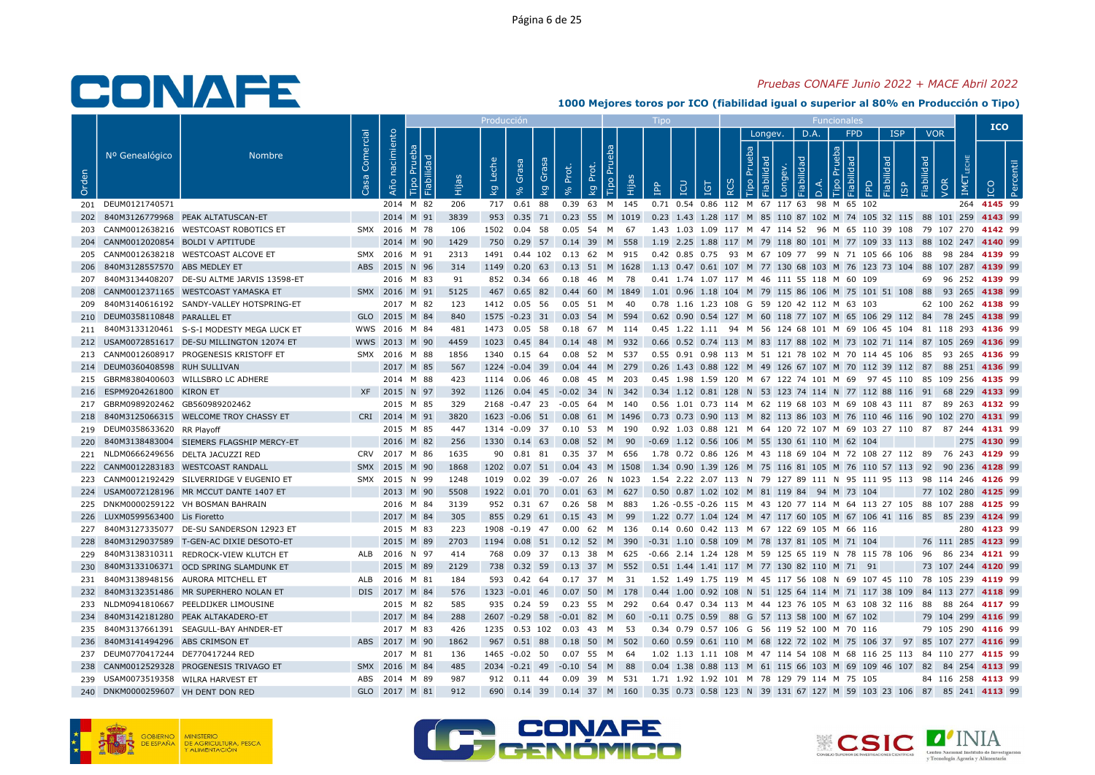## Pruebas CONAFE Junio 2022 + MACE Abril 2022

|       |                                     |                                               |                   |                   |               |      | Producció               |                |                                   |              |                  |                                                                                                   |            |                        |         |          |                                  |                            |                     |                          |                    | <b>ICO</b>  |                |  |
|-------|-------------------------------------|-----------------------------------------------|-------------------|-------------------|---------------|------|-------------------------|----------------|-----------------------------------|--------------|------------------|---------------------------------------------------------------------------------------------------|------------|------------------------|---------|----------|----------------------------------|----------------------------|---------------------|--------------------------|--------------------|-------------|----------------|--|
| Orden | Nº Genealógico                      | <b>Nombre</b>                                 | Comercial<br>Casa | nacimiento<br>Año | ಾ<br>∥ള       | Êщ   | Leche<br>$\overline{k}$ | Grasa          | Grasa<br>Prot.<br>$\overline{k}$  | đ<br>ᅌ<br>kg | Tipo Pru<br>Нijа | <b>CD</b><br>$\mathbb{R}$                                                                         | <b>IGT</b> | Prueba<br>$\circ$<br>≃ | Longev. | bep<br>₫ | D.A.<br>deu<br>$\circ$<br>$\Box$ | <b>FPD</b><br>$\mathbb{R}$ | <b>ISP</b><br>lidad | <b>VOR</b><br>Fiabilidad | VOR<br>IME         |             | $\overline{2}$ |  |
|       | 201 DEUM0121740571                  |                                               |                   |                   | 2014 M 82     | 206  |                         | 717 0.61 88    |                                   |              | 0.39 63 M 145    | 0.71 0.54 0.86 112 M 67 117 63 98 M 65 102                                                        |            |                        |         |          |                                  |                            |                     |                          |                    | 264 4145 99 |                |  |
| 202   |                                     | 840M3126779968 PEAK ALTATUSCAN-ET             |                   |                   | 2014 M 91     | 3839 |                         |                |                                   |              |                  | 953 0.35 71 0.23 55 M 1019 0.23 1.43 1.28 117 M 85 110 87 102 M 74 105 32 115 88 101 259 4143 99  |            |                        |         |          |                                  |                            |                     |                          |                    |             |                |  |
|       |                                     | 203 CANM0012638216 WESTCOAST ROBOTICS ET      |                   |                   | SMX 2016 M 78 | 106  |                         |                | 1502  0.04  58  0.05  54  M  67   |              |                  | 1.43 1.03 1.09 117 M 47 114 52 96 M 65 110 39 108 79 107 270 4142 99                              |            |                        |         |          |                                  |                            |                     |                          |                    |             |                |  |
|       | 204 CANM0012020854 BOLDI V APTITUDE |                                               |                   |                   | 2014 M 90     | 1429 |                         |                | 750 0.29 57 0.14 39 M 558         |              |                  | 1.19 2.25 1.88 117 M 79 118 80 101 M 77 109 33 113 88 102 247 4140 99                             |            |                        |         |          |                                  |                            |                     |                          |                    |             |                |  |
| 205   |                                     | CANM0012638218 WESTCOAST ALCOVE ET            |                   |                   | SMX 2016 M 91 | 2313 |                         |                | 1491  0.44  102  0.13  62  M  915 |              |                  | 0.42 0.85 0.75 93 M 67 109 77 99 N 71 105 66 106 88 98 284 <b>4139</b> 99                         |            |                        |         |          |                                  |                            |                     |                          |                    |             |                |  |
| 206   | 840M3128557570 ABS MEDLEY ET        |                                               |                   |                   | ABS 2015 N 96 | 314  |                         |                |                                   |              |                  | 1149 0.20 63 0.13 51 M 1628 1.13 0.47 0.61 107 M 77 130 68 103 M 76 123 73 104 88 107 287 4139 99 |            |                        |         |          |                                  |                            |                     |                          |                    |             |                |  |
| 207   |                                     | 840M3134408207 DE-SU ALTME JARVIS 13598-ET    |                   |                   | 2016 M 83     | 91   |                         | 852 0.34 66    |                                   |              | 0.18  46  M  78  | 0.41 1.74 1.07 117 M 46 111 55 118 M 60 109                                                       |            |                        |         |          |                                  |                            |                     |                          | 69 96 252 4139 99  |             |                |  |
|       |                                     | 208 CANM0012371165 WESTCOAST YAMASKA ET       |                   |                   | SMX 2016 M 91 | 5125 |                         |                |                                   |              |                  | 467 0.65 82 0.44 60 M 1849 1.01 0.96 1.18 104 M 79 115 86 106 M 75 101 51 108 88 93 265 4138 99   |            |                        |         |          |                                  |                            |                     |                          |                    |             |                |  |
| 209   |                                     | 840M3140616192 SANDY-VALLEY HOTSPRING-ET      |                   |                   | 2017 M 82     | 123  |                         | 1412  0.05  56 |                                   | 0.05 51 M 40 |                  | 0.78 1.16 1.23 108 G 59 120 42 112 M 63 103                                                       |            |                        |         |          |                                  |                            |                     |                          | 62 100 262 4138 99 |             |                |  |
| 210   | DEUM0358110848 PARALLEL ET          |                                               |                   |                   | GLO 2015 M 84 | 840  |                         | 1575 -0.23 31  |                                   |              | 0.03 54 M 594    | 0.62 0.90 0.54 127 M 60 118 77 107 M 65 106 29 112 84 78 245 4138 99                              |            |                        |         |          |                                  |                            |                     |                          |                    |             |                |  |
|       |                                     | 211 840M3133120461 S-S-I MODESTY MEGA LUCK ET |                   |                   | WWS 2016 M 84 | 481  |                         | 1473  0.05  58 |                                   |              | 0.18 67 M 114    | 0.45 1.22 1.11 94 M 56 124 68 101 M 69 106 45 104 81 118 293 4136 99                              |            |                        |         |          |                                  |                            |                     |                          |                    |             |                |  |
|       |                                     | 212 USAM0072851617 DE-SU MILLINGTON 12074 ET  |                   |                   | WWS 2013 M 90 | 4459 |                         | 1023 0.45 84   |                                   |              | 0.14 48 M 932    | 0.66 0.52 0.74 113 M 83 117 88 102 M 73 102 71 114 87 105 269 4136 99                             |            |                        |         |          |                                  |                            |                     |                          |                    |             |                |  |
|       |                                     | 213 CANM0012608917 PROGENESIS KRISTOFF ET     |                   |                   | SMX 2016 M 88 | 1856 |                         | 1340 0.15 64   |                                   |              | 0.08 52 M 537    | 0.55 0.91 0.98 113 M 51 121 78 102 M 70 114 45 106 85 93 265 4136 99                              |            |                        |         |          |                                  |                            |                     |                          |                    |             |                |  |
|       | 214 DEUM0360408598 RUH SULLIVAN     |                                               |                   |                   | 2017 M 85     | 567  |                         |                | 1224 -0.04 39 0.04 44 M 279       |              |                  | 0.26 1.43 0.88 122 M 49 126 67 107 M 70 112 39 112 87 88 251 4136 99                              |            |                        |         |          |                                  |                            |                     |                          |                    |             |                |  |
| 215   |                                     | GBRM8380400603 WILLSBRO LC ADHERE             |                   |                   | 2014 M 88     | 423  |                         | 1114 0.06 46   |                                   |              | 0.08 45 M 203    | 0.45 1.98 1.59 120 M 67 122 74 101 M 69 97 45 110 85 109 256 4135 99                              |            |                        |         |          |                                  |                            |                     |                          |                    |             |                |  |
|       | 216 ESPM9204261800 KIRON ET         |                                               |                   |                   | XF 2015 N 97  | 392  |                         |                |                                   |              |                  | 1126 0.04 45 -0.02 34 N 342 0.34 1.12 0.81 128 N 53 123 74 114 N 77 112 88 116 91 68 229 4133 99  |            |                        |         |          |                                  |                            |                     |                          |                    |             |                |  |
|       | 217 GBRM0989202462 GB560989202462   |                                               |                   |                   | 2015 M 85     | 329  |                         |                | 2168 -0.47 23 -0.05 64 M 140      |              |                  | 0.56 1.01 0.73 114 M 62 119 68 103 M 69 108 43 111 87 89 263 <b>4132</b> 99                       |            |                        |         |          |                                  |                            |                     |                          |                    |             |                |  |
| 218   |                                     | 840M3125066315 WELCOME TROY CHASSY ET         |                   |                   | CRI 2014 M 91 | 3820 |                         |                | 1623 -0.06 51 0.08 61 M 1496      |              |                  | 0.73 0.73 0.90 113 M 82 113 86 103 M 76 110 46 116 90 102 270 4131 99                             |            |                        |         |          |                                  |                            |                     |                          |                    |             |                |  |
|       | 219 DEUM0358633620 RR Playoff       |                                               |                   |                   | 2015 M 85     | 447  |                         |                | 1314 -0.09 37 0.10 53 M 190       |              |                  | 0.92 1.03 0.88 121 M 64 120 72 107 M 69 103 27 110 87 87 244 4131 99                              |            |                        |         |          |                                  |                            |                     |                          |                    |             |                |  |
| 220   |                                     | 840M3138483004 SIEMERS FLAGSHIP MERCY-ET      |                   |                   | 2016 M 82     | 256  |                         |                |                                   |              |                  | 1330 0.14 63 0.08 52 M 90 -0.69 1.12 0.56 106 M 55 130 61 110 M 62 104                            |            |                        |         |          |                                  |                            |                     |                          |                    | 275 4130 99 |                |  |
|       |                                     | 221 NLDM0666249656 DELTA JACUZZI RED          |                   |                   | CRV 2017 M 86 | 1635 |                         |                | 90  0.81  81  0.35  37  M  656    |              |                  | 1.78 0.72 0.86 126 M 43 118 69 104 M 72 108 27 112 89 76 243 4129 99                              |            |                        |         |          |                                  |                            |                     |                          |                    |             |                |  |
|       |                                     | 222 CANM0012283183 WESTCOAST RANDALL          |                   |                   | SMX 2015 M 90 | 1868 |                         |                |                                   |              |                  | 1202 0.07 51 0.04 43 M 1508 1.34 0.90 1.39 126 M 75 116 81 105 M 76 110 57 113 92 90 236 4128 99  |            |                        |         |          |                                  |                            |                     |                          |                    |             |                |  |
| 223   |                                     | CANM0012192429 SILVERRIDGE V EUGENIO ET       |                   |                   | SMX 2015 N 99 | 1248 |                         | 1019  0.02  39 |                                   |              | -0.07 26 N 1023  | 1.54 2.22 2.07 113 N 79 127 89 111 N 95 111 95 113 98 114 246 4126 99                             |            |                        |         |          |                                  |                            |                     |                          |                    |             |                |  |
|       |                                     | 224 USAM0072128196 MR MCCUT DANTE 1407 ET     |                   |                   | 2013 M 90     | 5508 |                         |                | 1922  0.01  70  0.01  63  M  627  |              |                  | 0.50 0.87 1.02 102 M 81 119 84 94 M 73 104                                                        |            |                        |         |          |                                  |                            |                     |                          | 77 102 280 4125 99 |             |                |  |
|       |                                     | 225 DNKM0000259122 VH BOSMAN BAHRAIN          |                   |                   | 2016 M 84     | 3139 |                         | 952 0.31 67    |                                   |              | 0.26 58 M 883    | 1.26 -0.55 -0.26 115 M 43 120 77 114 M 64 113 27 105 88 107 288 4125 99                           |            |                        |         |          |                                  |                            |                     |                          |                    |             |                |  |
|       | 226 LUXM0599563400 Lis Fioretto     |                                               |                   |                   | 2017 M 84     | 305  |                         |                | 855 0.29 61 0.15 43 M 99          |              |                  | 1.22 0.77 1.04 124 M 47 117 60 105 M 67 106 41 116 85 85 239 4124 99                              |            |                        |         |          |                                  |                            |                     |                          |                    |             |                |  |
|       |                                     | 227 840M3127335077 DE-SU SANDERSON 12923 ET   |                   |                   | 2015 M 83     | 223  |                         |                | 1908 -0.19 47 0.00 62 M 136       |              |                  | 0.14 0.60 0.42 113 M 67 122 69 105 M 66 116                                                       |            |                        |         |          |                                  |                            |                     |                          |                    | 280 4123 99 |                |  |
| 228   |                                     | 840M3129037589 T-GEN-AC DIXIE DESOTO-ET       |                   |                   | 2015 M 89     | 2703 |                         | 1194  0.08  51 |                                   |              | $0.12$ 52 M 390  | -0.31 1.10 0.58 109 M 78 137 81 105 M 71 104                                                      |            |                        |         |          |                                  |                            |                     |                          | 76 111 285 4123 99 |             |                |  |
|       |                                     | 229 840M3138310311 REDROCK-VIEW KLUTCH ET     |                   |                   | ALB 2016 N 97 | 414  |                         |                |                                   |              |                  | 768 0.09 37 0.13 38 M 625 -0.66 2.14 1.24 128 M 59 125 65 119 N 78 115 78 106 96 86 234 4121 99   |            |                        |         |          |                                  |                            |                     |                          |                    |             |                |  |
| 230   |                                     | 840M3133106371 OCD SPRING SLAMDUNK ET         |                   |                   | 2015 M 89     | 2129 |                         | 738 0.32 59    |                                   |              | 0.13 37 M 552    | 0.51 1.44 1.41 117 M 77 130 82 110 M 71 91                                                        |            |                        |         |          |                                  |                            |                     |                          | 73 107 244 4120 99 |             |                |  |
| 231   |                                     | 840M3138948156 AURORA MITCHELL ET             |                   |                   | ALB 2016 M 81 | 184  |                         | 593 0.42 64    |                                   | 0.17 37 M 31 |                  | 1.52 1.49 1.75 119 M 45 117 56 108 N 69 107 45 110 78 105 239 4119 99                             |            |                        |         |          |                                  |                            |                     |                          |                    |             |                |  |
| 232   |                                     | 840M3132351486 MR SUPERHERO NOLAN ET          |                   |                   | DIS 2017 M 84 | 576  |                         |                | 1323 -0.01 46 0.07 50 M 178       |              |                  | 0.44 1.00 0.92 108 N 51 125 64 114 M 71 117 38 109 84 113 277 4118 99                             |            |                        |         |          |                                  |                            |                     |                          |                    |             |                |  |
|       |                                     | 233 NLDM0941810667 PEELDIJKER LIMOUSINE       |                   |                   | 2015 M 82     | 585  |                         | 935 0.24 59    |                                   |              | 0.23 55 M 292    | 0.64 0.47 0.34 113 M 44 123 76 105 M 63 108 32 116 88 88 264 4117 99                              |            |                        |         |          |                                  |                            |                     |                          |                    |             |                |  |
|       |                                     | 234 840M3142181280 PEAK ALTAKADERO-ET         |                   |                   | 2017 M 84     | 288  |                         |                |                                   |              |                  | 2607 -0.29 58 -0.01 82 M 60 -0.11 0.75 0.59 88 G 57 113 58 100 M 67 102                           |            |                        |         |          |                                  |                            |                     |                          | 79 104 299 4116 99 |             |                |  |
|       |                                     | 235 840M3137661391 SEAGULL-BAY AHNDER-ET      |                   |                   | 2017 M 83     | 426  |                         |                | 1235  0.53  102  0.03  43  M  53  |              |                  | 0.34 0.79 0.57 106 G 56 119 52 100 M 70 116                                                       |            |                        |         |          |                                  |                            |                     |                          | 79 105 290 4116 99 |             |                |  |
| 236   | 840M3141494296 ABS CRIMSON ET       |                                               |                   |                   | ABS 2017 M 90 | 1862 |                         | 967 0.51 88    |                                   |              | 0.18 50 M 502    | 0.60 0.59 0.61 110 M 68 122 72 102 M 75 106 37 97 85 107 277 4116 99                              |            |                        |         |          |                                  |                            |                     |                          |                    |             |                |  |
|       | 237 DEUM0770417244 DE770417244 RED  |                                               |                   |                   | 2017 M 81     | 136  |                         | 1465 -0.02 50  |                                   | 0.07 55 M 64 |                  | 1.02 1.13 1.11 108 M 47 114 54 108 M 68 116 25 113 84 110 277 4115 99                             |            |                        |         |          |                                  |                            |                     |                          |                    |             |                |  |
| 238   |                                     | CANM0012529328 PROGENESIS TRIVAGO ET          |                   |                   | SMX 2016 M 84 | 485  |                         |                | 2034 -0.21 49 -0.10 54 M 88       |              |                  | 0.04 1.38 0.88 113 M 61 115 66 103 M 69 109 46 107 82 84 254 4113 99                              |            |                        |         |          |                                  |                            |                     |                          |                    |             |                |  |
|       | 239 USAM0073519358 WILRA HARVEST ET |                                               |                   |                   | ABS 2014 M 89 | 987  |                         |                | 912  0.11  44  0.09  39  M  531   |              |                  | 1.71 1.92 1.92 101 M 78 129 79 114 M 75 105                                                       |            |                        |         |          |                                  |                            |                     |                          | 84 116 258 4113 99 |             |                |  |
|       | 240 DNKM0000259607 VH DENT DON RED  |                                               |                   |                   | GLO 2017 M 81 | 912  |                         |                | 690 0.14 39 0.14 37 M 160         |              |                  | 0.35 0.73 0.58 123 N 39 131 67 127 M 59 103 23 106 87 85 241 4113 99                              |            |                        |         |          |                                  |                            |                     |                          |                    |             |                |  |





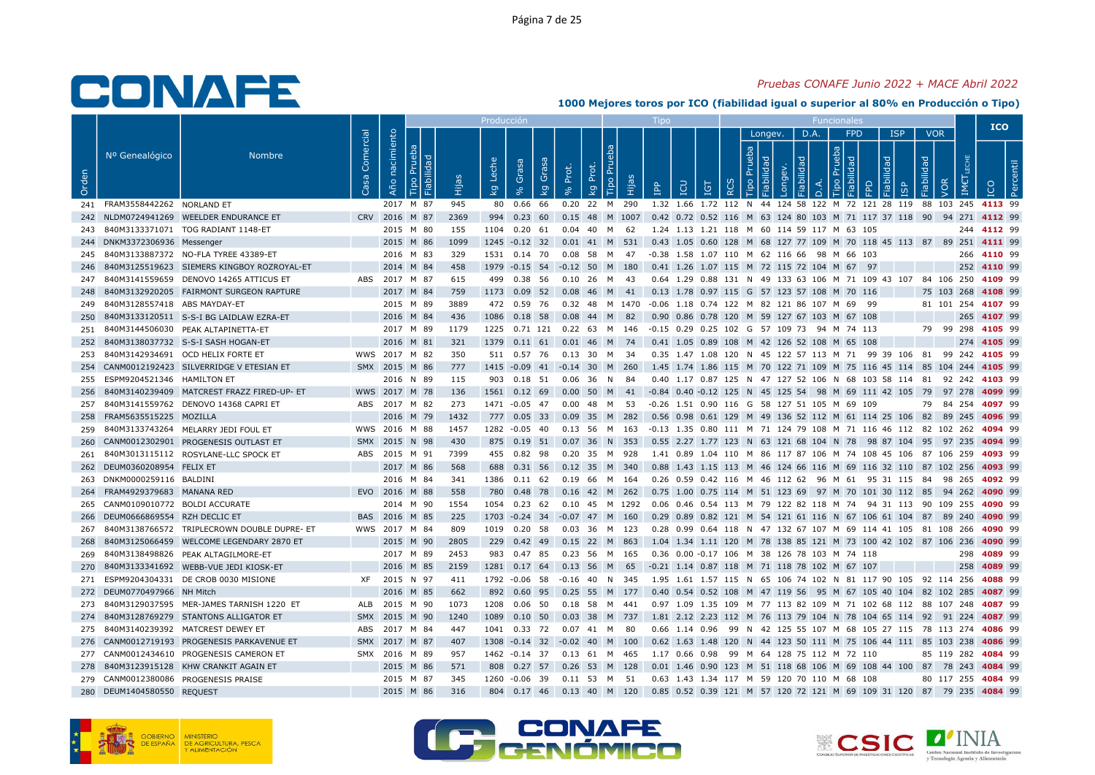### Pruebas CONAFE Junio 2022 + MACE Abril 2022

|       |                                   |                                                 |                        |                |           |      | Producció               |                      |       |                                                                                                 |                           |                                                                                        |                 |                   |         |                |                                   |      |            |                          | <b>ICO</b>         |  |
|-------|-----------------------------------|-------------------------------------------------|------------------------|----------------|-----------|------|-------------------------|----------------------|-------|-------------------------------------------------------------------------------------------------|---------------------------|----------------------------------------------------------------------------------------|-----------------|-------------------|---------|----------------|-----------------------------------|------|------------|--------------------------|--------------------|--|
| Orden | Nº Genealógico                    | <b>Nombre</b>                                   | Comercial<br><b>Sa</b> | Año nacimiento | 곧         | Нijа | Leche<br>$\overline{k}$ | Grasa<br>Grasa<br>kg | Prot. | <b>Tipo Pru</b><br>Prot.<br>ia<br>kg                                                            | $\mathbf{P}^{\mathbf{p}}$ | <b>POI</b>                                                                             | IGT<br>$\alpha$ | Prueba<br>$\circ$ | Longev. | D.A.<br>õ<br>≏ | <b>FPD</b><br>deu<br>ᅙ<br>$\circ$ | idad | <b>ISP</b> | VOR<br>Fiabilidad<br>VOR |                    |  |
|       | 241 FRAM3558442262 NORLAND ET     |                                                 |                        | 2017 M 87      |           | 945  |                         | 80  0.66  66         |       | 0.20 22 M 290                                                                                   |                           | 1.32 1.66 1.72 112 N 44 124 58 122 M 72 121 28 119 88 103 245 4113 99                  |                 |                   |         |                |                                   |      |            |                          |                    |  |
|       |                                   | 242 NLDM0724941269 WEELDER ENDURANCE ET         |                        | CRV 2016 M 87  |           | 2369 |                         | 994 0.23 60          |       | 0.15 48 M 1007                                                                                  |                           | 0.42 0.72 0.52 116 M 63 124 80 103 M 71 117 37 118 90 94 271 4112 99                   |                 |                   |         |                |                                   |      |            |                          |                    |  |
|       |                                   | 243 840M3133371071 TOG RADIANT 1148-ET          |                        | 2015 M 80      |           | 155  |                         |                      |       | 1104  0.20  61  0.04  40  M  62                                                                 |                           | 1.24 1.13 1.21 118 M 60 114 59 117 M 63 105                                            |                 |                   |         |                |                                   |      |            |                          | 244 4112 99        |  |
|       | 244 DNKM3372306936 Messenger      |                                                 |                        | 2015 M 86      |           | 1099 |                         |                      |       | 1245 -0.12 32 0.01 41 M 531                                                                     |                           | 0.43 1.05 0.60 128 M 68 127 77 109 M 70 118 45 113 87 89 251 4111 99                   |                 |                   |         |                |                                   |      |            |                          |                    |  |
|       |                                   | 245 840M3133887372 NO-FLA TYREE 43389-ET        |                        | 2016 M 83      |           | 329  |                         | 1531 0.14 70         |       | 0.08 58 M 47                                                                                    |                           | -0.38 1.58 1.07 110 M 62 116 66 98 M 66 103                                            |                 |                   |         |                |                                   |      |            |                          | 266 4110 99        |  |
|       |                                   | 246 840M3125519623 SIEMERS KINGBOY ROZROYAL-ET  |                        | 2014 M 84      |           | 458  |                         |                      |       | 1979 -0.15 54 -0.12 50 M 180                                                                    |                           | 0.41 1.26 1.07 115 M 72 115 72 104 M 67 97                                             |                 |                   |         |                |                                   |      |            |                          | 252 4110 99        |  |
|       |                                   | 247 840M3141559659 DENOVO 14265 ATTICUS ET      |                        | ABS 2017 M 87  |           | 615  |                         | 499 0.38 56          |       | 0.10 26 M 43                                                                                    |                           | 0.64 1.29 0.88 131 N 49 133 63 106 M 71 109 43 107 84 106 250 4109 99                  |                 |                   |         |                |                                   |      |            |                          |                    |  |
|       |                                   | 248 840M3132920205 FAIRMONT SURGEON RAPTURE     |                        | 2017 M 84      |           | 759  |                         |                      |       | 1173  0.09  52  0.08  46  M  41  0.13  1.78  0.97  115  G  57  123  57  108  M  70  116         |                           |                                                                                        |                 |                   |         |                |                                   |      |            | 75 103 268 4108 99       |                    |  |
|       | 249 840M3128557418 ABS MAYDAY-ET  |                                                 |                        | 2015 M 89      |           | 3889 |                         | 472 0.59 76          |       | 0.32 48 M 1470 -0.06 1.18 0.74 122 M 82 121 86 107 M 69 99                                      |                           |                                                                                        |                 |                   |         |                |                                   |      |            |                          | 81 101 254 4107 99 |  |
| 250   |                                   | 840M3133120511 S-S-I BG LAIDLAW EZRA-ET         |                        | 2016 M 84      |           | 436  |                         | 1086  0.18  58       |       | 0.08 44 M 82                                                                                    |                           | 0.90 0.86 0.78 120 M 59 127 67 103 M 67 108                                            |                 |                   |         |                |                                   |      |            |                          | 265 4107 99        |  |
|       |                                   | 251 840M3144506030 PEAK ALTAPINETTA-ET          |                        | 2017 M 89      |           | 1179 |                         |                      |       | 1225  0.71  121  0.22  63  M  146  -0.15  0.29  0.25  102  G  57  109  73  94  M  74  113       |                           |                                                                                        |                 |                   |         |                |                                   |      |            |                          | 79 99 298 4105 99  |  |
|       |                                   | 252 840M3138037732 S-S-I SASH HOGAN-ET          |                        | 2016 M 81      |           | 321  |                         |                      |       | 1379  0.11  61  0.01  46  M  74                                                                 |                           | 0.41 1.05 0.89 108 M 42 126 52 108 M 65 108                                            |                 |                   |         |                |                                   |      |            |                          | 274 4105 99        |  |
|       |                                   | 253 840M3142934691 OCD HELIX FORTE ET           |                        | WWS 2017 M 82  |           | 350  |                         | 511 0.57 76          |       | 0.13 30 M 34                                                                                    |                           | 0.35 1.47 1.08 120 N 45 122 57 113 M 71 99 39 106 81 99 242 4105 99                    |                 |                   |         |                |                                   |      |            |                          |                    |  |
|       |                                   | 254 CANM0012192423 SILVERRIDGE V ETESIAN ET     |                        | SMX 2015 M 86  |           | 777  |                         |                      |       | 1415 -0.09 41 -0.14 30 M 260                                                                    |                           | 1.45 1.74 1.86 115 M 70 122 71 109 M 75 116 45 114 85 104 244 4105 99                  |                 |                   |         |                |                                   |      |            |                          |                    |  |
|       | 255 ESPM9204521346 HAMILTON ET    |                                                 |                        | 2016 N 89      |           | 115  |                         | 903 0.18 51          |       | $0.06$ 36 N<br>- 84                                                                             |                           | 0.40 1.17 0.87 125 N 47 127 52 106 N 68 103 58 114 81 92 242 4103 99                   |                 |                   |         |                |                                   |      |            |                          |                    |  |
|       |                                   | 256 840M3140239409 MATCREST FRAZZ FIRED-UP- ET  |                        | WWS 2017 M 78  |           | 136  |                         |                      |       | 1561 0.12 69 0.00 50 M 41 -0.84 0.40 -0.12 125 N 45 125 54 98 M 69 111 42 105 79 97 278 4099 99 |                           |                                                                                        |                 |                   |         |                |                                   |      |            |                          |                    |  |
|       |                                   | 257 840M3141559762 DENOVO 14368 CAPRI ET        |                        | ABS 2017 M 82  |           | 273  |                         |                      |       | 1471 -0.05 47 0.00 48 M 53                                                                      |                           | -0.26 1.51 0.90 116 G 58 127 51 105 M 69 109                                           |                 |                   |         |                |                                   |      |            |                          | 79 84 254 4097 99  |  |
|       | 258 FRAM5635515225 MOZILLA        |                                                 |                        | 2016 M 79      |           | 1432 |                         |                      |       | 777  0.05  33  0.09  35  M  282                                                                 |                           | 0.56 0.98 0.61 129 M 49 136 52 112 M 61 114 25 106 82 89 245 4096 99                   |                 |                   |         |                |                                   |      |            |                          |                    |  |
|       |                                   | 259 840M3133743264 MELARRY JEDI FOUL ET         |                        | WWS 2016 M 88  |           | 1457 |                         |                      |       | 1282 -0.05 40 0.13 56 M 163                                                                     |                           | -0.13 1.35 0.80 111 M 71 124 79 108 M 71 116 46 112 82 102 262 <b>4094</b> 99          |                 |                   |         |                |                                   |      |            |                          |                    |  |
|       |                                   | 260 CANM0012302901 PROGENESIS OUTLAST ET        |                        | SMX 2015 N 98  |           | 430  |                         | 875 0.19 51          |       | 0.07 36 N 353                                                                                   |                           | 0.55 2.27 1.77 123 N 63 121 68 104 N 78 98 87 104 95 97 235 <b>4094</b> 99             |                 |                   |         |                |                                   |      |            |                          |                    |  |
|       |                                   | 261 840M3013115112 ROSYLANE-LLC SPOCK ET        |                        | ABS 2015 M 91  |           | 7399 |                         |                      |       | 455  0.82  98  0.20  35  M  928                                                                 |                           | 1.41 0.89 1.04 110 M 86 117 87 106 M 74 108 45 106 87 106 259 <b>4093</b> 99           |                 |                   |         |                |                                   |      |            |                          |                    |  |
|       | 262 DEUM0360208954 FELIX ET       |                                                 |                        | 2017 M 86      |           | 568  |                         |                      |       | 688  0.31  56  0.12  35  M  340                                                                 |                           | 0.88 1.43 1.15 113 M 46 124 66 116 M 69 116 32 110 87 102 256 <b>4093</b> 99           |                 |                   |         |                |                                   |      |            |                          |                    |  |
|       | 263 DNKM0000259116 BALDINI        |                                                 |                        | 2016 M 84      |           | 341  |                         | 1386 0.11 62         |       | 0.19 66 M 164                                                                                   |                           | 0.26 0.59 0.42 116 M 46 112 62 96 M 61 95 31 115 84 98 265 4092 99                     |                 |                   |         |                |                                   |      |            |                          |                    |  |
|       | 264 FRAM4929379683 MANANA RED     |                                                 |                        | EVO 2016 M 88  |           | 558  |                         |                      |       | 780 0.48 78 0.16 42 M 262                                                                       |                           | 0.75 1.00 0.75 114 M 51 123 69 97 M 70 101 30 112 85 94 262 4090 99                    |                 |                   |         |                |                                   |      |            |                          |                    |  |
|       | 265 CANM0109010772 BOLDI ACCURATE |                                                 |                        |                | 2014 M 90 | 1554 |                         |                      |       | 1054  0.23  62  0.10  45  M  1292                                                               |                           | 0.06  0.46  0.54  113  M  79  122  82  118  M  74  94  31  113  90  109  255  4090  99 |                 |                   |         |                |                                   |      |            |                          |                    |  |
|       | 266 DEUM0666869554 RZH DECLIC ET  |                                                 |                        | BAS 2016 M 85  |           | 225  |                         |                      |       | 1703 -0.24 34 -0.07 47 M 160                                                                    |                           | 0.29 0.89 0.82 121 M 54 121 61 116 N 67 106 61 104 87 89 240 4090 99                   |                 |                   |         |                |                                   |      |            |                          |                    |  |
|       |                                   | 267 840M3138766572 TRIPLECROWN DOUBLE DUPRE- ET |                        | WWS 2017 M 84  |           | 809  |                         | 1019  0.20  58       |       | 0.03 36 M 123                                                                                   |                           | 0.28 0.99 0.64 118 N 47 132 67 107 M 69 114 41 105 81 108 266 4090 99                  |                 |                   |         |                |                                   |      |            |                          |                    |  |
| 268   |                                   | 840M3125066459 WELCOME LEGENDARY 2870 ET        |                        | 2015 M 90      |           | 2805 |                         | 229 0.42 49          |       | 0.15 22 M 863                                                                                   |                           | 1.04 1.34 1.11 120 M 78 138 85 121 M 73 100 42 102 87 106 236 4090 99                  |                 |                   |         |                |                                   |      |            |                          |                    |  |
|       |                                   | 269 840M3138498826 PEAK ALTAGILMORE-ET          |                        | 2017 M 89      |           | 2453 |                         |                      |       | 983 0.47 85 0.23 56 M 165                                                                       |                           | 0.36 0.00 -0.17 106 M 38 126 78 103 M 74 118                                           |                 |                   |         |                |                                   |      |            |                          | 298 4089 99        |  |
| 270   |                                   | 840M3133341692 WEBB-VUE JEDI KIOSK-ET           |                        | 2016 M 85      |           | 2159 |                         | 1281 0.17 64         |       | $0.13$ 56 M 65                                                                                  |                           | -0.21 1.14 0.87 118 M 71 118 78 102 M 67 107                                           |                 |                   |         |                |                                   |      |            |                          | 258 4089 99        |  |
|       |                                   | 271 ESPM9204304331 DE CROB 0030 MISIONE         |                        | XF 2015 N 97   |           | 411  |                         | 1792 -0.06 58        |       | -0.16 40 N 345                                                                                  |                           | 1.95 1.61 1.57 115 N 65 106 74 102 N 81 117 90 105 92 114 256 <b>4088</b> 99           |                 |                   |         |                |                                   |      |            |                          |                    |  |
|       | 272 DEUM0770497966 NH Mitch       |                                                 |                        | 2016 M 85      |           | 662  |                         |                      |       | 892 0.60 95 0.25 55 M 177                                                                       |                           | 0.40 0.54 0.52 108 M 47 119 56 95 M 67 105 40 104 82 102 285 4087 99                   |                 |                   |         |                |                                   |      |            |                          |                    |  |
|       |                                   | 273 840M3129037595 MER-JAMES TARNISH 1220 ET    | ALB                    | 2015 M 90      |           | 1073 |                         | 1208  0.06  50       |       | 0.18 58 M 441                                                                                   |                           | 0.97 1.09 1.35 109 M 77 113 82 109 M 71 102 68 112 88 107 248 4087 99                  |                 |                   |         |                |                                   |      |            |                          |                    |  |
|       |                                   | 274 840M3128769279 STANTONS ALLIGATOR ET        |                        | SMX 2015 M 90  |           | 1240 |                         |                      |       | 1089  0.10  50  0.03  38  M  737                                                                |                           | 1.81 2.12 2.23 112 M 76 113 79 104 N 78 104 65 114 92 91 224 4087 99                   |                 |                   |         |                |                                   |      |            |                          |                    |  |
|       |                                   | 275 840M3140239392 MATCREST DEWEY ET            |                        | ABS 2017 M 84  |           | 447  |                         | 1041  0.33  72       |       | 0.07 41 M<br>- 80                                                                               |                           | 0.66 1.14 0.96 99 N 42 125 55 107 M 68 105 27 115 78 113 274 4086 99                   |                 |                   |         |                |                                   |      |            |                          |                    |  |
|       |                                   | 276 CANM0012719193 PROGENESIS PARKAVENUE ET     |                        | SMX 2017 M 87  |           | 407  |                         |                      |       | 1308 -0.14 32 -0.02 40 M 100                                                                    |                           | 0.62 1.63 1.48 120 N 44 123 50 111 M 75 106 44 111 85 103 238 4086 99                  |                 |                   |         |                |                                   |      |            |                          |                    |  |
|       |                                   | 277 CANM0012434610 PROGENESIS CAMERON ET        |                        | SMX 2016 M 89  |           | 957  |                         |                      |       | 1462 -0.14 37 0.13 61 M 465                                                                     |                           | 1.17 0.66 0.98 99 M 64 128 75 112 M 72 110                                             |                 |                   |         |                |                                   |      |            |                          | 85 119 282 4084 99 |  |
|       |                                   | 278 840M3123915128 KHW CRANKIT AGAIN ET         |                        | 2015 M 86      |           | 571  |                         |                      |       | 808 0.27 57 0.26 53 M 128                                                                       |                           | 0.01 1.46 0.90 123 M 51 118 68 106 M 69 108 44 100 87 78 243 4084 99                   |                 |                   |         |                |                                   |      |            |                          |                    |  |
|       |                                   | 279 CANM0012380086 PROGENESIS PRAISE            |                        | 2015 M 87      |           | 345  |                         |                      |       | 1260 -0.06 39 0.11 53 M 51                                                                      |                           | 0.63 1.43 1.34 117 M 59 120 70 110 M 68 108                                            |                 |                   |         |                |                                   |      |            |                          | 80 117 255 4084 99 |  |
|       | 280 DEUM1404580550 REQUEST        |                                                 |                        | 2015 M 86      |           | 316  |                         |                      |       | 804  0.17  46  0.13  40  M  120                                                                 |                           | 0.85 0.52 0.39 121 M 57 120 72 121 M 69 109 31 120 87 79 235 4084 99                   |                 |                   |         |                |                                   |      |            |                          |                    |  |





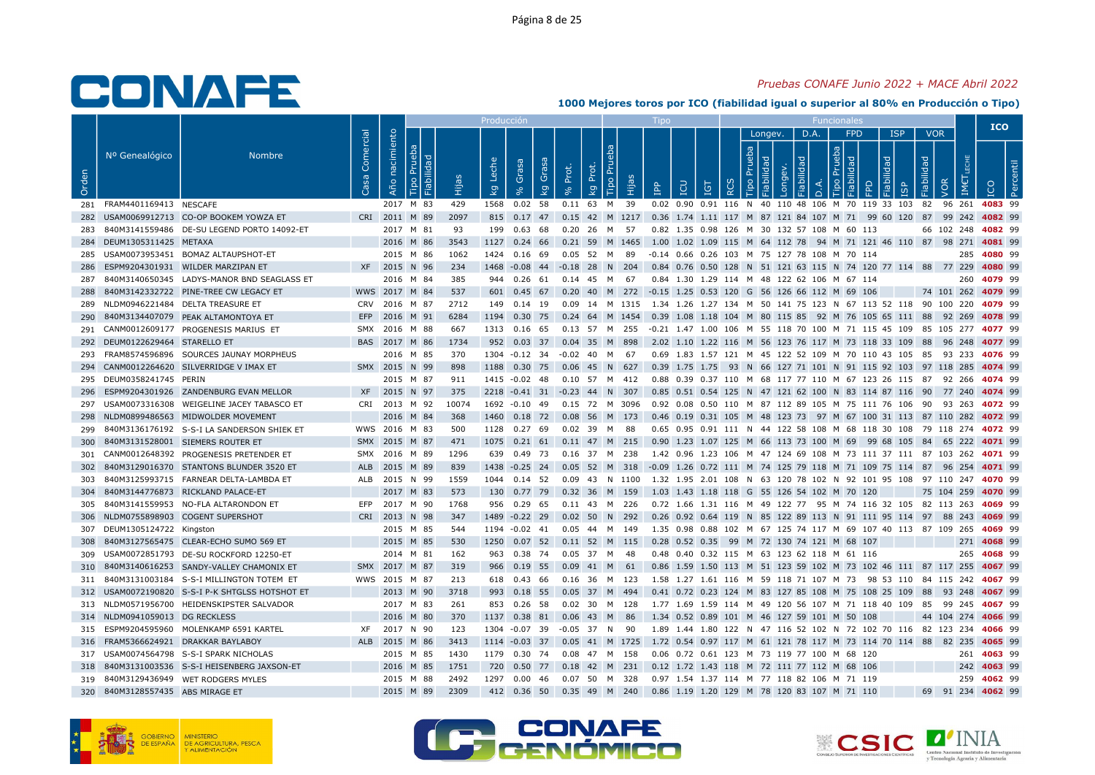## Pruebas CONAFE Junio 2022 + MACE Abril 2022

|       |                                  |                                                 |                   |                               |           |             | Producció                          |                                 |            |                                                                                                   |            |                                              |     |                                  |         |           |                      |                            |                                                                                                                                               |                   |                    | <b>ICO</b>  |  |
|-------|----------------------------------|-------------------------------------------------|-------------------|-------------------------------|-----------|-------------|------------------------------------|---------------------------------|------------|---------------------------------------------------------------------------------------------------|------------|----------------------------------------------|-----|----------------------------------|---------|-----------|----------------------|----------------------------|-----------------------------------------------------------------------------------------------------------------------------------------------|-------------------|--------------------|-------------|--|
| Orden | Nº Genealógico                   | <b>Nombre</b>                                   | Comercial<br>Casa | nacimiento<br>Año             | 'O.<br>ه: | Hijas       | Leche<br>$\overline{\mathsf{k}}$ g | Grasa<br>Gras<br>kg<br>$\infty$ | Prot.      | Tipo Pru<br>Prot.<br>Hijas<br>kg                                                                  | <b>AdI</b> | LCU                                          | IGT | <b>Prueb</b><br>Tipo<br>$\alpha$ | Longev. | D.A.<br>≏ | $\mathbf{Q}$<br>Tipo | <b>FPD</b><br>$\mathbb{R}$ | <b>ISP</b><br>Fiabilidad<br>1SP                                                                                                               | <b>VOR</b><br>dad | VOR                |             |  |
|       | 281 FRAM4401169413 NESCAFE       |                                                 |                   |                               | 2017 M 83 | 429         |                                    | 1568  0.02  58                  |            | 0.11 63 M 39                                                                                      |            |                                              |     |                                  |         |           |                      |                            | 0.02 0.90 0.91 116 N 40 110 48 106 M 70 119 33 103 82                                                                                         |                   | 96 261 4083 99     |             |  |
| 282   |                                  | USAM0069912713 CO-OP BOOKEM YOWZA ET            |                   | CRI 2011 M 89                 |           | 2097        |                                    |                                 |            | 815 0.17 47 0.15 42 M 1217 0.36 1.74 1.11 117 M 87 121 84 107 M 71 99 60 120 87 99 242 4082 99    |            |                                              |     |                                  |         |           |                      |                            |                                                                                                                                               |                   |                    |             |  |
|       |                                  | 840M3141559486 DE-SU LEGEND PORTO 14092-ET      |                   |                               | 2017 M 81 | 93          | 199                                | 0.63 68                         |            | 0.20 26 M 57                                                                                      |            | 0.82 1.35 0.98 126 M 30 132 57 108 M 60 113  |     |                                  |         |           |                      |                            |                                                                                                                                               |                   | 66 102 248 4082 99 |             |  |
|       | 284 DEUM1305311425 METAXA        |                                                 |                   | 2016 M 86                     |           | 3543        |                                    |                                 |            | 1127 0.24 66 0.21 59 M 1465 1.00 1.02 1.09 115 M 64 112 78 94 M 71 121 46 110 87 98 271 4081 99   |            |                                              |     |                                  |         |           |                      |                            |                                                                                                                                               |                   |                    |             |  |
|       |                                  | 285 USAM0073953451 BOMAZ ALTAUPSHOT-ET          |                   |                               | 2015 M 86 | 1062        |                                    | 1424 0.16 69                    |            | 0.05 52 M 89                                                                                      |            | -0.14 0.66 0.26 103 M 75 127 78 108 M 70 114 |     |                                  |         |           |                      |                            |                                                                                                                                               |                   |                    | 285 4080 99 |  |
| 286   |                                  | ESPM9204301931 WILDER MARZIPAN ET               |                   | XF 2015 N 96                  |           | 234         |                                    |                                 |            | 1468 -0.08 44 -0.18 28 N 204                                                                      |            |                                              |     |                                  |         |           |                      |                            | 0.84 0.76 0.50 128 N 51 121 63 115 N 74 120 77 114 88 77 229 4080 99                                                                          |                   |                    |             |  |
| 287   |                                  | 840M3140650345 LADYS-MANOR BND SEAGLASS ET      |                   |                               | 2016 M 84 | 385         |                                    | 944 0.26 61                     |            | 0.14 45 M 67                                                                                      |            | 0.84 1.30 1.29 114 M 48 122 62 106 M 67 114  |     |                                  |         |           |                      |                            |                                                                                                                                               |                   |                    | 260 4079 99 |  |
| 288   |                                  | 840M3142332722 PINE-TREE CW LEGACY ET           |                   | WWS 2017 M 84                 |           | 537         |                                    |                                 |            | 601 0.45 67 0.20 40 M 272 -0.15 1.25 0.53 120 G 56 126 66 112 M 69 106                            |            |                                              |     |                                  |         |           |                      |                            |                                                                                                                                               |                   | 74 101 262 4079 99 |             |  |
| 289   |                                  | NLDM0946221484 DELTA TREASURE ET                |                   | CRV 2016 M 87                 |           | 2712        |                                    | 149  0.14  19                   |            | 0.09 14 M 1315 1.34 1.26 1.27 134 M 50 141 75 123 N 67 113 52 118 90 100 220 <b>4079</b> 99       |            |                                              |     |                                  |         |           |                      |                            |                                                                                                                                               |                   |                    |             |  |
| 290   |                                  | 840M3134407079 PEAK ALTAMONTOYA ET              | EFP               | 2016 M 91                     |           | 6284        |                                    | 1194 0.30 75                    |            | $0.24$ 64 M 1454                                                                                  |            |                                              |     |                                  |         |           |                      |                            | 0.39 1.08 1.18 104 M 80 115 85 92 M 76 105 65 111 88 92 269 4078 99                                                                           |                   |                    |             |  |
|       |                                  | 291 CANM0012609177 PROGENESIS MARIUS ET         |                   | SMX 2016 M 88                 |           | 667         |                                    | 1313 0.16 65                    |            | 0.13 57 M 255                                                                                     |            |                                              |     |                                  |         |           |                      |                            | -0.21 1.47 1.00 106 M 55 118 70 100 M 71 115 45 109 85 105 277 4077 99                                                                        |                   |                    |             |  |
|       | 292 DEUM0122629464 STARELLO ET   |                                                 |                   | BAS 2017 M 86                 |           | 1734        |                                    |                                 |            | 952 0.03 37 0.04 35 M 898                                                                         |            |                                              |     |                                  |         |           |                      |                            | 2.02 1.10 1.22 116 M 56 123 76 117 M 73 118 33 109 88 96 248 4077 99                                                                          |                   |                    |             |  |
|       |                                  | 293 FRAM8574596896 SOURCES JAUNAY MORPHEUS      |                   |                               | 2016 M 85 | 370         |                                    |                                 |            | 1304 -0.12 34 -0.02 40 M 67                                                                       |            |                                              |     |                                  |         |           |                      |                            | 0.69 1.83 1.57 121 M 45 122 52 109 M 70 110 43 105 85 93 233 4076 99                                                                          |                   |                    |             |  |
|       |                                  | 294 CANM0012264620 SILVERRIDGE V IMAX ET        |                   | SMX 2015 N 99                 |           | 898         |                                    |                                 |            | 1188 0.30 75 0.06 45 N 627                                                                        |            |                                              |     |                                  |         |           |                      |                            | 0.39 1.75 1.75 93 N 66 127 71 101 N 91 115 92 103 97 118 285 4074 99                                                                          |                   |                    |             |  |
|       | 295 DEUM0358241745 PERIN         |                                                 |                   |                               | 2015 M 87 | 911         |                                    | 1415 -0.02 48                   |            | 0.10 57 M 412                                                                                     |            |                                              |     |                                  |         |           |                      |                            | 0.88 0.39 0.37 110 M 68 117 77 110 M 67 123 26 115 87 92 266 4074 99                                                                          |                   |                    |             |  |
| 296   |                                  | ESPM9204301926 ZANDENBURG EVAN MELLOR           |                   | XF 2015 N 97                  |           | 375         |                                    |                                 |            | 2218 -0.41 31 -0.23 44 N 307                                                                      |            |                                              |     |                                  |         |           |                      |                            | 0.85 0.51 0.54 125 N 47 121 62 100 N 83 114 87 116 90 77 240 <b>4074</b> 99                                                                   |                   |                    |             |  |
|       |                                  | 297 USAM0073316308 WEIGELINE JACEY TABASCO ET   |                   | CRI 2013 M 92                 |           | 10074       |                                    |                                 |            | 1692 -0.10 49  0.15  72  M  3096                                                                  |            |                                              |     |                                  |         |           |                      |                            | 0.92 0.08 0.50 110 M 87 112 89 105 M 75 111 76 106 90 93 263 <b>4072</b> 99                                                                   |                   |                    |             |  |
| 298   |                                  | NLDM0899486563 MIDWOLDER MOVEMENT               |                   |                               | 2016 M 84 | 368         |                                    |                                 |            | 1460 0.18 72 0.08 56 M 173                                                                        |            |                                              |     |                                  |         |           |                      |                            | 0.46 0.19 0.31 105 M 48 123 73 97 M 67 100 31 113 87 110 282 4072 99                                                                          |                   |                    |             |  |
| 299   |                                  | 840M3136176192 S-S-I LA SANDERSON SHIEK ET      |                   | WWS 2016 M 83                 |           | 500         |                                    |                                 |            | 1128  0.27  69  0.02  39  M  88                                                                   |            |                                              |     |                                  |         |           |                      |                            | 0.65 0.95 0.91 111 N 44 122 58 108 M 68 118 30 108 79 118 274 4072 99                                                                         |                   |                    |             |  |
| 300   |                                  | 840M3131528001 SIEMERS ROUTER ET                |                   | SMX 2015 M 87                 |           | 471         |                                    | 1075  0.21  61                  |            | $0.11$ 47 M 215                                                                                   |            |                                              |     |                                  |         |           |                      |                            | 0.90 1.23 1.07 125 M 66 113 73 100 M 69 99 68 105 84 65 222 <b>4071</b> 99                                                                    |                   |                    |             |  |
| 301   |                                  | CANM0012648392 PROGENESIS PRETENDER ET          |                   | SMX 2016 M 89                 |           | 1296        |                                    |                                 |            | 639  0.49  73  0.16  37  M  238                                                                   |            |                                              |     |                                  |         |           |                      |                            | 1.42 0.96 1.23 106 M 47 124 69 108 M 73 111 37 111 87 103 262 <b>4071</b> 99                                                                  |                   |                    |             |  |
| 302   |                                  | 840M3129016370 STANTONS BLUNDER 3520 ET         |                   | ALB 2015 M 89                 |           | 839         |                                    |                                 |            | 1438 -0.25 24 0.05 52 M 318 -0.09 1.26 0.72 111 M 74 125 79 118 M 71 109 75 114 87 96 254 4071 99 |            |                                              |     |                                  |         |           |                      |                            |                                                                                                                                               |                   |                    |             |  |
| 303   |                                  | 840M3125993715 FARNEAR DELTA-LAMBDA ET          |                   | ALB 2015 N 99                 |           | 1559        |                                    | 1044  0.14  52                  |            | 0.09  43  N  1100                                                                                 |            |                                              |     |                                  |         |           |                      |                            | 1.32 1.95 2.01 108 N 63 120 78 102 N 92 101 95 108 97 110 247 4070 99                                                                         |                   |                    |             |  |
| 304   |                                  | 840M3144776873 RICKLAND PALACE-ET               |                   |                               | 2017 M 83 | 573         |                                    |                                 |            | 130 0.77 79 0.32 36 M 159                                                                         |            | 1.03 1.43 1.18 118 G 55 126 54 102 M 70 120  |     |                                  |         |           |                      |                            |                                                                                                                                               |                   | 75 104 259 4070 99 |             |  |
| 305   |                                  | 840M3141559953 NO-FLA ALTARONDON ET             |                   | EFP 2017 M 90                 |           | 1768        |                                    | 956 0.29 65                     |            | 0.11 43 M 226                                                                                     |            |                                              |     |                                  |         |           |                      |                            | 0.72 1.66 1.31 116 M 49 122 77 95 M 74 116 32 105 82 113 263 4069 99                                                                          |                   |                    |             |  |
| 306   |                                  | NLDM0755898903 COGENT SUPERSHOT                 |                   | CRI 2013 N 98                 |           | 347         |                                    | 1489 -0.22 29                   |            | 0.02 50 N 292                                                                                     |            |                                              |     |                                  |         |           |                      |                            | 0.26 0.92 0.64 119 N 85 122 89 113 N 91 111 95 114 97 88 243 4069 99                                                                          |                   |                    |             |  |
|       | 307 DEUM1305124722 Kingston      |                                                 |                   |                               | 2015 M 85 | 544         |                                    |                                 |            | 1194 -0.02 41 0.05 44 M 149                                                                       |            |                                              |     |                                  |         |           |                      |                            | 1.35 0.98 0.88 102 M 67 125 74 117 M 69 107 40 113 87 109 265 <b>4069</b> 99                                                                  |                   |                    |             |  |
| 308   |                                  | 840M3127565475 CLEAR-ECHO SUMO 569 ET           |                   | 2015 M 85                     |           | 530         |                                    |                                 |            | 1250 0.07 52 0.11 52 M 115                                                                        |            | 0.28 0.52 0.35 99 M 72 130 74 121 M 68 107   |     |                                  |         |           |                      |                            |                                                                                                                                               |                   |                    | 271 4068 99 |  |
|       |                                  | 309 USAM0072851793 DE-SU ROCKFORD 12250-ET      |                   |                               | 2014 M 81 | 162         |                                    |                                 |            | 963 0.38 74 0.05 37 M 48                                                                          |            | 0.48 0.40 0.32 115 M 63 123 62 118 M 61 116  |     |                                  |         |           |                      |                            |                                                                                                                                               |                   |                    | 265 4068 99 |  |
| 310   |                                  | 840M3140616253 SANDY-VALLEY CHAMONIX ET         |                   | SMX 2017 M 87                 |           | 319         |                                    | 966 0.19 55                     |            | $0.09$ 41 M 61                                                                                    |            |                                              |     |                                  |         |           |                      |                            | 0.86 1.59 1.50 113 M 51 123 59 102 M 73 102 46 111 87 117 255 4067 99                                                                         |                   |                    |             |  |
| 311   |                                  | 840M3131003184 S-S-I MILLINGTON TOTEM ET        |                   | WWS 2015 M 87                 |           | 213         |                                    | 618 0.43 66                     |            | 0.16 36 M 123                                                                                     |            |                                              |     |                                  |         |           |                      |                            | 1.58 1.27 1.61 116 M 59 118 71 107 M 73 98 53 110 84 115 242 <b>4067</b> 99                                                                   |                   |                    |             |  |
|       |                                  | 312 USAM0072190820 S-S-I P-K SHTGLSS HOTSHOT ET |                   |                               | 2013 M 90 | 3718        |                                    | 993 0.18 55                     |            | 0.05 37 M 494                                                                                     |            |                                              |     |                                  |         |           |                      |                            | 0.41 0.72 0.23 124 M 83 127 85 108 M 75 108 25 109 88 93 248 4067 99                                                                          |                   |                    |             |  |
|       |                                  | 313 NLDM0571956700 HEIDENSKIPSTER SALVADOR      |                   |                               | 2017 M 83 | 261         |                                    | 853 0.26 58                     |            | 0.02 30 M 128                                                                                     |            |                                              |     |                                  |         |           |                      |                            | 1.77 1.69 1.59 114 M 49 120 56 107 M 71 118 40 109 85 99 245 4067 99                                                                          |                   |                    |             |  |
|       | 314 NLDM0941059013 DG RECKLESS   | 315 ESPM9204595960 MOLENKAMP 6591 KARTEL        |                   | 2016 M 80                     |           | 370         |                                    | 1137 0.38 81<br>1304 -0.07 39   | -0.05 37 N | 0.06 43 M 86                                                                                      |            | 1.34 0.52 0.89 101 M 46 127 59 101 M 50 108  |     |                                  |         |           |                      |                            |                                                                                                                                               |                   | 44 104 274 4066 99 |             |  |
|       |                                  | 316 FRAM5366624921 DRAKKAR BAYLABOY             |                   | XF 2017 N 90<br>ALB 2015 M 86 |           | 123<br>3413 |                                    | 1114 -0.03 37                   |            | - 90<br>$0.05$ 41 M 1725                                                                          |            |                                              |     |                                  |         |           |                      |                            | 1.89 1.44 1.80 122 N 47 116 52 102 N 72 102 70 116 82 123 234 4066 99<br>1.72 0.54 0.97 117 M 61 121 78 117 M 73 114 70 114 88 82 235 4065 99 |                   |                    |             |  |
|       |                                  | 317 USAM0074564798 S-S-I SPARK NICHOLAS         |                   |                               | 2015 M 85 | 1430        |                                    |                                 |            | 1179  0.30  74  0.08  47  M  158                                                                  |            | 0.06 0.72 0.61 123 M 73 119 77 100 M 68 120  |     |                                  |         |           |                      |                            |                                                                                                                                               |                   |                    | 261 4063 99 |  |
|       |                                  | 318 840M3131003536 S-S-I HEISENBERG JAXSON-ET   |                   | 2016 M 85                     |           | 1751        |                                    |                                 |            | 720 0.50 77 0.18 42 M 231 0.12 1.72 1.43 118 M 72 111 77 112 M 68 106                             |            |                                              |     |                                  |         |           |                      |                            |                                                                                                                                               |                   |                    | 242 4063 99 |  |
|       |                                  | 319 840M3129436949 WET RODGERS MYLES            |                   | 2015 M 88                     |           | 2492        |                                    | 1297  0.00  46                  |            | 0.07 50 M 328                                                                                     |            | 0.97 1.54 1.37 114 M 77 118 82 106 M 71 119  |     |                                  |         |           |                      |                            |                                                                                                                                               |                   |                    | 259 4062 99 |  |
|       | 320 840M3128557435 ABS MIRAGE ET |                                                 |                   | 2015 M 89                     |           | 2309        |                                    |                                 |            | 412 0.36 50 0.35 49 M 240 0.86 1.19 1.20 129 M 78 120 83 107 M 71 110                             |            |                                              |     |                                  |         |           |                      |                            |                                                                                                                                               |                   | 69 91 234 4062 99  |             |  |
|       |                                  |                                                 |                   |                               |           |             |                                    |                                 |            |                                                                                                   |            |                                              |     |                                  |         |           |                      |                            |                                                                                                                                               |                   |                    |             |  |





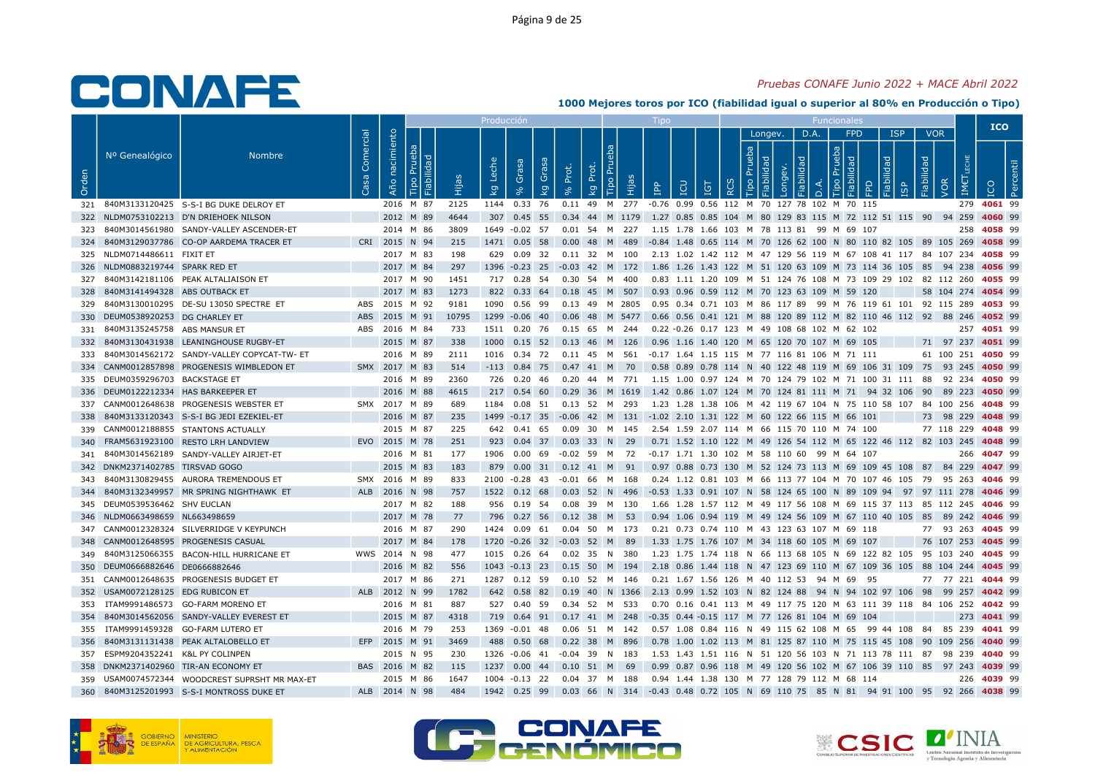## Pruebas CONAFE Junio 2022 + MACE Abril 2022

|       |                                     |                                                |                   |                   |           |       | Producció                          |                                  |       |                                 |      |                                                                                                   |            |                    |                    |                           |                |                                               |                     |            |                   |                          | <b>ICO</b> |  |
|-------|-------------------------------------|------------------------------------------------|-------------------|-------------------|-----------|-------|------------------------------------|----------------------------------|-------|---------------------------------|------|---------------------------------------------------------------------------------------------------|------------|--------------------|--------------------|---------------------------|----------------|-----------------------------------------------|---------------------|------------|-------------------|--------------------------|------------|--|
| Orden | Nº Genealógico                      | <b>Nombre</b>                                  | Comercial<br>Casa | nacimiento<br>Año | ಾ<br>- 그  |       | Leche<br>$\overline{\mathsf{k}}$ g | Grasa<br>Grasa<br>$\overline{k}$ | Prot. | <b>Tipo Pru</b><br>đ<br>ᅌ<br>kg | Нijа | <b>CD</b><br>$\mathbb{R}$                                                                         | <b>IGT</b> | Prueba<br>$\alpha$ | Longev.<br>$\circ$ | bep<br>$\bar{\mathbf{Q}}$ | D.A.<br>$\Box$ | <b>FPD</b><br>deu.<br>$\mathbb{R}$<br>$\circ$ | <b>ISP</b><br>lidad | Fiabilidad | <b>VOR</b><br>VOR | IM€                      |            |  |
|       |                                     | 321 840M3133120425 S-S-I BG DUKE DELROY ET     |                   |                   | 2016 M 87 | 2125  |                                    | 1144 0.33 76                     |       |                                 |      | 0.11 49 M 277 -0.76 0.99 0.56 112 M 70 127 78 102 M 70 115                                        |            |                    |                    |                           |                |                                               |                     |            |                   | 279 4061 99              |            |  |
| 322   |                                     | NLDM0753102213 D'N DRIEHOEK NILSON             |                   |                   | 2012 M 89 | 4644  |                                    | 307 0.45 55                      |       |                                 |      | 0.34 44 M 1179 1.27 0.85 0.85 104 M 80 129 83 115 M 72 112 51 115 90 94 259 4060 99               |            |                    |                    |                           |                |                                               |                     |            |                   |                          |            |  |
|       |                                     | 323 840M3014561980 SANDY-VALLEY ASCENDER-ET    |                   |                   | 2014 M 86 | 3809  |                                    | 1649 -0.02 57                    |       | 0.01 54 M 227                   |      | 1.15 1.78 1.66 103 M 78 113 81 99 M 69 107                                                        |            |                    |                    |                           |                |                                               |                     |            |                   | 258 4058 99              |            |  |
| 324   |                                     | 840M3129037786 CO-OP AARDEMA TRACER ET         |                   | CRI 2015 N 94     |           | 215   |                                    | 1471 0.05 58                     |       | 0.00 48 M 489                   |      | -0.84 1.48 0.65 114 M 70 126 62 100 N 80 110 82 105 89 105 269 4058 99                            |            |                    |                    |                           |                |                                               |                     |            |                   |                          |            |  |
|       | 325 NLDM0714486611 FIXIT ET         |                                                |                   |                   | 2017 M 83 | 198   |                                    | 629 0.09 32                      |       | 0.11 32 M 100                   |      | 2.13 1.02 1.42 112 M 47 129 56 119 M 67 108 41 117 84 107 234 4058 99                             |            |                    |                    |                           |                |                                               |                     |            |                   |                          |            |  |
|       | 326 NLDM0883219744 SPARK RED ET     |                                                |                   |                   | 2017 M 84 | 297   |                                    |                                  |       |                                 |      | 1396 -0.23 25 -0.03 42 M 172 1.86 1.26 1.43 122 M 51 120 63 109 M 73 114 36 105 85 94 238 4056 99 |            |                    |                    |                           |                |                                               |                     |            |                   |                          |            |  |
|       |                                     | 327 840M3142181106 PEAK ALTALIAISON ET         |                   |                   | 2017 M 90 | 1451  |                                    | 717  0.28  54  0.30  54  M  400  |       |                                 |      | 0.83 1.11 1.20 109 M 51 124 76 108 M 73 109 29 102 82 112 260 4055 99                             |            |                    |                    |                           |                |                                               |                     |            |                   |                          |            |  |
| 328   | 840M3141494328 ABS OUTBACK ET       |                                                |                   |                   | 2017 M 83 | 1273  |                                    | 822 0.33 64 0.18 45 M 507        |       |                                 |      | 0.93 0.96 0.59 112 M 70 123 63 109 M 59 120                                                       |            |                    |                    |                           |                |                                               |                     |            |                   | 58 104 274 4054 99       |            |  |
| 329   |                                     | 840M3130010295 DE-SU 13050 SPECTRE ET          | ABS               | 2015 M 92         |           | 9181  |                                    | 1090  0.56  99                   |       | 0.13 49 M 2805                  |      | 0.95  0.34  0.71  103  M  86  117  89  99  M  76  119  61  101  92  115  289 <b>4053</b> 99       |            |                    |                    |                           |                |                                               |                     |            |                   |                          |            |  |
| 330   | DEUM0538920253 DG CHARLEY ET        |                                                | ABS               | 2015 M 91         |           | 10795 |                                    | 1299 -0.06 40                    |       | 0.06 48 M 5477                  |      | 0.66 0.56 0.41 121 M 88 120 89 112 M 82 110 46 112 92 88 246 4052 99                              |            |                    |                    |                           |                |                                               |                     |            |                   |                          |            |  |
|       | 331 840M3135245758 ABS MANSUR ET    |                                                |                   | ABS 2016 M 84     |           | 733   |                                    | 1511  0.20  76  0.15  65  M  244 |       |                                 |      | 0.22 -0.26 0.17 123 M 49 108 68 102 M 62 102                                                      |            |                    |                    |                           |                |                                               |                     |            |                   | 257 4051 99              |            |  |
|       |                                     | 332 840M3130431938 LEANINGHOUSE RUGBY-ET       |                   |                   | 2015 M 87 | 338   |                                    | 1000 0.15 52 0.13 46 M 126       |       |                                 |      | 0.96 1.16 1.40 120 M 65 120 70 107 M 69 105                                                       |            |                    |                    |                           |                |                                               |                     |            |                   | 71 97 237 4051 99        |            |  |
| 333   |                                     | 840M3014562172 SANDY-VALLEY COPYCAT-TW- ET     |                   |                   | 2016 M 89 | 2111  |                                    |                                  |       |                                 |      | 1016  0.34  72  0.11  45  M  561  -0.17  1.64  1.15  115  M  77  116  81  106  M  71  111         |            |                    |                    |                           |                |                                               |                     |            |                   | 61 100 251 4050 99       |            |  |
|       |                                     | 334 CANM0012857898 PROGENESIS WIMBLEDON ET     |                   | SMX 2017 M 83     |           | 514   |                                    | $-113$ 0.84 75 0.47 41 M 70      |       |                                 |      | 0.58 0.89 0.78 114 N 40 122 48 119 M 69 106 31 109 75 93 245 4050 99                              |            |                    |                    |                           |                |                                               |                     |            |                   |                          |            |  |
| 335   | DEUM0359296703 BACKSTAGE ET         |                                                |                   |                   | 2016 M 89 | 2360  |                                    | 726 0.20 46                      |       | 0.20 44 M 771                   |      | 1.15 1.00 0.97 124 M 70 124 79 102 M 71 100 31 111                                                |            |                    |                    |                           |                |                                               |                     |            |                   | 88 92 234 <b>4050</b> 99 |            |  |
|       | 336 DEUM0122212334 HAS BARKEEPER ET |                                                |                   |                   | 2016 M 88 | 4615  |                                    |                                  |       |                                 |      | 217 0.54 60 0.29 36 M 1619 1.42 0.86 1.07 124 M 70 124 81 111 M 71 94 32 106 90 89 223 4050 99    |            |                    |                    |                           |                |                                               |                     |            |                   |                          |            |  |
|       |                                     | 337 CANM0012648638 PROGENESIS WEBSTER ET       |                   | SMX 2017 M 89     |           | 689   |                                    |                                  |       |                                 |      | 1184 0.08 51 0.13 52 M 293 1.23 1.28 1.38 106 M 42 119 67 104 N 75 110 58 107 84 100 256 4048 99  |            |                    |                    |                           |                |                                               |                     |            |                   |                          |            |  |
| 338   |                                     | 840M3133120343 S-S-I BG JEDI EZEKIEL-ET        |                   |                   | 2016 M 87 | 235   |                                    |                                  |       |                                 |      | 1499 -0.17 35 -0.06 42 M 131 -1.02 2.10 1.31 122 M 60 122 66 115 M 66 101                         |            |                    |                    |                           |                |                                               |                     |            |                   | 73 98 229 4048 99        |            |  |
|       |                                     | 339 CANM0012188855 STANTONS ACTUALLY           |                   |                   | 2015 M 87 | 225   |                                    | 642 0.41 65                      |       |                                 |      | 0.09 30 M 145 2.54 1.59 2.07 114 M 66 115 70 110 M 74 100                                         |            |                    |                    |                           |                |                                               |                     |            |                   | 77 118 229 4048 99       |            |  |
| 340   |                                     | FRAM5631923100 RESTO LRH LANDVIEW              |                   | EVO 2015 M 78     |           | 251   |                                    | 923 0.04 37                      |       | $0.03$ 33 N 29                  |      | 0.71 1.52 1.10 122 M 49 126 54 112 M 65 122 46 112 82 103 245 4048 99                             |            |                    |                    |                           |                |                                               |                     |            |                   |                          |            |  |
|       |                                     | 341 840M3014562189 SANDY-VALLEY AIRJET-ET      |                   |                   | 2016 M 81 | 177   |                                    |                                  |       |                                 |      | 1906 0.00 69 -0.02 59 M 72 -0.17 1.71 1.30 102 M 58 110 60 99 M 64 107                            |            |                    |                    |                           |                |                                               |                     |            |                   | 266 4047 99              |            |  |
|       | 342 DNKM2371402785 TIRSVAD GOGO     |                                                |                   |                   | 2015 M 83 | 183   |                                    | 879 0.00 31 0.12 41 M 91         |       |                                 |      | 0.97 0.88 0.73 130 M 52 124 73 113 M 69 109 45 108 87 84 229 4047 99                              |            |                    |                    |                           |                |                                               |                     |            |                   |                          |            |  |
| 343   |                                     | 840M3130829455 AURORA TREMENDOUS ET            |                   | SMX 2016 M 89     |           | 833   |                                    | 2100 -0.28 43                    |       | -0.01 66 M                      | 168  | 0.24 1.12 0.81 103 M 66 113 77 104 M 70 107 46 105 79 95 263 4046 99                              |            |                    |                    |                           |                |                                               |                     |            |                   |                          |            |  |
| 344   |                                     | 840M3132349957 MR SPRING NIGHTHAWK ET          |                   | ALB 2016 N 98     |           | 757   |                                    | 1522  0.12  68                   |       | 0.03 52 N 496                   |      | -0.53 1.33 0.91 107 N 58 124 65 100 N 89 109 94 97 97 111 278 4046 99                             |            |                    |                    |                           |                |                                               |                     |            |                   |                          |            |  |
|       | 345 DEUM0539536462 SHV EUCLAN       |                                                |                   |                   | 2017 M 82 | 188   |                                    | 956 0.19 54                      |       | 0.08 39 M 130                   |      | 1.66 1.28 1.57 112 M 49 117 56 108 M 69 115 37 113 85 112 245 4046 99                             |            |                    |                    |                           |                |                                               |                     |            |                   |                          |            |  |
|       | 346 NLDM0663498659 NL663498659      |                                                |                   |                   | 2017 M 78 | 77    |                                    | 796 0.27 56 0.12 38 M 53         |       |                                 |      | 0.94 1.06 0.94 119 M 49 124 56 109 M 67 110 40 105 85 89 242 4046 99                              |            |                    |                    |                           |                |                                               |                     |            |                   |                          |            |  |
|       |                                     | 347 CANM0012328324 SILVERRIDGE V KEYPUNCH      |                   |                   | 2016 M 87 | 290   |                                    | 1424  0.09  61                   |       | 0.04 50 M 173                   |      | 0.21 0.73 0.74 110 M 43 123 63 107 M 69 118                                                       |            |                    |                    |                           |                |                                               |                     |            |                   | 77 93 263 4045 99        |            |  |
| 348   |                                     | CANM0012648595 PROGENESIS CASUAL               |                   |                   | 2017 M 84 | 178   |                                    | 1720 -0.26 32 -0.03 52 M         |       |                                 | - 89 | 1.33 1.75 1.76 107 M 34 118 60 105 M 69 107                                                       |            |                    |                    |                           |                |                                               |                     |            |                   | 76 107 253 4045 99       |            |  |
|       |                                     | 349 840M3125066355 BACON-HILL HURRICANE ET     |                   | WWS 2014 N 98     |           | 477   |                                    | 1015  0.26  64  0.02  35  N  380 |       |                                 |      | 1.23 1.75 1.74 118 N 66 113 68 105 N 69 122 82 105 95 103 240 4045 99                             |            |                    |                    |                           |                |                                               |                     |            |                   |                          |            |  |
| 350   | DEUM0666882646 DE0666882646         |                                                |                   |                   | 2016 M 82 | 556   |                                    | 1043 -0.13 23                    |       | 0.15 50 M 194                   |      | 2.18 0.86 1.44 118 N 47 123 69 110 M 67 109 36 105 88 104 244 4045 99                             |            |                    |                    |                           |                |                                               |                     |            |                   |                          |            |  |
| 351   |                                     | CANM0012648635 PROGENESIS BUDGET ET            |                   |                   | 2017 M 86 | 271   |                                    | 1287 0.12 59                     |       | 0.10 52 M 146                   |      | 0.21 1.67 1.56 126 M 40 112 53 94 M 69                                                            |            |                    |                    |                           |                |                                               | - 95                |            |                   | 77 77 221 4044 99        |            |  |
| 352   | USAM0072128125 EDG RUBICON ET       |                                                |                   | ALB 2012 N 99     |           | 1782  |                                    | 642 0.58 82                      |       |                                 |      | 0.19 40 N 1366 2.13 0.99 1.52 103 N 82 124 88 94 N 94 102 97 106 98 99 257 4042 99                |            |                    |                    |                           |                |                                               |                     |            |                   |                          |            |  |
| 353   |                                     | ITAM9991486573 GO-FARM MORENO ET               |                   |                   | 2016 M 81 | 887   |                                    | 527 0.40 59                      |       | 0.34 52 M 533                   |      | 0.70 0.16 0.41 113 M 49 117 75 120 M 63 111 39 118 84 106 252 <b>4042</b> 99                      |            |                    |                    |                           |                |                                               |                     |            |                   |                          |            |  |
|       |                                     | 354 840M3014562056 SANDY-VALLEY EVEREST ET     |                   |                   | 2015 M 87 | 4318  |                                    |                                  |       |                                 |      | 719 0.64 91 0.17 41 M 248 -0.35 0.44 -0.15 117 M 77 126 81 104 M 69 104                           |            |                    |                    |                           |                |                                               |                     |            |                   | 273 4041 99              |            |  |
| 355   |                                     | ITAM9991459328 GO-FARM LUTERO ET               |                   |                   | 2016 M 79 | 253   |                                    | 1369 -0.01 48                    |       | 0.06 51 M                       | 142  | 0.57 1.08 0.84 116 N 49 115 62 108 M 65 99 44 108 84 85 239 4041 99                               |            |                    |                    |                           |                |                                               |                     |            |                   |                          |            |  |
| 356   |                                     | 840M3131131438 PEAK ALTALOBELLO ET             | EFP               | 2015 M 91         |           | 3469  |                                    | 488  0.50  68                    |       | 0.22 38 M 896                   |      | 0.78 1.00 1.02 113 M 81 125 87 110 M 75 115 45 108 90 109 256 4040 99                             |            |                    |                    |                           |                |                                               |                     |            |                   |                          |            |  |
| 357   | ESPM9204352241 K&L PY COLINPEN      |                                                |                   |                   | 2015 N 95 | 230   |                                    | 1326 -0.06 41                    |       | -0.04 39 N                      | 183  | 1.53 1.43 1.51 116 N 51 120 56 103 N 71 113 78 111 87 98 239 4040 99                              |            |                    |                    |                           |                |                                               |                     |            |                   |                          |            |  |
|       |                                     | 358 DNKM2371402960 TIR-AN ECONOMY ET           |                   | BAS 2016 M 82     |           | 115   |                                    | 1237 0.00 44                     |       | $0.10$ 51 M 69                  |      | 0.99 0.87 0.96 118 M 49 120 56 102 M 67 106 39 110 85 97 243 4039 99                              |            |                    |                    |                           |                |                                               |                     |            |                   |                          |            |  |
|       |                                     | 359 USAM0074572344 WOODCREST SUPRSHT MR MAX-ET |                   |                   | 2015 M 86 | 1647  |                                    | 1004 -0.13 22 0.04 37 M 188      |       |                                 |      | 0.94 1.44 1.38 130 M 77 128 79 112 M 68 114                                                       |            |                    |                    |                           |                |                                               |                     |            |                   | 226 4039 99              |            |  |
| 360   |                                     | 840M3125201993 S-S-I MONTROSS DUKE ET          |                   | ALB 2014 N 98     |           | 484   |                                    |                                  |       |                                 |      | 1942 0.25 99 0.03 66 N 314 -0.43 0.48 0.72 105 N 69 110 75 85 N 81 94 91 100 95 92 266 4038 99    |            |                    |                    |                           |                |                                               |                     |            |                   |                          |            |  |







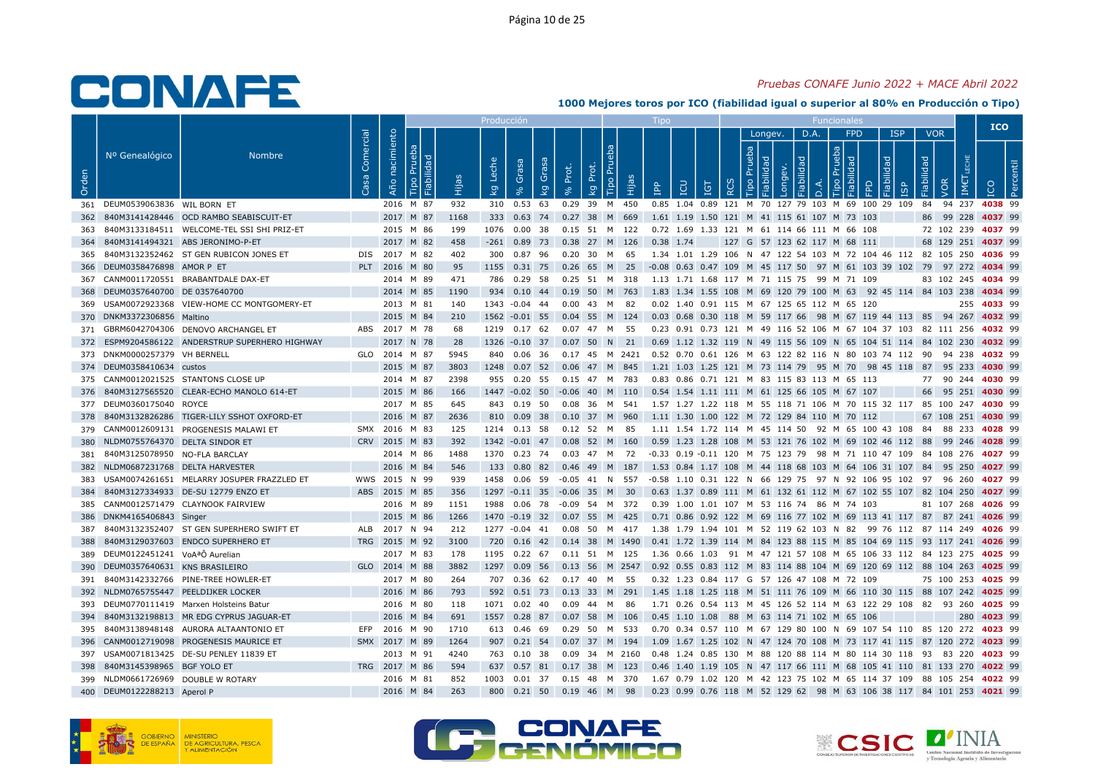## Pruebas CONAFE Junio 2022 + MACE Abril 2022

|       |                                      |                                                |                   |                |                |       |                             |                |       |                                |                                                                                                  |              |                                                                                         |          |                                     |      |                              |                     |                          |                    | <b>ICO</b>  |  |
|-------|--------------------------------------|------------------------------------------------|-------------------|----------------|----------------|-------|-----------------------------|----------------|-------|--------------------------------|--------------------------------------------------------------------------------------------------|--------------|-----------------------------------------------------------------------------------------|----------|-------------------------------------|------|------------------------------|---------------------|--------------------------|--------------------|-------------|--|
| Orden | Nº Genealógico                       | <b>Nombre</b>                                  | Comercial<br>Casa | Año nacimiento | Fiabilida<br>ഥ | Hijas | Leche                       | Grasa<br>Grasa | Prot. | Prot.                          | Tipo Pru<br>Hijas                                                                                |              |                                                                                         |          | Longev.<br><b>Prueba</b><br>$\circ$ | D.A. | <b>FPD</b><br>$\overline{a}$ | <b>ISP</b><br>lidad | <b>VOR</b><br>Fiabilidad |                    |             |  |
|       |                                      |                                                |                   |                |                |       | kg                          | kg             |       | kg                             |                                                                                                  | $\mathbf{P}$ | <b>POI</b><br><b>IGT</b>                                                                | $\alpha$ |                                     | ≏    |                              |                     | VOR                      | IM€                |             |  |
|       | 361 DEUM0539063836 WIL BORN ET       |                                                |                   | 2016 M 87      |                | 932   |                             | 310 0.53 63    |       | 0.29 39<br>M                   | 450                                                                                              |              | 0.85 1.04 0.89 121 M 70 127 79 103 M 69 100 29 109 84 94 237 4038 99                    |          |                                     |      |                              |                     |                          |                    |             |  |
| 362   |                                      | 840M3141428446 OCD RAMBO SEABISCUIT-ET         |                   | 2017 M 87      |                | 1168  |                             |                |       |                                | 333 0.63 74 0.27 38 M 669                                                                        |              | 1.61 1.19 1.50 121 M 41 115 61 107 M 73 103                                             |          |                                     |      |                              |                     |                          | 86 99 228 4037 99  |             |  |
| 363   |                                      | 840M3133184511 WELCOME-TEL SSI SHI PRIZ-ET     |                   | 2015 M 86      |                | 199   |                             | 1076  0.00  38 |       |                                | 0.15 51 M 122                                                                                    |              | 0.72 1.69 1.33 121 M 61 114 66 111 M 66 108                                             |          |                                     |      |                              |                     |                          | 72 102 239 4037 99 |             |  |
| 364   |                                      | 840M3141494321 ABS JERONIMO-P-ET               |                   | 2017 M 82      |                | 458   |                             |                |       |                                | $-261$ 0.89 73 0.38 27 M 126                                                                     | $0.38$ 1.74  |                                                                                         |          |                                     |      | 127 G 57 123 62 117 M 68 111 |                     |                          | 68 129 251 4037 99 |             |  |
|       |                                      | 365 840M3132352462 ST GEN RUBICON JONES ET     |                   | DIS 2017 M 82  |                | 402   |                             | 300 0.87 96    |       | 0.20 30 M 65                   |                                                                                                  |              | 1.34 1.01 1.29 106 N 47 122 54 103 M 72 104 46 112 82 105 250 4036 99                   |          |                                     |      |                              |                     |                          |                    |             |  |
|       | 366 DEUM0358476898 AMOR P ET         |                                                |                   | PLT 2016 M 80  |                | 95    |                             |                |       | 1155 0.31 75 0.26 65 M 25      |                                                                                                  |              | -0.08 0.63 0.47 109 M 45 117 50 97 M 61 103 39 102 79 97 272 4034 99                    |          |                                     |      |                              |                     |                          |                    |             |  |
|       |                                      | 367 CANM0011720551 BRABANTDALE DAX-ET          |                   | 2014 M 89      |                | 471   |                             | 786  0.29  58  |       |                                | 0.25 51 M 318                                                                                    |              | 1.13 1.71 1.68 117 M 71 115 75 99 M 71 109                                              |          |                                     |      |                              |                     |                          | 83 102 245 4034 99 |             |  |
|       | 368 DEUM0357640700 DE 0357640700     |                                                |                   | 2014 M 85      |                | 1190  |                             |                |       |                                | 934 0.10 44 0.19 50 M 763                                                                        |              | 1.83 1.34 1.55 108 M 69 120 79 100 M 63 92 45 114 84 103 238 4034 99                    |          |                                     |      |                              |                     |                          |                    |             |  |
|       |                                      | 369 USAM0072923368 VIEW-HOME CC MONTGOMERY-ET  |                   | 2013 M 81      |                | 140   |                             | 1343 -0.04 44  |       | $0.00$ 43 M                    | - 82                                                                                             |              | 0.02 1.40 0.91 115 M 67 125 65 112 M 65 120                                             |          |                                     |      |                              |                     |                          |                    | 255 4033 99 |  |
|       | 370 DNKM3372306856 Maltino           |                                                |                   | 2015 M 84      |                | 210   | 1562 -0.01 55               |                |       |                                | 0.04 55 M 124                                                                                    |              | 0.03 0.68 0.30 118 M 59 117 66 98 M 67 119 44 113 85 94 267 4032 99                     |          |                                     |      |                              |                     |                          |                    |             |  |
|       |                                      | 371 GBRM6042704306 DENOVO ARCHANGEL ET         |                   | ABS 2017 M 78  |                | 68    |                             | 1219  0.17  62 |       | 0.07 47 M 55                   |                                                                                                  |              | 0.23 0.91 0.73 121 M 49 116 52 106 M 67 104 37 103 82 111 256 4032 99                   |          |                                     |      |                              |                     |                          |                    |             |  |
| 372   |                                      | ESPM9204586122 ANDERSTRUP SUPERHERO HIGHWAY    |                   | 2017 N 78      |                | 28    |                             | 1326 -0.10 37  |       |                                | $0.07$ 50 N 21                                                                                   |              | 0.69 1.12 1.32 119 N 49 115 56 109 N 65 104 51 114 84 102 230 4032 99                   |          |                                     |      |                              |                     |                          |                    |             |  |
|       | 373 DNKM0000257379 VH BERNELL        |                                                |                   | GLO 2014 M 87  |                | 5945  |                             | 840 0.06 36    |       |                                | 0.17 45 M 2421 0.52 0.70 0.61 126 M 63 122 82 116 N 80 103 74 112 90 94 238 4032 99              |              |                                                                                         |          |                                     |      |                              |                     |                          |                    |             |  |
|       | 374 DEUM0358410634 custos            |                                                |                   | 2015 M 87      |                | 3803  |                             |                |       |                                | 1248 0.07 52 0.06 47 M 845                                                                       |              | 1.21 1.03 1.25 121 M 73 114 79 95 M 70 98 45 118 87 95 233 4030 99                      |          |                                     |      |                              |                     |                          |                    |             |  |
|       |                                      | 375 CANM0012021525 STANTONS CLOSE UP           |                   | 2014 M 87      |                | 2398  |                             | 955 0.20 55    |       | 0.15 47 M 783                  |                                                                                                  |              | 0.83 0.86 0.71 121 M 83 115 83 113 M 65 113                                             |          |                                     |      |                              |                     |                          | 77 90 244 4030 99  |             |  |
|       |                                      | 376 840M3127565520 CLEAR-ECHO MANOLO 614-ET    |                   | 2015 M 86      |                | 166   |                             |                |       |                                | 1447 -0.02 50 -0.06 40 M 110 0.54 1.54 1.11 111 M 61 125 66 105 M 67 107                         |              |                                                                                         |          |                                     |      |                              |                     |                          | 66 95 251 4030 99  |             |  |
|       | 377 DEUM0360175040 ROYCE             |                                                |                   | 2017 M 85      |                | 645   |                             | 843 0.19 50    |       |                                | 0.08 36 M 541                                                                                    |              | 1.57 1.27 1.22 118 M 55 118 71 106 M 70 115 32 117 85 100 247 <b>4030</b> 99            |          |                                     |      |                              |                     |                          |                    |             |  |
| 378   |                                      | 840M3132826286 TIGER-LILY SSHOT OXFORD-ET      |                   | 2016 M 87      |                | 2636  |                             | 810 0.09 38    |       |                                | 0.10 37 M 960                                                                                    |              | 1.11 1.30 1.00 122 M 72 129 84 110 M 70 112                                             |          |                                     |      |                              |                     |                          | 67 108 251 4030 99 |             |  |
|       |                                      | 379 CANM0012609131 PROGENESIS MALAWI ET        |                   | SMX 2016 M 83  |                | 125   |                             | 1214 0.13 58   |       | 0.12 52 M 85                   |                                                                                                  |              | 1.11 1.54 1.72 114 M 45 114 50 92 M 65 100 43 108 84 88 233 4028 99                     |          |                                     |      |                              |                     |                          |                    |             |  |
| 380   | NLDM0755764370 DELTA SINDOR ET       |                                                |                   | CRV 2015 M 83  |                | 392   | 1342 -0.01 47               |                | 0.08  | 52 M                           | 160                                                                                              |              | 0.59 1.23 1.28 108 M 53 121 76 102 M 69 102 46 112 88 99 246 4028 99                    |          |                                     |      |                              |                     |                          |                    |             |  |
|       | 381 840M3125078950 NO-FLA BARCLAY    |                                                |                   | 2014 M 86      |                | 1488  |                             |                |       |                                | 1370 0.23 74 0.03 47 M 72 -0.33 0.19 -0.11 120 M 75 123 79 98 M 71 110 47 109 84 108 276 4027 99 |              |                                                                                         |          |                                     |      |                              |                     |                          |                    |             |  |
|       | 382 NLDM0687231768 DELTA HARVESTER   |                                                |                   | 2016 M 84      |                | 546   |                             |                |       |                                | 133 0.80 82 0.46 49 M 187                                                                        |              | 1.53 0.84 1.17 108 M 44 118 68 103 M 64 106 31 107 84 95 250 4027 99                    |          |                                     |      |                              |                     |                          |                    |             |  |
|       |                                      | 383 USAM0074261651 MELARRY JOSUPER FRAZZLED ET |                   | WWS 2015 N 99  |                | 939   |                             | 1458  0.06  59 |       | $-0.05$ 41 N 557               |                                                                                                  |              | -0.58 1.10 0.31 122 N 66 129 75 97 N 92 106 95 102 97 96 260 4027 99                    |          |                                     |      |                              |                     |                          |                    |             |  |
| 384   |                                      | 840M3127334933 DE-SU 12779 ENZO ET             |                   | ABS 2015 M 85  |                | 356   | 1297 -0.11 35 -0.06 35 M 30 |                |       |                                |                                                                                                  |              | 0.63 1.37 0.89 111 M 61 132 61 112 M 67 102 55 107 82 104 250 4027 99                   |          |                                     |      |                              |                     |                          |                    |             |  |
|       |                                      | 385 CANM0012571479 CLAYNOOK FAIRVIEW           |                   | 2016 M 89      |                | 1151  | 1988                        | 0.06 78        |       |                                | -0.09 54 M 372                                                                                   |              | 0.39 1.00 1.01 107 M 53 116 74 86 M 74 103                                              |          |                                     |      |                              |                     |                          | 81 107 268 4026 99 |             |  |
|       | 386 DNKM4165406843 Singer            |                                                |                   | 2015 M 86      |                | 1266  |                             |                |       |                                | 1470 -0.19 32 0.07 55 M 425                                                                      |              | 0.71 0.86 0.92 122 M 69 116 77 102 M 69 113 41 117 87 87 241 <b>4026</b> 99             |          |                                     |      |                              |                     |                          |                    |             |  |
| 387   |                                      | 840M3132352407 ST GEN SUPERHERO SWIFT ET       |                   | ALB 2017 N 94  |                | 212   |                             | 1277 -0.04 41  |       |                                | 0.08 50 M 417                                                                                    |              | 1.38 1.79 1.94 101 M 52 119 62 103 N 82 99 76 112 87 114 249 <b>4026</b> 99             |          |                                     |      |                              |                     |                          |                    |             |  |
| 388   |                                      | 840M3129037603 ENDCO SUPERHERO ET              |                   | TRG 2015 M 92  |                | 3100  |                             |                |       |                                | 720 0.16 42 0.14 38 M 1490                                                                       |              | 0.41 1.72 1.39 114 M 84 123 88 115 M 85 104 69 115 93 117 241 4026 99                   |          |                                     |      |                              |                     |                          |                    |             |  |
|       | 389 DEUM0122451241 VoAªÔ Aurelian    |                                                |                   | 2017 M 83      |                | 178   |                             |                |       |                                | 1195  0.22  67  0.11  51  M  125                                                                 |              | 1.36 0.66 1.03 91 M 47 121 57 108 M 65 106 33 112 84 123 275 <b>4025</b> 99             |          |                                     |      |                              |                     |                          |                    |             |  |
|       | 390 DEUM0357640631 KNS BRASILEIRO    |                                                |                   | GLO 2014 M 88  |                | 3882  |                             | 1297 0.09 56   |       |                                | 0.13 56 M 2547                                                                                   |              | 0.92 0.55 0.83 112 M 83 114 88 104 M 69 120 69 112 88 104 263 4025 99                   |          |                                     |      |                              |                     |                          |                    |             |  |
| 391   |                                      | 840M3142332766 PINE-TREE HOWLER-ET             |                   | 2017 M 80      |                | -264  |                             |                |       | 707  0.36  62  0.17  40  M  55 |                                                                                                  |              | 0.32 1.23 0.84 117 G 57 126 47 108 M 72 109                                             |          |                                     |      |                              |                     |                          | 75 100 253 4025 99 |             |  |
|       | 392 NLDM0765755447 PEELDIJKER LOCKER |                                                |                   | 2016 M 86      |                | 793   |                             |                |       |                                | 592  0.51  73  0.13  33  M  291                                                                  |              | 1.45 1.18 1.25 118 M 51 111 76 109 M 66 110 30 115 88 107 242 4025 99                   |          |                                     |      |                              |                     |                          |                    |             |  |
|       |                                      | 393 DEUM0770111419 Marxen Holsteins Batur      |                   | 2016 M 80      |                | 118   |                             | 1071 0.02 40   |       | $0.09$ 44<br><b>M</b>          | 86                                                                                               |              | 1.71 0.26 0.54 113 M 45 126 52 114 M 63 122 29 108 82 93 260 4025 99                    |          |                                     |      |                              |                     |                          |                    |             |  |
| 394   |                                      | 840M3132198813 MR EDG CYPRUS JAGUAR-ET         |                   | 2016 M 84      |                | 691   |                             |                |       |                                | 1557  0.28  87  0.07  58  M  106                                                                 |              | 0.45 1.10 1.08 88 M 63 114 71 102 M 65 106                                              |          |                                     |      |                              |                     |                          |                    | 280 4023 99 |  |
| 395   |                                      | 840M3138948148 AURORA ALTAANTONIO ET           |                   | EFP 2016 M 90  |                | 1710  |                             | 613 0.46 69    |       | 0.29 50                        | M 533                                                                                            |              | 0.70  0.34  0.57  110  M  67  129  80  100  N  69  107  54  110  85  120  272  4023  99 |          |                                     |      |                              |                     |                          |                    |             |  |
| 396   |                                      | CANM0012719098 PROGENESIS MAURICE ET           |                   | SMX 2017 M 89  |                | 1264  |                             | 907 0.21 54    |       |                                | 0.07 37 M 194                                                                                    |              | 1.09 1.67 1.25 102 N 47 124 70 108 M 73 117 41 115 87 120 272 4023 99                   |          |                                     |      |                              |                     |                          |                    |             |  |
|       |                                      | 397 USAM0071813425 DE-SU PENLEY 11839 ET       |                   | 2013 M 91      |                | 4240  |                             | 763 0.10 38    |       |                                | 0.09 34 M 2160                                                                                   |              | 0.48 1.24 0.85 130 M 88 120 88 114 M 80 114 30 118 93 83 220 4023 99                    |          |                                     |      |                              |                     |                          |                    |             |  |
| 398   | 840M3145398965 BGF YOLO ET           |                                                |                   | TRG 2017 M 86  |                | 594   | 637                         | 0.57<br>81     | 0.17  | 38<br>M                        | 123                                                                                              |              | 0.46 1.40 1.19 105 N 47 117 66 111 M 68 105 41 110 81 133 270 4022 99                   |          |                                     |      |                              |                     |                          |                    |             |  |
|       | 399 NLDM0661726969 DOUBLE W ROTARY   |                                                |                   | 2016 M 81      |                | 852   |                             | 1003  0.01  37 |       |                                | 0.15 48 M 370                                                                                    |              | 1.67 0.79 1.02 120 M 42 123 75 102 M 65 114 37 109 88 105 254 <b>4022</b> 99            |          |                                     |      |                              |                     |                          |                    |             |  |
|       | 400 DEUM0122288213 Aperol P          |                                                |                   | 2016 M 84      |                | 263   |                             |                |       | 800 0.21 50 0.19 46 M 98       |                                                                                                  |              | 0.23 0.99 0.76 118 M 52 129 62 98 M 63 106 38 117 84 101 253 4021 99                    |          |                                     |      |                              |                     |                          |                    |             |  |
|       |                                      |                                                |                   |                |                |       |                             |                |       |                                |                                                                                                  |              |                                                                                         |          |                                     |      |                              |                     |                          |                    |             |  |





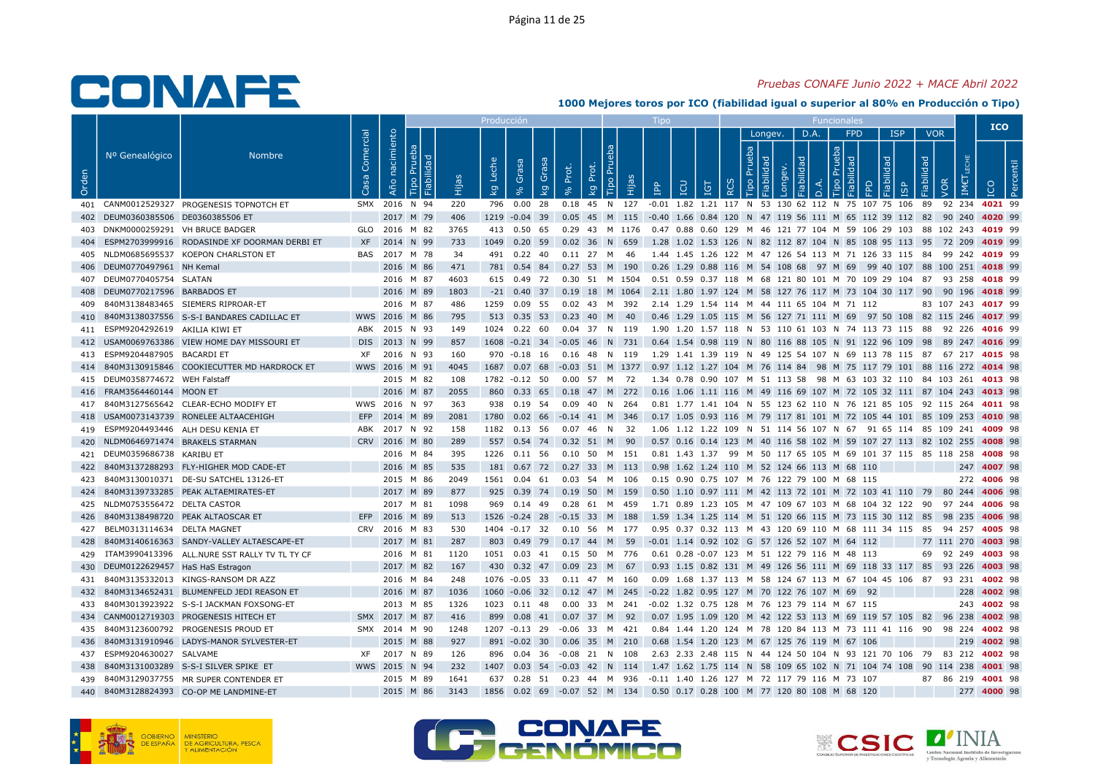### Pruebas CONAFE Junio 2022 + MACE Abril 2022

|       |                                     |                                                |                   |                   |                 |        | Producción                         |                                       |       |                                                 |    |                                                                                                                          |     |                    |               |           |                  |                           |                                       |                    |                    | <b>ICO</b>  |   |
|-------|-------------------------------------|------------------------------------------------|-------------------|-------------------|-----------------|--------|------------------------------------|---------------------------------------|-------|-------------------------------------------------|----|--------------------------------------------------------------------------------------------------------------------------|-----|--------------------|---------------|-----------|------------------|---------------------------|---------------------------------------|--------------------|--------------------|-------------|---|
| Orden | Nº Genealógico                      | <b>Nombre</b>                                  | Comercial<br>Casa | nacimiento<br>Año | ರ<br><u>ٰ ۃ</u> | й<br>Е | Leche<br>$\overline{\mathsf{k}}$ g | Grasa<br>Grai<br>$\overline{k}$<br>వి | Prot. | Tipo Pru<br>ă<br>호<br>$\overline{\mathsf{k}}$ g | ia | LCD<br>$\mathbf{f}$                                                                                                      | IGT | $\frac{1}{2}$<br>≃ | Longev.<br>ರಾ | D.A.<br>õ | Tipo<br>$\Omega$ | <b>FPD</b><br>모<br>$\Box$ | <b>ISP</b><br>Fiabilidad<br><b>GP</b> | <b>VOR</b><br>pep! | IM€<br>VOR         |             | உ |
|       |                                     | 401 CANM0012529327 PROGENESIS TOPNOTCH ET      |                   |                   | SMX 2016 N 94   | 220    |                                    | 796  0.00  28                         |       |                                                 |    | 0.18 45 N 127 -0.01 1.82 1.21 117 N 53 130 62 112 N 75 107 75 106 89 92 234 4021 99                                      |     |                    |               |           |                  |                           |                                       |                    |                    |             |   |
|       | 402 DEUM0360385506 DE0360385506 ET  |                                                |                   |                   | 2017 M 79       | 406    |                                    |                                       |       |                                                 |    | 1219 -0.04 39 0.05 45 M 115 -0.40 1.66 0.84 120 N 47 119 56 111 M 65 112 39 112 82 90 240 4020 99                        |     |                    |               |           |                  |                           |                                       |                    |                    |             |   |
|       |                                     | DNKM0000259291 VH BRUCE BADGER                 |                   |                   | GLO 2016 M 82   | 3765   |                                    |                                       |       |                                                 |    | 413 0.50 65 0.29 43 M 1176 0.47 0.88 0.60 129 M 46 121 77 104 M 59 106 29 103 88 102 243 4019 99                         |     |                    |               |           |                  |                           |                                       |                    |                    |             |   |
| 404   |                                     | ESPM2703999916 RODASINDE XF DOORMAN DERBI ET   | <b>XF</b>         |                   | 2014 N 99       | 733    |                                    | 1049  0.20  59  0.02  36  N  659      |       |                                                 |    | 1.28 1.02 1.53 126 N 82 112 87 104 N 85 108 95 113 95 72 209 4019 99                                                     |     |                    |               |           |                  |                           |                                       |                    |                    |             |   |
|       |                                     | 405 NLDM0685695537 KOEPON CHARLSTON ET         | BAS               |                   | 2017 M 78       | 34     |                                    | 491 0.22 40                           |       | 0.11 27 M 46                                    |    | 1.44 1.45 1.26 122 M 47 126 54 113 M 71 126 33 115 84 99 242 4019 99                                                     |     |                    |               |           |                  |                           |                                       |                    |                    |             |   |
|       | 406 DEUM0770497961 NH Kemal         |                                                |                   |                   | 2016 M 86       | 471    |                                    |                                       |       |                                                 |    | 781 0.54 84 0.27 53 M 190 0.26 1.29 0.88 116 M 54 108 68 97 M 69 99 40 107 88 100 251 4018 99                            |     |                    |               |           |                  |                           |                                       |                    |                    |             |   |
|       | 407 DEUM0770405754 SLATAN           |                                                |                   |                   | 2016 M 87       | 4603   |                                    |                                       |       |                                                 |    | 615 0.49 72 0.30 51 M 1504 0.51 0.59 0.37 118 M 68 121 80 101 M 70 109 29 104 87 93 258 4018 99                          |     |                    |               |           |                  |                           |                                       |                    |                    |             |   |
| 408   | DEUM0770217596 BARBADOS ET          |                                                |                   |                   | 2016 M 89       | 1803   |                                    |                                       |       |                                                 |    | -21 0.40 37 0.19 18 M 1064 2.11 1.80 1.97 124 M 58 127 76 117 M 73 104 30 117 90 90 196 4018 99                          |     |                    |               |           |                  |                           |                                       |                    |                    |             |   |
| 409   |                                     | 840M3138483465 SIEMERS RIPROAR-ET              |                   |                   | 2016 M 87       | 486    |                                    |                                       |       |                                                 |    | 1259  0.09  55  0.02  43  M  392  2.14  1.29  1.54  114  M  44  111  65  104  M  71  112                                 |     |                    |               |           |                  |                           |                                       |                    | 83 107 243 4017 99 |             |   |
|       |                                     | 410 840M3138037556 S-S-I BANDARES CADILLAC ET  |                   |                   | WWS 2016 M 86   | 795    |                                    | 513 0.35 53                           |       | $0.23$ 40 M 40                                  |    | 0.46 1.29 1.05 115 M 56 127 71 111 M 69 97 50 108 82 115 246 4017 99                                                     |     |                    |               |           |                  |                           |                                       |                    |                    |             |   |
|       | 411 ESPM9204292619 AKILIA KIWI ET   |                                                |                   |                   | ABK 2015 N 93   | - 149  |                                    |                                       |       |                                                 |    | 1024  0.22  60  0.04  37  N  119  1.90  1.20  1.57  118  N  53  110  61  103  N  74  113  73  115  88  92  226  4016  99 |     |                    |               |           |                  |                           |                                       |                    |                    |             |   |
|       |                                     | 412 USAM0069763386 VIEW HOME DAY MISSOURI ET   |                   |                   | DIS 2013 N 99   | 857    |                                    |                                       |       |                                                 |    | 1608 -0.21 34 -0.05 46 N 731 0.64 1.54 0.98 119 N 80 116 88 105 N 91 122 96 109 98 89 247 4016 99                        |     |                    |               |           |                  |                           |                                       |                    |                    |             |   |
|       | 413 ESPM9204487905 BACARDI ET       |                                                | XF.               |                   | 2016 N 93       | 160    |                                    | 970 -0.18 16                          |       | 0.16 48 N 119                                   |    | 1.29 1.41 1.39 119 N 49 125 54 107 N 69 113 78 115 87 67 217 <b>4015</b> 98                                              |     |                    |               |           |                  |                           |                                       |                    |                    |             |   |
|       |                                     | 414 840M3130915846 COOKIECUTTER MD HARDROCK ET |                   |                   | WWS 2016 M 91   | 4045   |                                    |                                       |       |                                                 |    | 1687 0.07 68 -0.03 51 M 1377 0.97 1.12 1.27 104 M 76 114 84 98 M 75 117 79 101 88 116 272 4014 98                        |     |                    |               |           |                  |                           |                                       |                    |                    |             |   |
|       | 415 DEUM0358774672 WEH Falstaff     |                                                |                   |                   | 2015 M 82       | 108    |                                    | 1782 -0.12 50                         |       |                                                 |    | 0.00 57 M 72 1.34 0.78 0.90 107 M 51 113 58 98 M 63 103 32 110 84 103 261 <b>4013</b> 98                                 |     |                    |               |           |                  |                           |                                       |                    |                    |             |   |
|       | 416 FRAM3564460144 MOON ET          |                                                |                   |                   | 2016 M 87       | 2055   |                                    |                                       |       |                                                 |    | 860 0.33 65 0.18 47 M 272 0.16 1.06 1.11 116 M 49 116 69 107 M 72 105 32 111 87 104 243 4013 98                          |     |                    |               |           |                  |                           |                                       |                    |                    |             |   |
|       |                                     | 417 840M3127565642 CLEAR-ECHO MODIFY ET        |                   |                   | WWS 2016 N 97   | - 363  |                                    | 938 0.19 54                           |       | 0.09 40 N 264                                   |    | 0.81 1.77 1.41 104 N 55 123 62 110 N 76 121 85 105 92 115 264 4011 98                                                    |     |                    |               |           |                  |                           |                                       |                    |                    |             |   |
| 418   |                                     | USAM0073143739 RONELEE ALTAACEHIGH             | EFP               |                   | 2014 M 89       | 2081   |                                    | 1780 0.02 66 -0.14 41 M 346           |       |                                                 |    | 0.17 1.05 0.93 116 M 79 117 81 101 M 72 105 44 101 85 109 253 4010 98                                                    |     |                    |               |           |                  |                           |                                       |                    |                    |             |   |
|       |                                     | 419 ESPM9204493446 ALH DESU KENIA ET           |                   |                   | ABK 2017 N 92   | 158    |                                    | 1182  0.13  56  0.07  46  N  32       |       |                                                 |    | 1.06 1.12 1.22 109 N 51 114 56 107 N 67 91 65 114 85 109 241 4009 98                                                     |     |                    |               |           |                  |                           |                                       |                    |                    |             |   |
| 420   |                                     | NLDM0646971474 BRAKELS STARMAN                 |                   |                   | CRV 2016 M 80   | 289    |                                    | 557 0.54 74 0.32 51 M 90              |       |                                                 |    | 0.57 0.16 0.14 123 M 40 116 58 102 M 59 107 27 113 82 102 255 4008 98                                                    |     |                    |               |           |                  |                           |                                       |                    |                    |             |   |
| 421   | DEUM0359686738 KARIBU ET            |                                                |                   |                   | 2016 M 84       | 395    |                                    | 1226  0.11  56  0.10  50  M  151      |       |                                                 |    | 0.81 1.43 1.37 99 M 50 117 65 105 M 69 101 37 115 85 118 258 4008 98                                                     |     |                    |               |           |                  |                           |                                       |                    |                    |             |   |
| 422   |                                     | 840M3137288293 FLY-HIGHER MOD CADE-ET          |                   |                   | 2016 M 85       | 535    |                                    |                                       |       |                                                 |    | 181 0.67 72 0.27 33 M 113 0.98 1.62 1.24 110 M 52 124 66 113 M 68 110                                                    |     |                    |               |           |                  |                           |                                       |                    |                    | 247 4007 98 |   |
| 423   |                                     | 840M3130010371 DE-SU SATCHEL 13126-ET          |                   |                   | 2015 M 86       | 2049   |                                    | 1561  0.04  61                        |       | 0.03 54 M 106                                   |    | 0.15  0.90  0.75  107  M  76  122  79  100  M  68  115                                                                   |     |                    |               |           |                  |                           |                                       |                    |                    | 272 4006 98 |   |
|       |                                     | 424 840M3139733285 PEAK ALTAEMIRATES-ET        |                   |                   | 2017 M 89       | 877    |                                    |                                       |       |                                                 |    | 925 0.39 74 0.19 50 M 159 0.50 1.10 0.97 111 M 42 113 72 101 M 72 103 41 110 79 80 244 4006 98                           |     |                    |               |           |                  |                           |                                       |                    |                    |             |   |
|       | 425 NLDM0753556472 DELTA CASTOR     |                                                |                   |                   | 2017 M 81       | 1098   |                                    | 969 0.14 49                           |       | 0.28 61 M 459                                   |    | 1.71 0.89 1.23 105 M 47 109 67 103 M 68 104 32 122 90 97 244 4006 98                                                     |     |                    |               |           |                  |                           |                                       |                    |                    |             |   |
| 426   |                                     | 840M3138498720 PEAK ALTAOSCAR ET               | EFP               |                   | 2016 M 89       | 513    |                                    | 1526 -0.24 28 -0.15 33 M 188          |       |                                                 |    | 1.59 1.34 1.25 114 M 51 120 66 115 M 73 115 30 112 85 98 235 4006 98                                                     |     |                    |               |           |                  |                           |                                       |                    |                    |             |   |
| 427   | BELM0313114634 DELTA MAGNET         |                                                |                   |                   | CRV 2016 M 83   | 530    |                                    |                                       |       |                                                 |    | 1404 -0.17 32 0.10 56 M 177 0.95 0.37 0.32 113 M 43 120 69 110 M 68 111 34 115 85 94 257 4005 98                         |     |                    |               |           |                  |                           |                                       |                    |                    |             |   |
| 428   |                                     | 840M3140616363 SANDY-VALLEY ALTAESCAPE-ET      |                   |                   | 2017 M 81       | 287    |                                    |                                       |       |                                                 |    | 803 0.49 79 0.17 44 M 59 -0.01 1.14 0.92 102 G 57 126 52 107 M 64 112                                                    |     |                    |               |           |                  |                           |                                       |                    | 77 111 270 4003 98 |             |   |
| 429   |                                     | ITAM3990413396 ALL.NURE SST RALLY TV TL TY CF  |                   |                   | 2016 M 81       | 1120   |                                    |                                       |       |                                                 |    | 1051  0.03  41  0.15  50  M  776  0.61  0.28  -0.07  123  M  51  122  79  116  M  48  113                                |     |                    |               |           |                  |                           |                                       |                    | 69 92 249 4003 98  |             |   |
|       | 430 DEUM0122629457 HaS HaS Estragon |                                                |                   |                   | 2017 M 82       | 167    |                                    | 430 0.32 47 0.09 23 M 67              |       |                                                 |    | 0.93 1.15 0.82 131 M 49 126 56 111 M 69 118 33 117 85 93 226 4003 98                                                     |     |                    |               |           |                  |                           |                                       |                    |                    |             |   |
| 431   |                                     | 840M3135332013 KINGS-RANSOM DR AZZ             |                   |                   | 2016 M 84       | 248    |                                    | 1076 -0.05 33                         |       | 0.11 47 M 160                                   |    | 0.09 1.68 1.37 113 M 58 124 67 113 M 67 104 45 106 87 93 231 4002 98                                                     |     |                    |               |           |                  |                           |                                       |                    |                    |             |   |
| 432   |                                     | 840M3134652431 BLUMENFELD JEDI REASON ET       |                   |                   | 2016 M 87       | 1036   |                                    |                                       |       |                                                 |    | 1060 -0.06 32 0.12 47 M 245 -0.22 1.82 0.95 127 M 70 122 76 107 M 69 92                                                  |     |                    |               |           |                  |                           |                                       |                    |                    | 228 4002 98 |   |
|       |                                     | 433 840M3013923922 S-S-I JACKMAN FOXSONG-ET    |                   |                   | 2013 M 85       | 1326   |                                    |                                       |       |                                                 |    | 1023 0.11 48 0.00 33 M 241 -0.02 1.32 0.75 128 M 76 123 79 114 M 67 115                                                  |     |                    |               |           |                  |                           |                                       |                    |                    | 243 4002 98 |   |
|       |                                     | 434 CANM0012719303 PROGENESIS HITECH ET        |                   |                   | SMX 2017 M 87   | 416    |                                    |                                       |       |                                                 |    | 899 0.08 41 0.07 37 M 92 0.07 1.95 1.09 120 M 42 122 53 113 M 69 119 57 105 82 96 238 4002 98                            |     |                    |               |           |                  |                           |                                       |                    |                    |             |   |
|       |                                     | 435 840M3123600792 PROGENESIS PROUD ET         |                   |                   | SMX 2014 M 90   | 1248   |                                    | 1207 -0.13 29 -0.06 33 M 421          |       |                                                 |    | 0.84 1.44 1.20 124 M 78 120 84 113 M 73 111 41 116 90 98 224 <b>4002</b> 98                                              |     |                    |               |           |                  |                           |                                       |                    |                    |             |   |
| 436   |                                     | 840M3131910946 LADYS-MANOR SYLVESTER-ET        |                   |                   | 2015 M 88       | 927    |                                    | 891 -0.02 30                          |       |                                                 |    | 0.06 35 M 210 0.68 1.54 1.20 123 M 67 125 76 119 M 67 106                                                                |     |                    |               |           |                  |                           |                                       |                    |                    | 219 4002 98 |   |
| 437   | ESPM9204630027 SALVAME              |                                                |                   |                   | XF 2017 N 89    | 126    |                                    | 896  0.04  36  -0.08  21  N  108      |       |                                                 |    | 2.63 2.33 2.48 115 N 44 124 50 104 N 93 121 70 106 79 83 212 <b>4002</b> 98                                              |     |                    |               |           |                  |                           |                                       |                    |                    |             |   |
| 438   |                                     | 840M3131003289 S-S-I SILVER SPIKE ET           |                   |                   | WWS 2015 N 94   | 232    |                                    |                                       |       |                                                 |    | 1407 0.03 54 -0.03 42 N 114 1.47 1.62 1.75 114 N 58 109 65 102 N 71 104 74 108 90 114 238 4001 98                        |     |                    |               |           |                  |                           |                                       |                    |                    |             |   |
| 439   |                                     | 840M3129037755 MR SUPER CONTENDER ET           |                   |                   | 2015 M 89       | 1641   |                                    |                                       |       |                                                 |    | 637 0.28 51 0.23 44 M 936 -0.11 1.40 1.26 127 M 72 117 79 116 M 73 107                                                   |     |                    |               |           |                  |                           |                                       |                    | 87 86 219 4001 98  |             |   |
| 440   |                                     | 840M3128824393 CO-OP ME LANDMINE-ET            |                   |                   | 2015 M 86       | 3143   |                                    |                                       |       |                                                 |    | 1856  0.02  69  -0.07  52  M  134  0.50  0.17  0.28  100  M  77  120  80  108  M  68  120                                |     |                    |               |           |                  |                           |                                       |                    |                    | 277 4000 98 |   |





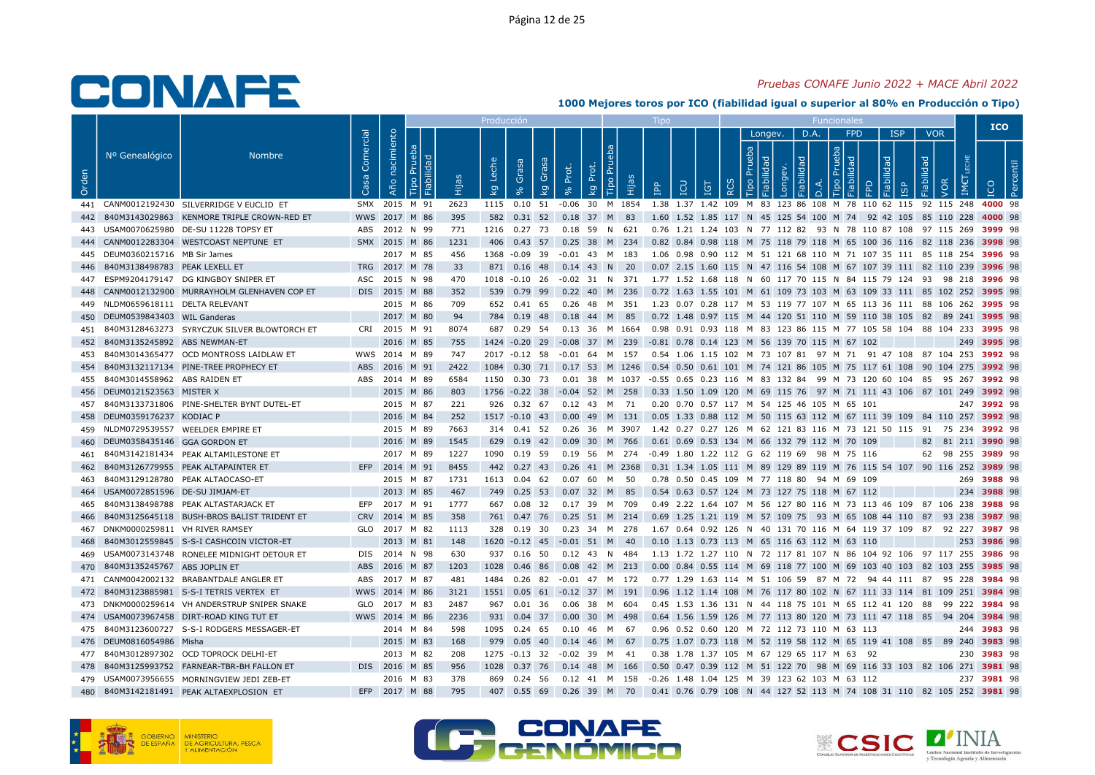### Pruebas CONAFE Junio 2022 + MACE Abril 2022

|       |                                   |                                               |                   |                   |               |      | Producció               |                |                                   |              |                                                                                                                          |                                                        |            |   |                                    |        |                |                                              |                                                                               |            |                   | <b>ICO</b>  |  |
|-------|-----------------------------------|-----------------------------------------------|-------------------|-------------------|---------------|------|-------------------------|----------------|-----------------------------------|--------------|--------------------------------------------------------------------------------------------------------------------------|--------------------------------------------------------|------------|---|------------------------------------|--------|----------------|----------------------------------------------|-------------------------------------------------------------------------------|------------|-------------------|-------------|--|
| Orden | Nº Genealógico                    | <b>Nombre</b>                                 | Comercial<br>Casa | nacimiento<br>Año | ಾ<br>! 프      | Ëщ   | Leche<br>$\overline{k}$ | Grasa          | Grasa<br>Prot.<br>$\overline{k}$  | đ<br>ᅌ<br>kg | <b>Tipo Pru</b><br>ιËΡ                                                                                                   | <b>POI</b><br>$\mathbf{f}$                             | <b>IGT</b> | ≃ | Longev.<br>Prueba<br>$\frac{1}{2}$ | õ<br>פ | D.A.<br>$\Box$ | <b>FPD</b><br>deu<br>$\mathbb{R}$<br>$\circ$ | <b>ISP</b><br>lidad<br>≏<br>$\overline{6}$                                    | Fiabilidad | <b>VOR</b><br>VOR |             |  |
|       |                                   | 441 CANM0012192430 SILVERRIDGE V EUCLID ET    |                   |                   | SMX 2015 M 91 | 2623 | 1115  0.10  51          |                |                                   |              | -0.06 30 M 1854 1.38 1.37 1.42 109 M 83 123 86 108 M 78 110 62 115 92 115 248 4000 98                                    |                                                        |            |   |                                    |        |                |                                              |                                                                               |            |                   |             |  |
|       |                                   | 840M3143029863 KENMORE TRIPLE CROWN-RED ET    |                   |                   | WWS 2017 M 86 | 395  |                         |                | 582 0.31 52 0.18 37 M 83          |              |                                                                                                                          |                                                        |            |   |                                    |        |                |                                              | 1.60 1.52 1.85 117 N 45 125 54 100 M 74 92 42 105 85 110 228 4000 98          |            |                   |             |  |
| 443   |                                   | USAM0070625980 DE-SU 11228 TOPSY ET           |                   |                   | ABS 2012 N 99 | 771  |                         |                | 1216  0.27  73  0.18  59  N  621  |              |                                                                                                                          |                                                        |            |   |                                    |        |                |                                              | 0.76 1.21 1.24 103 N 77 112 82 93 N 78 110 87 108 97 115 269 <b>3999</b> 98   |            |                   |             |  |
|       |                                   | CANM0012283304 WESTCOAST NEPTUNE ET           |                   |                   | SMX 2015 M 86 | 1231 |                         |                |                                   |              | 406 0.43 57 0.25 38 M 234 0.82 0.84 0.98 118 M 75 118 79 118 M 65 100 36 116 82 118 236 3998 98                          |                                                        |            |   |                                    |        |                |                                              |                                                                               |            |                   |             |  |
|       | 445 DEUM0360215716 MB Sir James   |                                               |                   |                   | 2017 M 85     | 456  |                         | 1368 -0.09 39  |                                   |              | -0.01 43 M 183                                                                                                           |                                                        |            |   |                                    |        |                |                                              | 1.06 0.98 0.90 112 M 51 121 68 110 M 71 107 35 111 85 118 254 3996 98         |            |                   |             |  |
| 446   | 840M3138498783 PEAK LEXELL ET     |                                               |                   |                   | TRG 2017 M 78 | 33   |                         |                | 871 0.16 48 0.14 43 N 20          |              |                                                                                                                          |                                                        |            |   |                                    |        |                |                                              | 0.07 2.15 1.60 115 N 47 116 54 108 M 67 107 39 111 82 110 239 3996 98         |            |                   |             |  |
| 447   |                                   | ESPM9204179147 DG KINGBOY SNIPER ET           | ASC               |                   | 2015 N 98     | 470  |                         |                |                                   |              | 1018 -0.10 26 -0.02 31 N 371 1.77 1.52 1.68 118 N 60 117 70 115 N 84 115 79 124 93 98 218 3996 98                        |                                                        |            |   |                                    |        |                |                                              |                                                                               |            |                   |             |  |
| 448   |                                   | CANM0012132900 MURRAYHOLM GLENHAVEN COP ET    |                   |                   | DIS 2015 M 88 | 352  |                         |                |                                   |              | 539  0.79  99  0.22  40  M  236  0.72  1.63  1.55  101  M  61  109  73  103  M  63  109  33  111  85  102  252  3995  98 |                                                        |            |   |                                    |        |                |                                              |                                                                               |            |                   |             |  |
|       | 449 NLDM0659618111 DELTA RELEVANT |                                               |                   |                   | 2015 M 86     | 709  |                         | 652 0.41 65    |                                   |              | 0.26 48 M 351                                                                                                            |                                                        |            |   |                                    |        |                |                                              | 1.23 0.07 0.28 117 M 53 119 77 107 M 65 113 36 111 88 106 262 <b>3995</b> 98  |            |                   |             |  |
| 450   | DEUM0539843403 WIL Ganderas       |                                               |                   |                   | 2017 M 80     | 94   |                         | 784 0.19 48    |                                   |              | $0.18$ 44 M 85                                                                                                           |                                                        |            |   |                                    |        |                |                                              | 0.72 1.48 0.97 115 M 44 120 51 110 M 59 110 38 105 82 89 241 3995 98          |            |                   |             |  |
| 451   |                                   | 840M3128463273 SYRYCZUK SILVER BLOWTORCH ET   |                   |                   | CRI 2015 M 91 | 8074 |                         |                |                                   |              | 687 0.29 54 0.13 36 M 1664 0.98 0.91 0.93 118 M 83 123 86 115 M 77 105 58 104 88 104 233 3995 98                         |                                                        |            |   |                                    |        |                |                                              |                                                                               |            |                   |             |  |
| 452   | 840M3135245892 ABS NEWMAN-ET      |                                               |                   |                   | 2016 M 85     | 755  |                         |                |                                   |              | 1424 -0.20 29 -0.08 37 M 239 -0.81 0.78 0.14 123 M 56 139 70 115 M 67 102                                                |                                                        |            |   |                                    |        |                |                                              |                                                                               |            |                   | 249 3995 98 |  |
| 453   |                                   | 840M3014365477 OCD MONTROSS LAIDLAW ET        |                   |                   | WWS 2014 M 89 | 747  |                         |                | 2017 -0.12 58 -0.01 64 M 157      |              |                                                                                                                          |                                                        |            |   |                                    |        |                |                                              | 0.54 1.06 1.15 102 M 73 107 81 97 M 71 91 47 108 87 104 253 <b>3992</b> 98    |            |                   |             |  |
| 454   |                                   | 840M3132117134 PINE-TREE PROPHECY ET          |                   |                   | ABS 2016 M 91 | 2422 |                         |                |                                   |              | 1084 0.30 71 0.17 53 M 1246 0.54 0.50 0.61 101 M 74 121 86 105 M 75 117 61 108 90 104 275 3992 98                        |                                                        |            |   |                                    |        |                |                                              |                                                                               |            |                   |             |  |
| 455   | 840M3014558962 ABS RAIDEN ET      |                                               |                   |                   | ABS 2014 M 89 | 6584 |                         |                |                                   |              | 1150 0.30 73 0.01 38 M 1037 -0.55 0.65 0.23 116 M 83 132 84 99 M 73 120 60 104 85 95 267 3992 98                         |                                                        |            |   |                                    |        |                |                                              |                                                                               |            |                   |             |  |
|       | 456 DEUM0121523563 MISTER X       |                                               |                   |                   | 2015 M 86     | 803  |                         |                |                                   |              | 1756 -0.22 38 -0.04 52 M 258 0.33 1.50 1.09 120 M 69 115 76 97 M 71 111 43 106 87 101 249 3992 98                        |                                                        |            |   |                                    |        |                |                                              |                                                                               |            |                   |             |  |
| 457   |                                   | 840M3133731806 PINE-SHELTER BYNT DUTEL-ET     |                   |                   | 2015 M 87     | 221  |                         |                | 926  0.32  67  0.12  43  M  71    |              |                                                                                                                          | 0.20 0.70 0.57 117 M 54 125 46 105 M 65 101            |            |   |                                    |        |                |                                              |                                                                               |            |                   | 247 3992 98 |  |
|       | 458 DEUM0359176237 KODIAC P       |                                               |                   |                   | 2016 M 84     | 252  |                         |                |                                   |              | 1517 -0.10 43 0.00 49 M 131 0.05 1.33 0.88 112 M 50 115 63 112 M 67 111 39 109 84 110 257 3992 98                        |                                                        |            |   |                                    |        |                |                                              |                                                                               |            |                   |             |  |
|       |                                   | 459 NLDM0729539557 WEELDER EMPIRE ET          |                   |                   | 2015 M 89     | 7663 |                         |                |                                   |              | 314 0.41 52 0.26 36 M 3907 1.42 0.27 0.27 126 M 62 121 83 116 M 73 121 50 115 91 75 234 3992 98                          |                                                        |            |   |                                    |        |                |                                              |                                                                               |            |                   |             |  |
| 460   | DEUM0358435146 GGA GORDON ET      |                                               |                   |                   | 2016 M 89     | 1545 |                         | 629 0.19 42    | 0.09                              |              | 30 M 766                                                                                                                 | 0.61 0.69 0.53 134 M 66 132 79 112 M 70 109            |            |   |                                    |        |                |                                              |                                                                               |            | 82 81 211 3990 98 |             |  |
| 461   |                                   | 840M3142181434 PEAK ALTAMILESTONE ET          |                   |                   | 2017 M 89     | 1227 |                         |                |                                   |              | 1090  0.19  59  0.19  56  M  274  -0.49  1.80  1.22  112  G  62  119  69  98  M  75  116                                 |                                                        |            |   |                                    |        |                |                                              |                                                                               |            | 62 98 255 3989 98 |             |  |
| 462   |                                   | 840M3126779955 PEAK ALTAPAINTER ET            |                   |                   | EFP 2014 M 91 | 8455 |                         |                |                                   |              | 442 0.27 43 0.26 41 M 2368                                                                                               |                                                        |            |   |                                    |        |                |                                              | 0.31 1.34 1.05 111 M 89 129 89 119 M 76 115 54 107 90 116 252 3989 98         |            |                   |             |  |
| 463   |                                   | 840M3129128780 PEAK ALTAOCASO-ET              |                   |                   | 2015 M 87     | 1731 |                         | 1613  0.04  62 |                                   |              | 0.07 60 M 50                                                                                                             | 0.78  0.50  0.45  109  M  77  118  80  94  M  69  109  |            |   |                                    |        |                |                                              |                                                                               |            |                   | 269 3988 98 |  |
| 464   | USAM0072851596 DE-SU JIMJAM-ET    |                                               |                   |                   | 2013 M 85     | 467  |                         |                | 749 0.25 53 0.07 32 M 85          |              |                                                                                                                          | 0.54 0.63 0.57 124 M 73 127 75 118 M 67 112            |            |   |                                    |        |                |                                              |                                                                               |            |                   | 234 3988 98 |  |
| 465   |                                   | 840M3138498788 PEAK ALTASTARJACK ET           | EFP               |                   | 2017 M 91     | 1777 | 667                     | 0.08 32        |                                   |              | 0.17 39 M 709                                                                                                            |                                                        |            |   |                                    |        |                |                                              | 0.49 2.22 1.64 107 M 56 127 80 116 M 73 113 46 109  87 106 238 <b>3988</b> 98 |            |                   |             |  |
| 466   |                                   | 840M3125645118 BUSH-BROS BALIST TRIDENT ET    |                   |                   | CRV 2014 M 85 | 358  |                         |                |                                   |              | 761 0.47 76 0.25 51 M 214 0.69 1.25 1.21 119 M 57 109 75 93 M 65 108 44 110 87 93 238 3987 98                            |                                                        |            |   |                                    |        |                |                                              |                                                                               |            |                   |             |  |
| 467   | DNKM0000259811 VH RIVER RAMSEY    |                                               |                   |                   | GLO 2017 M 82 | 1113 |                         | 328 0.19 30    |                                   |              | 0.23 34 M 278                                                                                                            |                                                        |            |   |                                    |        |                |                                              | 1.67 0.64 0.92 126 N 40 131 70 116 M 64 119 37 109 87 92 227 <b>3987</b> 98   |            |                   |             |  |
| 468   |                                   | 840M3012559845 S-S-I CASHCOIN VICTOR-ET       |                   |                   | 2013 M 81     | 148  |                         |                | 1620 -0.12 45 -0.01 51 M 40       |              |                                                                                                                          | 0.10 1.13 0.73 113 M 65 116 63 112 M 63 110            |            |   |                                    |        |                |                                              |                                                                               |            |                   | 253 3986 98 |  |
| 469   |                                   | USAM0073143748 RONELEE MIDNIGHT DETOUR ET     |                   |                   | DIS 2014 N 98 | 630  |                         |                | 937  0.16  50  0.12  43  N  484   |              |                                                                                                                          |                                                        |            |   |                                    |        |                |                                              | 1.13 1.72 1.27 110 N 72 117 81 107 N 86 104 92 106 97 117 255 <b>3986</b> 98  |            |                   |             |  |
| 470   | 840M3135245767 ABS JOPLIN ET      |                                               | <b>ABS</b>        |                   | 2016 M 87     | 1203 |                         | 1028  0.46  86 |                                   |              | 0.08 42 M 213                                                                                                            |                                                        |            |   |                                    |        |                |                                              | 0.00 0.84 0.55 114 M 69 118 77 100 M 69 103 40 103 82 103 255 3985 98         |            |                   |             |  |
| 471   |                                   | CANM0042002132 BRABANTDALE ANGLER ET          |                   |                   | ABS 2017 M 87 | 481  |                         |                | 1484  0.26  82  -0.01  47  M  172 |              |                                                                                                                          |                                                        |            |   |                                    |        |                |                                              | 0.77 1.29 1.63 114 M 51 106 59 87 M 72 94 44 111 87 95 228 3984 98            |            |                   |             |  |
|       |                                   | 472 840M3123885981 S-S-I TETRIS VERTEX ET     |                   |                   | WWS 2014 M 86 | 3121 |                         |                |                                   |              | 1551 0.05 61 -0.12 37 M 191 0.96 1.12 1.14 108 M 76 117 80 102 N 67 111 33 114 81 109 251 3984 98                        |                                                        |            |   |                                    |        |                |                                              |                                                                               |            |                   |             |  |
|       |                                   | 473 DNKM0000259614 VH ANDERSTRUP SNIPER SNAKE |                   |                   | GLO 2017 M 83 | 2487 | 967                     | 0.01 36        |                                   |              | 0.06 38 M 604                                                                                                            |                                                        |            |   |                                    |        |                |                                              | 0.45 1.53 1.36 131 N 44 118 75 101 M 65 112 41 120 88 99 222 3984 98          |            |                   |             |  |
|       |                                   | 474 USAM0073967458 DIRT-ROAD KING TUT ET      |                   |                   | WWS 2014 M 86 | 2236 |                         |                | 931 0.04 37 0.00 30 M 498         |              |                                                                                                                          |                                                        |            |   |                                    |        |                |                                              | 0.64 1.56 1.59 126 M 77 113 80 120 M 73 111 47 118 85 94 204 3984 98          |            |                   |             |  |
|       |                                   | 475 840M3123600727 S-S-I RODGERS MESSAGER-ET  |                   |                   | 2014 M 84     | 598  |                         | 1095  0.24  65 |                                   | 0.10 46 M    | 67                                                                                                                       | 0.96  0.52  0.60  120  M  72  112  73  110  M  63  113 |            |   |                                    |        |                |                                              |                                                                               |            |                   | 244 3983 98 |  |
|       | 476 DEUM0816054986 Misha          |                                               |                   |                   | 2015 M 83     | 168  |                         | 979 0.05 40    |                                   |              | $0.14$ 46 M 67                                                                                                           |                                                        |            |   |                                    |        |                |                                              | 0.75 1.07 0.73 118 M 52 119 58 112 M 65 119 41 108 85 89 240 3983 98          |            |                   |             |  |
|       |                                   | 477 840M3012897302 OCD TOPROCK DELHI-ET       |                   |                   | 2013 M 82     | 208  |                         |                | 1275 -0.13 32 -0.02 39 M 41       |              |                                                                                                                          | 0.38 1.78 1.37 105 M 67 129 65 117 M 63 92             |            |   |                                    |        |                |                                              |                                                                               |            |                   | 230 3983 98 |  |
| 478   |                                   | 840M3125993752 FARNEAR-TBR-BH FALLON ET       |                   |                   | DIS 2016 M 85 | 956  |                         | 1028 0.37 76   |                                   |              | 0.14 48 M 166                                                                                                            |                                                        |            |   |                                    |        |                |                                              | 0.50 0.47 0.39 112 M 51 122 70 98 M 69 116 33 103 82 106 271 3981 98          |            |                   |             |  |
|       |                                   | 479 USAM0073956655 MORNINGVIEW JEDI ZEB-ET    |                   |                   | 2016 M 83     | 378  |                         |                |                                   |              | 869 0.24 56 0.12 41 M 158 -0.26 1.48 1.04 125 M 39 123 62 103 M 63 112                                                   |                                                        |            |   |                                    |        |                |                                              |                                                                               |            |                   | 237 3981 98 |  |
| 480   |                                   | 840M3142181491 PEAK ALTAEXPLOSION ET          |                   |                   | EFP 2017 M 88 | 795  |                         |                |                                   |              | 407 0.55 69 0.26 39 M 70 0.41 0.76 0.79 108 N 44 127 52 113 M 74 108 31 110 82 105 252 3981 98                           |                                                        |            |   |                                    |        |                |                                              |                                                                               |            |                   |             |  |





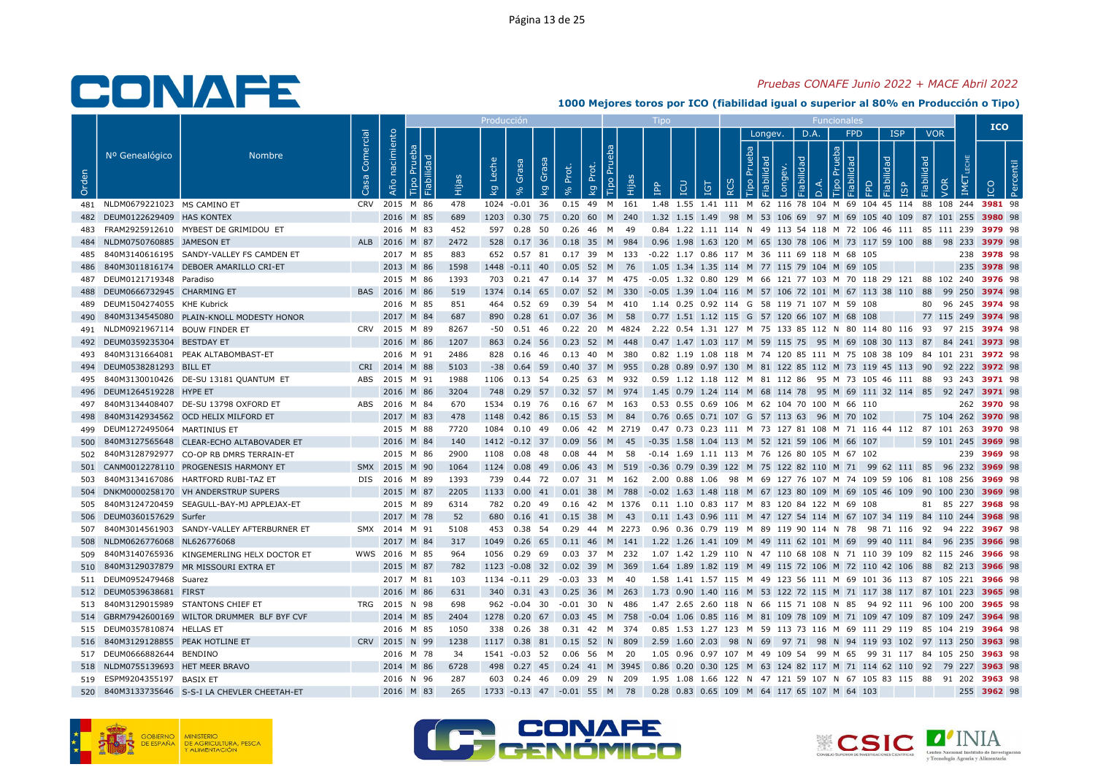### Pruebas CONAFE Junio 2022 + MACE Abril 2022

|       |                                    |                                                |                   |                |      |      | Producció            |             |           |                                                                                                   |                                              |                                             |                               |         |      |     |            |                                                                                             |                                 |                    | <b>ICO</b>  |  |
|-------|------------------------------------|------------------------------------------------|-------------------|----------------|------|------|----------------------|-------------|-----------|---------------------------------------------------------------------------------------------------|----------------------------------------------|---------------------------------------------|-------------------------------|---------|------|-----|------------|---------------------------------------------------------------------------------------------|---------------------------------|--------------------|-------------|--|
| Orden | Nº Genealógico                     | <b>Nombre</b>                                  | Comercial<br>Casa | Año nacimiento | lida | Нijа | Leche<br>Grasa<br>kg | Grasa<br>kg | Prot.     | Tipo Prue<br>Prot.<br>Hijas<br>kg                                                                 | <b>Adi</b>                                   | <b>IGT</b>                                  | Prueba<br>$\circ$<br>$\alpha$ | Longev. | D.A. | deb | <b>FPD</b> | <b>ISP</b><br><b>pep!</b>                                                                   | <b>VOR</b><br>Fiabilidad<br>VOR |                    |             |  |
|       | 481 NLDM0679221023 MS CAMINO ET    |                                                |                   | CRV 2015 M 86  |      | 478  | 1024 -0.01 36        |             |           | 0.15 49 M 161                                                                                     |                                              |                                             |                               |         |      |     |            | 1.48 1.55 1.41 111 M 62 116 78 104 M 69 104 45 114 88 108 244 3981 98                       |                                 |                    |             |  |
|       | 482 DEUM0122629409 HAS KONTEX      |                                                |                   | 2016 M 85      |      | 689  | 1203 0.30 75         |             |           | 0.20 60 M<br>240                                                                                  |                                              |                                             |                               |         |      |     |            | 1.32 1.15 1.49 98 M 53 106 69 97 M 69 105 40 109 87 101 255 3980 98                         |                                 |                    |             |  |
| 483   |                                    | FRAM2925912610 MYBEST DE GRIMIDOU ET           |                   | 2016 M 83      |      | 452  | 597   0.28   50      |             |           | 0.26 46 M<br>- 49                                                                                 |                                              |                                             |                               |         |      |     |            | 0.84 1.22 1.11 114 N 49 113 54 118 M 72 106 46 111 85 111 239 3979 98                       |                                 |                    |             |  |
|       | NLDM0750760885 JAMESON ET          |                                                |                   | ALB 2016 M 87  |      | 2472 |                      |             |           | 528 0.17 36 0.18 35 M 984                                                                         |                                              |                                             |                               |         |      |     |            | 0.96 1.98 1.63 120 M 65 130 78 106 M 73 117 59 100 88 98 233 3979 98                        |                                 |                    |             |  |
| 485   |                                    | 840M3140616195 SANDY-VALLEY FS CAMDEN ET       |                   | 2017 M 85      |      | 883  | 652 0.57 81          |             |           | 0.17 39 M 133                                                                                     | -0.22 1.17 0.86 117 M 36 111 69 118 M 68 105 |                                             |                               |         |      |     |            |                                                                                             |                                 |                    | 238 3978 98 |  |
| 486   |                                    | 840M3011816174 DEBOER AMARILLO CRI-ET          |                   | 2013 M 86      |      | 1598 | 1448 -0.11 40        |             |           | 0.05 52 M 76 1.05 1.34 1.35 114 M 77 115 79 104 M 69 105                                          |                                              |                                             |                               |         |      |     |            |                                                                                             |                                 |                    | 235 3978 98 |  |
|       | 487 DEUM0121719348 Paradiso        |                                                |                   | 2015 M 86      |      | 1393 | 703   0.21   47      |             |           | 0.14 37 M 475                                                                                     |                                              |                                             |                               |         |      |     |            | -0.05 1.32 0.80 129 M 66 121 77 103 M 70 118 29 121 88 102 240 <b>3976</b> 98               |                                 |                    |             |  |
|       | 488 DEUM0666732945 CHARMING ET     |                                                |                   | BAS 2016 M 86  |      | 519  |                      |             |           | 1374 0.14 65 0.07 52 M 330                                                                        |                                              |                                             |                               |         |      |     |            | -0.05 1.39 1.04 116 M 57 106 72 101 M 67 113 38 110 88 99 250 <b>3974</b> 98                |                                 |                    |             |  |
|       | 489 DEUM1504274055 KHE Kubrick     |                                                |                   | 2016 M 85      |      | 851  | 464 0.52 69          |             |           | 0.39 54 M 410                                                                                     | 1.14 0.25 0.92 114 G 58 119 71 107 M 59 108  |                                             |                               |         |      |     |            |                                                                                             |                                 | 80 96 245 3974 98  |             |  |
| 490   |                                    | 840M3134545080 PLAIN-KNOLL MODESTY HONOR       |                   | 2017 M 84      |      | 687  | 890 0.28 61          |             |           | 0.07 36 M 58                                                                                      |                                              | 0.77 1.51 1.12 115 G 57 120 66 107 M 68 108 |                               |         |      |     |            |                                                                                             |                                 | 77 115 249 3974 98 |             |  |
|       | 491 NLDM0921967114 BOUW FINDER ET  |                                                |                   | CRV 2015 M 89  |      | 8267 | -50  0.51  46        |             |           | 0.22 20 M 4824 2.22 0.54 1.31 127 M 75 133 85 112 N 80 114 80 116 93 97 215 <b>3974</b> 98        |                                              |                                             |                               |         |      |     |            |                                                                                             |                                 |                    |             |  |
|       | 492 DEUM0359235304 BESTDAY ET      |                                                |                   | 2016 M 86      |      | 1207 | 863 0.24 56          |             |           | 0.23 52 M 448                                                                                     |                                              |                                             |                               |         |      |     |            | 0.47 1.47 1.03 117 M 59 115 75 95 M 69 108 30 113 87 84 241 3973 98                         |                                 |                    |             |  |
| 493   |                                    | 840M3131664081 PEAK ALTABOMBAST-ET             |                   | 2016 M 91      |      | 2486 | 828 0.16 46          |             |           | 0.13 40 M 380                                                                                     |                                              |                                             |                               |         |      |     |            | 0.82 1.19 1.08 118 M 74 120 85 111 M 75 108 38 109 84 101 231 3972 98                       |                                 |                    |             |  |
|       | 494 DEUM0538281293 BILL ET         |                                                |                   | CRI 2014 M 88  |      | 5103 | $-38$ 0.64 59        |             |           | 0.40 37 M 955                                                                                     |                                              |                                             |                               |         |      |     |            | 0.28 0.89 0.97 130 M 81 122 85 112 M 73 119 45 113 90 92 222 3972 98                        |                                 |                    |             |  |
| 495   |                                    | 840M3130010426 DE-SU 13181 QUANTUM ET          |                   | ABS 2015 M 91  |      | 1988 | 1106 0.13 54         |             | $0.25$ 63 | 932<br>M                                                                                          |                                              |                                             |                               |         |      |     |            | 0.59 1.12 1.18 112 M 81 112 86 95 M 73 105 46 111 88 93 243 3971 98                         |                                 |                    |             |  |
|       | 496 DEUM1264519228 HYPE ET         |                                                |                   | 2016 M 86      |      | 3204 |                      |             |           | 748 0.29 57 0.32 57 M 974                                                                         |                                              |                                             |                               |         |      |     |            | 1.45 0.79 1.24 114 M 68 114 78 95 M 69 111 32 114 85 92 247 3971 98                         |                                 |                    |             |  |
| 497   |                                    | 840M3134408407 DE-SU 13798 OXFORD ET           |                   | ABS 2016 M 84  |      | 670  | 1534 0.19 76         |             |           | 0.16 67 M 163                                                                                     |                                              | 0.53 0.55 0.69 106 M 62 104 70 100 M 66 110 |                               |         |      |     |            |                                                                                             |                                 |                    | 262 3970 98 |  |
| 498   |                                    | 840M3142934562 OCD HELIX MILFORD ET            |                   | 2017 M 83      |      | 478  | 1148                 | 0.42 86     |           | 0.15 53 M 84                                                                                      |                                              | 0.76 0.65 0.71 107 G 57 113 63 96 M 70 102  |                               |         |      |     |            |                                                                                             |                                 | 75 104 262 3970 98 |             |  |
|       | 499 DEUM1272495064 MARTINIUS ET    |                                                |                   | 2015 M 88      |      | 7720 | 1084  0.10  49       |             |           | 0.06 42 M 2719 0.47 0.73 0.23 111 M 73 127 81 108 M 71 116 44 112 87 101 263 3970 98              |                                              |                                             |                               |         |      |     |            |                                                                                             |                                 |                    |             |  |
| 500   |                                    | 840M3127565648 CLEAR-ECHO ALTABOVADER ET       |                   | 2016 M 84      |      | 140  | 1412 -0.12 37        |             | 0.09      | 56 M<br>- 45                                                                                      | -0.35 1.58 1.04 113 M 52 121 59 106 M 66 107 |                                             |                               |         |      |     |            |                                                                                             |                                 | 59 101 245 3969 98 |             |  |
|       |                                    | 502 840M3128792977 CO-OP RB DMRS TERRAIN-ET    |                   | 2015 M 86      |      | 2900 | 1108  0.08  48       |             |           | 0.08  44  M  58                                                                                   | -0.14 1.69 1.11 113 M 76 126 80 105 M 67 102 |                                             |                               |         |      |     |            |                                                                                             |                                 |                    | 239 3969 98 |  |
|       |                                    | 501 CANM0012278110 PROGENESIS HARMONY ET       |                   | SMX 2015 M 90  |      | 1064 | 1124 0.08 49         |             |           | 0.06 43 M 519 -0.36 0.79 0.39 122 M 75 122 82 110 M 71 99 62 111 85 96 232 <b>3969</b> 98         |                                              |                                             |                               |         |      |     |            |                                                                                             |                                 |                    |             |  |
| 503   |                                    | 840M3134167086 HARTFORD RUBI-TAZ ET            |                   | DIS 2016 M 89  |      | 1393 | 739 0.44 72          |             |           | 0.07 31 M 162                                                                                     |                                              |                                             |                               |         |      |     |            | 2.00  0.88  1.06  98  M  69  127  76  107  M  74  109  59  106  81  108  256 <b>3969</b> 98 |                                 |                    |             |  |
|       |                                    | 504 DNKM0000258170 VH ANDERSTRUP SUPERS        |                   | 2015 M 87      |      | 2205 | 1133  0.00  41       |             |           | 0.01 38 M 788                                                                                     |                                              |                                             |                               |         |      |     |            | -0.02 1.63 1.48 118 M 67 123 80 109 M 69 105 46 109 90 100 230 3969 98                      |                                 |                    |             |  |
| 505   |                                    | 840M3124720459 SEAGULL-BAY-MJ APPLEJAX-ET      |                   | 2015 M 89      |      | 6314 | 782 0.20 49          |             |           | 0.16 42 M 1376 0.11 1.10 0.83 117 M 83 120 84 122 M 69 108                                        |                                              |                                             |                               |         |      |     |            |                                                                                             |                                 | 81 85 227 3968 98  |             |  |
|       | 506 DEUM0360157629 Surfer          |                                                |                   | 2017 M 78      |      | 52   |                      |             |           | 680  0.16  41  0.15  38  M  43                                                                    |                                              |                                             |                               |         |      |     |            | 0.11 1.43 0.96 111 M 47 127 54 114 M 67 107 34 119 84 110 244 3968 98                       |                                 |                    |             |  |
|       |                                    | 507 840M3014561903 SANDY-VALLEY AFTERBURNER ET |                   | SMX 2014 M 91  |      | 5108 | 453 0.38 54          |             |           | 0.29 44 M 2273 0.96 0.36 0.79 119 M 89 119 90 114 N 78 98 71 116 92 94 222 3967 98                |                                              |                                             |                               |         |      |     |            |                                                                                             |                                 |                    |             |  |
| 508   | NLDM0626776068 NL626776068         |                                                |                   | 2017 M 84      |      | 317  | 1049  0.26  65       |             |           | 0.11 46 M 141 1.22 1.26 1.41 109 M 49 111 62 101 M 69 99 40 111 84 96 235 3966 98                 |                                              |                                             |                               |         |      |     |            |                                                                                             |                                 |                    |             |  |
|       |                                    | 509 840M3140765936 KINGEMERLING HELX DOCTOR ET |                   | WWS 2016 M 85  |      | 964  | 1056  0.29  69       |             |           | 0.03 37 M 232                                                                                     |                                              |                                             |                               |         |      |     |            | 1.07 1.42 1.29 110 N 47 110 68 108 N 71 110 39 109 82 115 246 <b>3966</b> 98                |                                 |                    |             |  |
| 510   |                                    | 840M3129037879 MR MISSOURI EXTRA ET            |                   | 2015 M 87      |      | 782  | 1123 -0.08 32        |             |           | 0.02 39 M 369                                                                                     |                                              |                                             |                               |         |      |     |            | 1.64 1.89 1.82 119 M 49 115 72 106 M 72 110 42 106 88 82 213 3966 98                        |                                 |                    |             |  |
|       | 511 DEUM0952479468 Suarez          |                                                |                   | 2017 M 81      |      | 103  | 1134 -0.11 29        |             |           | $-0.03$ 33 M 40                                                                                   |                                              |                                             |                               |         |      |     |            | 1.58 1.41 1.57 115 M 49 123 56 111 M 69 101 36 113 87 105 221 <b>3966</b> 98                |                                 |                    |             |  |
|       | 512 DEUM0539638681 FIRST           |                                                |                   | 2016 M 86      |      | 631  |                      |             |           | 340 0.31 43 0.25 36 M 263                                                                         |                                              |                                             |                               |         |      |     |            | 1.73 0.90 1.40 116 M 53 122 72 115 M 71 117 38 117 87 101 223 3965 98                       |                                 |                    |             |  |
|       |                                    | 513 840M3129015989 STANTONS CHIEF ET           |                   | TRG 2015 N 98  |      | 698  | $962 -0.04$ 30       |             |           | $-0.01$ 30 N 486                                                                                  |                                              |                                             |                               |         |      |     |            | 1.47 2.65 2.60 118 N 66 115 71 108 N 85 94 92 111 96 100 200 3965 98                        |                                 |                    |             |  |
|       |                                    | 514 GBRM7942600169 WILTOR DRUMMER BLF BYF CVF  |                   | 2014 M 85      |      | 2404 |                      |             |           | 1278 0.20 67 0.03 45 M 758 -0.04 1.06 0.85 116 M 81 109 78 109 M 71 109 47 109 87 109 247 3964 98 |                                              |                                             |                               |         |      |     |            |                                                                                             |                                 |                    |             |  |
|       | 515 DEUM0357810874 HELLAS ET       |                                                |                   | 2016 M 85      |      | 1050 | 338 0.26 38          |             |           | 0.31 42 M 374                                                                                     |                                              |                                             |                               |         |      |     |            | 0.85 1.53 1.27 123 M 59 113 73 116 M 69 111 29 119 85 104 219 3964 98                       |                                 |                    |             |  |
|       | 516 840M3129128855 PEAK HOTLINE ET |                                                |                   | CRV 2015 N 99  |      | 1238 |                      |             |           | 1117  0.38  81  0.15  52  N  809                                                                  |                                              |                                             |                               |         |      |     |            | 2.59 1.60 2.03 98 N 69 97 71 98 N 94 119 93 102 97 113 250 3963 98                          |                                 |                    |             |  |
|       | 517 DEUM0666882644 BENDINO         |                                                |                   | 2016 M 78      |      | 34   | 1541 -0.03 52        |             |           | 0.06 56 M 20                                                                                      |                                              |                                             |                               |         |      |     |            | 1.05  0.96  0.97  107  M  49  109  54  99  M  65  99  31  117  84  105  250 <b>3963</b> 98  |                                 |                    |             |  |
|       | 518 NLDM0755139693 HET MEER BRAVO  |                                                |                   | 2014 M 86      |      | 6728 | 498                  | $0.27$ 45   |           | 0.24 41 M 3945                                                                                    |                                              |                                             |                               |         |      |     |            | 0.86 0.20 0.30 125 M 63 124 82 117 M 71 114 62 110 92 79 227 3963 98                        |                                 |                    |             |  |
|       | 519 ESPM9204355197 BASIX ET        |                                                |                   | 2016 N 96      |      | 287  | 603 0.24 46          |             |           | 0.09 29 N 209                                                                                     |                                              |                                             |                               |         |      |     |            | 1.95 1.08 1.66 122 N 47 121 59 107 N 67 105 83 115 88 91 202 3963 98                        |                                 |                    |             |  |
|       |                                    | 520 840M3133735646 S-S-I LA CHEVLER CHEETAH-ET |                   | 2016 M 83      |      | 265  |                      |             |           | 1733 -0.13 47 -0.01 55 M 78                                                                       |                                              | 0.28 0.83 0.65 109 M 64 117 65 107 M 64 103 |                               |         |      |     |            |                                                                                             |                                 |                    | 255 3962 98 |  |







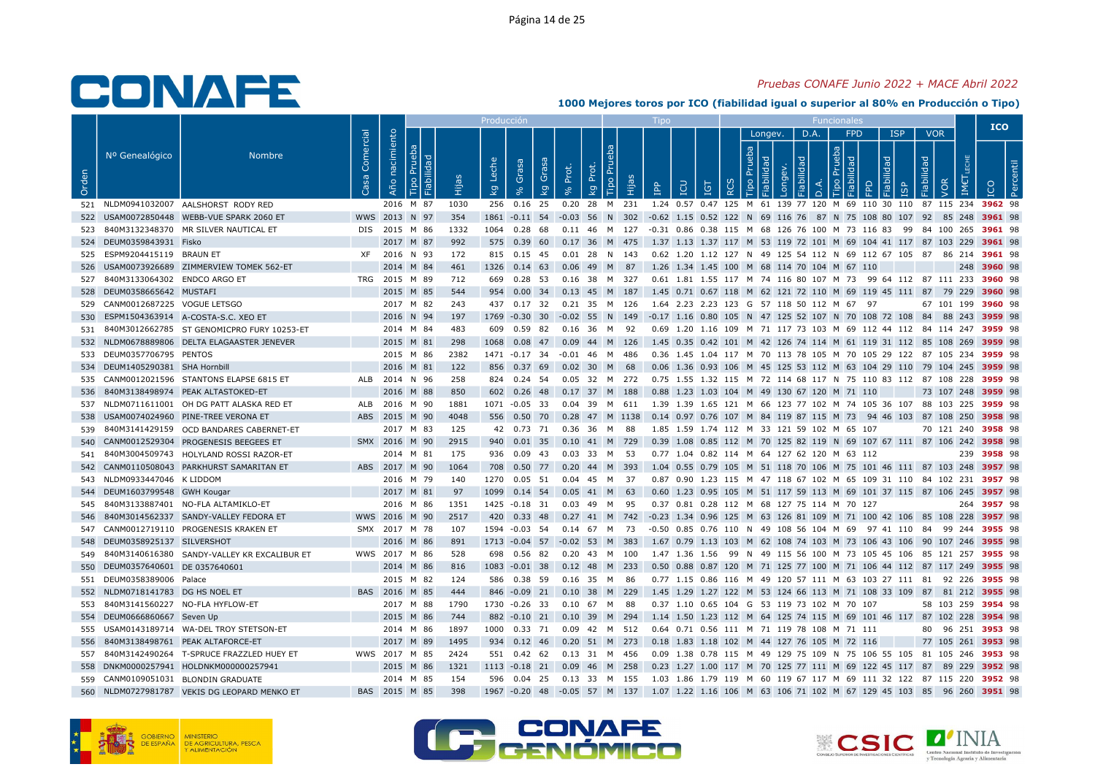### Pruebas CONAFE Junio 2022 + MACE Abril 2022

|       |                                  |                                                 |                         |                |          | Producció                                   |                      |                                |      |                                                                                                    |                 |                   |         |                |                                   |                     |            |                    | <b>ICO</b>  |
|-------|----------------------------------|-------------------------------------------------|-------------------------|----------------|----------|---------------------------------------------|----------------------|--------------------------------|------|----------------------------------------------------------------------------------------------------|-----------------|-------------------|---------|----------------|-----------------------------------|---------------------|------------|--------------------|-------------|
| Orden | Nº Genealógico                   | <b>Nombre</b>                                   | Comercial<br><b>S</b> a | Año nacimiento | 곧<br>ЕÎН | Leche<br>Grasa<br>$\overline{\mathsf{k}}$ g | Grasa<br>Prot.<br>kg | <b>Tipo Pru</b><br>Prot.<br>kg | ia   | <b>CD</b><br>$\mathbf{P}^{\mathbf{p}}$                                                             | IGT<br>$\alpha$ | Prueba<br>$\circ$ | Longev. | D.A.<br>õ<br>≏ | <b>FPD</b><br>deb<br>ᅙ<br>$\circ$ | <b>ISP</b><br>lidad | Fiabilidad | <b>VOR</b><br>VOR  |             |
|       |                                  | 521 NLDM0941032007 AALSHORST RODY RED           |                         | 2016 M 87      | 1030     | 256 0.16 25                                 |                      | 0.20 28 M 231                  |      | 1.24 0.57 0.47 125 M 61 139 77 120 M 69 110 30 110 87 115 234 3962 98                              |                 |                   |         |                |                                   |                     |            |                    |             |
|       |                                  | 522 USAM0072850448 WEBB-VUE SPARK 2060 ET       |                         | WWS 2013 N 97  | 354      |                                             |                      |                                |      | 1861 -0.11 54 -0.03 56 N 302 -0.62 1.15 0.52 122 N 69 116 76 87 N 75 108 80 107 92 85 248 3961 98  |                 |                   |         |                |                                   |                     |            |                    |             |
|       |                                  | 523 840M3132348370 MR SILVER NAUTICAL ET        |                         | DIS 2015 M 86  | 1332     |                                             |                      |                                |      | 1064 0.28 68 0.11 46 M 127 -0.31 0.86 0.38 115 M 68 126 76 100 M 73 116 83 99 84 100 265 3961 98   |                 |                   |         |                |                                   |                     |            |                    |             |
|       | 524 DEUM0359843931 Fisko         |                                                 |                         | 2017 M 87      | 992      |                                             |                      |                                |      | 575 0.39 60 0.17 36 M 475 1.37 1.13 1.37 117 M 53 119 72 101 M 69 104 41 117 87 103 229 3961 98    |                 |                   |         |                |                                   |                     |            |                    |             |
|       | 525 ESPM9204415119 BRAUN ET      |                                                 |                         | XF 2016 N 93   | 172      | 815 0.15 45                                 |                      | 0.01 28 N 143                  |      | 0.62 1.20 1.12 127 N 49 125 54 112 N 69 112 67 105 87 86 214 3961 98                               |                 |                   |         |                |                                   |                     |            |                    |             |
|       |                                  | 526 USAM0073926689 ZIMMERVIEW TOMEK 562-ET      |                         | 2014 M 84      | 461      | 1326  0.14  63  0.06  49  M  87             |                      |                                |      | 1.26 1.34 1.45 100 M 68 114 70 104 M 67 110                                                        |                 |                   |         |                |                                   |                     |            |                    | 248 3960 98 |
|       | 527 840M3133064302 ENDCO ARGO ET |                                                 |                         | TRG 2015 M 89  | 712      | 669  0.28  53  0.16  38  M  327             |                      |                                |      | 0.61 1.81 1.55 117 M 74 116 80 107 M 73 99 64 112 87 111 233 3960 98                               |                 |                   |         |                |                                   |                     |            |                    |             |
|       | 528 DEUM0358665642 MUSTAFI       |                                                 |                         | 2015 M 85      | 544      | 954 0.00 34 0.13 45 M 187                   |                      |                                |      | 1.45 0.71 0.67 118 M 62 121 72 110 M 69 119 45 111 87 79 229 <b>3960</b> 98                        |                 |                   |         |                |                                   |                     |            |                    |             |
|       | 529 CANM0012687225 VOGUE LETSGO  |                                                 |                         | 2017 M 82      | 243      | 437  0.17  32  0.21  35  M  126             |                      |                                |      | 1.64 2.23 2.23 123 G 57 118 50 112 M 67 97                                                         |                 |                   |         |                |                                   |                     |            | 67 101 199 3960 98 |             |
| 530   |                                  | ESPM1504363914 A-COSTA-S.C. XEO ET              |                         | 2016 N 94      | 197      |                                             |                      |                                |      | 1769 -0.30 30 -0.02 55 N 149 -0.17 1.16 0.80 105 N 47 125 52 107 N 70 108 72 108 84 88 243 3959 98 |                 |                   |         |                |                                   |                     |            |                    |             |
|       |                                  | 531 840M3012662785 ST GENOMICPRO FURY 10253-ET  |                         | 2014 M 84      | 483      | 609  0.59  82                               |                      | 0.16 36 M 92                   |      | 0.69 1.20 1.16 109 M 71 117 73 103 M 69 112 44 112 84 114 247 <b>3959</b> 98                       |                 |                   |         |                |                                   |                     |            |                    |             |
|       |                                  | 532 NLDM0678889806 DELTA ELAGAASTER JENEVER     |                         | 2015 M 81      | 298      | 1068  0.08  47  0.09  44  M  126            |                      |                                |      | 1.45 0.35 0.42 101 M 42 126 74 114 M 61 119 31 112 85 108 269 3959 98                              |                 |                   |         |                |                                   |                     |            |                    |             |
|       | 533 DEUM0357706795 PENTOS        |                                                 |                         | 2015 M 86      | 2382     | 1471 -0.17 34                               |                      | $-0.01$ 46 M 486               |      | 0.36 1.45 1.04 117 M 70 113 78 105 M 70 105 29 122 87 105 234 <b>3959</b> 98                       |                 |                   |         |                |                                   |                     |            |                    |             |
|       | 534 DEUM1405290381 SHA Hornbill  |                                                 |                         | 2016 M 81      | 122      | 856 0.37 69 0.02 30 M 68                    |                      |                                |      | 0.06 1.36 0.93 106 M 45 125 53 112 M 63 104 29 110 79 104 245 3959 98                              |                 |                   |         |                |                                   |                     |            |                    |             |
|       |                                  | 535 CANM0012021596 STANTONS ELAPSE 6815 ET      |                         | ALB 2014 N 96  | 258      | 824 0.24 54                                 |                      | 0.05 32 M 272                  |      | 0.75 1.55 1.32 115 M 72 114 68 117 N 75 110 83 112 87 108 228 3959 98                              |                 |                   |         |                |                                   |                     |            |                    |             |
|       |                                  | 536 840M3138498974 PEAK ALTASTOKED-ET           |                         | 2016 M 88      | 850      | 602 0.26 48 0.17 37 M 188                   |                      |                                |      | 0.88 1.23 1.03 104 M 49 130 67 120 M 71 110                                                        |                 |                   |         |                |                                   |                     |            | 73 107 248 3959 98 |             |
|       |                                  | 537 NLDM0711611001 OH DG PATT ALASKA RED ET     |                         | ALB 2016 M 90  | 1881     | 1071 -0.05 33 0.04 39 M 611                 |                      |                                |      | 1.39 1.39 1.65 121 M 66 123 77 102 M 74 105 36 107 88 103 225 <b>3959</b> 98                       |                 |                   |         |                |                                   |                     |            |                    |             |
|       |                                  | 538 USAM0074024960 PINE-TREE VERONA ET          |                         | ABS 2015 M 90  | 4048     | 556  0.50  70  0.28  47  M  1138            |                      |                                |      | 0.14 0.97 0.76 107 M 84 119 87 115 M 73 94 46 103 87 108 250 3958 98                               |                 |                   |         |                |                                   |                     |            |                    |             |
|       |                                  | 539 840M3141429159 OCD BANDARES CABERNET-ET     |                         | 2017 M 83      | 125      | 42 0.73 71 0.36 36 M 88                     |                      |                                |      | 1.85 1.59 1.74 112 M 33 121 59 102 M 65 107                                                        |                 |                   |         |                |                                   |                     |            | 70 121 240 3958 98 |             |
|       |                                  | 540 CANM0012529304 PROGENESIS BEEGEES ET        |                         | SMX 2016 M 90  | 2915     | 940 0.01 35                                 |                      | 0.10 41 M 729                  |      | 0.39 1.08 0.85 112 M 70 125 82 119 N 69 107 67 111 87 106 242 3958 98                              |                 |                   |         |                |                                   |                     |            |                    |             |
|       |                                  | 541 840M3004509743 HOLYLAND ROSSI RAZOR-ET      |                         | 2014 M 81      | 175      | 936  0.09  43  0.03  33  M  53              |                      |                                |      | 0.77 1.04 0.82 114 M 64 127 62 120 M 63 112                                                        |                 |                   |         |                |                                   |                     |            |                    | 239 3958 98 |
|       |                                  | 542 CANM0110508043 PARKHURST SAMARITAN ET       |                         | ABS 2017 M 90  | 1064     | 708  0.50  77  0.20  44  M  393             |                      |                                |      | 1.04 0.55 0.79 105 M 51 118 70 106 M 75 101 46 111 87 103 248 3957 98                              |                 |                   |         |                |                                   |                     |            |                    |             |
|       | 543 NLDM0933447046 K LIDDOM      |                                                 |                         | 2016 M 79      | 140      | 1270 0.05 51                                |                      | 0.04 45 M                      | 37   | 0.87 0.90 1.23 115 M 47 118 67 102 M 65 109 31 110 84 102 231 3957 98                              |                 |                   |         |                |                                   |                     |            |                    |             |
|       | 544 DEUM1603799548 GWH Kougar    |                                                 |                         | 2017 M 81      | 97       | 1099  0.14  54  0.05  41  M  63             |                      |                                |      | 0.60 1.23 0.95 105 M 51 117 59 113 M 69 101 37 115 87 106 245 3957 98                              |                 |                   |         |                |                                   |                     |            |                    |             |
|       |                                  | 545 840M3133887401 NO-FLA ALTAMIKLO-ET          |                         | 2016 M 86      | 1351     | 1425 -0.18 31                               |                      | 0.03 49 M 95                   |      | 0.37 0.81 0.28 112 M 68 127 75 114 M 70 127                                                        |                 |                   |         |                |                                   |                     |            |                    | 264 3957 98 |
|       |                                  | 546 840M3014562337 SANDY-VALLEY FEDORA ET       |                         | WWS 2016 M 90  | 2517     |                                             |                      |                                |      | 420 0.33 48 0.27 41 M 742 -0.23 1.34 0.96 125 M 63 126 81 109 M 71 100 42 106 85 108 228 3957 98   |                 |                   |         |                |                                   |                     |            |                    |             |
|       |                                  | 547 CANM0012719110 PROGENESIS KRAKEN ET         |                         | SMX 2017 M 78  | 107      | 1594 -0.03 54                               |                      | 0.14 67 M 73                   |      | -0.50 0.85 0.76 110 N 49 108 56 104 M 69 97 41 110 84 99 244 <b>3955</b> 98                        |                 |                   |         |                |                                   |                     |            |                    |             |
|       | 548 DEUM0358925137 SILVERSHOT    |                                                 |                         | 2016 M 86      | 891      | 1713 -0.04 57 -0.02 53 M 383                |                      |                                |      | 1.67 0.79 1.13 103 M 62 108 74 103 M 73 106 43 106 90 107 246 3955 98                              |                 |                   |         |                |                                   |                     |            |                    |             |
|       |                                  | 549 840M3140616380 SANDY-VALLEY KR EXCALIBUR ET |                         | WWS 2017 M 86  | 528      | 698  0.56  82                               |                      | 0.20  43  M  100               |      | 1.47 1.36 1.56 99 N 49 115 56 100 M 73 105 45 106 85 121 257 <b>3955</b> 98                        |                 |                   |         |                |                                   |                     |            |                    |             |
|       | 550 DEUM0357640601 DE 0357640601 |                                                 |                         | 2014 M 86      | 816      | 1083 -0.01 38                               |                      | $0.12$ 48 M 233                |      | 0.50 0.88 0.87 120 M 71 125 77 100 M 71 106 44 112 87 117 249 3955 98                              |                 |                   |         |                |                                   |                     |            |                    |             |
|       | 551 DEUM0358389006 Palace        |                                                 |                         | 2015 M 82      | 124      | 586 0.38 59                                 |                      | 0.16 35 M                      | - 86 | 0.77 1.15 0.86 116 M 49 120 57 111 M 63 103 27 111 81 92 226 <b>3955</b> 98                        |                 |                   |         |                |                                   |                     |            |                    |             |
|       | 552 NLDM0718141783 DG HS NOEL ET |                                                 |                         | BAS 2016 M 85  | 444      | 846 -0.09 21 0.10 38 M 229                  |                      |                                |      | 1.45 1.29 1.27 122 M 53 124 66 113 M 71 108 33 109 87 81 212 3955 98                               |                 |                   |         |                |                                   |                     |            |                    |             |
|       |                                  | 553 840M3141560227 NO-FLA HYFLOW-ET             |                         | 2017 M 88      | 1790     | 1730 -0.26 33                               |                      | 0.10 67 M                      | 88   | 0.37 1.10 0.65 104 G 53 119 73 102 M 70 107                                                        |                 |                   |         |                |                                   |                     |            | 58 103 259 3954 98 |             |
|       | 554 DEUM0666860667 Seven Up      |                                                 |                         | 2015 M 86      | 744      |                                             |                      |                                |      | 882 -0.10 21 0.10 39 M 294 1.14 1.50 1.23 112 M 64 125 74 115 M 69 101 46 117 87 102 228 3954 98   |                 |                   |         |                |                                   |                     |            |                    |             |
|       |                                  | 555 USAM0143189714 WA-DEL TROY STETSON-ET       |                         | 2014 M 86      | 1897     | 1000 0.33 71                                |                      | 0.09  42  M  512               |      | 0.64 0.71 0.56 111 M 71 119 78 108 M 71 111                                                        |                 |                   |         |                |                                   |                     |            | 80 96 251 3953 98  |             |
|       |                                  | 556 840M3138498761 PEAK ALTAFORCE-ET            |                         | 2017 M 89      | 1495     | 934 0.12 46 0.20 51 M 273                   |                      |                                |      | 0.18 1.83 1.18 102 M 44 127 76 105 M 72 116                                                        |                 |                   |         |                |                                   |                     |            | 77 105 261 3953 98 |             |
|       |                                  | 557 840M3142490264 T-SPRUCE FRAZZLED HUEY ET    |                         | WWS 2017 M 85  | 2424     | 551 0.42 62                                 |                      | 0.13 31 M 456                  |      | 0.09 1.38 0.78 115 M 49 129 75 109 N 75 106 55 105 81 105 246 3953 98                              |                 |                   |         |                |                                   |                     |            |                    |             |
|       |                                  | 558 DNKM0000257941 HOLDNKM000000257941          |                         | 2015 M 86      | 1321     | 1113 -0.18 21                               |                      | 0.09 46 M 258                  |      | 0.23 1.27 1.00 117 M 70 125 77 111 M 69 122 45 117 87 89 229 3952 98                               |                 |                   |         |                |                                   |                     |            |                    |             |
|       |                                  | 559 CANM0109051031 BLONDIN GRADUATE             |                         | 2014 M 85      | 154      | 596  0.04  25  0.13  33  M  155             |                      |                                |      | 1.03 1.86 1.79 119 M 60 119 67 117 M 69 111 32 122 87 115 220 <b>3952</b> 98                       |                 |                   |         |                |                                   |                     |            |                    |             |
|       |                                  | 560 NLDM0727981787 VEKIS DG LEOPARD MENKO ET    |                         | BAS 2015 M 85  | 398      |                                             |                      |                                |      | 1967 -0.20 48 -0.05 57 M 137 1.07 1.22 1.16 106 M 63 106 71 102 M 67 129 45 103 85 96 260 3951 98  |                 |                   |         |                |                                   |                     |            |                    |             |





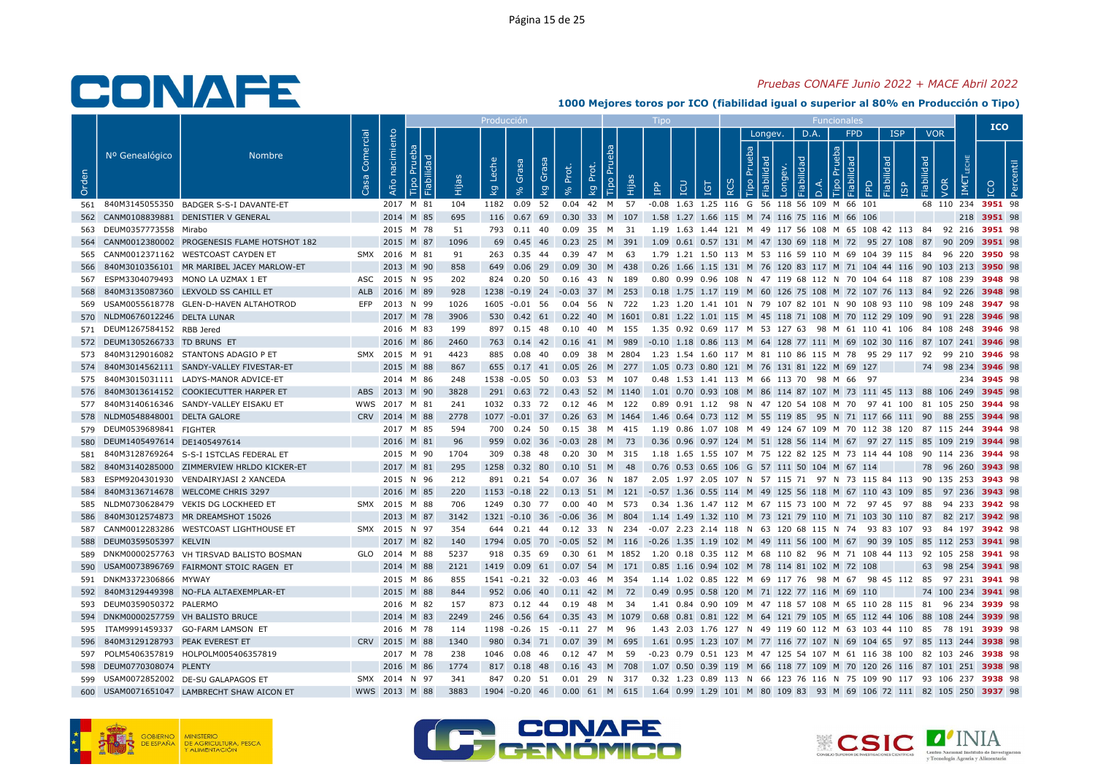### Pruebas CONAFE Junio 2022 + MACE Abril 2022

|       |                                     |                                                 |           |                |           |             | Producció                          |                                            |       |                                |      |                                                                                                                                                                       |     |                               |              |             |                     |                 |                     |                          |                    | <b>ICO</b>  |  |
|-------|-------------------------------------|-------------------------------------------------|-----------|----------------|-----------|-------------|------------------------------------|--------------------------------------------|-------|--------------------------------|------|-----------------------------------------------------------------------------------------------------------------------------------------------------------------------|-----|-------------------------------|--------------|-------------|---------------------|-----------------|---------------------|--------------------------|--------------------|-------------|--|
| Orden | Nº Genealógico                      | <b>Nombre</b>                                   | Comercial | Año nacimiento | 곧         | ËЩ          | Leche<br>$\overline{\mathsf{k}}$ g | Grasa<br>Grasa<br>kg                       | Prot. | <b>Tipo Pru</b><br>Prot.<br>kg | ia   | <b>POI</b><br>$\mathbf{P}^{\mathbf{p}}$                                                                                                                               | IGT | Prueba<br>$\circ$<br>$\alpha$ | Longev.<br>₫ | D.A.<br>bep | deb<br>$\circ$<br>≏ | <b>FPD</b><br>፶ | <b>ISP</b><br>lidad | <b>VOR</b><br>Fiabilidad | VOR<br>IME         |             |  |
|       |                                     | 561 840M3145055350 BADGER S-S-I DAVANTE-ET      |           |                | 2017 M 81 | 104         |                                    | 1182  0.09  52                             |       | 0.04 42 M 57                   |      | -0.08 1.63 1.25 116 G 56 118 56 109 M 66 101                                                                                                                          |     |                               |              |             |                     |                 |                     |                          | 68 110 234 3951 98 |             |  |
|       |                                     | 562 CANM0108839881 DENISTIER V GENERAL          |           |                | 2014 M 85 | 695         |                                    |                                            |       |                                |      | 116 0.67 69 0.30 33 M 107 1.58 1.27 1.66 115 M 74 116 75 116 M 66 106                                                                                                 |     |                               |              |             |                     |                 |                     |                          |                    | 218 3951 98 |  |
|       | 563 DEUM0357773558 Mirabo           |                                                 |           |                | 2015 M 78 | 51          |                                    | 793  0.11  40  0.09  35  M  31             |       |                                |      | 1.19 1.63 1.44 121 M 49 117 56 108 M 65 108 42 113 84 92 216 <b>3951</b> 98                                                                                           |     |                               |              |             |                     |                 |                     |                          |                    |             |  |
|       |                                     | 564 CANM0012380002 PROGENESIS FLAME HOTSHOT 182 |           |                | 2015 M 87 | 1096        |                                    |                                            |       |                                |      | 69 0.45 46 0.23 25 M 391 1.09 0.61 0.57 131 M 47 130 69 118 M 72 95 27 108 87 90 209 3951 98                                                                          |     |                               |              |             |                     |                 |                     |                          |                    |             |  |
|       |                                     | 565 CANM0012371162 WESTCOAST CAYDEN ET          |           | SMX 2016 M 81  |           | 91          |                                    | 263 0.35 44                                |       | 0.39  47  M  63                |      | 1.79  1.21  1.50  113  M  53  116  59  110  M  69  104  39  115  84  96  220 <b>3950</b> 98                                                                           |     |                               |              |             |                     |                 |                     |                          |                    |             |  |
| 566   |                                     | 840M3010356101 MR MARIBEL JACEY MARLOW-ET       |           |                | 2013 M 90 | 858         |                                    | 649  0.06  29  0.09  30  M  438            |       |                                |      | 0.26 1.66 1.15 131 M 76 120 83 117 M 71 104 44 116 90 103 213 3950 98                                                                                                 |     |                               |              |             |                     |                 |                     |                          |                    |             |  |
|       |                                     | 567 ESPM3304079493 MONO LA UZMAX 1 ET           |           | ASC 2015 N 95  |           | 202         |                                    | 824  0.20  50                              |       | 0.16 43 N 189                  |      | 0.80 0.99 0.96 108 N 47 119 68 112 N 70 104 64 118 87 108 239 3948 98                                                                                                 |     |                               |              |             |                     |                 |                     |                          |                    |             |  |
| 568   |                                     | 840M3135087360 LEXVOLD SS CAHILL ET             |           | ALB 2016 M 89  |           | 928         |                                    |                                            |       |                                |      | 1238 -0.19 24 -0.03 37 M 253 0.18 1.75 1.17 119 M 60 126 75 108 M 72 107 76 113 84 92 226 3948 98                                                                     |     |                               |              |             |                     |                 |                     |                          |                    |             |  |
|       |                                     | 569 USAM0055618778 GLEN-D-HAVEN ALTAHOTROD      |           | EFP 2013 N 99  |           | 1026        |                                    | 1605 -0.01 56                              |       | 0.04 56 N 722                  |      | 1.23 1.20 1.41 101 N 79 107 82 101 N 90 108 93 110 98 109 248 <b>3947</b> 98                                                                                          |     |                               |              |             |                     |                 |                     |                          |                    |             |  |
|       | 570 NLDM0676012246 DELTA LUNAR      |                                                 |           |                | 2017 M 78 | 3906        |                                    |                                            |       |                                |      | 530 0.42 61 0.22 40 M 1601 0.81 1.22 1.01 115 M 45 118 71 108 M 70 112 29 109 90 91 228 3946 98                                                                       |     |                               |              |             |                     |                 |                     |                          |                    |             |  |
|       | 571 DEUM1267584152 RBB Jered        |                                                 |           |                | 2016 M 83 | 199         |                                    |                                            |       |                                |      | 897 0.15 48 0.10 40 M 155 1.35 0.92 0.69 117 M 53 127 63 98 M 61 110 41 106 84 108 248 3946 98                                                                        |     |                               |              |             |                     |                 |                     |                          |                    |             |  |
|       | 572 DEUM1305266733 TD BRUNS ET      |                                                 |           |                | 2016 M 86 | 2460        |                                    |                                            |       |                                |      | 763 0.14 42 0.16 41 M 989 -0.10 1.18 0.86 113 M 64 128 77 111 M 69 102 30 116 87 107 241 3946 98                                                                      |     |                               |              |             |                     |                 |                     |                          |                    |             |  |
|       |                                     | 573 840M3129016082 STANTONS ADAGIO P ET         |           | SMX 2015 M 91  |           | 4423        |                                    | 885 0.08 40                                |       |                                |      | 0.09 38 M 2804 1.23 1.54 1.60 117 M 81 110 86 115 M 78 95 29 117 92 99 210 <b>3946</b> 98                                                                             |     |                               |              |             |                     |                 |                     |                          |                    |             |  |
|       |                                     | 574 840M3014562111 SANDY-VALLEY FIVESTAR-ET     |           |                | 2015 M 88 | 867         |                                    |                                            |       |                                |      | 655 0.17 41 0.05 26 M 277 1.05 0.73 0.80 121 M 76 131 81 122 M 69 127                                                                                                 |     |                               |              |             |                     |                 |                     |                          | 74 98 234 3946 98  |             |  |
|       |                                     | 575 840M3015031111 LADYS-MANOR ADVICE-ET        |           |                | 2014 M 86 | 248         |                                    | 1538 -0.05 50                              |       | 0.03 53 M 107                  |      | 0.48 1.53 1.41 113 M 66 113 70 98 M 66 97                                                                                                                             |     |                               |              |             |                     |                 |                     |                          |                    | 234 3945 98 |  |
|       |                                     | 576 840M3013614152 COOKIECUTTER HARPER ET       |           | ABS 2013 M 90  |           | 3828        |                                    |                                            |       |                                |      | 291 0.63 72 0.43 52 M 1140 1.01 0.70 0.93 108 M 86 114 87 107 M 73 111 45 113 88 106 249 3945 98                                                                      |     |                               |              |             |                     |                 |                     |                          |                    |             |  |
|       |                                     | 577 840M3140616346 SANDY-VALLEY EISAKU ET       |           | WWS 2017 M 81  |           | 241         |                                    | 1032  0.33  72  0.12  46  M  122           |       |                                |      | 0.89 0.91 1.12  98 N 47 120 54 108 M 70  97 41 100  81 105 250 <b>3944</b> 98                                                                                         |     |                               |              |             |                     |                 |                     |                          |                    |             |  |
|       | 578 NLDM0548848001 DELTA GALORE     |                                                 |           | CRV 2014 M 88  |           | 2778        |                                    |                                            |       |                                |      | 1077 -0.01 37 0.26 63 M 1464 1.46 0.64 0.73 112 M 55 119 85 95 N 71 117 66 111 90 88 255 3944 98                                                                      |     |                               |              |             |                     |                 |                     |                          |                    |             |  |
|       | 579 DEUM0539689841 FIGHTER          |                                                 |           |                | 2017 M 85 | 594         |                                    |                                            |       |                                |      | 700 0.24 50 0.15 38 M 415 1.19 0.86 1.07 108 M 49 124 67 109 M 70 112 38 120 87 115 244 3944 98                                                                       |     |                               |              |             |                     |                 |                     |                          |                    |             |  |
|       | 580 DEUM1405497614 DE1405497614     |                                                 |           | 2016 M 81      |           | 96          |                                    | 959 0.02 36 -0.03 28 M 73                  |       |                                |      | 0.36 0.96 0.97 124 M 51 128 56 114 M 67 97 27 115 85 109 219 3944 98                                                                                                  |     |                               |              |             |                     |                 |                     |                          |                    |             |  |
|       |                                     | 581 840M3128769264 S-S-I 1STCLAS FEDERAL ET     |           |                | 2015 M 90 | 1704        |                                    |                                            |       |                                |      | 309  0.38  48  0.20  30  M  315  1.18  1.65  1.55  107  M  75  122  82  125  M  73  114  44  108  90  114  236  3944  98                                              |     |                               |              |             |                     |                 |                     |                          |                    |             |  |
| 582   |                                     | 840M3140285000 ZIMMERVIEW HRLDO KICKER-ET       |           |                | 2017 M 81 | 295         |                                    | 1258  0.32  80  0.10  51  M  48            |       |                                |      | 0.76 0.53 0.65 106 G 57 111 50 104 M 67 114                                                                                                                           |     |                               |              |             |                     |                 |                     |                          | 78 96 260 3943 98  |             |  |
| 583   |                                     | ESPM9204301930 VENDAIRYJASI 2 XANCEDA           |           |                | 2015 N 96 | 212         |                                    | 891 0.21 54                                |       | 0.07 36 N 187                  |      | 2.05 1.97 2.05 107 N 57 115 71 97 N 73 115 84 113 90 135 253 3943 98                                                                                                  |     |                               |              |             |                     |                 |                     |                          |                    |             |  |
| 584   |                                     | 840M3136714678 WELCOME CHRIS 3297               |           |                | 2016 M 85 | 220         |                                    |                                            |       |                                |      | 1153 -0.18 22 0.13 51 M 121 -0.57 1.36 0.55 114 M 49 125 56 118 M 67 110 43 109 85 97 236 3943 98                                                                     |     |                               |              |             |                     |                 |                     |                          |                    |             |  |
|       |                                     | 585 NLDM0730628479 VEKIS DG LOCKHEED ET         |           | SMX 2015 M 88  |           | 706         |                                    | 1249  0.30  77  0.00  40  M  573           |       |                                |      | 0.34 1.36 1.47 112 M 67 115 73 100 M 72 97 45 97 88                                                                                                                   |     |                               |              |             |                     |                 |                     |                          | 94 233 3942 98     |             |  |
| 586   |                                     | 840M3012574873 MR DREAMSHOT 15026               |           |                | 2013 M 87 | 3142        |                                    |                                            |       |                                |      | 1321 -0.10 36 -0.06 36 M 804 1.14 1.49 1.32 110 M 73 121 79 110 M 71 103 30 110 87 82 217 3942 98                                                                     |     |                               |              |             |                     |                 |                     |                          |                    |             |  |
|       |                                     | 587 CANM0012283286 WESTCOAST LIGHTHOUSE ET      |           | SMX 2015 N 97  |           | 354         |                                    |                                            |       |                                |      | 644 0.21 44 0.12 33 N 234 -0.07 2.23 2.14 118 N 63 120 68 115 N 74 93 83 107 93 84 197 3942 98                                                                        |     |                               |              |             |                     |                 |                     |                          |                    |             |  |
|       | 588 DEUM0359505397 KELVIN           |                                                 |           |                | 2017 M 82 | 140         |                                    |                                            |       |                                |      | 1794 0.05 70 -0.05 52 M 116 -0.26 1.35 1.19 102 M 49 111 56 100 M 67 90 39 105 85 112 253 3941 98                                                                     |     |                               |              |             |                     |                 |                     |                          |                    |             |  |
|       |                                     | 589 DNKM0000257763 VH TIRSVAD BALISTO BOSMAN    |           | GLO 2014 M 88  |           | 5237        |                                    |                                            |       |                                |      | 918  0.35  69  0.30  61  M  1852  1.20  0.18  0.35  112  M  68  110  82  96  M  71  108  44  113  92  105  258  3941  98                                              |     |                               |              |             |                     |                 |                     |                          |                    |             |  |
|       |                                     | 590 USAM0073896769 FAIRMONT STOIC RAGEN ET      |           |                | 2014 M 88 | 2121        |                                    | 1419  0.09  61                             |       |                                |      | 0.07 54 M 171 0.85 1.16 0.94 102 M 78 114 81 102 M 72 108                                                                                                             |     |                               |              |             |                     |                 |                     |                          | 63 98 254 3941 98  |             |  |
|       | 591 DNKM3372306866 MYWAY            |                                                 |           |                | 2015 M 86 | 855         |                                    | 1541 -0.21 32                              |       |                                |      | 1.14 1.02 0.85 122 M 69 117 76 98 M 67 98 45 112 85 97 231 <b>3941</b> 98                                                                                             |     |                               |              |             |                     |                 |                     |                          |                    |             |  |
|       |                                     | 592 840M3129449398 NO-FLA ALTAEXEMPLAR-ET       |           |                | 2015 M 88 | 844         |                                    | 952 0.06 40 0.11 42 M 72                   |       |                                |      | 0.49 0.95 0.58 120 M 71 122 77 116 M 69 110                                                                                                                           |     |                               |              |             |                     |                 |                     |                          | 74 100 234 3941 98 |             |  |
|       | 593 DEUM0359050372 PALERMO          |                                                 |           |                | 2016 M 82 | 157         |                                    | 873 0.12 44                                |       | 0.19 48 M 34                   |      | 1.41 0.84 0.90 109 M 47 118 57 108 M 65 110 28 115 81 96 234 3939 98                                                                                                  |     |                               |              |             |                     |                 |                     |                          |                    |             |  |
|       | 594 DNKM0000257759 VH BALISTO BRUCE |                                                 |           |                | 2014 M 83 | 2249        |                                    |                                            |       |                                |      | 246 0.56 64 0.35 43 M 1079 0.68 0.81 0.81 122 M 64 121 79 105 M 65 112 44 106 88 108 244 3939 98                                                                      |     |                               |              |             |                     |                 |                     |                          |                    |             |  |
|       | 596 840M3129128793 PEAK EVEREST ET  | 595 ITAM9991459337 GO-FARM LAMSON ET            |           | CRV 2015 M 88  | 2016 M 78 | 114<br>1340 |                                    | 1198 -0.26 15<br>980 0.34 71 0.07 39 M 695 |       | -0.11 27 M                     | - 96 | 1.43  2.03  1.76  127  N  49  119  60  112  M  63  103  44  110  85  78  191  3939  98<br>1.61 0.95 1.23 107 M 77 116 77 107 N 69 104 65 97 85 113 244 <b>3938</b> 98 |     |                               |              |             |                     |                 |                     |                          |                    |             |  |
|       |                                     | 597 POLM5406357819 HOLPOLM005406357819          |           |                | 2017 M 78 | 238         |                                    | 1046  0.08  46                             |       | 0.12    47    M    59          |      | -0.23 0.79 0.51 123 M 47 125 54 107 M 61 116 38 100 82 103 246 3938 98                                                                                                |     |                               |              |             |                     |                 |                     |                          |                    |             |  |
|       | 598 DEUM0770308074 PLENTY           |                                                 |           |                | 2016 M 86 | 1774        |                                    | 817 0.18 48                                |       | 0.16 43 M 708                  |      | 1.07  0.50  0.39  119  M  66  118  77  109  M  70  120  26  116  87  101  251  3938  98                                                                               |     |                               |              |             |                     |                 |                     |                          |                    |             |  |
|       |                                     | 599 USAM0072852002 DE-SU GALAPAGOS ET           |           | SMX 2014 N 97  |           | 341         |                                    | 847 0.20 51                                |       | 0.01 29 N 317                  |      | 0.32 1.23 0.89 113 N 66 123 76 116 N 75 109 90 117 93 106 237 <b>3938</b> 98                                                                                          |     |                               |              |             |                     |                 |                     |                          |                    |             |  |
|       |                                     | 600 USAM0071651047 LAMBRECHT SHAW AICON ET      |           | WWS 2013 M 88  |           | 3883        |                                    |                                            |       |                                |      | 1904 -0.20 46 0.00 61 M 615 1.64 0.99 1.29 101 M 80 109 83 93 M 69 106 72 111 82 105 250 3937 98                                                                      |     |                               |              |             |                     |                 |                     |                          |                    |             |  |
|       |                                     |                                                 |           |                |           |             |                                    |                                            |       |                                |      |                                                                                                                                                                       |     |                               |              |             |                     |                 |                     |                          |                    |             |  |





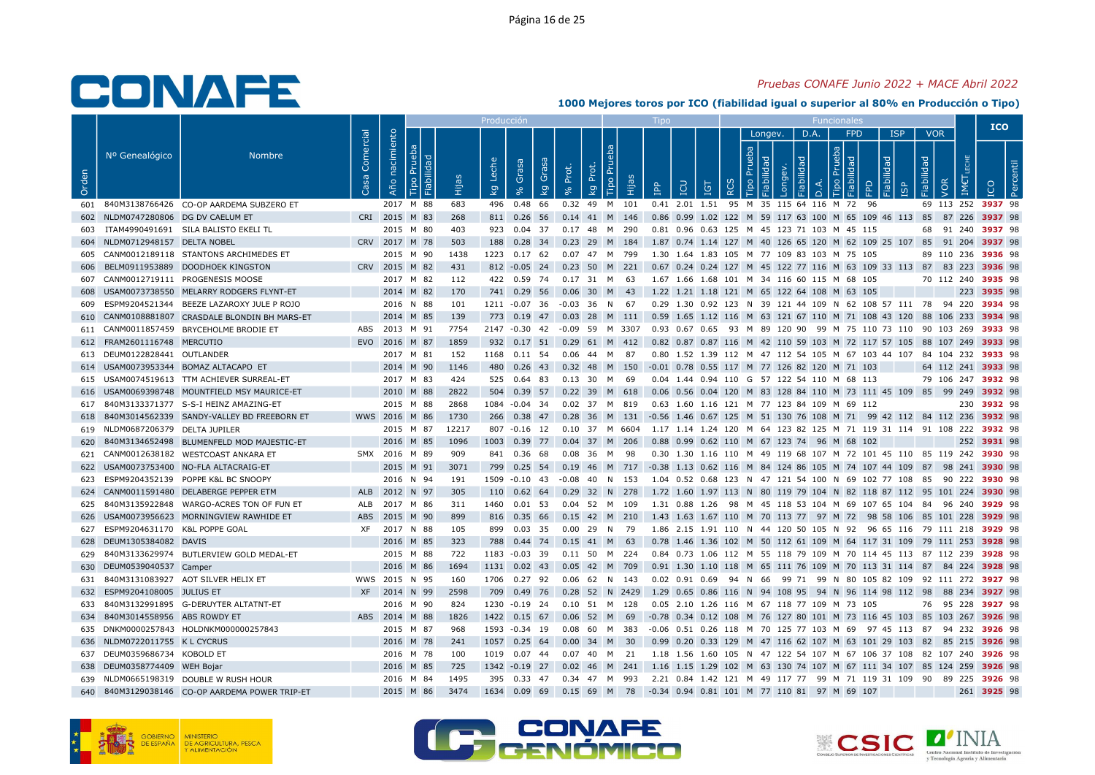## Pruebas CONAFE Junio 2022 + MACE Abril 2022

|       |                                   |                                                |                   |                   |           |       | Producció                          |                                 |           |                                                                                                   |              |                                                                                             |          |                              |                         |                |                                                     |                          |                 |                    |     | <b>ICO</b>         |  |
|-------|-----------------------------------|------------------------------------------------|-------------------|-------------------|-----------|-------|------------------------------------|---------------------------------|-----------|---------------------------------------------------------------------------------------------------|--------------|---------------------------------------------------------------------------------------------|----------|------------------------------|-------------------------|----------------|-----------------------------------------------------|--------------------------|-----------------|--------------------|-----|--------------------|--|
| Orden | Nº Genealógico                    | <b>Nombre</b>                                  | Comercial<br>Casa | nacimiento<br>Año | ಾ<br>- 그  | Êщ    | Leche<br>$\overline{\mathsf{k}}$ g | Grasa<br>Grai<br>$\overline{k}$ | Prot.     | Tipo Pru<br>đ<br>ᅌ<br>Нijа<br>kg                                                                  | $\mathbf{f}$ | LCU<br><b>IGT</b>                                                                           | $\alpha$ | Longev.<br>Prueba<br>$\circ$ | õ<br>$\bar{\mathbf{Q}}$ | D.A.<br>$\Box$ | <b>FPD</b><br>deu<br>$\mathbb{R}$<br>$\overline{5}$ | <b>ISP</b><br>lidad<br>≏ | idad<br>Fiabili | <b>VOR</b><br>VOR. | IM€ |                    |  |
| 601   |                                   | 840M3138766426 CO-OP AARDEMA SUBZERO ET        |                   |                   | 2017 M 88 | 683   |                                    | 496 0.48 66                     |           | 0.32 49 M 101                                                                                     |              | 0.41 2.01 1.51 95 M 35 115 64 116 M 72 96                                                   |          |                              |                         |                |                                                     |                          |                 |                    |     | 69 113 252 3937 98 |  |
| 602   | NLDM0747280806 DG DV CAELUM ET    |                                                |                   | CRI 2015 M 83     |           | 268   |                                    | 811 0.26 56                     |           | 0.14 41 M 146                                                                                     |              | 0.86 0.99 1.02 122 M 59 117 63 100 M 65 109 46 113 85 87 226 3937 98                        |          |                              |                         |                |                                                     |                          |                 |                    |     |                    |  |
|       |                                   | ITAM4990491691 SILA BALISTO EKELI TL           |                   |                   | 2015 M 80 | 403   |                                    |                                 |           | 923  0.04  37  0.17  48  M  290                                                                   |              | 0.81  0.96  0.63  125  M  45  123  71  103  M  45  115                                      |          |                              |                         |                |                                                     |                          |                 |                    |     | 68 91 240 3937 98  |  |
| 604   | NLDM0712948157 DELTA NOBEL        |                                                |                   | CRV 2017 M 78     |           | 503   |                                    | 188 0.28 34                     |           | 0.23 29 M 184                                                                                     |              | 1.87 0.74 1.14 127 M 40 126 65 120 M 62 109 25 107 85 91 204 3937 98                        |          |                              |                         |                |                                                     |                          |                 |                    |     |                    |  |
| 605   |                                   | CANM0012189118 STANTONS ARCHIMEDES ET          |                   |                   | 2015 M 90 | 1438  |                                    | 1223 0.17 62                    |           | 0.07 47 M 799                                                                                     |              | 1.30 1.64 1.83 105 M 77 109 83 103 M 75 105                                                 |          |                              |                         |                |                                                     |                          |                 |                    |     | 89 110 236 3936 98 |  |
| 606   |                                   | BELM0911953889 DOODHOEK KINGSTON               |                   | CRV 2015 M 82     |           | 431   |                                    |                                 |           | 812 -0.05 24 0.23 50 M 221                                                                        |              | 0.67 0.24 0.24 127 M 45 122 77 116 M 63 109 33 113 87 83 223 3936 98                        |          |                              |                         |                |                                                     |                          |                 |                    |     |                    |  |
| 607   |                                   | CANM0012719111 PROGENESIS MOOSE                |                   |                   | 2017 M 82 | 112   |                                    |                                 |           | 422 0.59 74 0.17 31 M 63                                                                          |              | 1.67 1.66 1.68 101 M 34 116 60 115 M 68 105                                                 |          |                              |                         |                |                                                     |                          |                 |                    |     | 70 112 240 3935 98 |  |
| 608   |                                   | USAM0073738550 MELARRY RODGERS FLYNT-ET        |                   |                   | 2014 M 82 | 170   |                                    |                                 |           | 741 0.29 56 0.06 30 M 43                                                                          |              | 1.22 1.21 1.18 121 M 65 122 64 108 M 63 105                                                 |          |                              |                         |                |                                                     |                          |                 |                    |     | 223 3935 98        |  |
| 609   |                                   | ESPM9204521344 BEEZE LAZAROXY JULE P ROJO      |                   |                   | 2016 N 88 | 101   |                                    | 1211 -0.07 36                   |           | -0.03 36 N 67                                                                                     |              | 0.29 1.30 0.92 123 N 39 121 44 109 N 62 108 57 111 78 94 220 3934 98                        |          |                              |                         |                |                                                     |                          |                 |                    |     |                    |  |
| 610   |                                   | CANM0108881807 CRASDALE BLONDIN BH MARS-ET     |                   |                   | 2014 M 85 | 139   |                                    | 773 0.19 47                     |           | 0.03 28 M 111 0.59 1.65 1.12 116 M 63 121 67 110 M 71 108 43 120 88 106 233 3934 98               |              |                                                                                             |          |                              |                         |                |                                                     |                          |                 |                    |     |                    |  |
|       |                                   | 611 CANM0011857459 BRYCEHOLME BRODIE ET        |                   | ABS 2013 M 91     |           | 7754  |                                    |                                 |           | 2147 -0.30 42 -0.09 59 M 3307                                                                     |              | 0.93  0.67  0.65  93  M  89  120  90  99  M  75  110  73  110  90  103  269 <b>3933</b> 98  |          |                              |                         |                |                                                     |                          |                 |                    |     |                    |  |
|       | 612 FRAM2601116748 MERCUTIO       |                                                |                   | EVO 2016 M 87     |           | 1859  |                                    |                                 |           | 932 0.17 51 0.29 61 M 412                                                                         |              | 0.82 0.87 0.87 116 M 42 110 59 103 M 72 117 57 105 88 107 249 3933 98                       |          |                              |                         |                |                                                     |                          |                 |                    |     |                    |  |
|       | 613 DEUM0122828441 OUTLANDER      |                                                |                   |                   | 2017 M 81 | 152   |                                    | 1168 0.11 54                    |           | 87<br>0.06 44 M                                                                                   |              | 0.80 1.52 1.39 112 M 47 112 54 105 M 67 103 44 107 84 104 232 3933 98                       |          |                              |                         |                |                                                     |                          |                 |                    |     |                    |  |
|       |                                   | 614 USAM0073953344 BOMAZ ALTACAPO ET           |                   |                   | 2014 M 90 | 1146  |                                    |                                 |           | 480 0.26 43 0.32 48 M 150                                                                         |              | -0.01 0.78 0.55 117 M 77 126 82 120 M 71 103                                                |          |                              |                         |                |                                                     |                          |                 |                    |     | 64 112 241 3933 98 |  |
|       |                                   | 615 USAM0074519613 TTM ACHIEVER SURREAL-ET     |                   |                   | 2017 M 83 | 424   |                                    | 525 0.64 83                     | $0.13$ 30 | - 69<br>M                                                                                         |              | 0.04 1.44 0.94 110 G 57 122 54 110 M 68 113                                                 |          |                              |                         |                |                                                     |                          |                 |                    |     | 79 106 247 3932 98 |  |
|       |                                   | 616 USAM0069398748 MOUNTFIELD MSY MAURICE-ET   |                   |                   | 2010 M 88 | 2822  |                                    |                                 |           | 504 0.39 57 0.22 39 M 618 0.06 0.56 0.04 120 M 83 128 84 110 M 73 111 45 109 85 99 249 3932 98    |              |                                                                                             |          |                              |                         |                |                                                     |                          |                 |                    |     |                    |  |
|       |                                   | 617 840M3133371377 S-S-I HEINZ AMAZING-ET      |                   |                   | 2015 M 88 | 2868  |                                    | 1084 -0.04 34                   |           | 0.02 37 M 819                                                                                     |              | 0.63 1.60 1.16 121 M 77 123 84 109 M 69 112                                                 |          |                              |                         |                |                                                     |                          |                 |                    |     | 230 3932 98        |  |
| 618   |                                   | 840M3014562339 SANDY-VALLEY BD FREEBORN ET     |                   | WWS 2016 M 86     |           | 1730  |                                    |                                 |           | 266 0.38 47 0.28 36 M 131 -0.56 1.46 0.67 125 M 51 130 76 108 M 71 99 42 112 84 112 236 3932 98   |              |                                                                                             |          |                              |                         |                |                                                     |                          |                 |                    |     |                    |  |
|       | 619 NLDM0687206379 DELTA JUPILER  |                                                |                   |                   | 2015 M 87 | 12217 |                                    |                                 |           | 807 -0.16 12 0.10 37 M 6604 1.17 1.14 1.24 120 M 64 123 82 125 M 71 119 31 114 91 108 222 3932 98 |              |                                                                                             |          |                              |                         |                |                                                     |                          |                 |                    |     |                    |  |
| 620   |                                   | 840M3134652498 BLUMENFELD MOD MAJESTIC-ET      |                   |                   | 2016 M 85 | 1096  |                                    | 1003 0.39 77                    |           | 0.04 37 M 206                                                                                     |              | 0.88 0.99 0.62 110 M 67 123 74 96 M 68 102                                                  |          |                              |                         |                |                                                     |                          |                 |                    |     | 252 3931 98        |  |
|       |                                   | 621 CANM0012638182 WESTCOAST ANKARA ET         |                   | SMX 2016 M 89     |           | 909   |                                    | 841 0.36 68                     |           | 0.08 36 M 98                                                                                      |              | 0.30 1.30 1.16 110 M 49 119 68 107 M 72 101 45 110 85 119 242 <b>3930</b> 98                |          |                              |                         |                |                                                     |                          |                 |                    |     |                    |  |
|       |                                   | 622 USAM0073753400 NO-FLA ALTACRAIG-ET         |                   |                   | 2015 M 91 | 3071  |                                    |                                 |           | 799 0.25 54 0.19 46 M 717 -0.38 1.13 0.62 116 M 84 124 86 105 M 74 107 44 109 87 98 241 3930 98   |              |                                                                                             |          |                              |                         |                |                                                     |                          |                 |                    |     |                    |  |
| 623   |                                   | ESPM9204352139 POPPE K&L BC SNOOPY             |                   |                   | 2016 N 94 | 191   |                                    | 1509 -0.10 43                   |           | -0.08 40 N 153                                                                                    |              | 1.04  0.52  0.68  123  N  47  121  54  100  N  69  102  77  108  85  90  222  3930  98      |          |                              |                         |                |                                                     |                          |                 |                    |     |                    |  |
| 624   |                                   | CANM0011591480 DELABERGE PEPPER ETM            |                   | ALB 2012 N 97     |           | 305   |                                    | 110 0.62 64                     |           | $0.29$ 32 N 278                                                                                   |              | 1.72 1.60 1.97 113 N 80 119 79 104 N 82 118 87 112 95 101 224 <b>3930</b> 98                |          |                              |                         |                |                                                     |                          |                 |                    |     |                    |  |
| 625   |                                   | 840M3135922848 WARGO-ACRES TON OF FUN ET       |                   | ALB 2017 M 86     |           | 311   |                                    | 1460  0.01  53                  |           | 0.04 52 M 109                                                                                     |              | 1.31 0.88 1.26 98 M 45 118 53 104 M 69 107 65 104 84 96 240 3929 98                         |          |                              |                         |                |                                                     |                          |                 |                    |     |                    |  |
| 626   |                                   | USAM0073956623 MORNINGVIEW RAWHIDE ET          |                   | ABS 2015 M 90     |           | 899   |                                    |                                 |           | 816 0.35 66 0.15 42 M 210 1.43 1.63 1.67 110 M 70 113 77 97 M 72 98 58 106 85 101 228 3929 98     |              |                                                                                             |          |                              |                         |                |                                                     |                          |                 |                    |     |                    |  |
|       | 627 ESPM9204631170 K&L POPPE GOAL |                                                |                   | XF 2017 N 88      |           | 105   |                                    | 899 0.03 35                     |           | 0.00 29 N 79                                                                                      |              | 1.86 2.15 1.91 110 N 44 120 50 105 N 92 96 65 116 79 111 218 3929 98                        |          |                              |                         |                |                                                     |                          |                 |                    |     |                    |  |
| 628   | DEUM1305384082 DAVIS              |                                                |                   |                   | 2016 M 85 | 323   |                                    |                                 |           | 788 0.44 74 0.15 41 M 63                                                                          |              | 0.78 1.46 1.36 102 M 50 112 61 109 M 64 117 31 109 79 111 253 3928 98                       |          |                              |                         |                |                                                     |                          |                 |                    |     |                    |  |
|       |                                   | 629 840M3133629974 BUTLERVIEW GOLD MEDAL-ET    |                   |                   | 2015 M 88 | 722   |                                    |                                 |           | 1183 -0.03 39 0.11 50 M 224 0.84 0.73 1.06 112 M 55 118 79 109 M 70 114 45 113 87 112 239 3928 98 |              |                                                                                             |          |                              |                         |                |                                                     |                          |                 |                    |     |                    |  |
| 630   | DEUM0539040537 Camper             |                                                |                   |                   | 2016 M 86 | 1694  |                                    | 1131  0.02  43                  |           | 0.05 42 M 709                                                                                     |              | 0.91 1.30 1.10 118 M 65 111 76 109 M 70 113 31 114 87 84 224 3928 98                        |          |                              |                         |                |                                                     |                          |                 |                    |     |                    |  |
| 631   |                                   | 840M3131083927 AOT SILVER HELIX ET             |                   | WWS 2015 N 95     |           | 160   |                                    | 1706 0.27 92                    |           | 0.06 62 N 143                                                                                     |              | 0.02 0.91 0.69 94 N 66 99 71 99 N 80 105 82 109 92 111 272 <b>3927</b> 98                   |          |                              |                         |                |                                                     |                          |                 |                    |     |                    |  |
| 632   | ESPM9204108005 JULIUS ET          |                                                |                   | XF 2014 N 99      |           | 2598  |                                    |                                 |           | 709 0.49 76 0.28 52 N 2429 1.29 0.65 0.86 116 N 94 108 95 94 N 96 114 98 112 98 88 234 3927 98    |              |                                                                                             |          |                              |                         |                |                                                     |                          |                 |                    |     |                    |  |
| 633   |                                   | 840M3132991895 G-DERUYTER ALTATNT-ET           |                   |                   | 2016 M 90 | 824   |                                    | 1230 -0.19 24                   |           | 0.10 51 M 128                                                                                     |              | 0.05 2.10 1.26 116 M 67 118 77 109 M 73 105                                                 |          |                              |                         |                |                                                     |                          |                 |                    |     | 76 95 228 3927 98  |  |
|       | 634 840M3014558956 ABS ROWDY ET   |                                                |                   | ABS 2014 M 88     |           | 1826  |                                    |                                 |           | 1422 0.15 67 0.06 52 M 69 -0.78 0.34 0.12 108 M 76 127 80 101 M 73 116 45 103 85 103 267 3926 98  |              |                                                                                             |          |                              |                         |                |                                                     |                          |                 |                    |     |                    |  |
| 635   |                                   | DNKM0000257843 HOLDNKM000000257843             |                   |                   | 2015 M 87 | 968   |                                    | 1593 -0.34 19                   |           | 0.08 60 M 383                                                                                     |              | -0.06  0.51  0.26  118  M  70  125  77  103  M  69  97  45  113  87  94  232 <b>3926</b> 98 |          |                              |                         |                |                                                     |                          |                 |                    |     |                    |  |
|       | 636 NLDM0722011755 K L CYCRUS     |                                                |                   |                   | 2016 M 78 | 241   |                                    | 1057 0.25 64                    |           | 0.00 34 M 30                                                                                      |              | 0.99 0.20 0.33 129 M 47 116 62 107 M 63 101 29 103 82 85 215 3926 98                        |          |                              |                         |                |                                                     |                          |                 |                    |     |                    |  |
|       | 637 DEUM0359686734 KOBOLD ET      |                                                |                   |                   | 2016 M 78 | 100   |                                    |                                 |           | 1019  0.07  44  0.07  40  M  21                                                                   |              | 1.18 1.56 1.60 105 N 47 122 54 107 M 67 106 37 108 82 107 240 3926 98                       |          |                              |                         |                |                                                     |                          |                 |                    |     |                    |  |
|       | 638 DEUM0358774409 WEH Bojar      |                                                |                   |                   | 2016 M 85 | 725   |                                    | 1342 -0.19 27                   |           | 0.02 46 M 241                                                                                     |              | 1.16 1.15 1.29 102 M 63 130 74 107 M 67 111 34 107 85 124 259 <b>3926</b> 98                |          |                              |                         |                |                                                     |                          |                 |                    |     |                    |  |
|       |                                   | 639 NLDM0665198319 DOUBLE W RUSH HOUR          |                   |                   | 2016 M 84 | 1495  |                                    |                                 |           | 395 0.33 47 0.34 47 M 993                                                                         |              | 2.21 0.84 1.42 121 M 49 117 77 99 M 71 119 31 109 90 89 225 <b>3926</b> 98                  |          |                              |                         |                |                                                     |                          |                 |                    |     |                    |  |
|       |                                   | 640 840M3129038146 CO-OP AARDEMA POWER TRIP-ET |                   |                   | 2015 M 86 | 3474  |                                    |                                 |           | 1634  0.09  69  0.15  69  M  78  -0.34  0.94  0.81  101  M  77  110  81  97  M  69  107           |              |                                                                                             |          |                              |                         |                |                                                     |                          |                 |                    |     | 261 3925 98        |  |







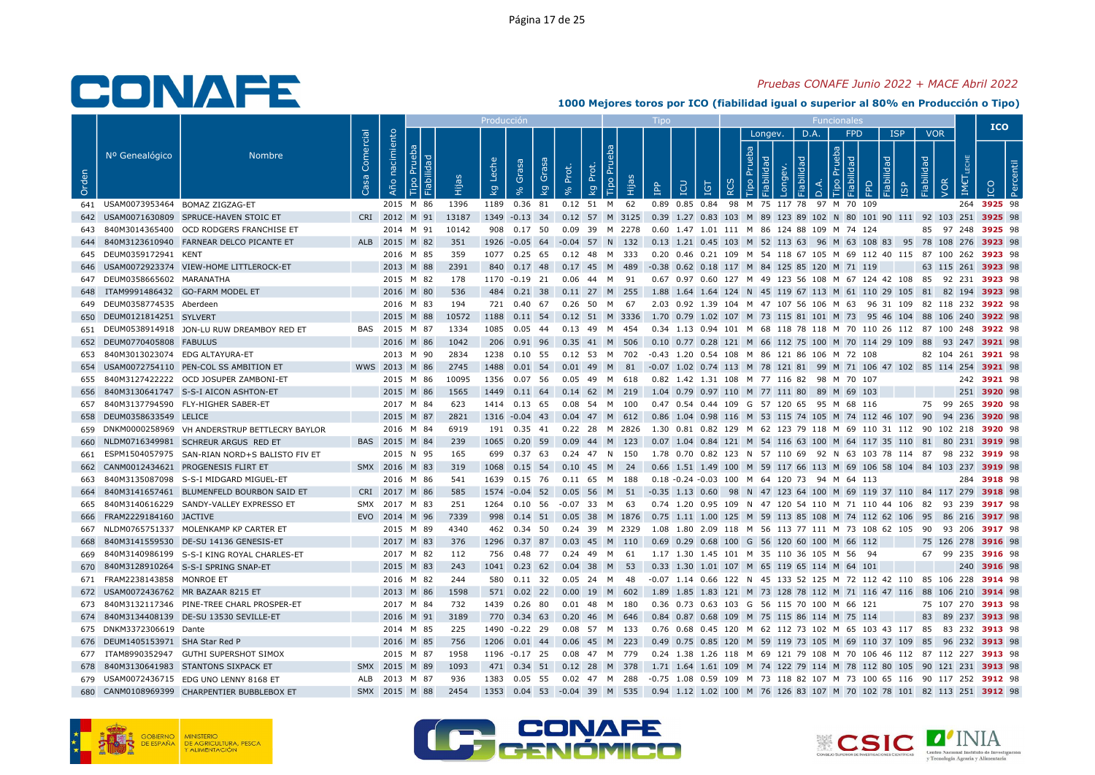## Pruebas CONAFE Junio 2022 + MACE Abril 2022

|       |                                    |                                                   |           |                               |       | Producción              |                     |       |                                  |      |                                                                                                    |            |                             |         |                     |      |                 |                   |                                  |     | <b>ICO</b>         |  |
|-------|------------------------------------|---------------------------------------------------|-----------|-------------------------------|-------|-------------------------|---------------------|-------|----------------------------------|------|----------------------------------------------------------------------------------------------------|------------|-----------------------------|---------|---------------------|------|-----------------|-------------------|----------------------------------|-----|--------------------|--|
| Orden | Nº Genealógico                     | <b>Nombre</b>                                     | Comercial | nacimiento<br>Año<br>$\Omega$ | Нijа  | Leche<br>k <sub>g</sub> | Grasa<br>Gras<br>kg | Prot. | <b>Tipo Pru</b><br>Prot.<br>kg   | Hija | <b>CD</b><br>음                                                                                     | <b>IGT</b> | $\circ$<br>$\tilde{\alpha}$ | Longev. | D.A.<br>$\triangle$ | Tipo | <b>FPD</b><br>◠ | <b>ISP</b><br>bep | <b>VOR</b><br>idad<br><b>JOR</b> | IM€ | ICO<br>உ           |  |
|       | 641 USAM0073953464 BOMAZ ZIGZAG-ET |                                                   |           | 2015 M 86                     | 1396  |                         | 1189  0.36  81      |       | 0.12 51 M 62                     |      | 0.89 0.85 0.84 98 M 75 117 78 97 M 70 109                                                          |            |                             |         |                     |      |                 |                   |                                  |     | 264 3925 98        |  |
|       |                                    | 642 USAM0071630809 SPRUCE-HAVEN STOIC ET          |           | CRI 2012 M 91                 | 13187 |                         |                     |       |                                  |      | 1349 -0.13 34 0.12 57 M 3125 0.39 1.27 0.83 103 M 89 123 89 102 N 80 101 90 111 92 103 251 3925 98 |            |                             |         |                     |      |                 |                   |                                  |     |                    |  |
|       |                                    | 643 840M3014365400 OCD RODGERS FRANCHISE ET       |           | 2014 M 91                     | 10142 |                         | 908  0.17  50       |       | 0.09 39 M 2278                   |      | 0.60 1.47 1.01 111 M 86 124 88 109 M 74 124                                                        |            |                             |         |                     |      |                 |                   |                                  |     | 85 97 248 3925 98  |  |
|       |                                    | 644 840M3123610940 FARNEAR DELCO PICANTE ET       |           | ALB 2015 M 82                 | 351   |                         |                     |       | 1926 -0.05 64 -0.04 57 N 132     |      | 0.13 1.21 0.45 103 M 52 113 63 96 M 63 108 83 95 78 108 276 3923 98                                |            |                             |         |                     |      |                 |                   |                                  |     |                    |  |
|       | 645 DEUM0359172941 KENT            |                                                   |           | 2016 M 85                     | 359   |                         | 1077 0.25 65        |       | 0.12 48 M 333                    |      | 0.20 0.46 0.21 109 M 54 118 67 105 M 69 112 40 115 87 100 262 3923 98                              |            |                             |         |                     |      |                 |                   |                                  |     |                    |  |
|       |                                    | 646 USAM0072923374 VIEW-HOME LITTLEROCK-ET        |           | 2013 M 88                     | 2391  |                         |                     |       | 840 0.17 48 0.17 45 M 489        |      | -0.38 0.62 0.18 117 M 84 125 85 120 M 71 119                                                       |            |                             |         |                     |      |                 |                   |                                  |     | 63 115 261 3923 98 |  |
|       | 647 DEUM0358665602 MARANATHA       |                                                   |           | 2015 M 82                     | 178   |                         |                     |       | 1170 -0.19 21 0.06 44 M 91       |      | 0.67 0.97 0.60 127 M 49 123 56 108 M 67 124 42 108 85 92 231 3923 98                               |            |                             |         |                     |      |                 |                   |                                  |     |                    |  |
| 648   |                                    | ITAM9991486432 GO-FARM MODEL ET                   |           | 2016 M 80                     | 536   |                         |                     |       | 484 0.21 38 0.11 27 M 255        |      | 1.88 1.64 1.64 124 N 45 119 67 113 M 61 110 29 105 81 82 194 3923 98                               |            |                             |         |                     |      |                 |                   |                                  |     |                    |  |
|       | 649 DEUM0358774535 Aberdeen        |                                                   |           | 2016 M 83                     | 194   |                         |                     |       | 721  0.40  67  0.26  50  M  67   |      | 2.03 0.92 1.39 104 M 47 107 56 106 M 63 96 31 109 82 118 232 3922 98                               |            |                             |         |                     |      |                 |                   |                                  |     |                    |  |
|       | 650 DEUM0121814251 SYLVERT         |                                                   |           | 2015 M 88                     | 10572 |                         | 1188 0.11 54        |       | 0.12 51 M 3336                   |      | 1.70 0.79 1.02 107 M 73 115 81 101 M 73 95 46 104 88 106 240 3922 98                               |            |                             |         |                     |      |                 |                   |                                  |     |                    |  |
|       |                                    | 651 DEUM0538914918 JON-LU RUW DREAMBOY RED ET     |           | BAS 2015 M 87                 | 1334  |                         |                     |       | 1085  0.05  44  0.13  49  M  454 |      | 0.34 1.13 0.94 101 M 68 118 78 118 M 70 110 26 112 87 100 248 <b>3922</b> 98                       |            |                             |         |                     |      |                 |                   |                                  |     |                    |  |
|       | 652 DEUM0770405808 FABULUS         |                                                   |           | 2016 M 86                     | 1042  |                         |                     |       | 206  0.91  96  0.35  41  M  506  |      | 0.10 0.77 0.28 121 M 66 112 75 100 M 70 114 29 109 88 93 247 3921 98                               |            |                             |         |                     |      |                 |                   |                                  |     |                    |  |
|       | 653 840M3013023074 EDG ALTAYURA-ET |                                                   |           | 2013 M 90                     | 2834  |                         | 1238  0.10  55      |       | 0.12 53 M 702                    |      | -0.43 1.20 0.54 108 M 86 121 86 106 M 72 108                                                       |            |                             |         |                     |      |                 |                   |                                  |     | 82 104 261 3921 98 |  |
|       |                                    | 654 USAM0072754110 PEN-COL SS AMBITION ET         |           | WWS 2013 M 86                 | 2745  |                         |                     |       |                                  |      | 1488 0.01 54 0.01 49 M 81 -0.07 1.02 0.74 113 M 78 121 81 99 M 71 106 47 102 85 114 254 3921 98    |            |                             |         |                     |      |                 |                   |                                  |     |                    |  |
|       |                                    | 655 840M3127422222 OCD JOSUPER ZAMBONI-ET         |           | 2015 M 86                     | 10095 | 1356                    | 0.07 56             |       | 0.05 49 M 618                    |      | 0.82 1.42 1.31 108 M 77 116 82 98 M 70 107                                                         |            |                             |         |                     |      |                 |                   |                                  |     | 242 3921 98        |  |
| 656   |                                    | 840M3130641747 S-S-I AICON ASHTON-ET              |           | 2015 M 86                     | 1565  |                         |                     |       |                                  |      | 1449  0.11  64  0.14  62  M  219  1.04  0.79  0.97  110  M  77  111  80  89  M  69  103            |            |                             |         |                     |      |                 |                   |                                  |     | 251 3920 98        |  |
|       |                                    | 657 840M3137794590 FLY-HIGHER SABER-ET            |           | 2017 M 84                     | 623   |                         |                     |       | 1414  0.13  65  0.08  54  M  100 |      | 0.47 0.54 0.44 109 G 57 120 65 95 M 68 116                                                         |            |                             |         |                     |      |                 |                   |                                  |     | 75 99 265 3920 98  |  |
|       | 658 DEUM0358633549 LELICE          |                                                   |           | 2015 M 87                     | 2821  |                         |                     |       | 1316 -0.04 43 0.04 47 M 612      |      | 0.86 1.04 0.98 116 M 53 115 74 105 M 74 112 46 107 90 94 236 3920 98                               |            |                             |         |                     |      |                 |                   |                                  |     |                    |  |
|       |                                    | 659 DNKM0000258969 VH ANDERSTRUP BETTLECRY BAYLOR |           | 2016 M 84                     | 6919  |                         |                     |       |                                  |      | 191 0.35 41 0.22 28 M 2826 1.30 0.81 0.82 129 M 62 123 79 118 M 69 110 31 112 90 102 218 3920 98   |            |                             |         |                     |      |                 |                   |                                  |     |                    |  |
|       |                                    | 660 NLDM0716349981 SCHREUR ARGUS RED ET           |           | BAS 2015 M 84                 | 239   |                         | 1065  0.20  59      |       | $0.09$ 44 M 123                  |      | 0.07 1.04 0.84 121 M 54 116 63 100 M 64 117 35 110 81 80 231 3919 98                               |            |                             |         |                     |      |                 |                   |                                  |     |                    |  |
| 661   |                                    | ESPM1504057975 SAN-RIAN NORD+S BALISTO FIV ET     |           | 2015 N 95                     | 165   |                         |                     |       | 699  0.37  63  0.24  47  N  150  |      | 1.78 0.70 0.82 123 N 57 110 69 92 N 63 103 78 114 87 98 232 3919 98                                |            |                             |         |                     |      |                 |                   |                                  |     |                    |  |
|       |                                    | 662 CANM0012434621 PROGENESIS FLIRT ET            |           | SMX 2016 M 83                 | 319   |                         |                     |       | 1068 0.15 54 0.10 45 M 24        |      | 0.66 1.51 1.49 100 M 59 117 66 113 M 69 106 58 104 84 103 237 3919 98                              |            |                             |         |                     |      |                 |                   |                                  |     |                    |  |
| 663   |                                    | 840M3135087098 S-S-I MIDGARD MIGUEL-ET            |           | 2016 M 86                     | 541   |                         | 1639  0.15  76      |       | 0.11 65 M 188                    |      | 0.18 -0.24 -0.03 100 M 64 120 73 94 M 64 113                                                       |            |                             |         |                     |      |                 |                   |                                  |     | 284 3918 98        |  |
| 664   |                                    | 840M3141657461 BLUMENFELD BOURBON SAID ET         |           | CRI 2017 M 86                 | 585   |                         | 1574 -0.04 52       |       |                                  |      | 0.05 56 M 51 -0.35 1.13 0.60 98 N 47 123 64 100 M 69 119 37 110 84 117 279 <b>3918</b> 98          |            |                             |         |                     |      |                 |                   |                                  |     |                    |  |
|       |                                    | 665 840M3140616229 SANDY-VALLEY EXPRESSO ET       |           | SMX 2017 M 83                 | 251   |                         | 1264  0.10  56      |       | -0.07 33 M 63                    |      | 0.74 1.20 0.95 109 N 47 120 54 110 M 71 110 44 106 82 93 239 3917 98                               |            |                             |         |                     |      |                 |                   |                                  |     |                    |  |
|       | 666 FRAM2229184160 JACTIVE         |                                                   |           | EVO 2014 M 96                 | 7339  |                         |                     |       |                                  |      | 998 0.14 51 0.05 38 M 1876 0.75 1.11 1.00 125 M 59 113 85 108 M 74 112 62 106 95 86 216 3917 98    |            |                             |         |                     |      |                 |                   |                                  |     |                    |  |
|       |                                    | 667 NLDM0765751337 MOLENKAMP KP CARTER ET         |           | 2015 M 89                     | 4340  |                         | 462 0.34 50         |       |                                  |      | 0.24 39 M 2329  1.08 1.80 2.09 118 M 56 113 77 111 M 73 108 62 105  90  93 206 <b>3917</b> 98      |            |                             |         |                     |      |                 |                   |                                  |     |                    |  |
| 668   |                                    | 840M3141559530 DE-SU 14136 GENESIS-ET             |           | 2017 M 83                     | 376   |                         | 1296 0.37 87        |       | $0.03$ 45 M 110                  |      | 0.69 0.29 0.68 100 G 56 120 60 100 M 66 112                                                        |            |                             |         |                     |      |                 |                   |                                  |     | 75 126 278 3916 98 |  |
|       |                                    | 669 840M3140986199 S-S-I KING ROYAL CHARLES-ET    |           | 2017 M 82                     | 112   |                         |                     |       | 756  0.48  77  0.24  49  M  61   |      | 1.17 1.30 1.45 101 M 35 110 36 105 M 56 94                                                         |            |                             |         |                     |      |                 |                   |                                  |     | 67 99 235 3916 98  |  |
| 670   |                                    | 840M3128910264 S-S-I SPRING SNAP-ET               |           | 2015 M 83                     | 243   |                         | 1041 0.23 62        |       | 0.04 38 M 53                     |      | 0.33 1.30 1.01 107 M 65 119 65 114 M 64 101                                                        |            |                             |         |                     |      |                 |                   |                                  |     | 240 3916 98        |  |
|       | 671 FRAM2238143858 MONROE ET       |                                                   |           | 2016 M 82                     | 244   |                         | 580 0.11 32         |       | 0.05 24 M 48                     |      | -0.07 1.14 0.66 122 N 45 133 52 125 M 72 112 42 110 85 106 228 3914 98                             |            |                             |         |                     |      |                 |                   |                                  |     |                    |  |
|       |                                    | 672 USAM0072436762 MR BAZAAR 8215 ET              |           | 2013 M 86                     | 1598  |                         |                     |       | 571  0.02  22  0.00  19  M  602  |      | 1.89 1.85 1.83 121 M 73 128 78 112 M 71 116 47 116 88 106 210 3914 98                              |            |                             |         |                     |      |                 |                   |                                  |     |                    |  |
|       |                                    | 673 840M3132117346 PINE-TREE CHARL PROSPER-ET     |           | 2017 M 84                     | 732   |                         | 1439  0.26  80      |       | 0.01 48 M 180                    |      | 0.36 0.73 0.63 103 G 56 115 70 100 M 66 121                                                        |            |                             |         |                     |      |                 |                   |                                  |     | 75 107 270 3913 98 |  |
|       |                                    | 674 840M3134408139 DE-SU 13530 SEVILLE-ET         |           | 2016 M 91                     | 3189  |                         |                     |       |                                  |      | 770  0.34  63  0.20  46  M  646  0.84  0.87  0.68  109  M  75  115  86  114  M  75  114            |            |                             |         |                     |      |                 |                   |                                  |     | 83 89 237 3913 98  |  |
|       | 675 DNKM3372306619 Dante           |                                                   |           | 2014 M 85                     | 225   |                         | 1490 -0.22 29       |       | 0.08 57 M 133                    |      | 0.76 0.68 0.45 120 M 62 112 73 102 M 65 103 43 117 85 83 232 3913 98                               |            |                             |         |                     |      |                 |                   |                                  |     |                    |  |
|       | 676 DEUM1405153971 SHA Star Red P  |                                                   |           | 2016 M 85                     | 756   |                         |                     |       | 1206  0.01  44  0.06  45  M  223 |      | 0.49 0.75 0.85 120 M 59 119 73 105 M 69 110 37 109 85 96 232 3913 98                               |            |                             |         |                     |      |                 |                   |                                  |     |                    |  |
|       |                                    | 677 ITAM8990352947 GUTHI SUPERSHOT SIMOX          |           | 2015 M 87                     | 1958  |                         | 1196 -0.17 25       |       |                                  |      | 0.24 1.38 1.26 118 M 69 121 79 108 M 70 106 46 112 87 112 227 <b>3913</b> 98                       |            |                             |         |                     |      |                 |                   |                                  |     |                    |  |
|       |                                    | 678 840M3130641983 STANTONS SIXPACK ET            | SMX       | 2015 M 89                     | 1093  |                         |                     |       | 471 0.34 51 0.12 28 M 378        |      | 1.71 1.64 1.61 109 M 74 122 79 114 M 78 112 80 105 90 121 231 3913 98                              |            |                             |         |                     |      |                 |                   |                                  |     |                    |  |
|       |                                    | 679 USAM0072436715 EDG UNO LENNY 8168 ET          |           | ALB 2013 M 87                 | 936   |                         |                     |       | 1383  0.05  55  0.02  47  M  288 |      | -0.75 1.08 0.59 109 M 73 118 82 107 M 73 100 65 116 90 117 252 <b>3912</b> 98                      |            |                             |         |                     |      |                 |                   |                                  |     |                    |  |
|       |                                    | 680 CANM0108969399 CHARPENTIER BUBBLEBOX ET       |           | SMX 2015 M 88                 | 2454  |                         |                     |       |                                  |      | 1353 0.04 53 -0.04 39 M 535 0.94 1.12 1.02 100 M 76 126 83 107 M 70 102 78 101 82 113 251 3912 98  |            |                             |         |                     |      |                 |                   |                                  |     |                    |  |





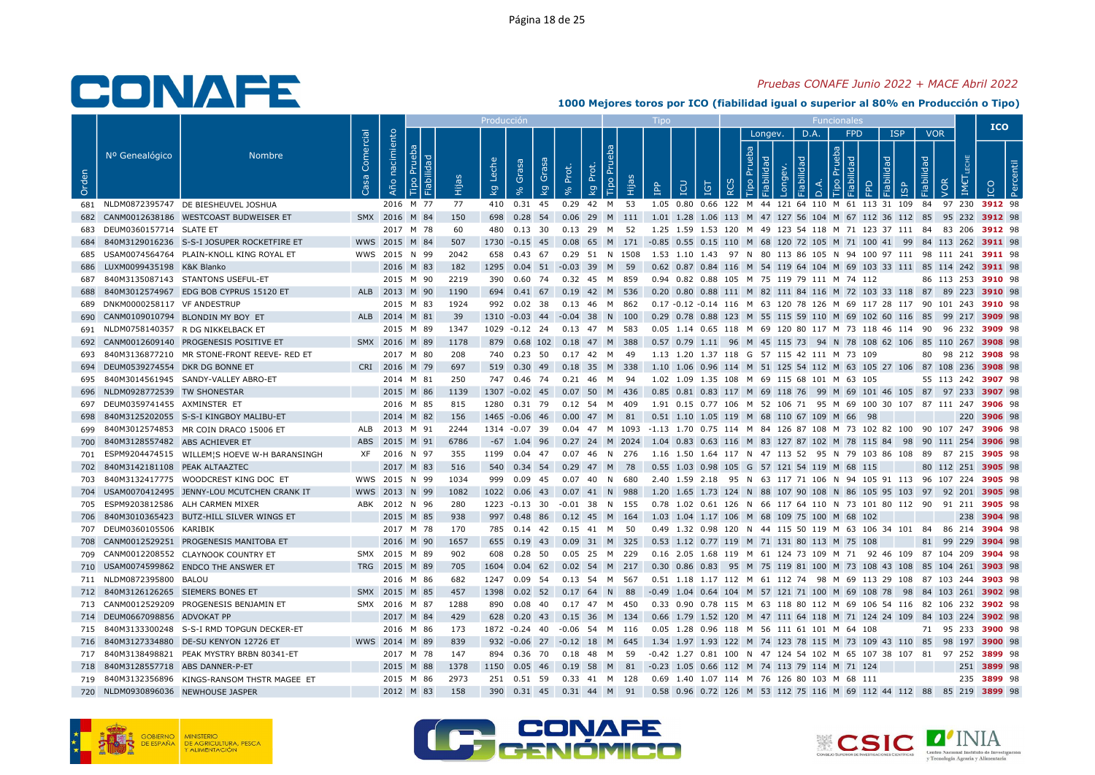## Pruebas CONAFE Junio 2022 + MACE Abril 2022

|       |                                     |                                                |                   |                        |                                    |      | <b>Producción</b>      |                                       |            |                                                |      | <b>LIDO</b>                                                                                   |            |                        |              |              | <b>Funcionales</b>       |                            |                                 |                          |                    | <b>ICO</b>  |    |  |
|-------|-------------------------------------|------------------------------------------------|-------------------|------------------------|------------------------------------|------|------------------------|---------------------------------------|------------|------------------------------------------------|------|-----------------------------------------------------------------------------------------------|------------|------------------------|--------------|--------------|--------------------------|----------------------------|---------------------------------|--------------------------|--------------------|-------------|----|--|
| Orden | Nº Genealógico                      | <b>Nombre</b>                                  | Comercial<br>Casa | nacimiento<br>Año      | ಾ<br> ≌<br>$\overline{\mathbf{a}}$ |      | Lecl<br>$\overline{5}$ | Grasa<br>Grai<br>$\overline{k}$<br>వి | Prot.<br>% | Tipo Pru<br>Prot.<br>$\overline{\mathsf{k}}$ g | Нijа | LCD<br>$\overline{B}$                                                                         | <b>IGT</b> | Prueba<br>$\circ$<br>≃ | Longev.<br>ō | . D.A.<br>ĎЕ | deb<br>$\circ$<br>$\Box$ | <b>FPD</b><br>$\mathbb{R}$ | <b>ISP</b><br>lidad<br><b>G</b> | <b>VOR</b><br>Fiabilidad | VOR<br>IME         |             | டீ |  |
|       |                                     | 681 NLDM0872395747 DE BIESHEUVEL JOSHUA        |                   | 2016 M 77              |                                    | 77   |                        | 410 0.31 45                           |            | 0.29 42 M 53                                   |      | 1.05 0.80 0.66 122 M 44 121 64 110 M 61 113 31 109 84 97 230 3912 98                          |            |                        |              |              |                          |                            |                                 |                          |                    |             |    |  |
| 682   |                                     | CANM0012638186 WESTCOAST BUDWEISER ET          |                   | SMX 2016 M 84          |                                    | 150  |                        |                                       |            |                                                |      | 698 0.28 54 0.06 29 M 111 1.01 1.28 1.06 113 M 47 127 56 104 M 67 112 36 112 85               |            |                        |              |              |                          |                            |                                 |                          | 95 232 3912 98     |             |    |  |
|       | 683 DEUM0360157714 SLATE ET         |                                                |                   | 2017 M 78              |                                    | 60   |                        | 480 0.13 30                           |            | 0.13 29 M 52                                   |      | 1.25 1.59 1.53 120 M 49 123 54 118 M 71 123 37 111 84 83 206 3912 98                          |            |                        |              |              |                          |                            |                                 |                          |                    |             |    |  |
| 684   |                                     | 840M3129016236 S-S-I JOSUPER ROCKETFIRE ET     |                   | WWS 2015 M 84          |                                    | 507  |                        | 1730 -0.15 45                         |            |                                                |      | 0.08 65 M 171 -0.85 0.55 0.15 110 M 68 120 72 105 M 71 100 41 99 84 113 262 3911 98           |            |                        |              |              |                          |                            |                                 |                          |                    |             |    |  |
| 685   |                                     | USAM0074564764 PLAIN-KNOLL KING ROYAL ET       |                   | WWS 2015 N 99          |                                    | 2042 |                        | 658 0.43 67                           |            | 0.29 51 N 1508                                 |      | 1.53 1.10 1.43 97 N 80 113 86 105 N 94 100 97 111 98 111 241 3911 98                          |            |                        |              |              |                          |                            |                                 |                          |                    |             |    |  |
| 686   | LUXM0099435198 K&K Blanko           |                                                |                   |                        | 2016 M 83                          | 182  |                        | 1295  0.04  51  -0.03  39  M  59      |            |                                                |      | 0.62 0.87 0.84 116 M 54 119 64 104 M 69 103 33 111 85 114 242 3911 98                         |            |                        |              |              |                          |                            |                                 |                          |                    |             |    |  |
| 687   |                                     | 840M3135087143 STANTONS USEFUL-ET              |                   |                        | 2015 M 90                          | 2219 |                        | 390  0.60  74  0.32  45  M  859       |            |                                                |      | 0.94 0.82 0.88 105 M 75 119 79 111 M 74 112                                                   |            |                        |              |              |                          |                            |                                 |                          | 86 113 253 3910 98 |             |    |  |
| 688   |                                     | 840M3012574967 EDG BOB CYPRUS 15120 ET         |                   | ALB 2013 M 90          |                                    | 1190 |                        | 694 0.41 67 0.19 42 M 536             |            |                                                |      | 0.20 0.80 0.88 111 M 82 111 84 116 M 72 103 33 118 87 89 223 3910 98                          |            |                        |              |              |                          |                            |                                 |                          |                    |             |    |  |
| 689   | DNKM0000258117 VF ANDESTRUP         |                                                |                   |                        | 2015 M 83                          | 1924 |                        | 992 0.02 38                           |            | 0.13 46 M 862                                  |      | 0.17 -0.12 -0.14 116 M 63 120 78 126 M 69 117 28 117 90 101 243 3910 98                       |            |                        |              |              |                          |                            |                                 |                          |                    |             |    |  |
| 690   |                                     | CANM0109010794 BLONDIN MY BOY ET               |                   | ALB 2014 M 81          |                                    | 39   |                        | 1310 -0.03 44 -0.04 38                |            | N.                                             | 100  | 0.29 0.78 0.88 123 M 55 115 59 110 M 69 102 60 116 85 99 217 3909 98                          |            |                        |              |              |                          |                            |                                 |                          |                    |             |    |  |
|       |                                     | 691 NLDM0758140357 R DG NIKKELBACK ET          |                   |                        | 2015 M 89                          | 1347 |                        | 1029 -0.12 24 0.13 47 M 583           |            |                                                |      | 0.05 1.14 0.65 118 M 69 120 80 117 M 73 118 46 114 90 96 232 3909 98                          |            |                        |              |              |                          |                            |                                 |                          |                    |             |    |  |
| 692   |                                     | CANM0012609140 PROGENESIS POSITIVE ET          |                   | SMX 2016 M 89          |                                    | 1178 |                        | 879 0.68 102 0.18 47 M 388            |            |                                                |      | 0.57 0.79 1.11 96 M 45 115 73 94 N 78 108 62 106 85 110 267 3908 98                           |            |                        |              |              |                          |                            |                                 |                          |                    |             |    |  |
| 693   |                                     | 840M3136877210 MR STONE-FRONT REEVE-RED ET     |                   |                        | 2017 M 80                          | 208  |                        | 740 0.23 50                           |            | 0.17 42 M                                      | - 49 | 1.13 1.20 1.37 118 G 57 115 42 111 M 73 109                                                   |            |                        |              |              |                          |                            |                                 |                          | 80 98 212 3908 98  |             |    |  |
| 694   | DEUM0539274554 DKR DG BONNE ET      |                                                |                   | CRI 2016 M 79          |                                    | 697  |                        | 519 0.30 49 0.18 35 M 338             |            |                                                |      | 1.10 1.06 0.96 114 M 51 125 54 112 M 63 105 27 106 87 108 236 3908 98                         |            |                        |              |              |                          |                            |                                 |                          |                    |             |    |  |
| 695   |                                     | 840M3014561945 SANDY-VALLEY ABRO-ET            |                   |                        | 2014 M 81                          | 250  |                        | 747 0.46 74                           | 0.21 46    | M                                              | - 94 | 1.02 1.09 1.35 108 M 69 115 68 101 M 63 105                                                   |            |                        |              |              |                          |                            |                                 |                          | 55 113 242 3907 98 |             |    |  |
| 696   | NLDM0928772539 TW SHONESTAR         |                                                |                   | 2015 M 86              |                                    | 1139 |                        | 1307 -0.02 45 0.07 50 M 436           |            |                                                |      | 0.85 0.81 0.83 117 M 69 118 76 99 M 69 101 46 105 87 97 233 3907 98                           |            |                        |              |              |                          |                            |                                 |                          |                    |             |    |  |
| 697   | DEUM0359741455 AXMINSTER ET         |                                                |                   | 2016 M 85              |                                    | 815  |                        | 1280 0.31 79                          |            | 0.12 54 M 409                                  |      | 1.91 0.15 0.77 106 M 52 106 71 95 M 69 100 30 107 87 111 247 3906 98                          |            |                        |              |              |                          |                            |                                 |                          |                    |             |    |  |
| 698   |                                     | 840M3125202055 S-S-I KINGBOY MALIBU-ET         |                   |                        | 2014 M 82                          | 156  |                        | 1465 -0.06 46                         |            | $0.00$ 47 M 81                                 |      | 0.51 1.10 1.05 119 M 68 110 67 109 M 66 98                                                    |            |                        |              |              |                          |                            |                                 |                          |                    | 220 3906 98 |    |  |
| 699   |                                     | 840M3012574853 MR COIN DRACO 15006 ET          |                   | ALB 2013 M 91          |                                    | 2244 |                        | 1314 -0.07 39                         |            |                                                |      | 0.04 47 M 1093 -1.13 1.70 0.75 114 M 84 126 87 108 M 73 102 82 100 90 107 247 <b>3906</b> 98  |            |                        |              |              |                          |                            |                                 |                          |                    |             |    |  |
| 700   | 840M3128557482 ABS ACHIEVER ET      |                                                | ABS               | 2015 M 91              |                                    | 6786 |                        | -67 1.04 96                           |            |                                                |      | 0.27 24 M 2024 1.04 0.83 0.63 116 M 83 127 87 102 M 78 115 84 98 90 111 254 3906 98           |            |                        |              |              |                          |                            |                                 |                          |                    |             |    |  |
| 701   |                                     | ESPM9204474515 WILLEM'S HOEVE W-H BARANSINGH   |                   | XF 2016 N 97           |                                    | 355  |                        | 1199  0.04  47  0.07  46  N  276      |            |                                                |      | 1.16 1.50 1.64 117 N 47 113 52 95 N 79 103 86 108 89 87 215 3905 98                           |            |                        |              |              |                          |                            |                                 |                          |                    |             |    |  |
| 702   | 840M3142181108 PEAK ALTAAZTEC       |                                                |                   |                        | 2017 M 83                          | 516  |                        | 540 0.34 54                           |            | 0.29 47 M 78                                   |      | 0.55 1.03 0.98 105 G 57 121 54 119 M 68 115                                                   |            |                        |              |              |                          |                            |                                 |                          | 80 112 251 3905 98 |             |    |  |
| 703   |                                     | 840M3132417775 WOODCREST KING DOC ET           |                   | WWS 2015 N 99          |                                    | 1034 | 999                    | 0.09 45                               |            | $0.07$ 40 N                                    | 680  | 2.40 1.59 2.18 95 N 63 117 71 106 N 94 105 91 113 96 107 224 <b>3905</b> 98                   |            |                        |              |              |                          |                            |                                 |                          |                    |             |    |  |
| 704   |                                     | USAM0070412495 JENNY-LOU MCUTCHEN CRANK IT     |                   | WWS 2013 N 99          |                                    | 1082 |                        | 1022  0.06  43                        |            | 0.07 41 N 988                                  |      | 1.20 1.65 1.73 124 N 88 107 90 108 N 86 105 95 103 97 92 201 3905 98                          |            |                        |              |              |                          |                            |                                 |                          |                    |             |    |  |
| 705   |                                     | ESPM9203812586 ALH CARMEN MIXER                |                   | ABK 2012 N 96          |                                    | 280  |                        | 1223 -0.13 30                         |            | $-0.01$ 38 N 155                               |      | 0.78 1.02 0.61 126 N 66 117 64 110 N 73 101 80 112 90 91 211 <b>3905</b> 98                   |            |                        |              |              |                          |                            |                                 |                          |                    |             |    |  |
| 706   |                                     | 840M3010365423 BUTZ-HILL SILVER WINGS ET       |                   | 2015 M 85              |                                    | 938  |                        | 997 0.48 86                           |            | $0.12$ 45 M 164                                |      | 1.03 1.04 1.17 106 M 68 109 75 100 M 68 102                                                   |            |                        |              |              |                          |                            |                                 |                          |                    | 238 3904 98 |    |  |
|       | 707 DEUM0360105506 KARIBIK          |                                                |                   |                        | 2017 M 78                          | 170  |                        | 785 0.14 42                           |            | 0.15 41 M 50                                   |      | 0.49 1.32 0.98 120 N 44 115 50 119 M 63 106 34 101 84 86 214 3904 98                          |            |                        |              |              |                          |                            |                                 |                          |                    |             |    |  |
| 708   |                                     | CANM0012529251 PROGENESIS MANITOBA ET          |                   | 2016 M 90              |                                    | 1657 |                        | 655 0.19 43                           |            | 0.09 31 M 325                                  |      | 0.53 1.12 0.77 119 M 71 131 80 113 M 75 108                                                   |            |                        |              |              |                          |                            |                                 |                          | 81 99 229 3904 98  |             |    |  |
|       |                                     | 709 CANM0012208552 CLAYNOOK COUNTRY ET         |                   | SMX 2015 M 89          |                                    | 902  | 608                    | 0.28 50                               |            | 0.05 25 M 229                                  |      | 0.16 2.05 1.68 119 M 61 124 73 109 M 71 92 46 109 87 104 209 3904 98                          |            |                        |              |              |                          |                            |                                 |                          |                    |             |    |  |
|       |                                     | 710 USAM0074599862 ENDCO THE ANSWER ET         |                   | TRG 2015 M 89          |                                    | 705  |                        | 1604 0.04 62                          |            | $0.02$ 54 M 217                                |      | 0.30 0.86 0.83 95 M 75 119 81 100 M 73 108 43 108 85 104 261 3903 98                          |            |                        |              |              |                          |                            |                                 |                          |                    |             |    |  |
|       | 711 NLDM0872395800 BALOU            |                                                |                   |                        | 2016 M 86                          | 682  |                        | 1247 0.09 54                          |            | 0.13 54 M 567                                  |      | 0.51 1.18 1.17 112 M 61 112 74 98 M 69 113 29 108 87 103 244 3903 98                          |            |                        |              |              |                          |                            |                                 |                          |                    |             |    |  |
|       | 712 840M3126126265 SIEMERS BONES ET |                                                |                   | SMX 2015 M 85          |                                    | 457  |                        | 1398  0.02  52  0.17  64  N  88       |            |                                                |      | -0.49 1.04 0.64 104 M 57 121 71 100 M 69 108 78 98 84 103 261 3902 98                         |            |                        |              |              |                          |                            |                                 |                          |                    |             |    |  |
|       |                                     | 713 CANM0012529209 PROGENESIS BENJAMIN ET      |                   | SMX 2016 M 87          |                                    | 1288 | 890                    | 0.08 40                               | 0.17 47    | M                                              | -450 | 0.33 0.90 0.78 115 M 63 118 80 112 M 69 106 54 116 82 106 232 3902 98                         |            |                        |              |              |                          |                            |                                 |                          |                    |             |    |  |
|       | 714 DEUM0667098856 ADVOKAT PP       |                                                |                   |                        | 2017 M 84                          | 429  |                        | 628 0.20 43 0.15 36 M 134             |            |                                                |      | 0.66 1.79 1.52 120 M 47 111 64 118 M 71 124 24 109 84 103 224 <b>3902</b> 98                  |            |                        |              |              |                          |                            |                                 |                          |                    |             |    |  |
|       |                                     | 715 840M3133300248 S-S-I RMD TOPGUN DECKER-ET  |                   | 2016 M 86              |                                    | 173  |                        | 1872 -0.24 40                         |            | -0.06 54 M                                     | 116  | 0.05 1.28 0.96 118 M 56 111 61 101 M 64 108                                                   |            |                        |              |              |                          |                            |                                 |                          | 71 95 233 3900 98  |             |    |  |
|       |                                     | 716 840M3127334880 DE-SU KENYON 12726 ET       |                   | WWS 2014 M 89          |                                    | 839  |                        | 932 -0.06 27 -0.12 18 M 645           |            |                                                |      | 1.34 1.97 1.93 122 M 74 123 78 115 M 73 109 43 110 85 98 197 3900 98                          |            |                        |              |              |                          |                            |                                 |                          |                    |             |    |  |
|       |                                     | 717 840M3138498821 PEAK MYSTRY BRBN 80341-ET   |                   |                        | 2017 M 78                          | 147  |                        | 894 0.36 70                           |            | 0.18 48 M                                      | 59   | -0.42 1.27 0.81 100 N 47 124 54 102 M 65 107 38 107 81 97 252 3899 98                         |            |                        |              |              |                          |                            |                                 |                          |                    |             |    |  |
|       | 718 840M3128557718 ABS DANNER-P-ET  |                                                |                   |                        |                                    | 1378 | 1150                   | $0.05$ 46                             |            | 58 M 81                                        |      | -0.23 1.05 0.66 112 M 74 113 79 114 M 71 124                                                  |            |                        |              |              |                          |                            |                                 |                          |                    | 251 3899 98 |    |  |
|       |                                     | 719 840M3132356896 KINGS-RANSOM THSTR MAGEE ET |                   | 2015 M 88<br>2015 M 86 |                                    | 2973 |                        | 251  0.51  59  0.33  41  M  128       | 0.19       |                                                |      | 0.69 1.40 1.07 114 M 76 126 80 103 M 68 111                                                   |            |                        |              |              |                          |                            |                                 |                          |                    | 235 3899 98 |    |  |
|       |                                     | 720 NLDM0930896036 NEWHOUSE JASPER             |                   | 2012 M 83              |                                    | 158  |                        |                                       |            |                                                |      | 390 0.31 45 0.31 44 M 91 0.58 0.96 0.72 126 M 53 112 75 116 M 69 112 44 112 88 85 219 3899 98 |            |                        |              |              |                          |                            |                                 |                          |                    |             |    |  |
|       |                                     |                                                |                   |                        |                                    |      |                        |                                       |            |                                                |      |                                                                                               |            |                        |              |              |                          |                            |                                 |                          |                    |             |    |  |







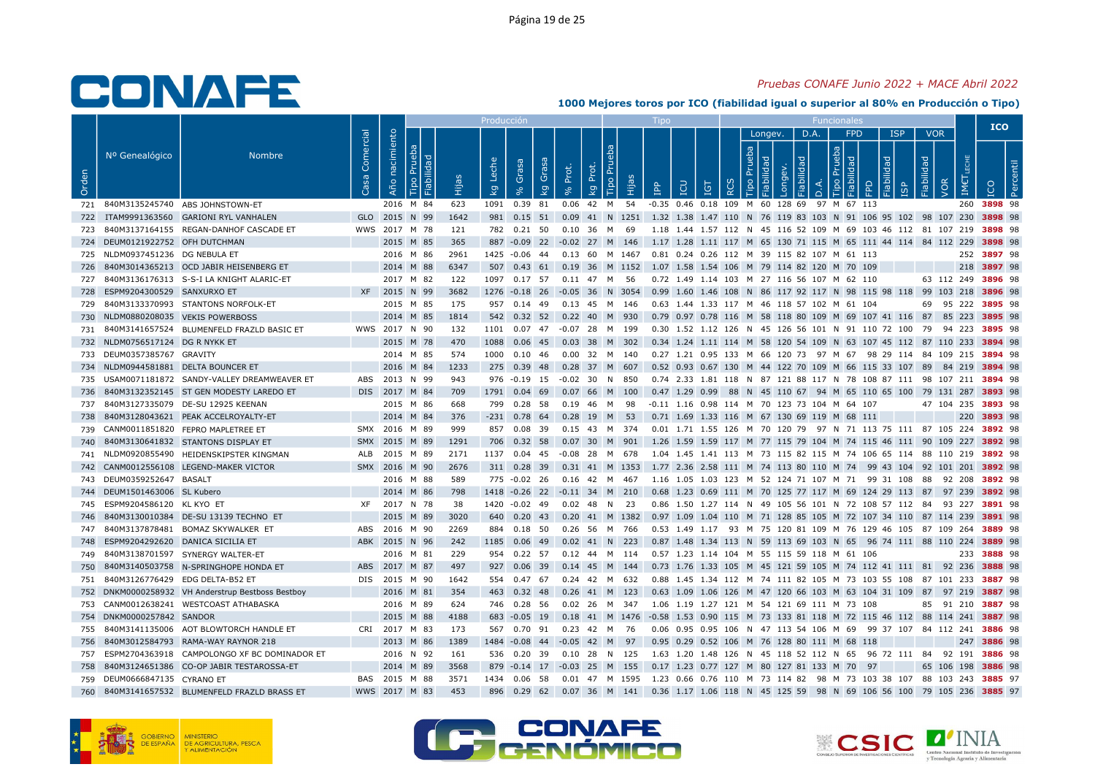## Pruebas CONAFE Junio 2022 + MACE Abril 2022

|       |                                  |                                                   |                   |                   |                            |             | Producció                          |                                  |            |                                                                                                     |                           |                                              |                        |              |             |                          |                            |                                                                                                                                               |                                 |                    | <b>ICO</b>  |  |
|-------|----------------------------------|---------------------------------------------------|-------------------|-------------------|----------------------------|-------------|------------------------------------|----------------------------------|------------|-----------------------------------------------------------------------------------------------------|---------------------------|----------------------------------------------|------------------------|--------------|-------------|--------------------------|----------------------------|-----------------------------------------------------------------------------------------------------------------------------------------------|---------------------------------|--------------------|-------------|--|
| Orden | Nº Genealógico                   | <b>Nombre</b>                                     | Comercial<br>Casa | nacimiento<br>Año | ಾ<br>- 그                   | Êщ          | Leche<br>$\overline{\mathsf{k}}$ g | Grasa<br>Grasa<br>$\overline{k}$ | Prot.      | Tipo Pru<br>đ<br>ᅌ<br>Нijа<br>kg                                                                    | $\mathbf{P}^{\mathbf{p}}$ | <b>CD</b><br><b>IGT</b>                      | Prueba<br>$\circ$<br>≃ | Longev.<br>₫ | D.A.<br>bep | deu<br>$\circ$<br>$\Box$ | <b>FPD</b><br>$\mathbb{R}$ | <b>ISP</b><br>lidad                                                                                                                           | <b>VOR</b><br>Fiabilidad<br>VOR | IM€                |             |  |
|       |                                  | 721 840M3135245740 ABS JOHNSTOWN-ET               |                   |                   | 2016 M 84                  | 623         |                                    | 1091  0.39  81                   |            | 0.06 42 M 54 -0.35 0.46 0.18 109 M 60 128 69 97 M 67 113                                            |                           |                                              |                        |              |             |                          |                            |                                                                                                                                               |                                 |                    | 260 3898 98 |  |
| 722   |                                  | ITAM9991363560 GARIONI RYL VANHALEN               |                   |                   | GLO 2015 N 99              | 1642        |                                    | 981 0.15 51                      |            | 0.09 41 N 1251 1.32 1.38 1.47 110 N 76 119 83 103 N 91 106 95 102 98 107 230 3898 98                |                           |                                              |                        |              |             |                          |                            |                                                                                                                                               |                                 |                    |             |  |
|       |                                  | 723 840M3137164155 REGAN-DANHOF CASCADE ET        |                   |                   | WWS 2017 M 78              | 121         |                                    | 782  0.21  50                    |            | 0.10 36 M 69                                                                                        |                           |                                              |                        |              |             |                          |                            | 1.18 1.44 1.57 112 N 45 116 52 109 M 69 103 46 112 81 107 219 3898 98                                                                         |                                 |                    |             |  |
|       | 724 DEUM0121922752 OFH DUTCHMAN  |                                                   |                   |                   | 2015 M 85                  | 365         |                                    |                                  |            | 887 -0.09 22 -0.02 27 M 146 1.17 1.28 1.11 117 M 65 130 71 115 M 65 111 44 114 84 112 229 3898 98   |                           |                                              |                        |              |             |                          |                            |                                                                                                                                               |                                 |                    |             |  |
|       | 725 NLDM0937451236 DG NEBULA ET  |                                                   |                   |                   | 2016 M 86                  | 2961        |                                    | 1425 -0.06 44                    |            | 0.13 60 M 1467 0.81 0.24 0.26 112 M 39 115 82 107 M 61 113                                          |                           |                                              |                        |              |             |                          |                            |                                                                                                                                               |                                 |                    | 252 3897 98 |  |
| 726   |                                  | 840M3014365213 OCD JABIR HEISENBERG ET            |                   |                   | 2014 M 88                  | 6347        |                                    |                                  |            | 507 0.43 61 0.19 36 M 1152 1.07 1.58 1.54 106 M 79 114 82 120 M 70 109                              |                           |                                              |                        |              |             |                          |                            |                                                                                                                                               |                                 |                    | 218 3897 98 |  |
|       |                                  | 727 840M3136176313 S-S-I LA KNIGHT ALARIC-ET      |                   |                   | 2017 M 82                  | 122         |                                    | 1097 0.17 57                     |            | 0.11 47 M 56                                                                                        |                           | 0.72 1.49 1.14 103 M 27 116 56 107 M 62 110  |                        |              |             |                          |                            |                                                                                                                                               |                                 | 63 112 249 3896 98 |             |  |
| 728   | ESPM9204300529 SANXURXO ET       |                                                   |                   |                   | XF 2015 N 99               | 3682        |                                    |                                  |            | 1276 -0.18 26 -0.05 36 N 3054 0.99 1.60 1.46 108 N 86 117 92 117 N 98 115 98 118 99 103 218 3896 98 |                           |                                              |                        |              |             |                          |                            |                                                                                                                                               |                                 |                    |             |  |
| 729   |                                  | 840M3133370993 STANTONS NORFOLK-ET                |                   |                   | 2015 M 85                  | 175         |                                    | 957 0.14 49                      |            | 0.13 45 M 146                                                                                       |                           | 0.63 1.44 1.33 117 M 46 118 57 102 M 61 104  |                        |              |             |                          |                            |                                                                                                                                               |                                 | 69 95 222 3895 98  |             |  |
| 730   |                                  | NLDM0880208035 VEKIS POWERBOSS                    |                   |                   | 2014 M 85                  | 1814        |                                    | 542 0.32 52                      |            | 0.22 40 M 930                                                                                       |                           |                                              |                        |              |             |                          |                            | 0.79 0.97 0.78 116 M 58 118 80 109 M 69 107 41 116 87 85 223 3895 98                                                                          |                                 |                    |             |  |
|       |                                  | 731 840M3141657524 BLUMENFELD FRAZLD BASIC ET     |                   |                   | WWS 2017 N 90              | 132         |                                    |                                  |            | 1101  0.07  47  -0.07  28  M  199                                                                   |                           |                                              |                        |              |             |                          |                            | 0.30 1.52 1.12 126 N 45 126 56 101 N 91 110 72 100 79 94 223 <b>3895</b> 98                                                                   |                                 |                    |             |  |
|       | 732 NLDM0756517124 DG R NYKK ET  |                                                   |                   |                   | 2015 M 78                  | 470         | 1088                               |                                  |            | 0.06 45 0.03 38 M 302                                                                               |                           |                                              |                        |              |             |                          |                            | 0.34 1.24 1.11 114 M 58 120 54 109 N 63 107 45 112 87 110 233 3894 98                                                                         |                                 |                    |             |  |
|       | 733 DEUM0357385767 GRAVITY       |                                                   |                   |                   | 2014 M 85                  | 574         |                                    | 1000 0.10 46                     |            | $0.00$ 32 M<br>140                                                                                  |                           |                                              |                        |              |             |                          |                            | 0.27 1.21 0.95 133 M 66 120 73 97 M 67 98 29 114 84 109 215 3894 98                                                                           |                                 |                    |             |  |
|       |                                  | 734 NLDM0944581881 DELTA BOUNCER ET               |                   |                   | 2016 M 84                  | 1233        |                                    |                                  |            | 275 0.39 48 0.28 37 M 607                                                                           |                           |                                              |                        |              |             |                          |                            | 0.52 0.93 0.67 130 M 44 122 70 109 M 66 115 33 107 89 84 219 3894 98                                                                          |                                 |                    |             |  |
| 735   |                                  | USAM0071181872 SANDY-VALLEY DREAMWEAVER ET        | ABS               |                   | 2013 N 99                  | 943         |                                    | 976 -0.19 15                     | $-0.02$ 30 | N<br>850                                                                                            |                           |                                              |                        |              |             |                          |                            | 0.74 2.33 1.81 118 N 87 121 88 117 N 78 108 87 111 98 107 211 3894 98                                                                         |                                 |                    |             |  |
|       |                                  | 736 840M3132352145 ST GEN MODESTY LAREDO ET       |                   |                   | DIS 2017 M 84              | 709         |                                    |                                  |            | 1791  0.04  69  0.07  66  M  100                                                                    |                           |                                              |                        |              |             |                          |                            | 0.47 1.29 0.99 88 N 45 110 67 94 M 65 110 65 100 79 131 287 3893 98                                                                           |                                 |                    |             |  |
|       |                                  | 737 840M3127335079 DE-SU 12925 KEENAN             |                   |                   | 2015 M 86                  | 668         |                                    | 799 0.28 58                      |            | 0.19 46 M 98                                                                                        |                           | -0.11 1.16 0.98 114 M 70 123 73 104 M 64 107 |                        |              |             |                          |                            |                                                                                                                                               |                                 | 47 104 235 3893 98 |             |  |
| 738   |                                  | 840M3128043621 PEAK ACCELROYALTY-ET               |                   |                   | 2014 M 84                  | 376         |                                    |                                  |            | $-231$ 0.78 64 0.28 19 M 53                                                                         |                           | 0.71 1.69 1.33 116 M 67 130 69 119 M 68 111  |                        |              |             |                          |                            |                                                                                                                                               |                                 |                    | 220 3893 98 |  |
|       |                                  | 739 CANM0011851820 FEPRO MAPLETREE ET             |                   |                   | SMX 2016 M 89              | 999         |                                    | 857 0.08 39                      |            |                                                                                                     |                           |                                              |                        |              |             |                          |                            | 0.01 1.71 1.55 126 M 70 120 79 97 N 71 113 75 111 87 105 224 3892 98                                                                          |                                 |                    |             |  |
| 740   |                                  | 840M3130641832 STANTONS DISPLAY ET                |                   |                   | SMX 2015 M 89              | 1291        |                                    | 706 0.32 58                      |            | 0.07 30 M 901                                                                                       |                           |                                              |                        |              |             |                          |                            | 1.26 1.59 1.59 117 M 77 115 79 104 M 74 115 46 111 90 109 227 3892 98                                                                         |                                 |                    |             |  |
|       |                                  | 741 NLDM0920855490 HEIDENSKIPSTER KINGMAN         |                   |                   | ALB 2015 M 89              | 2171        |                                    |                                  |            | 1137  0.04  45  -0.08  28  M  678                                                                   |                           |                                              |                        |              |             |                          |                            | 1.04 1.45 1.41 113 M 73 115 82 115 M 74 106 65 114 88 110 219 3892 98                                                                         |                                 |                    |             |  |
|       |                                  | 742 CANM0012556108 LEGEND-MAKER VICTOR            |                   |                   | SMX 2016 M 90              | 2676        |                                    |                                  |            | 311 0.28 39 0.31 41 M 1353 1.77 2.36 2.58 111 M 74 113 80 110 M 74 99 43 104 92 101 201 3892 98     |                           |                                              |                        |              |             |                          |                            |                                                                                                                                               |                                 |                    |             |  |
|       | 743 DEUM0359252647 BASALT        |                                                   |                   |                   | 2016 M 88                  | 589         |                                    | 775 -0.02 26                     |            | 0.16 42 M 467                                                                                       |                           |                                              |                        |              |             |                          |                            | 1.16 1.05 1.03 123 M 52 124 71 107 M 71 99 31 108 88 92 208 3892 98                                                                           |                                 |                    |             |  |
|       | 744 DEUM1501463006 SL Kubero     |                                                   |                   |                   | 2014 M 86                  | 798         |                                    |                                  |            | 1418 -0.26 22 -0.11 34 M 210                                                                        |                           |                                              |                        |              |             |                          |                            | 0.68 1.23 0.69 111 M 70 125 77 117 M 69 124 29 113 87 97 239 3892 98                                                                          |                                 |                    |             |  |
|       | 745 ESPM9204586120 KL KYO ET     |                                                   | XF                |                   | 2017 N 78                  | 38          |                                    | 1420 -0.02 49                    |            | 0.02 48 N 23                                                                                        |                           |                                              |                        |              |             |                          |                            | 0.86 1.50 1.27 114 N 49 105 56 101 N 72 108 57 112 84 93 227 3891 98                                                                          |                                 |                    |             |  |
| 746   |                                  | 840M3130010384 DE-SU 13139 TECHNO ET              |                   |                   | 2015 M 89                  | 3020        |                                    |                                  |            | 640 0.20 43 0.20 41 M 1382 0.97 1.09 1.04 110 M 71 128 85 105 M 72 107 34 110 87 114 239 3891 98    |                           |                                              |                        |              |             |                          |                            |                                                                                                                                               |                                 |                    |             |  |
|       |                                  | 747 840M3137878481 BOMAZ SKYWALKER ET             |                   |                   | ABS 2016 M 90              | 2269        |                                    | 884 0.18 50                      |            | 0.26 56 M 766                                                                                       |                           |                                              |                        |              |             |                          |                            | 0.53 1.49 1.17 93 M 75 120 81 109 M 76 129 46 105 87 109 264 3889 98                                                                          |                                 |                    |             |  |
| 748   | ESPM9204292620 DANICA SICILIA ET |                                                   |                   |                   | ABK 2015 N 96              | 242         |                                    | 1185  0.06  49                   |            | $0.02$ 41 N 223                                                                                     |                           |                                              |                        |              |             |                          |                            | 0.87 1.48 1.34 113 N 59 113 69 103 N 65 96 74 111 88 110 224 3889 98                                                                          |                                 |                    |             |  |
|       |                                  | 749 840M3138701597 SYNERGY WALTER-ET              |                   |                   | 2016 M 81                  | 229         |                                    |                                  |            | 954  0.22  57  0.12  44  M  114                                                                     |                           | 0.57 1.23 1.14 104 M 55 115 59 118 M 61 106  |                        |              |             |                          |                            |                                                                                                                                               |                                 |                    | 233 3888 98 |  |
| 750   |                                  | 840M3140503758 N-SPRINGHOPE HONDA ET              | ABS               |                   | 2017 M 87<br>DIS 2015 M 90 | 497<br>1642 |                                    | 927 0.06 39<br>554 0.47 67       |            | $0.14$ 45 M 144                                                                                     |                           |                                              |                        |              |             |                          |                            | 0.73 1.76 1.33 105 M 45 121 59 105 M 74 112 41 111 81 92 236 3888 98<br>0.88 1.45 1.34 112 M 74 111 82 105 M 73 103 55 108 87 101 233 3887 98 |                                 |                    |             |  |
| 751   | 840M3126776429 EDG DELTA-B52 ET  | 752 DNKM0000258932 VH Anderstrup Bestboss Bestboy |                   |                   | 2016 M 81                  | 354         |                                    |                                  |            | 0.24 42 M 632<br>463 0.32 48 0.26 41 M 123                                                          |                           |                                              |                        |              |             |                          |                            | 0.63 1.09 1.06 126 M 47 120 66 103 M 63 104 31 109 87 97 219 3887 98                                                                          |                                 |                    |             |  |
| 753   |                                  | CANM0012638241 WESTCOAST ATHABASKA                |                   |                   | 2016 M 89                  | 624         |                                    | 746 0.28 56                      |            | 0.02 26 M 347                                                                                       |                           | 1.06 1.19 1.27 121 M 54 121 69 111 M 73 108  |                        |              |             |                          |                            |                                                                                                                                               |                                 | 85 91 210 3887 98  |             |  |
|       | 754 DNKM0000257842 SANDOR        |                                                   |                   |                   | 2015 M 88                  | 4188        |                                    |                                  |            | 683 -0.05 19 0.18 41 M 1476 -0.58 1.53 0.90 115 M 73 133 81 118 M 72 115 46 112 88 114 241 3887 98  |                           |                                              |                        |              |             |                          |                            |                                                                                                                                               |                                 |                    |             |  |
| 755   |                                  | 840M3141135006 AOT BLOWTORCH HANDLE ET            |                   |                   | CRI 2017 M 83              | 173         |                                    | 567 0.70 91                      |            | 0.23 42 M<br>- 76                                                                                   |                           |                                              |                        |              |             |                          |                            | 0.06 0.95 0.95 106 N 47 113 54 106 M 69 99 37 107 84 112 241 3886 98                                                                          |                                 |                    |             |  |
| 756   |                                  | 840M3012584793 RAMA-WAY RAYNOR 218                |                   |                   | 2013 M 86                  | 1389        |                                    |                                  |            | 1484 - 0.08 44 - 0.05 42 M 97                                                                       |                           | 0.95 0.29 0.52 106 M 76 128 80 111 M 68 118  |                        |              |             |                          |                            |                                                                                                                                               |                                 |                    | 247 3886 98 |  |
| 757   |                                  | ESPM2704363918 CAMPOLONGO XF BC DOMINADOR ET      |                   |                   | 2016 N 92                  | 161         |                                    | 536 0.20 39                      |            | 0.10 28 N 125                                                                                       |                           |                                              |                        |              |             |                          |                            | 1.63 1.20 1.48 126 N 45 118 52 112 N 65 96 72 111 84 92 191 3886 98                                                                           |                                 |                    |             |  |
| 758   |                                  | 840M3124651386 CO-OP JABIR TESTAROSSA-ET          |                   |                   | 2014 M 89                  | 3568        |                                    |                                  |            | 879 -0.14 17 -0.03 25 M 155                                                                         |                           | 0.17 1.23 0.77 127 M 80 127 81 133 M 70 97   |                        |              |             |                          |                            |                                                                                                                                               |                                 | 65 106 198 3886 98 |             |  |
|       | 759 DEUM0666847135 CYRANO ET     |                                                   |                   |                   | BAS 2015 M 88              | 3571        |                                    | 1434  0.06  58                   |            | 0.01 47 M 1595 1.23 0.66 0.76 110 M 73 114 82 98 M 73 103 38 107 88 103 243 <b>3885</b> 97          |                           |                                              |                        |              |             |                          |                            |                                                                                                                                               |                                 |                    |             |  |
|       |                                  | 760 840M3141657532 BLUMENFELD FRAZLD BRASS ET     |                   |                   | WWS 2017 M 83              | 453         |                                    |                                  |            | 896 0.29 62 0.07 36 M 141 0.36 1.17 1.06 118 N 45 125 59 98 N 69 106 56 100 79 105 236 3885 97      |                           |                                              |                        |              |             |                          |                            |                                                                                                                                               |                                 |                    |             |  |
|       |                                  |                                                   |                   |                   |                            |             |                                    |                                  |            |                                                                                                     |                           |                                              |                        |              |             |                          |                            |                                                                                                                                               |                                 |                    |             |  |





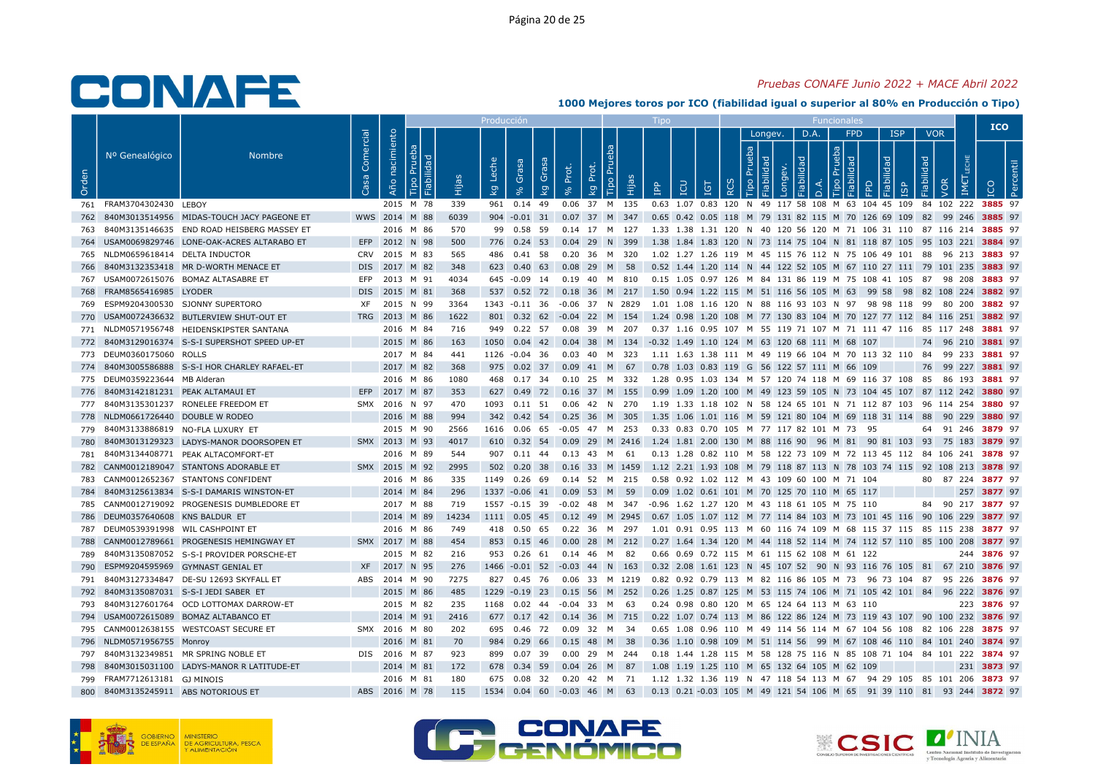## Pruebas CONAFE Junio 2022 + MACE Abril 2022

|       |                                     |                                                                                |                   |                   |                        |             | Producció               |                                  |       |                                 |      |                                                                                                                                                |            |                               |              |                           |                                |                 |                                       |                          |                   | <b>ICO</b>  |  |
|-------|-------------------------------------|--------------------------------------------------------------------------------|-------------------|-------------------|------------------------|-------------|-------------------------|----------------------------------|-------|---------------------------------|------|------------------------------------------------------------------------------------------------------------------------------------------------|------------|-------------------------------|--------------|---------------------------|--------------------------------|-----------------|---------------------------------------|--------------------------|-------------------|-------------|--|
| Orden | Nº Genealógico                      | <b>Nombre</b>                                                                  | Comercial<br>Casa | nacimiento<br>Año | ಾ<br>∥ ≌               | Êщ          | Leche<br>$\overline{k}$ | Grasa<br>Grasa<br>$\overline{k}$ | Prot. | <b>Tipo Pru</b><br>đ<br>ᅌ<br>kg | Нijа | <b>CD</b><br>$\mathbb{R}$                                                                                                                      | <b>IGT</b> | Prueba<br>$\circ$<br>$\alpha$ | Longev.<br>₫ | D.A.<br>БF<br>õ<br>$\Box$ | dep<br>$\mathbb{R}$<br>$\circ$ | <b>FPD</b><br>≏ | <b>ISP</b><br>lidad<br>$\overline{9}$ | <b>VOR</b><br>Fiabilidad | VOR<br>IM€        |             |  |
|       | 761 FRAM3704302430 LEBOY            |                                                                                |                   |                   | 2015 M 78              | 339         |                         | 961 0.14 49                      |       | 0.06 37 M 135                   |      | 0.63 1.07 0.83 120 N 49 117 58 108 M 63 104 45 109 84 102 222 3885 97                                                                          |            |                               |              |                           |                                |                 |                                       |                          |                   |             |  |
| 762   |                                     | 840M3013514956 MIDAS-TOUCH JACY PAGEONE ET                                     |                   |                   | WWS 2014 M 88          | 6039        |                         | 904 -0.01 31 0.07 37 M 347       |       |                                 |      | 0.65 0.42 0.05 118 M 79 131 82 115 M 70 126 69 109 82 99 246 3885 97                                                                           |            |                               |              |                           |                                |                 |                                       |                          |                   |             |  |
| 763   |                                     | 840M3135146635 END ROAD HEISBERG MASSEY ET                                     |                   |                   | 2016 M 86              | 570         |                         | 99  0.58  59  0.14  17  M  127   |       |                                 |      | 1.33 1.38 1.31 120 N 40 120 56 120 M 71 106 31 110 87 116 214 <b>3885</b> 97                                                                   |            |                               |              |                           |                                |                 |                                       |                          |                   |             |  |
|       |                                     | 764 USAM0069829746 LONE-OAK-ACRES ALTARABO ET                                  |                   |                   | EFP 2012 N 98          | 500         |                         | 776 0.24 53                      |       | 0.04 29 N 399                   |      | 1.38 1.84 1.83 120 N 73 114 75 104 N 81 118 87 105 95 103 221 3884 97                                                                          |            |                               |              |                           |                                |                 |                                       |                          |                   |             |  |
|       | 765 NLDM0659618414 DELTA INDUCTOR   |                                                                                |                   |                   | CRV 2015 M 83          | 565         |                         | 486 0.41 58                      |       | 0.20 36 M 320                   |      | 1.02 1.27 1.26 119 M 45 115 76 112 N 75 106 49 101 88 96 213 3883 97                                                                           |            |                               |              |                           |                                |                 |                                       |                          |                   |             |  |
| 766   |                                     | 840M3132353418 MR D-WORTH MENACE ET                                            |                   |                   | DIS 2017 M 82          | 348         |                         | 623 0.40 63 0.08 29 M 58         |       |                                 |      | 0.52 1.44 1.20 114 N 44 122 52 105 M 67 110 27 111 79 101 235 3883 97                                                                          |            |                               |              |                           |                                |                 |                                       |                          |                   |             |  |
| 767   |                                     | USAM0072615076 BOMAZ ALTASABRE ET                                              | EFP               |                   | 2013 M 91              | 4034        |                         | 645 -0.09 14 0.19 40 M 810       |       |                                 |      | 0.15 1.05 0.97 126 M 84 131 86 119 M 75 108 41 105 87 98 208 <b>3883</b> 97                                                                    |            |                               |              |                           |                                |                 |                                       |                          |                   |             |  |
|       | 768 FRAM8565416985 LYODER           |                                                                                |                   |                   | DIS 2015 M 81          | 368         |                         |                                  |       |                                 |      | 537 0.52 72 0.18 36 M 217 1.50 0.94 1.22 115 M 51 116 56 105 M 63 99 58 98 82 108 224 3882 97                                                  |            |                               |              |                           |                                |                 |                                       |                          |                   |             |  |
| 769   |                                     | ESPM9204300530 SJONNY SUPERTORO                                                | XF                |                   | 2015 N 99              | 3364        |                         | 1343 -0.11 36                    |       | -0.06 37 N 2829                 |      | 1.01 1.08 1.16 120 N 88 116 93 103 N 97 98 98 118 99 80 200 <b>3882</b> 97                                                                     |            |                               |              |                           |                                |                 |                                       |                          |                   |             |  |
| 770   |                                     | USAM0072436632 BUTLERVIEW SHUT-OUT ET                                          |                   |                   | TRG 2013 M 86          | 1622        |                         | 801 0.32 62 -0.04 22 M 154       |       |                                 |      | 1.24 0.98 1.20 108 M 77 130 83 104 M 70 127 77 112 84 116 251 3882 97                                                                          |            |                               |              |                           |                                |                 |                                       |                          |                   |             |  |
|       |                                     | 771 NLDM0571956748 HEIDENSKIPSTER SANTANA                                      |                   |                   | 2016 M 84              | 716         |                         | 949 0.22 57                      |       | 0.08 39 M 207                   |      | 0.37 1.16 0.95 107 M 55 119 71 107 M 71 111 47 116 85 117 248 <b>3881</b> 97                                                                   |            |                               |              |                           |                                |                 |                                       |                          |                   |             |  |
|       |                                     | 772 840M3129016374 S-S-I SUPERSHOT SPEED UP-ET                                 |                   |                   | 2015 M 86              | 163         |                         |                                  |       |                                 |      | 1050  0.04  42  0.04  38  M  134  -0.32  1.49  1.10  124  M  63  120  68  111  M  68  107                                                      |            |                               |              |                           |                                |                 |                                       |                          | 74 96 210 3881 97 |             |  |
|       | 773 DEUM0360175060 ROLLS            |                                                                                |                   |                   | 2017 M 84              | 441         |                         | 1126 -0.04 36                    |       | 0.03 40 M 323                   |      | 1.11 1.63 1.38 111 M 49 119 66 104 M 70 113 32 110 84 99 233 3881 97                                                                           |            |                               |              |                           |                                |                 |                                       |                          |                   |             |  |
|       |                                     | 774 840M3005586888 S-S-I HOR CHARLEY RAFAEL-ET                                 |                   |                   | 2017 M 82              | 368         |                         | 975  0.02  37  0.09  41  M  67   |       |                                 |      | 0.78 1.03 0.83 119 G 56 122 57 111 M 66 109                                                                                                    |            |                               |              |                           |                                |                 |                                       |                          | 76 99 227 3881 97 |             |  |
| 775   | DEUM0359223644 MB Alderan           |                                                                                |                   |                   | 2016 M 86              | 1080        |                         | 468 0.17 34                      |       | 0.10 25 M 332                   |      | 1.28 0.95 1.03 134 M 57 120 74 118 M 69 116 37 108 85 86 193 3881 97                                                                           |            |                               |              |                           |                                |                 |                                       |                          |                   |             |  |
|       | 776 840M3142181231 PEAK ALTAMAUI ET |                                                                                |                   |                   | EFP 2017 M 87          | 353         |                         | 627 0.49 72 0.16 37 M 155        |       |                                 |      | 0.99 1.09 1.20 100 M 49 123 59 105 N 73 104 45 107 87 112 242 <b>3880</b> 97                                                                   |            |                               |              |                           |                                |                 |                                       |                          |                   |             |  |
|       |                                     | 777 840M3135301237 RONELEE FREEDOM ET                                          |                   |                   | SMX 2016 N 97          | 470         |                         |                                  |       |                                 |      | 1093 0.11 51 0.06 42 N 270 1.19 1.33 1.18 102 N 58 124 65 101 N 71 112 87 103 96 114 254 3880 97                                               |            |                               |              |                           |                                |                 |                                       |                          |                   |             |  |
|       | 778 NLDM0661726440 DOUBLE W RODEO   |                                                                                |                   |                   | 2016 M 88              | 994         |                         | 342 0.42 54 0.25 36 M 305        |       |                                 |      | 1.35 1.06 1.01 116 M 59 121 80 104 M 69 118 31 114 88 90 229 3880 97                                                                           |            |                               |              |                           |                                |                 |                                       |                          |                   |             |  |
|       | 779 840M3133886819 NO-FLA LUXURY ET |                                                                                |                   |                   | 2015 M 90              | 2566        |                         |                                  |       |                                 |      | 1616 0.06 65 -0.05 47 M 253 0.33 0.83 0.70 105 M 77 117 82 101 M 73 95                                                                         |            |                               |              |                           |                                |                 |                                       |                          | 64 91 246 3879 97 |             |  |
| 780   |                                     | 840M3013129323 LADYS-MANOR DOORSOPEN ET                                        |                   |                   | SMX 2013 M 93          | 4017        |                         | 610 0.32 54                      |       |                                 |      | 0.09 29 M 2416 1.24 1.81 2.00 130 M 88 116 90 96 M 81 90 81 103 93 75 183 3879 97                                                              |            |                               |              |                           |                                |                 |                                       |                          |                   |             |  |
| 781   |                                     | 840M3134408771 PEAK ALTACOMFORT-ET                                             |                   |                   | 2016 M 89              | 544         |                         | 907  0.11  44  0.13  43  M  61   |       |                                 |      | 0.13 1.28 0.82 110 M 58 122 73 109 M 72 113 45 112 84 106 241 3878 97                                                                          |            |                               |              |                           |                                |                 |                                       |                          |                   |             |  |
|       |                                     | 782 CANM0012189047 STANTONS ADORABLE ET                                        |                   |                   | SMX 2015 M 92          | 2995        |                         |                                  |       |                                 |      | 502 0.20 38 0.16 33 M 1459 1.12 2.21 1.93 108 M 79 118 87 113 N 78 103 74 115 92 108 213 3878 97                                               |            |                               |              |                           |                                |                 |                                       |                          |                   |             |  |
| 783   |                                     | CANM0012652367 STANTONS CONFIDENT                                              |                   |                   | 2016 M 86              | 335         |                         | 1149 0.26 69                     |       | 0.14 52 M 215                   |      | 0.58 0.92 1.02 112 M 43 109 60 100 M 71 104                                                                                                    |            |                               |              |                           |                                |                 |                                       |                          | 80 87 224 3877 97 |             |  |
| 784   |                                     | 840M3125613834 S-S-I DAMARIS WINSTON-ET                                        |                   |                   | 2014 M 84              | 296         |                         | 1337 -0.06 41                    |       | 0.09 53 M 59                    |      | 0.09 1.02 0.61 101 M 70 125 70 110 M 65 117                                                                                                    |            |                               |              |                           |                                |                 |                                       |                          |                   | 257 3877 97 |  |
| 785   |                                     | CANM0012719092 PROGENESIS DUMBLEDORE ET                                        |                   |                   | 2017 M 88              | 719         |                         | 1557 -0.15 39 -0.02 48 M 347     |       |                                 |      | -0.96 1.62 1.27 120 M 43 118 61 105 M 75 110                                                                                                   |            |                               |              |                           |                                |                 |                                       |                          | 84 90 217 3877 97 |             |  |
|       | 786 DEUM0357640608 KNS BALDUR ET    |                                                                                |                   |                   | 2014 M 89              | 14234       |                         |                                  |       |                                 |      | 1111 0.05 45 0.12 49 M 2945 0.67 1.05 1.07 112 M 77 114 84 103 M 73 101 45 116 90 106 229 3877 97                                              |            |                               |              |                           |                                |                 |                                       |                          |                   |             |  |
|       | 787 DEUM0539391998 WIL CASHPOINT ET |                                                                                |                   |                   | 2016 M 86              | 749         |                         | 418  0.50  65                    |       | 0.22 36 M 297                   |      | 1.01 0.91 0.95 113 M 60 116 74 109 M 68 115 37 115 85 115 238 3877 97                                                                          |            |                               |              |                           |                                |                 |                                       |                          |                   |             |  |
| 788   |                                     | CANM0012789661 PROGENESIS HEMINGWAY ET                                         |                   |                   | SMX 2017 M 88          | 454         |                         | 853 0.15 46                      | 0.00  | 28 M 212                        |      | 0.27 1.64 1.34 120 M 44 118 52 114 M 74 112 57 110 85 100 208 3877 97                                                                          |            |                               |              |                           |                                |                 |                                       |                          |                   |             |  |
| 789   |                                     | 840M3135087052 S-S-I PROVIDER PORSCHE-ET                                       |                   |                   | 2015 M 82              | 216         |                         | 953 0.26 61 0.14 46 M 82         |       |                                 |      | 0.66 0.69 0.72 115 M 61 115 62 108 M 61 122                                                                                                    |            |                               |              |                           |                                |                 |                                       |                          |                   | 244 3876 97 |  |
| 790   |                                     | ESPM9204595969 GYMNAST GENIAL ET                                               |                   |                   | XF 2017 N 95           | 276         |                         | 1466 -0.01 52 -0.03 44 N 163     |       |                                 |      | 0.32 2.08 1.61 123 N 45 107 52 90 N 93 116 76 105 81 67 210 3876 97                                                                            |            |                               |              |                           |                                |                 |                                       |                          |                   |             |  |
| 791   |                                     | 840M3127334847 DE-SU 12693 SKYFALL ET                                          | ABS               |                   | 2014 M 90              | 7275        |                         | 827 0.45 76                      |       | 0.06 33 M 1219                  |      | 0.82 0.92 0.79 113 M 82 116 86 105 M 73  96 73 104  87  95 226 <b>3876</b> 97                                                                  |            |                               |              |                           |                                |                 |                                       |                          |                   |             |  |
| 792   |                                     | 840M3135087031 S-S-I JEDI SABER ET                                             |                   |                   | 2015 M 86              | 485         |                         | 1229 -0.19 23 0.15 56 M 252      |       |                                 |      | 0.26 1.25 0.87 125 M 53 115 74 106 M 71 105 42 101 84 96 222 3876 97                                                                           |            |                               |              |                           |                                |                 |                                       |                          |                   |             |  |
| 793   |                                     | 840M3127601764 OCD LOTTOMAX DARROW-ET<br>794 USAM0072615089 BOMAZ ALTABANCO ET |                   |                   | 2015 M 82<br>2014 M 91 | 235<br>2416 | 1168                    | 0.02 44 -0.04 33 M 63            |       |                                 |      | 0.24 0.98 0.80 120 M 65 124 64 113 M 63 110<br>677 0.17 42 0.14 36 M 715 0.22 1.07 0.74 113 M 86 122 86 124 M 73 119 43 107 90 100 232 3876 97 |            |                               |              |                           |                                |                 |                                       |                          |                   | 223 3876 97 |  |
|       |                                     | 795 CANM0012638155 WESTCOAST SECURE ET                                         |                   |                   | SMX 2016 M 80          | 202         |                         | 695 0.46 72                      |       | 0.09 32 M                       | 34   | 0.65 1.08 0.96 110 M 49 114 56 114 M 67 104 56 108 82 106 228 3875 97                                                                          |            |                               |              |                           |                                |                 |                                       |                          |                   |             |  |
|       | 796 NLDM0571956755 Monroy           |                                                                                |                   |                   | 2016 M 81              | 70          |                         | 984 0.29 66                      |       | $0.15$ 48 M 38                  |      | 0.36 1.10 0.98 109 M 51 114 56 99 M 67 108 46 110 84 101 240 3874 97                                                                           |            |                               |              |                           |                                |                 |                                       |                          |                   |             |  |
| 797   |                                     | 840M3132349851 MR SPRING NOBLE ET                                              |                   |                   | DIS 2016 M 87          | 923         | 899                     | 0.07 39                          |       | 0.00 29 M 244                   |      | 0.18 1.44 1.28 115 M 58 128 75 116 N 85 108 71 104 84 101 222 3874 97                                                                          |            |                               |              |                           |                                |                 |                                       |                          |                   |             |  |
| 798   |                                     | 840M3015031100 LADYS-MANOR R LATITUDE-ET                                       |                   |                   | 2014 M 81              | 172         |                         | 678 0.34 59                      |       | $0.04$ 26 M 87                  |      | 1.08 1.19 1.25 110 M 65 132 64 105 M 62 109                                                                                                    |            |                               |              |                           |                                |                 |                                       |                          |                   | 231 3873 97 |  |
|       | 799 FRAM7712613181 GJ MINOIS        |                                                                                |                   |                   | 2016 M 81              | 180         |                         | 675  0.08  32  0.20  42  M  71   |       |                                 |      | 1.12 1.32 1.36 119 N 47 118 54 113 M 67 94 29 105 85 101 206 3873 97                                                                           |            |                               |              |                           |                                |                 |                                       |                          |                   |             |  |
| 800   |                                     | 840M3135245911 ABS NOTORIOUS ET                                                |                   |                   | ABS 2016 M 78          | 115         |                         | 1534 0.04 60 -0.03 46 M 63       |       |                                 |      | 0.13 0.21 -0.03 105 M 49 121 54 106 M 65 91 39 110 81 93 244 3872 97                                                                           |            |                               |              |                           |                                |                 |                                       |                          |                   |             |  |
|       |                                     |                                                                                |                   |                   |                        |             |                         |                                  |       |                                 |      |                                                                                                                                                |            |                               |              |                           |                                |                 |                                       |                          |                   |             |  |





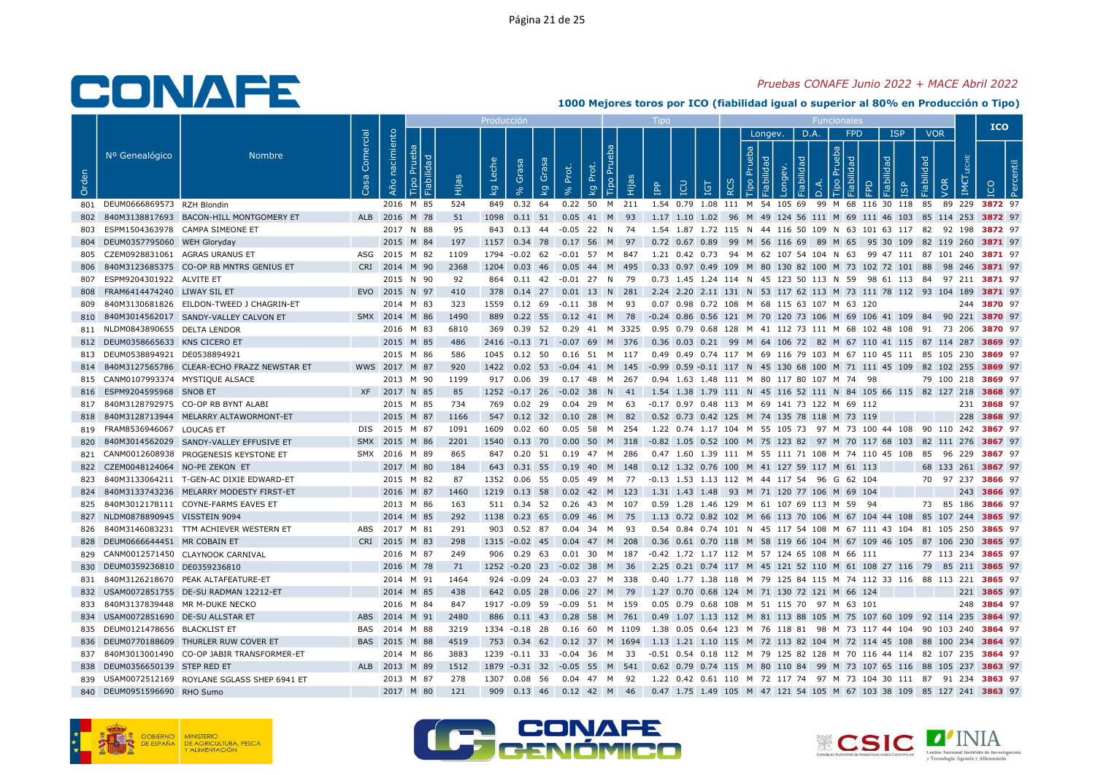### Pruebas CONAFE Junio 2022 + MACE Abril 2022

|       |                                           |                                                |                   |                   |           |      | Producció                        |                                  |                   |                                                                                                     |              |                                              |   |                              |              |                           |                                        |                                                                              |                          |                    | <b>ICO</b>  |  |
|-------|-------------------------------------------|------------------------------------------------|-------------------|-------------------|-----------|------|----------------------------------|----------------------------------|-------------------|-----------------------------------------------------------------------------------------------------|--------------|----------------------------------------------|---|------------------------------|--------------|---------------------------|----------------------------------------|------------------------------------------------------------------------------|--------------------------|--------------------|-------------|--|
| Orden | Nº Genealógico                            | <b>Nombre</b>                                  | Comercial<br>Casa | nacimiento<br>Año | ಾ<br>∥≌   | Ëщ   | Leche<br>$\overline{\mathsf{g}}$ | Grasa<br>Grasa<br>$\overline{k}$ | Prot.             | <b>Tipo Pru</b><br>đ<br>ᅌ<br>ιËΡ<br>kg                                                              | $\mathbb{R}$ | <b>CO</b><br><b>IGT</b>                      | ≃ | Longev.<br>Prueba<br>$\circ$ | DЕ<br>õ<br>פ | D.A.<br>$\circ$<br>$\Box$ | <b>FPD</b><br>deu<br>$\mathbb{R}$<br>≏ | <b>ISP</b><br>lidad<br>$\overline{9}$                                        | <b>VOR</b><br>Fiabilidad | VOR                |             |  |
|       | 801 DEUM0666869573 RZH Blondin            |                                                |                   |                   | 2016 M 85 | 524  |                                  | 849 0.32 64                      |                   | 0.22 50 M 211 1.54 0.79 1.08 111 M 54 105 69 99 M 68 116 30 118 85 89 229 3872 97                   |              |                                              |   |                              |              |                           |                                        |                                                                              |                          |                    |             |  |
| 802   |                                           | 840M3138817693 BACON-HILL MONTGOMERY ET        |                   | ALB 2016 M 78     |           | 51   |                                  | 1098  0.11  51                   |                   | 0.05 41 M 93                                                                                        |              |                                              |   |                              |              |                           |                                        | 1.17 1.10 1.02 96 M 49 124 56 111 M 69 111 46 103 85 114 253 3872 97         |                          |                    |             |  |
|       |                                           | ESPM1504363978 CAMPA SIMEONE ET                |                   |                   | 2017 N 88 | 95   |                                  |                                  |                   | 843  0.13  44  -0.05  22  N  74                                                                     |              |                                              |   |                              |              |                           |                                        | 1.54 1.87 1.72 115 N 44 116 50 109 N 63 101 63 117 82 92 198 3872 97         |                          |                    |             |  |
| 804   | DEUM0357795060 WEH Gloryday               |                                                |                   |                   | 2015 M 84 | 197  |                                  |                                  |                   | 1157 0.34 78 0.17 56 M 97                                                                           |              |                                              |   |                              |              |                           |                                        | 0.72 0.67 0.89 99 M 56 116 69 89 M 65 95 30 109 82 119 260 3871 97           |                          |                    |             |  |
| 805   | CZEM0928831061 AGRAS URANUS ET            |                                                |                   | ASG 2015 M 82     |           | 1109 |                                  | 1794 -0.02 62                    |                   | -0.01 57 M 847                                                                                      |              |                                              |   |                              |              |                           |                                        | 1.21 0.42 0.73 94 M 62 107 54 104 N 63 99 47 111 87 101 240 3871 97          |                          |                    |             |  |
|       |                                           | 840M3123685375 CO-OP RB MNTRS GENIUS ET        |                   | CRI 2014 M 90     |           | 2368 |                                  |                                  |                   | 1204  0.03  46  0.05  44  M  495                                                                    |              |                                              |   |                              |              |                           |                                        | 0.33 0.97 0.49 109 M 80 130 82 100 M 73 102 72 101 88 98 246 3871 97         |                          |                    |             |  |
| 807   | ESPM9204301922 ALVITE ET                  |                                                |                   |                   | 2015 N 90 | 92   |                                  | 864 0.11 42                      |                   | -0.01 27 N 79                                                                                       |              |                                              |   |                              |              |                           |                                        | 0.73 1.45 1.24 114 N 45 123 50 113 N 59 98 61 113 84 97 211 3871 97          |                          |                    |             |  |
| 808   | FRAM6414474240 LIWAY SIL ET               |                                                |                   | EVO 2015 N 97     |           | 410  |                                  |                                  |                   | 378 0.14 27 0.01 13 N 281 2.24 2.20 2.11 131 N 53 117 62 113 M 73 111 78 112 93 104 189 3871 97     |              |                                              |   |                              |              |                           |                                        |                                                                              |                          |                    |             |  |
| 809   |                                           | 840M3130681826 EILDON-TWEED J CHAGRIN-ET       |                   |                   | 2014 M 83 | 323  |                                  |                                  |                   | 1559  0.12  69  -0.11  38  M  93                                                                    |              | 0.07 0.98 0.72 108 M 68 115 63 107 M 63 120  |   |                              |              |                           |                                        |                                                                              |                          |                    | 244 3870 97 |  |
| 810   |                                           | 840M3014562017 SANDY-VALLEY CALVON ET          |                   | SMX 2014 M 86     |           | 1490 |                                  | 889 0.22 55                      |                   | 0.12 41 M 78 -0.24 0.86 0.56 121 M 70 120 73 106 M 69 106 41 109 84 90 221 3870 97                  |              |                                              |   |                              |              |                           |                                        |                                                                              |                          |                    |             |  |
|       | 811 NLDM0843890655 DELTA LENDOR           |                                                |                   |                   | 2016 M 83 | 6810 |                                  |                                  |                   | 369 0.39 52 0.29 41 M 3325 0.95 0.79 0.68 128 M 41 112 73 111 M 68 102 48 108 91 73 206 3870 97     |              |                                              |   |                              |              |                           |                                        |                                                                              |                          |                    |             |  |
|       | 812 DEUM0358665633 KNS CICERO ET          |                                                |                   |                   | 2015 M 85 | 486  |                                  |                                  |                   | 2416 -0.13 71 -0.07 69 M 376 0.36 0.03 0.21 99 M 64 106 72 82 M 67 110 41 115 87 114 287 3869 97    |              |                                              |   |                              |              |                           |                                        |                                                                              |                          |                    |             |  |
|       | 813 DEUM0538894921 DE0538894921           |                                                |                   |                   | 2015 M 86 | 586  |                                  | 1045  0.12  50                   |                   | 0.16 51 M 117                                                                                       |              |                                              |   |                              |              |                           |                                        | 0.49 0.49 0.74 117 M 69 116 79 103 M 67 110 45 111 85 105 230 <b>3869</b> 97 |                          |                    |             |  |
|       |                                           | 814 840M3127565786 CLEAR-ECHO FRAZZ NEWSTAR ET |                   | WWS 2017 M 87     |           | 920  |                                  |                                  |                   | 1422 0.02 53 -0.04 41 M 145 -0.99 0.59 -0.11 117 N 45 130 68 100 M 71 111 45 109 82 102 255 3869 97 |              |                                              |   |                              |              |                           |                                        |                                                                              |                          |                    |             |  |
|       | 815 CANM0107993374 MYSTIQUE ALSACE        |                                                |                   |                   | 2013 M 90 | 1199 |                                  | 917 0.06 39                      |                   | 0.17 48 M 267                                                                                       |              | 0.94 1.63 1.48 111 M 80 117 80 107 M 74 98   |   |                              |              |                           |                                        |                                                                              |                          | 79 100 218 3869 97 |             |  |
|       | 816 ESPM9204595968 SNOB ET                |                                                |                   | XF 2017 N 85      |           | 85   |                                  |                                  |                   | 1252 -0.17 26 -0.02 38 N 41 1.54 1.38 1.79 111 N 45 116 52 111 N 84 105 66 115 82 127 218 3868 97   |              |                                              |   |                              |              |                           |                                        |                                                                              |                          |                    |             |  |
|       |                                           | 817 840M3128792975 CO-OP RB BYNT ALABI         |                   |                   | 2015 M 85 | 734  |                                  |                                  |                   | 769  0.02  29  0.04  29  M  63                                                                      |              | -0.17 0.97 0.48 113 M 69 141 73 122 M 69 112 |   |                              |              |                           |                                        |                                                                              |                          |                    | 231 3868 97 |  |
| 818   |                                           | 840M3128713944 MELARRY ALTAWORMONT-ET          |                   |                   | 2015 M 87 | 1166 |                                  |                                  |                   | 547 0.12 32 0.10 28 M 82                                                                            |              | 0.52 0.73 0.42 125 M 74 135 78 118 M 73 119  |   |                              |              |                           |                                        |                                                                              |                          |                    | 228 3868 97 |  |
|       | 819 FRAM8536946067 LOUCAS ET              |                                                |                   | DIS 2015 M 87     |           | 1091 | 1609                             | 0.02 60                          |                   | 0.05 58 M 254                                                                                       |              |                                              |   |                              |              |                           |                                        | 1.22 0.74 1.17 104 M 55 105 73 97 M 73 100 44 108 90 110 242 <b>3867</b> 97  |                          |                    |             |  |
| 820   |                                           | 840M3014562029 SANDY-VALLEY EFFUSIVE ET        |                   | SMX 2015 M 86     |           | 2201 |                                  | 1540 0.13 70                     | 0.00 <sub>1</sub> | 50 M 318                                                                                            |              |                                              |   |                              |              |                           |                                        | -0.82 1.05 0.52 100 M 75 123 82 97 M 70 117 68 103 82 111 276 <b>3867</b> 97 |                          |                    |             |  |
| 821   |                                           | CANM0012608938 PROGENESIS KEYSTONE ET          |                   | SMX 2016 M 89     |           | 865  |                                  |                                  |                   | 847 0.20 51 0.19 47 M 286                                                                           |              |                                              |   |                              |              |                           |                                        | 0.47 1.60 1.39 111 M 55 111 71 108 M 74 110 45 108 85 96 229 3867 97         |                          |                    |             |  |
|       | 822 CZEM0048124064 NO-PE ZEKON ET         |                                                |                   |                   | 2017 M 80 | 184  |                                  |                                  |                   | 643 0.31 55 0.19 40 M 148 0.12 1.32 0.76 100 M 41 127 59 117 M 61 113                               |              |                                              |   |                              |              |                           |                                        |                                                                              |                          | 68 133 261 3867 97 |             |  |
| 823   |                                           | 840M3133064211 T-GEN-AC DIXIE EDWARD-ET        |                   |                   | 2015 M 82 | 87   |                                  | 1352 0.06 55                     |                   | 0.05 49 M 77                                                                                        |              | -0.13 1.53 1.13 112 M 44 117 54 96 G 62 104  |   |                              |              |                           |                                        |                                                                              |                          | 70 97 237 3866 97  |             |  |
| 824   |                                           | 840M3133743236 MELARRY MODESTY FIRST-ET        |                   |                   | 2016 M 87 | 1460 |                                  |                                  |                   | 1219  0.13  58  0.02  42  M  123                                                                    |              | 1.31 1.43 1.48 93 M 71 120 77 106 M 69 104   |   |                              |              |                           |                                        |                                                                              |                          |                    | 243 3866 97 |  |
| 825   |                                           | 840M3012178111 COYNE-FARMS EAVES ET            |                   |                   | 2013 M 86 | 163  |                                  | 511 0.34 52                      |                   | 0.26 43 M 107                                                                                       |              | 0.59 1.28 1.46 129 M 61 107 69 113 M 59 94   |   |                              |              |                           |                                        |                                                                              |                          | 73 85 186 3866 97  |             |  |
|       | 827 NLDM0878890945 VISSTEIN 9094          |                                                |                   |                   | 2014 M 85 | 292  |                                  | 1138 0.23 65                     |                   | 0.09 46 M 75                                                                                        |              |                                              |   |                              |              |                           |                                        | 1.13 0.72 0.82 102 M 66 113 70 106 M 67 104 44 108 85 107 244 3865 97        |                          |                    |             |  |
| 826   |                                           | 840M3146083231 TTM ACHIEVER WESTERN ET         | ABS               | 2017 M 81         |           | 291  |                                  | 903 0.52 87                      |                   | 0.04 34 M 93                                                                                        |              |                                              |   |                              |              |                           |                                        | 0.54 0.84 0.74 101 N 45 117 54 108 M 67 111 43 104 81 105 250 3865 97        |                          |                    |             |  |
| 828   | DEUM0666644451 MR COBAIN ET               |                                                |                   | CRI 2015 M 83     |           | 298  |                                  | 1315 -0.02 45                    |                   | $0.04$ 47 M 208                                                                                     |              |                                              |   |                              |              |                           |                                        | 0.36 0.61 0.70 118 M 58 119 66 104 M 67 109 46 105 87 106 230 3865 97        |                          |                    |             |  |
| 829   |                                           | CANM0012571450 CLAYNOOK CARNIVAL               |                   |                   | 2016 M 87 | 249  |                                  |                                  |                   | 906 0.29 63 0.01 30 M 187 -0.42 1.72 1.17 112 M 57 124 65 108 M 66 111                              |              |                                              |   |                              |              |                           |                                        |                                                                              |                          | 77 113 234 3865 97 |             |  |
| 830   | DEUM0359236810 DE0359236810               |                                                |                   |                   | 2016 M 78 | 71   |                                  | 1252 -0.20 23 -0.02 38 M         |                   | - 36                                                                                                |              |                                              |   |                              |              |                           |                                        | 2.25 0.21 0.74 117 M 45 121 52 110 M 61 108 27 116 79 85 211 3865 97         |                          |                    |             |  |
| 831   |                                           | 840M3126218670 PEAK ALTAFEATURE-ET             |                   |                   | 2014 M 91 | 1464 |                                  |                                  |                   | 924 -0.09 24 -0.03 27 M 338                                                                         |              |                                              |   |                              |              |                           |                                        | 0.40 1.77 1.38 118 M 79 125 84 115 M 74 112 33 116 88 113 221 3865 97        |                          |                    |             |  |
|       |                                           | 832 USAM0072851755 DE-SU RADMAN 12212-ET       |                   |                   | 2014 M 85 | 438  |                                  |                                  |                   | 642 0.05 28 0.06 27 M 79                                                                            |              | 1.27 0.70 0.68 124 M 71 130 72 121 M 66 124  |   |                              |              |                           |                                        |                                                                              |                          |                    | 221 3865 97 |  |
| 833   | 840M3137839448 MR M-DUKE NECKO            |                                                |                   |                   | 2016 M 84 | 847  |                                  | 1917 -0.09 59                    | -0.09 51          | <b>M</b><br>159                                                                                     |              | 0.05 0.79 0.68 108 M 51 115 70 97 M 63 101   |   |                              |              |                           |                                        |                                                                              |                          |                    | 248 3864 97 |  |
|       | 834    USAM0072851690    DE-SU ALLSTAR ET |                                                |                   | ABS 2014 M 91     |           | 2480 |                                  |                                  |                   | 886 0.11 43 0.28 58 M 761                                                                           |              |                                              |   |                              |              |                           |                                        | 0.49 1.07 1.13 112 M 81 113 88 105 M 75 107 60 109 92 114 235 3864 97        |                          |                    |             |  |
|       | 835 DEUM0121478656 BLACKLIST ET           |                                                | BAS               | 2014 M 88         |           | 3219 |                                  | 1334 -0.18 28                    |                   | 0.16 60 M 1109                                                                                      |              |                                              |   |                              |              |                           |                                        | 1.38 0.05 0.64 123 M 76 118 81 98 M 73 117 44 104 90 103 240 <b>3864</b> 97  |                          |                    |             |  |
| 836   |                                           | DEUM0770188609 THURLER RUW COVER ET            |                   | BAS 2015 M 88     |           | 4519 |                                  |                                  |                   | 753 0.34 62 0.12 37 M 1694 1.13 1.21 1.10 115 M 72 113 82 104 M 72 114 45 108 88 100 234 3864 97    |              |                                              |   |                              |              |                           |                                        |                                                                              |                          |                    |             |  |
| 837   |                                           | 840M3013001490 CO-OP JABIR TRANSFORMER-ET      |                   |                   | 2014 M 86 | 3883 |                                  |                                  |                   | 1239 -0.11 33 -0.04 36 M 33                                                                         |              |                                              |   |                              |              |                           |                                        | -0.51 0.54 0.18 112 M 79 125 82 128 M 70 116 44 114 82 107 235 3864 97       |                          |                    |             |  |
| 838   | DEUM0356650139 STEP RED ET                |                                                |                   | ALB 2013 M 89     |           | 1512 |                                  |                                  |                   | 1879 -0.31 32 -0.05 55 M 541                                                                        |              |                                              |   |                              |              |                           |                                        | 0.62 0.79 0.74 115 M 80 110 84 99 M 73 107 65 116 88 105 237 3863 97         |                          |                    |             |  |
|       |                                           | 839 USAM0072512169 ROYLANE SGLASS SHEP 6941 ET |                   |                   | 2013 M 87 | 278  |                                  |                                  |                   | 1307  0.08  56  0.04  47  M  92                                                                     |              |                                              |   |                              |              |                           |                                        | 1.22 0.42 0.61 110 M 72 117 74 97 M 73 104 30 111 87 91 234 <b>3863</b> 97   |                          |                    |             |  |
|       | 840 DEUM0951596690 RHO Sumo               |                                                |                   |                   | 2017 M 80 | 121  |                                  |                                  |                   | 909 0.13 46 0.12 42 M 46                                                                            |              |                                              |   |                              |              |                           |                                        | 0.47 1.75 1.49 105 M 47 121 54 105 M 67 103 38 109 85 127 241 3863 97        |                          |                    |             |  |
|       |                                           |                                                |                   |                   |           |      |                                  |                                  |                   |                                                                                                     |              |                                              |   |                              |              |                           |                                        |                                                                              |                          |                    |             |  |





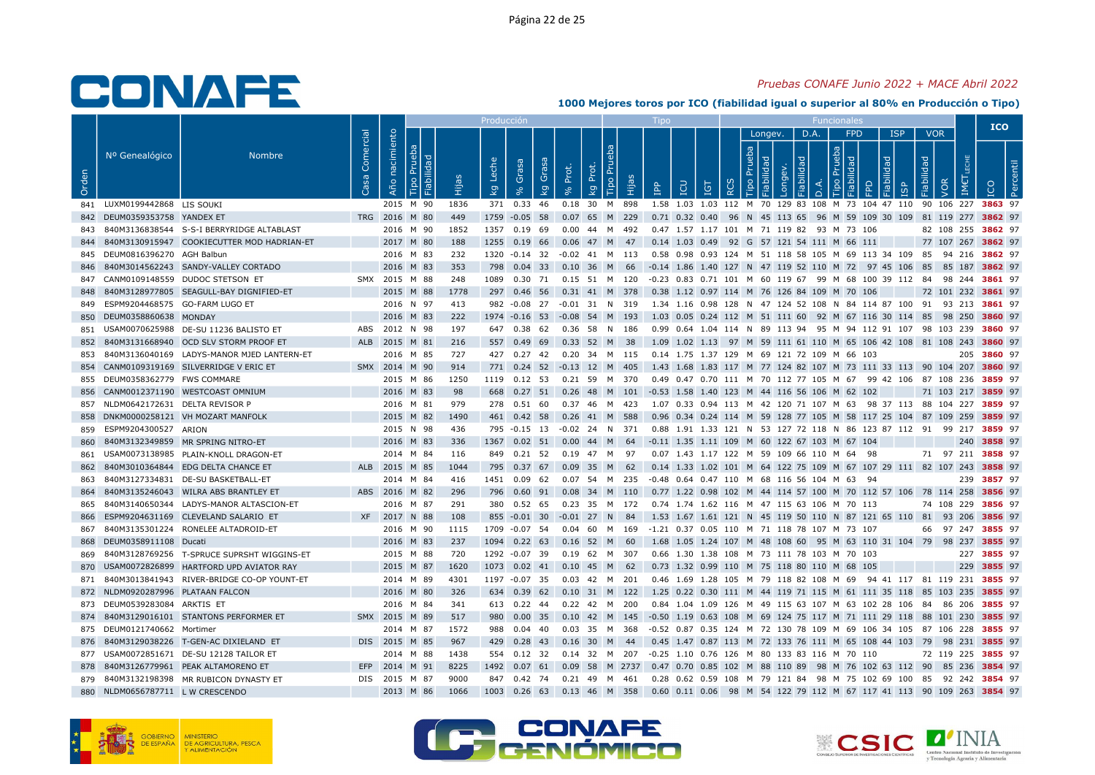### Pruebas CONAFE Junio 2022 + MACE Abril 2022

|       |                                    |                                                |                 |                        |               |             | Produccio               |                      |       |                                                                                                   |                           |                                                        |                    |                           |             |     |                 |                                                                                             |                                 |                    | <b>ICO</b>  |  |
|-------|------------------------------------|------------------------------------------------|-----------------|------------------------|---------------|-------------|-------------------------|----------------------|-------|---------------------------------------------------------------------------------------------------|---------------------------|--------------------------------------------------------|--------------------|---------------------------|-------------|-----|-----------------|---------------------------------------------------------------------------------------------|---------------------------------|--------------------|-------------|--|
| Orden | Nº Genealógico                     | <b>Nombre</b>                                  | Comercial<br>5a | Año nacimiento         | $\sigma$<br>음 | й<br>Нід    | Leche<br>$\overline{k}$ | Grasa<br>Grasa<br>kg | Prot. | Tipo Pru<br>Prot.<br>ഗ<br><b>E</b><br>kg                                                          | $\mathbf{P}^{\mathbf{p}}$ | <b>POI</b><br><b>IGT</b>                               | ueba<br><b>RCS</b> | Longev.<br>$\overline{Q}$ | D.A.<br>pep | deb | <b>FPD</b><br>모 | <b>ISP</b><br>lidad<br><b>GP</b>                                                            | <b>VOR</b><br>Fiabilidad<br>VOR | IM€                |             |  |
|       | 841 LUXM0199442868 LIS SOUKI       |                                                |                 | 2015 M 90              |               | 1836        |                         | 371 0.33 46          |       | 0.18 30 M 898                                                                                     |                           |                                                        |                    |                           |             |     |                 | 1.58 1.03 1.03 112 M 70 129 83 108 M 73 104 47 110 90 106 227 3863 97                       |                                 |                    |             |  |
|       | 842 DEUM0359353758 YANDEX ET       |                                                |                 | TRG 2016 M 80          |               |             |                         |                      |       |                                                                                                   |                           |                                                        |                    |                           |             |     |                 |                                                                                             |                                 |                    |             |  |
|       |                                    | 843 840M3136838544 S-S-I BERRYRIDGE ALTABLAST  |                 | 2016 M 90              |               | 449<br>1852 |                         |                      |       | 1759 -0.05 58 0.07 65 M 229<br>1357  0.19  69  0.00  44  M  492                                   |                           | 0.47 1.57 1.17 101 M 71 119 82 93 M 73 106             |                    |                           |             |     |                 | 0.71 0.32 0.40 96 N 45 113 65 96 M 59 109 30 109 81 119 277 3862 97                         |                                 | 82 108 255 3862 97 |             |  |
|       |                                    | 844 840M3130915947 COOKIECUTTER MOD HADRIAN-ET |                 | 2017 M 80              |               | 188         |                         |                      |       | 1255 0.19 66 0.06 47 M 47 0.14 1.03 0.49 92 G 57 121 54 111 M 66 111                              |                           |                                                        |                    |                           |             |     |                 |                                                                                             |                                 | 77 107 267 3862 97 |             |  |
|       | 845 DEUM0816396270 AGH Balbun      |                                                |                 |                        |               | 232         |                         |                      |       |                                                                                                   |                           |                                                        |                    |                           |             |     |                 |                                                                                             |                                 |                    |             |  |
|       |                                    | 846 840M3014562243 SANDY-VALLEY CORTADO        |                 | 2016 M 83<br>2016 M 83 |               | 353         |                         |                      |       | 1320 -0.14 32 -0.02 41 M 113 0.58 0.98 0.93 124 M 51 118 58 105 M 69 113 34 109 85 94 216 3862 97 |                           |                                                        |                    |                           |             |     |                 |                                                                                             |                                 |                    |             |  |
|       |                                    | 847 CANM0109148559 DUDOC STETSON ET            |                 | SMX 2015 M 88          |               | 248         |                         |                      |       | 798 0.04 33 0.10 36 M 66 -0.14 1.86 1.40 127 N 47 119 52 110 M 72 97 45 106 85 85 187 3862 97     |                           |                                                        |                    |                           |             |     |                 | -0.23 0.83 0.71 101 M 60 119 67 99 M 68 100 39 112 84 98 244 3861 97                        |                                 |                    |             |  |
|       |                                    |                                                |                 | 2015 M 88              |               | 1778        |                         |                      |       | 1089  0.30  71  0.15  51  M  120                                                                  |                           |                                                        |                    |                           |             |     |                 |                                                                                             |                                 |                    |             |  |
| 848   |                                    | 840M3128977805 SEAGULL-BAY DIGNIFIED-ET        |                 |                        |               |             |                         |                      |       | 297 0.46 56 0.31 41 M 378 0.38 1.12 0.97 114 M 76 126 84 109 M 70 106                             |                           |                                                        |                    |                           |             |     |                 |                                                                                             |                                 | 72 101 232 3861 97 |             |  |
|       | 849 ESPM9204468575 GO-FARM LUGO ET |                                                |                 | 2016 N 97              |               | 413         |                         |                      |       | 982 -0.08 27 -0.01 31 N 319 1.34 1.16 0.98 128 N 47 124 52 108 N 84 114 87 100 91 93 213 3861 97  |                           |                                                        |                    |                           |             |     |                 |                                                                                             |                                 |                    |             |  |
|       | 850 DEUM0358860638 MONDAY          |                                                |                 | 2016 M 83              |               | 222         |                         |                      |       | 1974 -0.16 53 -0.08 54 M 193                                                                      |                           |                                                        |                    |                           |             |     |                 | 1.03 0.05 0.24 112 M 51 111 60 92 M 67 116 30 114 85 98 250 3860 97                         |                                 |                    |             |  |
|       |                                    | 851 USAM0070625988 DE-SU 11236 BALISTO ET      |                 | ABS 2012 N 98          |               | 197         |                         |                      |       | 647 0.38 62 0.36 58 N 186                                                                         |                           |                                                        |                    |                           |             |     |                 | 0.99  0.64  1.04  114  N  89  113  94  95  M  94  112  91  107  98  103  239  3860  97      |                                 |                    |             |  |
| 852   |                                    | 840M3131668940 OCD SLV STORM PROOF ET          |                 | ALB 2015 M 81          |               | 216         |                         |                      |       | 557 0.49 69 0.33 52 M 38                                                                          |                           |                                                        |                    |                           |             |     |                 | 1.09 1.02 1.13 97 M 59 111 61 110 M 65 106 42 108 81 108 243 3860 97                        |                                 |                    |             |  |
|       |                                    | 853 840M3136040169 LADYS-MANOR MJED LANTERN-ET |                 | 2016 M 85              |               | 727         |                         |                      |       | 427 0.27 42 0.20 34 M 115 0.14 1.75 1.37 129 M 69 121 72 109 M 66 103                             |                           |                                                        |                    |                           |             |     |                 |                                                                                             |                                 |                    | 205 3860 97 |  |
|       |                                    | 854 CANM0109319169 SILVERRIDGE V ERIC ET       |                 | SMX 2014 M 90          |               | 914         |                         |                      |       | 771 0.24 52 -0.13 12 M 405                                                                        |                           |                                                        |                    |                           |             |     |                 | 1.43 1.68 1.83 117 M 77 124 82 107 M 73 111 33 113 90 104 207 3860 97                       |                                 |                    |             |  |
|       | 855 DEUM0358362779 FWS COMMARE     |                                                |                 | 2015 M 86              |               | 1250        |                         | 1119  0.12  53       |       | 0.21 59 M 370                                                                                     |                           |                                                        |                    |                           |             |     |                 | 0.49  0.47  0.70  111  M  70  112  77  105  M  67  99  42  106  87  108  236  3859  97      |                                 |                    |             |  |
|       |                                    | 856 CANM0012371190 WESTCOAST OMNIUM            |                 | 2016 M 83              |               | 98          |                         |                      |       | 668 0.27 51 0.26 48 M 101 -0.53 1.58 1.40 123 M 44 116 56 106 M 62 102                            |                           |                                                        |                    |                           |             |     |                 |                                                                                             |                                 | 71 103 217 3859 97 |             |  |
|       | 857 NLDM0642172631 DELTA REVISOR P |                                                |                 | 2016 M 81              |               | 979         |                         |                      |       | 278  0.51  60  0.37  46  M  423                                                                   |                           |                                                        |                    |                           |             |     |                 | 1.07  0.33  0.94  113  M  42  120  71  107  M  63  98  37  113  88  104  227 <b>3859</b> 97 |                                 |                    |             |  |
|       |                                    | 858 DNKM0000258121 VH MOZART MANFOLK           |                 | 2015 M 82              |               | 1490        |                         |                      |       | 461 0.42 58 0.26 41 M 588                                                                         |                           |                                                        |                    |                           |             |     |                 | 0.96 0.34 0.24 114 M 59 128 77 105 M 58 117 25 104 87 109 259 3859 97                       |                                 |                    |             |  |
|       | 859 ESPM9204300527 ARION           |                                                |                 | 2015 N 98              |               | 436         |                         |                      |       | 795 -0.15 13 -0.02 24 N 371                                                                       |                           |                                                        |                    |                           |             |     |                 | 0.88 1.91 1.33 121 N 53 127 72 118 N 86 123 87 112 91 99 217 3859 97                        |                                 |                    |             |  |
| 860   |                                    | 840M3132349859 MR SPRING NITRO-ET              |                 | 2016 M 83              |               | 336         |                         | 1367 0.02 51         |       | $0.00$ 44 M 64                                                                                    |                           | -0.11 1.35 1.11 109 M 60 122 67 103 M 67 104           |                    |                           |             |     |                 |                                                                                             |                                 |                    | 240 3858 97 |  |
|       |                                    | 861 USAM0073138985 PLAIN-KNOLL DRAGON-ET       |                 | 2014 M 84              |               | 116         |                         |                      |       | 849 0.21 52 0.19 47 M 97                                                                          |                           | 0.07 1.43 1.17 122 M 59 109 66 110 M 64 98             |                    |                           |             |     |                 |                                                                                             |                                 | 71 97 211 3858 97  |             |  |
| 862   |                                    | 840M3010364844 EDG DELTA CHANCE ET             |                 | ALB 2015 M 85          |               | 1044        |                         |                      |       | 795 0.37 67 0.09 35 M 62                                                                          |                           |                                                        |                    |                           |             |     |                 | 0.14 1.33 1.02 101 M 64 122 75 109 M 67 107 29 111 82 107 243 3858 97                       |                                 |                    |             |  |
| 863   |                                    | 840M3127334831 DE-SU BASKETBALL-ET             |                 | 2014 M 84              |               | 416         |                         | 1451  0.09  62       |       | 0.07 54 M 235                                                                                     |                           | -0.48  0.64  0.47  110  M  68  116  56  104  M  63  94 |                    |                           |             |     |                 |                                                                                             |                                 |                    | 239 3857 97 |  |
| 864   |                                    | 840M3135246043 WILRA ABS BRANTLEY ET           |                 | ABS 2016 M 82          |               | 296         |                         |                      |       | 796 0.60 91 0.08 34 M 110 0.77 1.22 0.98 102 M 44 114 57 100 M 70 112 57 106 78 114 258 3856 97   |                           |                                                        |                    |                           |             |     |                 |                                                                                             |                                 |                    |             |  |
| 865   |                                    | 840M3140650344 LADYS-MANOR ALTASCION-ET        |                 | 2016 M 87              |               | 291         |                         | 380 0.52 65          |       | 0.23 35 M 172                                                                                     |                           | 0.74 1.74 1.62 116 M 47 115 63 106 M 70 113            |                    |                           |             |     |                 |                                                                                             |                                 | 74 108 229 3856 97 |             |  |
| 866   |                                    | ESPM9204631169 CLEVELAND SALARIO ET            |                 | XF 2017 N 88           |               | 108         |                         |                      |       | 855 -0.01 30 -0.01 27 N 84 1.53 1.67 1.61 121 N 45 119 50 110 N 87 121 65 110 81 93 206 3856 97   |                           |                                                        |                    |                           |             |     |                 |                                                                                             |                                 |                    |             |  |
| 867   |                                    | 840M3135301224 RONELEE ALTADROID-ET            |                 | 2016 M 90              |               | 1115        | 1709 -0.07 54           |                      |       | 0.04 60 M 169 -1.21 0.37 0.05 110 M 71 118 78 107 M 73 107                                        |                           |                                                        |                    |                           |             |     |                 |                                                                                             |                                 | 66 97 247 3855 97  |             |  |
|       | 868 DEUM0358911108 Ducati          |                                                |                 | 2016 M 83              |               | 237         |                         |                      |       | 1094 0.22 63 0.16 52 M 60                                                                         |                           |                                                        |                    |                           |             |     |                 | 1.68 1.05 1.24 107 M 48 108 60 95 M 63 110 31 104 79 98 237 3855 97                         |                                 |                    |             |  |
|       |                                    | 869 840M3128769256 T-SPRUCE SUPRSHT WIGGINS-ET |                 | 2015 M 88              |               | 720         |                         |                      |       | 1292 -0.07 39 0.19 62 M 307                                                                       |                           | 0.66 1.30 1.38 108 M 73 111 78 103 M 70 103            |                    |                           |             |     |                 |                                                                                             |                                 |                    | 227 3855 97 |  |
|       |                                    | 870 USAM0072826899 HARTFORD UPD AVIATOR RAY    |                 | 2015 M 87              |               | 1620        |                         |                      |       | 1073 0.02 41 0.10 45 M 62                                                                         |                           | 0.73 1.32 0.99 110 M 75 118 80 110 M 68 105            |                    |                           |             |     |                 |                                                                                             |                                 |                    | 229 3855 97 |  |
|       |                                    | 871 840M3013841943 RIVER-BRIDGE CO-OP YOUNT-ET |                 | 2014 M 89              |               | 4301        |                         |                      |       | 1197 -0.07 35 0.03 42 M 201                                                                       |                           |                                                        |                    |                           |             |     |                 | 0.46 1.69 1.28 105 M 79 118 82 108 M 69 94 41 117 81 119 231 3855 97                        |                                 |                    |             |  |
|       | 872 NLDM0920287996 PLATAAN FALCON  |                                                |                 | 2016 M 80              |               | 326         |                         |                      |       | 634 0.39 62 0.10 31 M 122 1.25 0.22 0.30 111 M 44 119 71 115 M 61 111 35 118 85 103 235 3855 97   |                           |                                                        |                    |                           |             |     |                 |                                                                                             |                                 |                    |             |  |
|       | 873 DEUM0539283084 ARKTIS ET       |                                                |                 | 2016 M 84              |               | 341         |                         | 613 0.22 44          |       | 0.22  42  M  200                                                                                  |                           |                                                        |                    |                           |             |     |                 | 0.84 1.04 1.09 126 M 49 115 63 107 M 63 102 28 106 84 86 206 3855 97                        |                                 |                    |             |  |
|       |                                    | 874 840M3129016101 STANTONS PERFORMER ET       |                 | SMX 2015 M 89          |               | 517         |                         |                      |       | 980 0.00 35 0.10 42 M 145 -0.50 1.19 0.63 108 M 69 124 75 117 M 71 111 29 118 88 101 230 3855 97  |                           |                                                        |                    |                           |             |     |                 |                                                                                             |                                 |                    |             |  |
|       | 875 DEUM0121740662 Mortimer        |                                                |                 | 2014 M 87              |               | 1572        |                         | 988  0.04  40        |       | 0.03 35 M 368                                                                                     |                           |                                                        |                    |                           |             |     |                 | -0.52 0.87 0.35 124 M 72 130 78 109 M 69 106 34 105 87 106 228 <b>3855</b> 97               |                                 |                    |             |  |
|       |                                    | 876 840M3129038226 T-GEN-AC DIXIELAND ET       |                 | DIS 2015 M 85          |               | 967         |                         |                      |       | 429 0.28 43 0.16 30 M 44                                                                          |                           |                                                        |                    |                           |             |     |                 | 0.45 1.47 0.87 113 M 72 133 76 111 M 65 108 44 103 79 98 231 3855 97                        |                                 |                    |             |  |
|       |                                    | 877 USAM0072851671 DE-SU 12128 TAILOR ET       |                 | 2014 M 88              |               | 1438        |                         |                      |       | 554  0.12  32  0.14  32  M  207                                                                   |                           | -0.25 1.10 0.76 126 M 80 133 83 116 M 70 110           |                    |                           |             |     |                 |                                                                                             |                                 | 72 119 225 3855 97 |             |  |
| 878   |                                    | 840M3126779961 PEAK ALTAMORENO ET              | EFP             | 2014 M 91              |               | 8225        | 1492                    | $0.07$ 61            | 0.09  | 58 M 2737                                                                                         |                           |                                                        |                    |                           |             |     |                 | 0.47 0.70 0.85 102 M 88 110 89 98 M 76 102 63 112 90 85 236 3854 97                         |                                 |                    |             |  |
|       |                                    | 879 840M3132198398 MR RUBICON DYNASTY ET       |                 | DIS 2015 M 87          |               | 9000        |                         |                      |       | 847 0.42 74 0.21 49 M 461                                                                         |                           |                                                        |                    |                           |             |     |                 | 0.28  0.62  0.59  108  M  79  121  84  98  M  75  102  69  100  85  92  242  3854  97       |                                 |                    |             |  |
|       | 880 NLDM0656787711 L W CRESCENDO   |                                                |                 | 2013 M 86              |               | 1066        |                         |                      |       | 1003 0.26 63 0.13 46 M 358 0.60 0.11 0.06 98 M 54 122 79 112 M 67 117 41 113 90 109 263 3854 97   |                           |                                                        |                    |                           |             |     |                 |                                                                                             |                                 |                    |             |  |







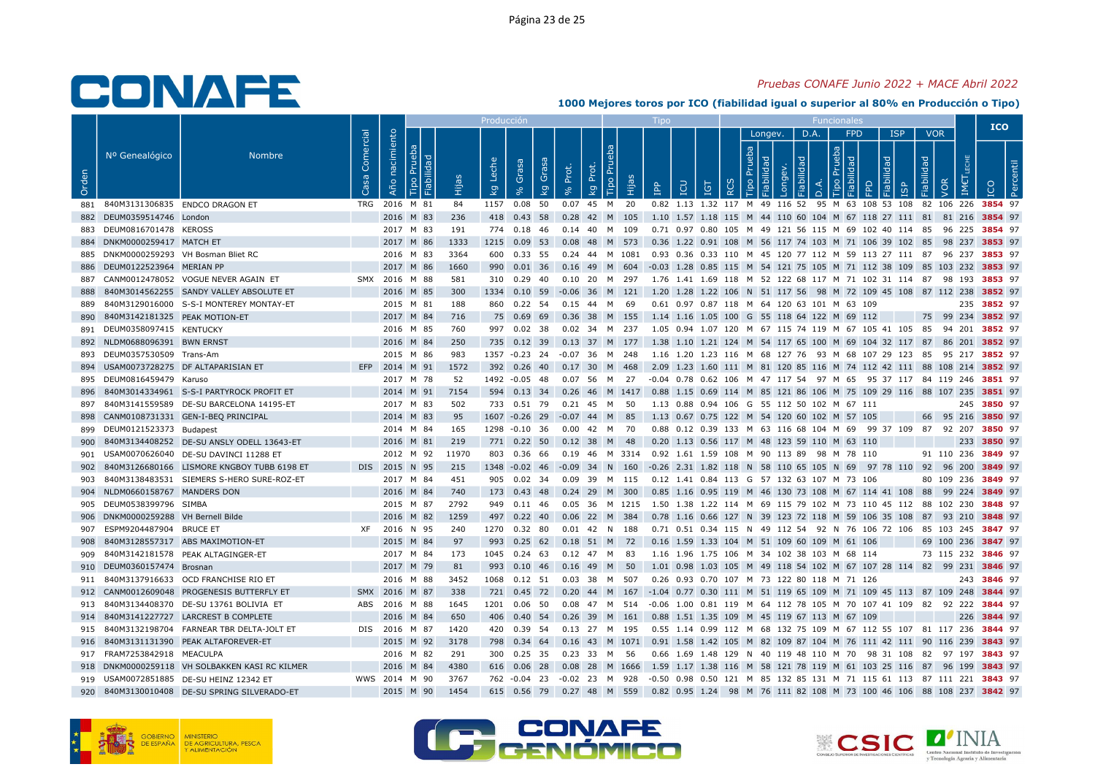## Pruebas CONAFE Junio 2022 + MACE Abril 2022

|       |                                       |                                                |                   |                |      |       | Producció      |                      |       |                                   |       |                                                                                                  |            |                   |         |      |                              |                     |                                 | <b>ICO</b>  |  |
|-------|---------------------------------------|------------------------------------------------|-------------------|----------------|------|-------|----------------|----------------------|-------|-----------------------------------|-------|--------------------------------------------------------------------------------------------------|------------|-------------------|---------|------|------------------------------|---------------------|---------------------------------|-------------|--|
| Orden | Nº Genealógico                        | <b>Nombre</b>                                  | Comercial<br>Casa | Año nacimiento | lida | Hija  | Leche          | Grasa<br>Grasa<br>kg | Prot. | Tipo Prue<br>Prot.                | Hijas | $\mathbf{P}^\mathbf{p}$                                                                          |            | Prueba<br>$\circ$ | Longev. | D.A. | <b>FPD</b><br>deb<br>$\circ$ | <b>ISP</b><br>lidad | <b>VOR</b><br>Fiabilidad<br>VOR |             |  |
|       |                                       |                                                |                   |                |      |       | kg             |                      |       | kg                                |       |                                                                                                  | <b>IGT</b> | $\alpha$          |         |      |                              |                     |                                 |             |  |
|       | 881 840M3131306835 ENDCO DRAGON ET    |                                                |                   | TRG 2016 M 81  |      | 84    | 1157 0.08 50   |                      |       | 0.07 45 M 20                      |       | 0.82 1.13 1.32 117 M 49 116 52 95 M 63 108 53 108 82 106 226 3854 97                             |            |                   |         |      |                              |                     |                                 |             |  |
|       | 882 DEUM0359514746 London             |                                                |                   | 2016 M 83      |      | 236   | 418 0.43 58    |                      |       | 0.28 42 M 105                     |       | 1.10 1.57 1.18 115 M 44 110 60 104 M 67 118 27 111 81 81 216 3854 97                             |            |                   |         |      |                              |                     |                                 |             |  |
|       | 883 DEUM0816701478 KEROSS             |                                                |                   | 2017 M 83      |      | 191   |                |                      |       | 774  0.18  46  0.14  40  M  109   |       | 0.71 0.97 0.80 105 M 49 121 56 115 M 69 102 40 114 85 96 225 3854 97                             |            |                   |         |      |                              |                     |                                 |             |  |
|       | 884 DNKM0000259417 MATCH ET           |                                                |                   | 2017 M 86      |      | 1333  |                |                      |       | 1215 0.09 53 0.08 48 M 573        |       | 0.36 1.22 0.91 108 M 56 117 74 103 M 71 106 39 102 85 98 237 <b>3853</b> 97                      |            |                   |         |      |                              |                     |                                 |             |  |
|       | 885 DNKM0000259293 VH Bosman Bliet RC |                                                |                   | 2016 M 83      |      | 3364  |                | 600 0.33 55          |       | 0.24 44 M 1081                    |       | 0.93 0.36 0.33 110 M 45 120 77 112 M 59 113 27 111 87 96 237 3853 97                             |            |                   |         |      |                              |                     |                                 |             |  |
|       | 886 DEUM0122523964 MERIAN PP          |                                                |                   | 2017 M 86      |      | 1660  |                |                      |       |                                   |       | 990 0.01 36 0.16 49 M 604 -0.03 1.28 0.85 115 M 54 121 75 105 M 71 112 38 109 85 103 232 3853 97 |            |                   |         |      |                              |                     |                                 |             |  |
| 887   |                                       | CANM0012478052 VOGUE NEVER AGAIN ET            |                   | SMX 2016 M 88  |      | 581   |                | 310 0.29 40          |       | 0.10 20 M 297                     |       | 1.76 1.41 1.69 118 M 52 122 68 117 M 71 102 31 114 87 98 193 <b>3853</b> 97                      |            |                   |         |      |                              |                     |                                 |             |  |
| 888   |                                       | 840M3014562255 SANDY VALLEY ABSOLUTE ET        |                   | 2016 M 85      |      | 300   |                |                      |       | 1334  0.10  59  -0.06  36  M  121 |       | 1.20 1.28 1.22 106 N 51 117 56 98 M 72 109 45 108 87 112 238 3852 97                             |            |                   |         |      |                              |                     |                                 |             |  |
| 889   |                                       | 840M3129016000 S-S-I MONTEREY MONTAY-ET        |                   | 2015 M 81      |      | 188   |                | 860 0.22 54          |       | 0.15 44 M                         | - 69  | 0.61 0.97 0.87 118 M 64 120 63 101 M 63 109                                                      |            |                   |         |      |                              |                     |                                 | 235 3852 97 |  |
| 890   | 840M3142181325 PEAK MOTION-ET         |                                                |                   | 2017 M 84      |      | 716   |                | 75 0.69 69           |       | 0.36 38 M 155                     |       | 1.14 1.16 1.05 100 G 55 118 64 122 M 69 112                                                      |            |                   |         |      |                              |                     | 75 99 234 3852 97               |             |  |
|       | 891 DEUM0358097415 KENTUCKY           |                                                |                   | 2016 M 85      |      | 760   |                | 997 0.02 38          |       | 0.02 34 M 237                     |       | 1.05  0.94  1.07  120  M  67  115  74  119  M  67  105  41  105  85  94  201  3852  97           |            |                   |         |      |                              |                     |                                 |             |  |
|       | 892 NLDM0688096391 BWN ERNST          |                                                |                   | 2016 M 84      |      | 250   |                |                      |       | 735  0.12  39  0.13  37  M  177   |       | 1.38 1.10 1.21 124 M 54 117 65 100 M 69 104 32 117 87 86 201 3852 97                             |            |                   |         |      |                              |                     |                                 |             |  |
|       | 893 DEUM0357530509 Trans-Am           |                                                |                   | 2015 M 86      |      | 983   | 1357 -0.23 24  |                      |       | -0.07 36 M 248                    |       | 1.16 1.20 1.23 116 M 68 127 76 93 M 68 107 29 123 85 95 217 3852 97                              |            |                   |         |      |                              |                     |                                 |             |  |
|       |                                       | 894 USAM0073728275 DF ALTAPARISIAN ET          |                   | EFP 2014 M 91  |      | 1572  |                |                      |       | 392  0.26  40  0.17  30  M  468   |       | 2.09 1.23 1.60 111 M 81 120 85 116 M 74 112 42 111 88 108 214 3852 97                            |            |                   |         |      |                              |                     |                                 |             |  |
|       | 895 DEUM0816459479 Karuso             |                                                |                   | 2017 M 78      |      | 52    | 1492 -0.05 48  |                      |       | 0.07 56 M                         | 27    | -0.04  0.78  0.62  106  M  47  117  54  97  M  65  95  37  117  84  119  246  3851  97           |            |                   |         |      |                              |                     |                                 |             |  |
| 896   |                                       | 840M3014334961 S-S-I PARTYROCK PROFIT ET       |                   | 2014 M 91      |      | 7154  |                |                      |       |                                   |       | 594 0.13 34 0.26 46 M 1417 0.88 1.15 0.69 114 M 85 121 86 106 M 75 109 29 116 88 107 235 3851 97 |            |                   |         |      |                              |                     |                                 |             |  |
| 897   |                                       | 840M3141559589 DE-SU BARCELONA 14195-ET        |                   | 2017 M 83      |      | 502   | 733 0.51 79    |                      |       | 0.21 45 M 50                      |       | 1.13 0.88 0.94 106 G 55 112 50 102 M 67 111                                                      |            |                   |         |      |                              |                     |                                 | 245 3850 97 |  |
| 898   |                                       | CANM0108731331 GEN-I-BEQ PRINCIPAL             |                   | 2014 M 83      |      | 95    | 1607 -0.26 29  |                      |       | $-0.07$ 44 M 85                   |       | 1.13 0.67 0.75 122 M 54 120 60 102 M 57 105                                                      |            |                   |         |      |                              |                     | 66 95 216 3850 97               |             |  |
|       | 899 DEUM0121523373 Budapest           |                                                |                   | 2014 M 84      |      | 165   | 1298 -0.10 36  |                      |       | 0.00 42 M 70                      |       | 0.88 0.12 0.39 133 M 63 116 68 104 M 69 99 37 109 87 92 207 3850 97                              |            |                   |         |      |                              |                     |                                 |             |  |
| 900   |                                       | 840M3134408252 DE-SU ANSLY ODELL 13643-ET      |                   | 2016 M 81      |      | 219   | 771 0.22 50    |                      | 0.12  | -38<br>M                          | - 48  | 0.20 1.13 0.56 117 M 48 123 59 110 M 63 110                                                      |            |                   |         |      |                              |                     |                                 | 233 3850 97 |  |
|       |                                       | 901 USAM0070626040 DE-SU DAVINCI 11288 ET      |                   | 2012 M 92      |      | 11970 |                |                      |       |                                   |       | 803 0.36 66 0.19 46 M 3314 0.92 1.61 1.59 108 M 90 113 89 98 M 78 110                            |            |                   |         |      |                              |                     | 91 110 236 3849 97              |             |  |
| 902   |                                       | 840M3126680166 LISMORE KNGBOY TUBB 6198 ET     |                   | DIS 2015 N 95  |      | 215   |                |                      |       | 1348 -0.02 46 -0.09 34 N 160      |       | -0.26 2.31 1.82 118 N 58 110 65 105 N 69 97 78 110 92 96 200 3849 97                             |            |                   |         |      |                              |                     |                                 |             |  |
| 903   |                                       | 840M3138483531 SIEMERS S-HERO SURE-ROZ-ET      |                   | 2017 M 84      |      | 451   |                | 905 0.02 34          |       | 0.09 39 M 115                     |       | 0.12 1.41 0.84 113 G 57 132 63 107 M 73 106                                                      |            |                   |         |      |                              |                     | 80 109 236 3849 97              |             |  |
|       | 904 NLDM0660158767 MANDERS DON        |                                                |                   | 2016 M 84      |      | 740   |                | 173 0.43 48          |       | 0.24 29 M 300                     |       | 0.85 1.16 0.95 119 M 46 130 73 108 M 67 114 41 108 88 99 224 3849 97                             |            |                   |         |      |                              |                     |                                 |             |  |
|       | 905 DEUM0538399796 SIMBA              |                                                |                   | 2015 M 87      |      | 2792  |                | 949 0.11 46          |       |                                   |       | 0.05 36 M 1215 1.50 1.38 1.22 114 M 69 115 79 102 M 73 110 45 112 88 102 230 <b>3848</b> 97      |            |                   |         |      |                              |                     |                                 |             |  |
|       | 906 DNKM0000259288 VH Bernell Bilde   |                                                |                   | 2016 M 82      |      | 1259  |                | 497 0.22 40          |       | 0.06 22 M 384                     |       | 0.78 1.16 0.66 127 N 39 123 72 118 M 59 106 35 108 87 93 210 3848 97                             |            |                   |         |      |                              |                     |                                 |             |  |
| 907   | ESPM9204487904 BRUCE ET               |                                                |                   | XF 2016 N 95   |      | 240   | 1270 0.32 80   |                      |       | $0.01$ 42 N 188                   |       | 0.71  0.51  0.34  115  N  49  112  54  92  N  76  106  72  106  85  103  245 <b>3847</b> 97      |            |                   |         |      |                              |                     |                                 |             |  |
| 908   |                                       | 840M3128557317 ABS MAXIMOTION-ET               |                   | 2015 M 84      |      | 97    | 993 0.25 62    |                      |       | 0.18 51 M 72                      |       | 0.16 1.59 1.33 104 M 51 109 60 109 M 61 106                                                      |            |                   |         |      |                              |                     | 69 100 236 3847 97              |             |  |
|       |                                       | 909 840M3142181578 PEAK ALTAGINGER-ET          |                   | 2017 M 84      |      | 173   |                |                      |       | 1045  0.24  63  0.12  47  M  83   |       | 1.16 1.96 1.75 106 M 34 102 38 103 M 68 114                                                      |            |                   |         |      |                              |                     | 73 115 232 3846 97              |             |  |
|       | 910 DEUM0360157474 Brosnan            |                                                |                   | 2017 M 79      |      | 81    | 993 0.10 46    |                      |       | 0.16 49 M 50                      |       | 1.01 0.98 1.03 105 M 49 118 54 102 M 67 107 28 114 82 99 231 3846 97                             |            |                   |         |      |                              |                     |                                 |             |  |
|       |                                       | 911 840M3137916633 OCD FRANCHISE RIO ET        |                   | 2016 M 88      |      | 3452  | 1068  0.12  51 |                      |       | 0.03 38 M 507                     |       | 0.26 0.93 0.70 107 M 73 122 80 118 M 71 126                                                      |            |                   |         |      |                              |                     |                                 | 243 3846 97 |  |
|       |                                       | 912 CANM0012609048 PROGENESIS BUTTERFLY ET     |                   | SMX 2016 M 87  |      | 338   |                |                      |       |                                   |       | 721 0.45 72 0.20 44 M 167 -1.04 0.77 0.30 111 M 51 119 65 109 M 71 109 45 113 87 109 248 3844 97 |            |                   |         |      |                              |                     |                                 |             |  |
|       |                                       | 913 840M3134408370 DE-SU 13761 BOLIVIA ET      |                   | ABS 2016 M 88  |      | 1645  | 1201           | $0.06$ 50            |       | 0.08  47  M  514                  |       | -0.06 1.00 0.81 119 M 64 112 78 105 M 70 107 41 109 82 92 222 3844 97                            |            |                   |         |      |                              |                     |                                 |             |  |
|       |                                       | 914 840M3141227727 LARCREST B COMPLETE         |                   | 2016 M 84      |      | 650   |                |                      |       |                                   |       | 406 0.40 54 0.26 39 M 161 0.88 1.51 1.35 109 M 45 119 67 113 M 67 109                            |            |                   |         |      |                              |                     |                                 | 226 3844 97 |  |
| 915   |                                       | 840M3132198704 FARNEAR TBR DELTA-JOLT ET       |                   | DIS 2016 M 87  |      | 1420  |                | 420 0.39 54          |       | 0.13 27 M 195                     |       | 0.55 1.14 0.99 112 M 68 132 75 109 M 67 112 55 107 81 117 236 3844 97                            |            |                   |         |      |                              |                     |                                 |             |  |
|       |                                       | 916 840M3131131390 PEAK ALTAFOREVER-ET         |                   | 2015 M 92      |      | 3178  |                | 798 0.34 64          |       |                                   |       | 0.16 43 M 1071 0.91 1.58 1.42 105 M 82 109 87 104 M 76 111 42 111 90 116 239 3843 97             |            |                   |         |      |                              |                     |                                 |             |  |
|       | 917 FRAM7253842918 MEACULPA           |                                                |                   | 2016 M 82      |      | 291   |                | 300 0.25 35          |       | 0.23 33 M 56                      |       | 0.66 1.69 1.48 129 N 40 119 48 110 M 70 98 31 108 82 97 197 3843 97                              |            |                   |         |      |                              |                     |                                 |             |  |
|       |                                       | 918 DNKM0000259118 VH SOLBAKKEN KASI RC KILMER |                   | 2016 M 84      |      | 4380  |                | 616 0.06 28          | 0.08  | 28 M 1666                         |       | 1.59 1.17 1.38 116 M 58 121 78 119 M 61 103 25 116 87 96 199 3843 97                             |            |                   |         |      |                              |                     |                                 |             |  |
|       |                                       | 919 USAM0072851885 DE-SU HEINZ 12342 ET        |                   | WWS 2014 M 90  |      | 3767  |                |                      |       | 762 -0.04 23 -0.02 23 M 928       |       | -0.50 0.98 0.50 121 M 85 132 85 131 M 71 115 61 113 87 111 221 <b>3843</b> 97                    |            |                   |         |      |                              |                     |                                 |             |  |
|       |                                       | 920 840M3130010408 DE-SU SPRING SILVERADO-ET   |                   | 2015 M 90      |      | 1454  |                |                      |       |                                   |       | 615 0.56 79 0.27 48 M 559 0.82 0.95 1.24 98 M 76 111 82 108 M 73 100 46 106 88 108 237 3842 97   |            |                   |         |      |                              |                     |                                 |             |  |







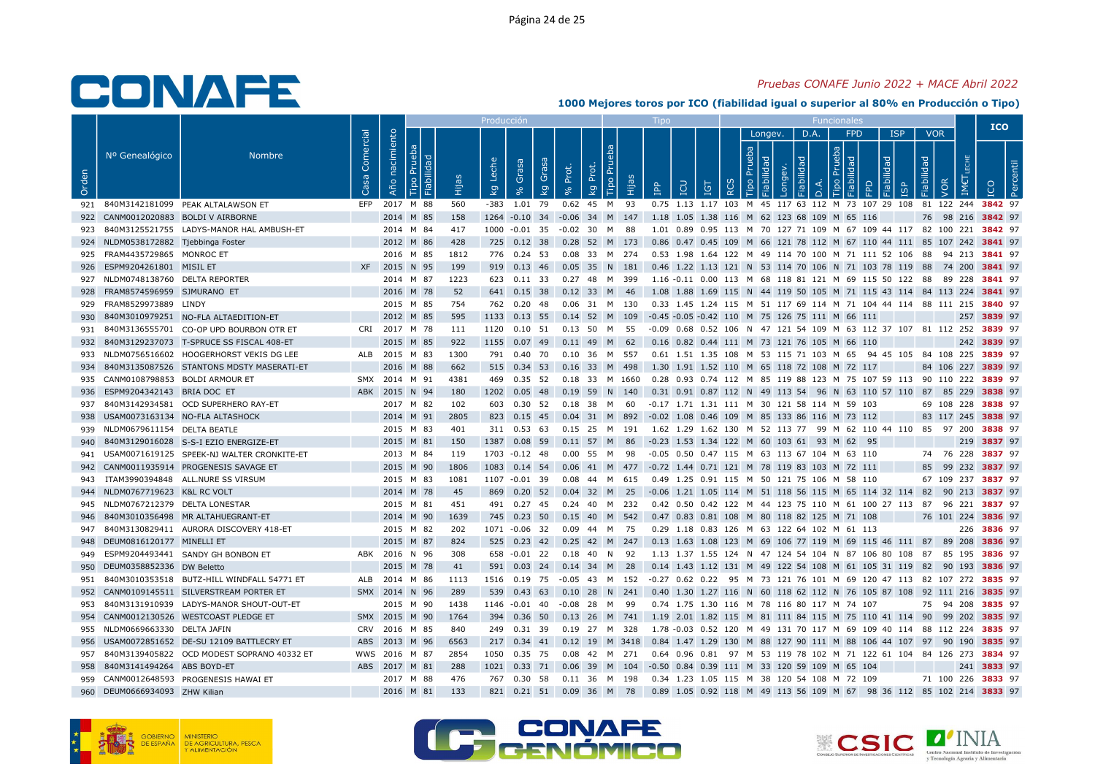## Pruebas CONAFE Junio 2022 + MACE Abril 2022

|       |                                     |                                                |                   |                |   |       | Producció                        |                      |             |                            |                                                                                                                         |     |                               |         |                |                                   |                     |                               |                   | <b>ICO</b>         |  |
|-------|-------------------------------------|------------------------------------------------|-------------------|----------------|---|-------|----------------------------------|----------------------|-------------|----------------------------|-------------------------------------------------------------------------------------------------------------------------|-----|-------------------------------|---------|----------------|-----------------------------------|---------------------|-------------------------------|-------------------|--------------------|--|
| Orden | Nº Genealógico                      | <b>Nombre</b>                                  | Comercial<br>Casa | Año nacimiento | 골 | Hijas | Leche<br>Grasa<br>$k_{g}$        | Grasa<br>Prot.<br>kg | Prot.<br>kg | Tipo Pru<br>Hijas          | <b>CD</b><br>$\mathbf{P}^{\mathbf{p}}$                                                                                  | IGT | Prueba<br>$\circ$<br>$\alpha$ | Longev. | D.A.<br>õ<br>≏ | <b>FPD</b><br>deb<br>ᅙ<br>$\circ$ | <b>ISP</b><br>lidad | Fiabilidad<br>1 <sub>Sp</sub> | <b>VOR</b><br>VOR |                    |  |
|       |                                     | 921 840M3142181099 PEAK ALTALAWSON ET          | EFP               | 2017 M 88      |   | 560   | $-383$ 1.01 79                   |                      |             | 0.62 45 M 93               | 0.75 1.13 1.17 103 M 45 117 63 112 M 73 107 29 108 81 122 244 3842 97                                                   |     |                               |         |                |                                   |                     |                               |                   |                    |  |
|       | 922 CANM0012020883 BOLDI V AIRBORNE |                                                |                   | 2014 M 85      |   | 158   |                                  |                      |             |                            | 1264 -0.10 34 -0.06 34 M 147 1.18 1.05 1.38 116 M 62 123 68 109 M 65 116                                                |     |                               |         |                |                                   |                     |                               |                   | 76 98 216 3842 97  |  |
|       |                                     | 923 840M3125521755 LADYS-MANOR HAL AMBUSH-ET   |                   | 2014 M 84      |   | 417   | 1000 -0.01 35 -0.02 30 M 88      |                      |             |                            | 1.01 0.89 0.95 113 M 70 127 71 109 M 67 109 44 117 82 100 221 3842 97                                                   |     |                               |         |                |                                   |                     |                               |                   |                    |  |
|       | 924 NLDM0538172882 Tjebbinga Foster |                                                |                   | 2012 M 86      |   | 428   |                                  |                      |             |                            | 725 0.12 38 0.28 52 M 173 0.86 0.47 0.45 109 M 66 121 78 112 M 67 110 44 111 85 107 242 3841 97                         |     |                               |         |                |                                   |                     |                               |                   |                    |  |
|       | 925 FRAM4435729865 MONROC ET        |                                                |                   | 2016 M 85      |   | 1812  | 776 0.24 53                      |                      |             | 0.08 33 M 274              | 0.53 1.98 1.64 122 M 49 114 70 100 M 71 111 52 106 88 94 213 3841 97                                                    |     |                               |         |                |                                   |                     |                               |                   |                    |  |
|       | 926 ESPM9204261801 MISIL ET         |                                                |                   | XF 2015 N 95   |   | 199   |                                  |                      |             |                            | 919 0.13 46 0.05 35 N 181 0.46 1.22 1.13 121 N 53 114 70 106 N 71 103 78 119 88 74 200 3841 97                          |     |                               |         |                |                                   |                     |                               |                   |                    |  |
|       | 927 NLDM0748138760 DELTA REPORTER   |                                                |                   | 2014 M 87      |   | 1223  | 623  0.11  33  0.27  48  M  399  |                      |             |                            | 1.16 -0.11 0.00 113 M 68 118 81 121 M 69 115 50 122 88 89 228 <b>3841</b> 97                                            |     |                               |         |                |                                   |                     |                               |                   |                    |  |
| 928   | FRAM8574596959 SJMURANO ET          |                                                |                   | 2016 M 78      |   | 52    | 641 0.15 38 0.12 33 M 46         |                      |             |                            | 1.08 1.88 1.69 115 N 44 119 50 105 M 71 115 43 114 84 113 224 <b>3841</b> 97                                            |     |                               |         |                |                                   |                     |                               |                   |                    |  |
|       | 929 FRAM8529973889 LINDY            |                                                |                   | 2015 M 85      |   | 754   | 762  0.20  48                    |                      |             | 0.06 31 M 130              | 0.33 1.45 1.24 115 M 51 117 69 114 M 71 104 44 114 88 111 215 3840 97                                                   |     |                               |         |                |                                   |                     |                               |                   |                    |  |
| 930   |                                     | 840M3010979251 NO-FLA ALTAEDITION-ET           |                   | 2012 M 85      |   | 595   | 1133 0.13 55 0.14 52 M 109       |                      |             |                            | -0.45 -0.05 -0.42 110 M 75 126 75 111 M 66 111                                                                          |     |                               |         |                |                                   |                     |                               |                   | 257 3839 97        |  |
|       |                                     | 931 840M3136555701 CO-OP UPD BOURBON OTR ET    |                   | CRI 2017 M 78  |   | 111   | 1120  0.10  51  0.13  50  M  55  |                      |             |                            | -0.09 0.68 0.52 106 N 47 121 54 109 M 63 112 37 107 81 112 252 3839 97                                                  |     |                               |         |                |                                   |                     |                               |                   |                    |  |
|       |                                     | 932 840M3129237073 T-SPRUCE SS FISCAL 408-ET   |                   | 2015 M 85      |   | 922   | 1155  0.07  49  0.11  49  M  62  |                      |             |                            | 0.16 0.82 0.44 111 M 73 121 76 105 M 66 110                                                                             |     |                               |         |                |                                   |                     |                               |                   | 242 3839 97        |  |
|       |                                     | 933 NLDM0756516602 HOOGERHORST VEKIS DG LEE    |                   | ALB 2015 M 83  |   | 1300  | 791  0.40  70  0.10  36  M  557  |                      |             |                            | 0.61 1.51 1.35 108 M 53 115 71 103 M 65 94 45 105 84 108 225 3839 97                                                    |     |                               |         |                |                                   |                     |                               |                   |                    |  |
|       |                                     | 934 840M3135087526 STANTONS MDSTY MASERATI-ET  |                   | 2016 M 88      |   | 662   | 515 0.34 53 0.16 33 M 498        |                      |             |                            | 1.30 1.91 1.52 110 M 65 118 72 108 M 72 117                                                                             |     |                               |         |                |                                   |                     |                               |                   | 84 106 227 3839 97 |  |
|       | 935 CANM0108798853 BOLDI ARMOUR ET  |                                                |                   | SMX 2014 M 91  |   | 4381  | 469 0.35 52                      |                      |             | 0.18 33 M 1660             | 0.28 0.93 0.74 112 M 85 119 88 123 M 75 107 59 113 90 110 222 3839 97                                                   |     |                               |         |                |                                   |                     |                               |                   |                    |  |
|       | 936 ESPM9204342143 BRIA DOC ET      |                                                |                   | ABK 2015 N 94  |   | 180   | 1202  0.05  48  0.19  59  N  140 |                      |             |                            | 0.31 0.91 0.87 112 N 49 113 54 96 N 63 110 57 110 87 85 229 3838 97                                                     |     |                               |         |                |                                   |                     |                               |                   |                    |  |
|       |                                     | 937 840M3142934581 OCD SUPERHERO RAY-ET        |                   | 2017 M 82      |   | 102   | 603  0.30  52  0.18  38  M  60   |                      |             |                            | -0.17 1.71 1.31 111 M 30 121 58 114 M 59 103                                                                            |     |                               |         |                |                                   |                     |                               |                   | 69 108 228 3838 97 |  |
|       | 938 USAM0073163134 NO-FLA ALTASHOCK |                                                |                   | 2014 M 91      |   | 2805  | 823 0.15 45 0.04 31 M 892        |                      |             |                            | -0.02 1.08 0.46 109 M 85 133 86 116 M 73 112                                                                            |     |                               |         |                |                                   |                     |                               |                   | 83 117 245 3838 97 |  |
|       | 939 NLDM0679611154 DELTA BEATLE     |                                                |                   | 2015 M 83      |   | 401   | 311 0.53 63                      |                      |             |                            | 0.15 25 M 191 1.62 1.29 1.62 130 M 52 113 77 99 M 62 110 44 110 85 97 200 3838 97                                       |     |                               |         |                |                                   |                     |                               |                   |                    |  |
|       |                                     | 840M3129016028 S-S-I EZIO ENERGIZE-ET          |                   | 2015 M 81      |   | 150   | 1387 0.08 59                     |                      |             | 0.11 57 M 86               | -0.23 1.53 1.34 122 M 60 103 61 93 M 62 95                                                                              |     |                               |         |                |                                   |                     |                               |                   | 219 3837 97        |  |
|       |                                     | 941 USAM0071619125 SPEEK-NJ WALTER CRONKITE-ET |                   | 2013 M 84      |   | 119   | 1703 -0.12 48 0.00 55 M 98       |                      |             |                            | -0.05  0.50  0.47  115  M  63  113  67  104  M  63  110                                                                 |     |                               |         |                |                                   |                     |                               |                   | 74 76 228 3837 97  |  |
|       |                                     | 942 CANM0011935914 PROGENESIS SAVAGE ET        |                   | 2015 M 90      |   | 1806  |                                  |                      |             |                            | 1083 0.14 54 0.06 41 M 477 -0.72 1.44 0.71 121 M 78 119 83 103 M 72 111                                                 |     |                               |         |                |                                   |                     |                               |                   | 85 99 232 3837 97  |  |
|       |                                     | 943 ITAM3990394848 ALL.NURE SS VIRSUM          |                   | 2015 M 83      |   | 1081  | 1107 -0.01 39                    |                      |             | 0.08  44  M  615           | 0.49 1.25 0.91 115 M 50 121 75 106 M 58 110                                                                             |     |                               |         |                |                                   |                     |                               |                   | 67 109 237 3837 97 |  |
|       | 944 NLDM0767719623 K&L RC VOLT      |                                                |                   | 2014 M 78      |   | 45    |                                  |                      |             |                            | 869 0.20 52 0.04 32 M 25 -0.06 1.21 1.05 114 M 51 118 56 115 M 65 114 32 114 82 90 213 3837 97                          |     |                               |         |                |                                   |                     |                               |                   |                    |  |
|       | 945 NLDM0767212379 DELTA LONESTAR   |                                                |                   | 2015 M 81      |   | 451   | 491 0.27 45                      |                      |             | 0.24 40 M 232              | 0.42 0.50 0.42 122 M 44 123 75 110 M 61 100 27 113 87 96 221 3837 97                                                    |     |                               |         |                |                                   |                     |                               |                   |                    |  |
| 946   |                                     | 840M3010356498 MR ALTAHUEGRANT-ET              |                   | 2014 M 90      |   | 1639  |                                  |                      |             |                            | 745 0.23 50 0.15 40 M 542 0.47 0.83 0.81 108 M 80 118 82 125 M 71 108                                                   |     |                               |         |                |                                   |                     |                               |                   | 76 101 224 3836 97 |  |
|       |                                     | 947 840M3130829411 AURORA DISCOVERY 418-ET     |                   | 2015 M 82      |   | 202   | 1071 -0.06 32                    |                      |             | 0.09 44 M 75               | 0.29 1.18 0.83 126 M 63 122 64 102 M 61 113                                                                             |     |                               |         |                |                                   |                     |                               |                   | 226 3836 97        |  |
|       | 948 DEUM0816120177 MINELLI ET       |                                                |                   | 2015 M 87      |   | 824   |                                  |                      |             |                            | 525 0.23 42 0.25 42 M 247 0.13 1.63 1.08 123 M 69 106 77 119 M 69 115 46 111 87 89 208 3836 97                          |     |                               |         |                |                                   |                     |                               |                   |                    |  |
|       |                                     | 949 ESPM9204493441 SANDY GH BONBON ET          |                   | ABK 2016 N 96  |   | 308   | 658 -0.01 22 0.18 40 N 92        |                      |             |                            | 1.13 1.37 1.55 124 N 47 124 54 104 N 87 106 80 108 87 85 195 <b>3836</b> 97                                             |     |                               |         |                |                                   |                     |                               |                   |                    |  |
|       | 950 DEUM0358852336 DW Beletto       |                                                |                   | 2015 M 78      |   | 41    | 591 0.03 24 0.14 34 M 28         |                      |             |                            | 0.14 1.43 1.12 131 M 49 122 54 108 M 61 105 31 119 82 90 193 3836 97                                                    |     |                               |         |                |                                   |                     |                               |                   |                    |  |
|       |                                     | 951 840M3010353518 BUTZ-HILL WINDFALL 54771 ET |                   | ALB 2014 M 86  |   | 1113  |                                  |                      |             |                            | 1516 0.19 75 -0.05 43 M 152 -0.27 0.62 0.22 95 M 73 121 76 101 M 69 120 47 113 82 107 272 3835 97                       |     |                               |         |                |                                   |                     |                               |                   |                    |  |
|       |                                     | 952 CANM0109145511 SILVERSTREAM PORTER ET      |                   | SMX 2014 N 96  |   | 289   |                                  |                      |             |                            | 539 0.43 63 0.10 28 N 241 0.40 1.30 1.27 116 N 60 118 62 112 N 76 105 87 108 92 111 216 3835 97                         |     |                               |         |                |                                   |                     |                               |                   |                    |  |
| 953   |                                     | 840M3131910939 LADYS-MANOR SHOUT-OUT-ET        |                   | 2015 M 90      |   | 1438  | 1146 -0.01 40                    |                      |             | -0.08 28 M 99              | 0.74 1.75 1.30 116 M 78 116 80 117 M 74 107                                                                             |     |                               |         |                |                                   |                     |                               |                   | 75 94 208 3835 97  |  |
|       |                                     | 954 CANM0012130526 WESTCOAST PLEDGE ET         |                   | SMX 2015 M 90  |   | 1764  |                                  |                      |             |                            | 394  0.36  50  0.13  26  M  741  1.19  2.01  1.82  115  M  81  111  84  115  M  75  110  41  114  90  99  202  3835  97 |     |                               |         |                |                                   |                     |                               |                   |                    |  |
|       | 955 NLDM0669663330 DELTA JAFIN      |                                                |                   | CRV 2016 M 85  |   | 840   | 249 0.31 39                      |                      |             | 0.19 27 M 328              | 1.78 -0.03 0.52 120 M 49 131 70 117 M 69 109 40 114 88 112 224 <b>3835</b> 97                                           |     |                               |         |                |                                   |                     |                               |                   |                    |  |
|       |                                     | 956 USAM0072851652 DE-SU 12109 BATTLECRY ET    |                   | ABS 2013 M 96  |   | 6563  |                                  |                      |             | 217 0.34 41 0.12 19 M 3418 | 0.84 1.47 1.29 130 M 88 127 90 111 M 88 106 44 107 97 90 190 3835 97                                                    |     |                               |         |                |                                   |                     |                               |                   |                    |  |
|       |                                     | 957 840M3139405822 OCD MODEST SOPRANO 40332 ET |                   | WWS 2016 M 87  |   | 2854  | 1050 0.35 75                     |                      |             | 0.08  42  M  271           | 0.64 0.96 0.81 97 M 53 119 78 102 M 71 122 61 104 84 126 273 3834 97                                                    |     |                               |         |                |                                   |                     |                               |                   |                    |  |
| 958   | 840M3141494264 ABS BOYD-ET          |                                                | <b>ABS</b>        | 2017 M 81      |   | 288   | 1021 0.33 71                     | 0.06                 |             |                            | 39 M 104 -0.50 0.84 0.39 111 M 33 120 59 109 M 65 104                                                                   |     |                               |         |                |                                   |                     |                               |                   | 241 3833 97        |  |
|       |                                     | 959 CANM0012648593 PROGENESIS HAWAI ET         |                   | 2017 M 88      |   | 476   | 767  0.30  58  0.11  36  M  198  |                      |             |                            | 0.34 1.23 1.05 115 M 38 120 54 108 M 72 109                                                                             |     |                               |         |                |                                   |                     |                               |                   | 71 100 226 3833 97 |  |
|       | 960 DEUM0666934093 ZHW Kilian       |                                                |                   | 2016 M 81      |   | 133   | 821 0.21 51 0.09 36 M 78         |                      |             |                            | 0.89 1.05 0.92 118 M 49 113 56 109 M 67 98 36 112 85 102 214 3833 97                                                    |     |                               |         |                |                                   |                     |                               |                   |                    |  |